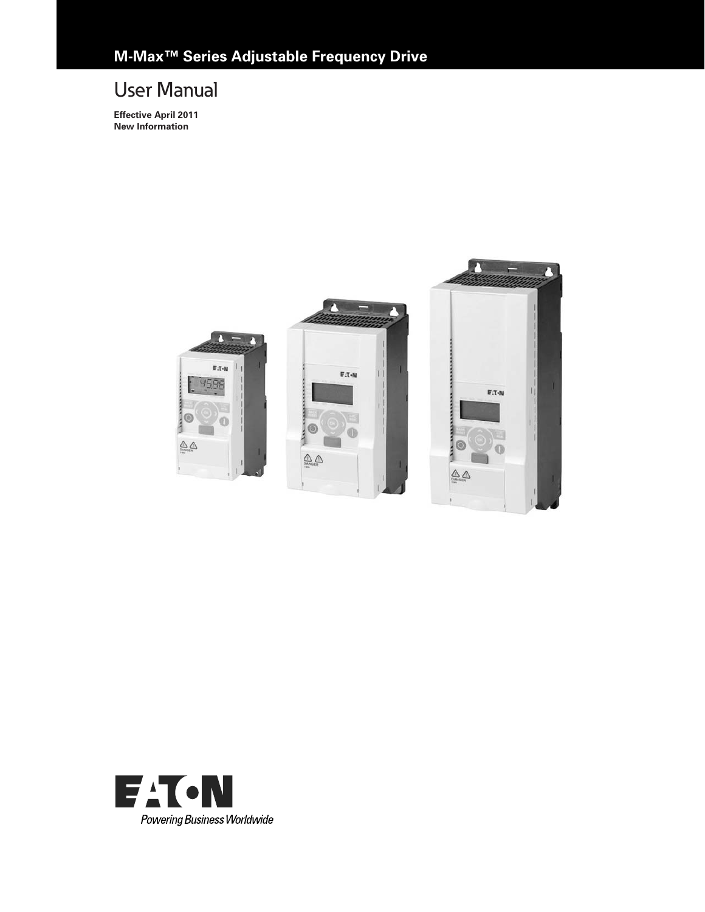# User Manual

**Effective April 2011 New Information**



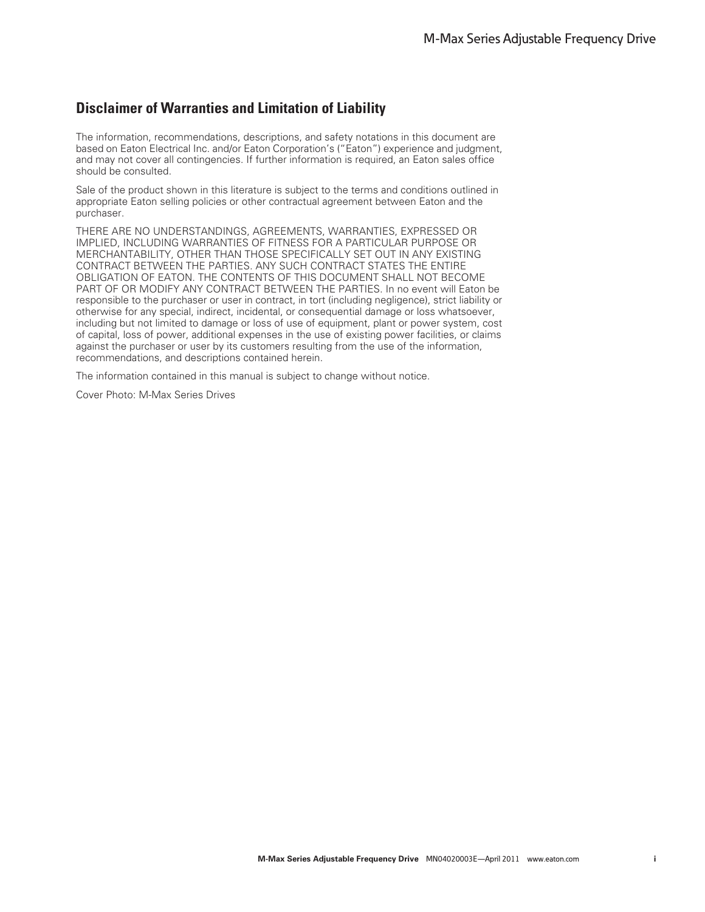### **Disclaimer of Warranties and Limitation of Liability**

The information, recommendations, descriptions, and safety notations in this document are based on Eaton Electrical Inc. and/or Eaton Corporation's ("Eaton") experience and judgment, and may not cover all contingencies. If further information is required, an Eaton sales office should be consulted.

Sale of the product shown in this literature is subject to the terms and conditions outlined in appropriate Eaton selling policies or other contractual agreement between Eaton and the purchaser.

THERE ARE NO UNDERSTANDINGS, AGREEMENTS, WARRANTIES, EXPRESSED OR IMPLIED, INCLUDING WARRANTIES OF FITNESS FOR A PARTICULAR PURPOSE OR MERCHANTABILITY, OTHER THAN THOSE SPECIFICALLY SET OUT IN ANY EXISTING CONTRACT BETWEEN THE PARTIES. ANY SUCH CONTRACT STATES THE ENTIRE OBLIGATION OF EATON. THE CONTENTS OF THIS DOCUMENT SHALL NOT BECOME PART OF OR MODIFY ANY CONTRACT BETWEEN THE PARTIES. In no event will Eaton be responsible to the purchaser or user in contract, in tort (including negligence), strict liability or otherwise for any special, indirect, incidental, or consequential damage or loss whatsoever, including but not limited to damage or loss of use of equipment, plant or power system, cost of capital, loss of power, additional expenses in the use of existing power facilities, or claims against the purchaser or user by its customers resulting from the use of the information, recommendations, and descriptions contained herein.

The information contained in this manual is subject to change without notice.

Cover Photo: M-Max Series Drives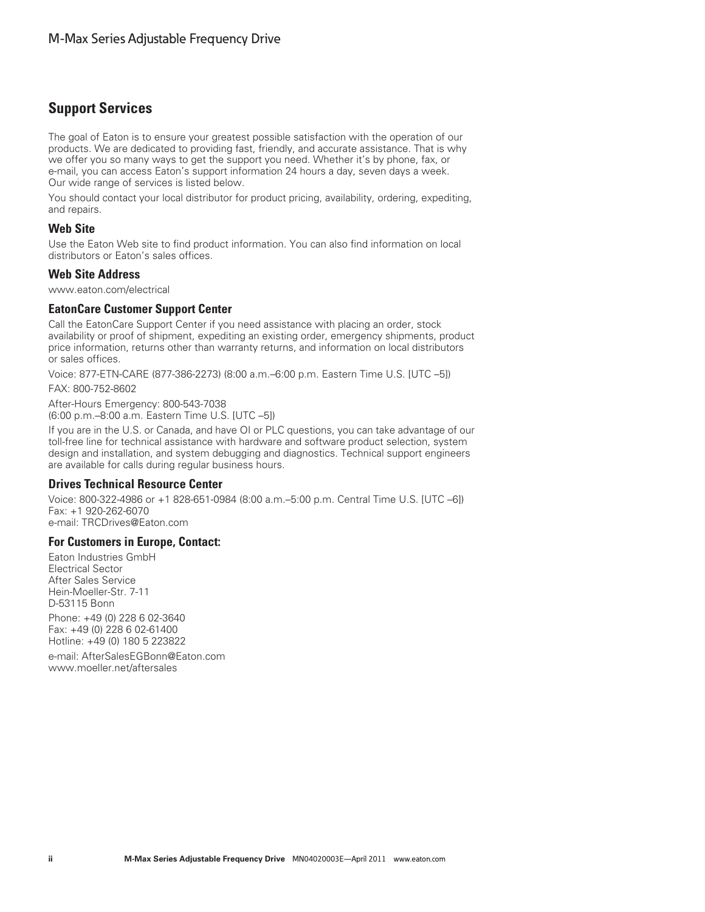### **Support Services**

The goal of Eaton is to ensure your greatest possible satisfaction with the operation of our products. We are dedicated to providing fast, friendly, and accurate assistance. That is why we offer you so many ways to get the support you need. Whether it's by phone, fax, or e-mail, you can access Eaton's support information 24 hours a day, seven days a week. Our wide range of services is listed below.

You should contact your local distributor for product pricing, availability, ordering, expediting, and repairs.

#### **Web Site**

Use the Eaton Web site to find product information. You can also find information on local distributors or Eaton's sales offices.

#### **Web Site Address**

www.eaton.com/electrical

#### **EatonCare Customer Support Center**

Call the EatonCare Support Center if you need assistance with placing an order, stock availability or proof of shipment, expediting an existing order, emergency shipments, product price information, returns other than warranty returns, and information on local distributors or sales offices.

Voice: 877-ETN-CARE (877-386-2273) (8:00 a.m.–6:00 p.m. Eastern Time U.S. [UTC –5])

FAX: 800-752-8602

After-Hours Emergency: 800-543-7038 (6:00 p.m.–8:00 a.m. Eastern Time U.S. [UTC –5])

If you are in the U.S. or Canada, and have OI or PLC questions, you can take advantage of our toll-free line for technical assistance with hardware and software product selection, system design and installation, and system debugging and diagnostics. Technical support engineers are available for calls during regular business hours.

### **Drives Technical Resource Center**

Voice: 800-322-4986 or +1 828-651-0984 (8:00 a.m.–5:00 p.m. Central Time U.S. [UTC –6]) Fax: +1 920-262-6070 e-mail: TRCDrives@Eaton.com

### **For Customers in Europe, Contact:**

Eaton Industries GmbH Electrical Sector After Sales Service Hein-Moeller-Str. 7-11 D-53115 Bonn

Phone: +49 (0) 228 6 02-3640 Fax: +49 (0) 228 6 02-61400 Hotline: +49 (0) 180 5 223822

e-mail: AfterSalesEGBonn@Eaton.com www.moeller.net/aftersales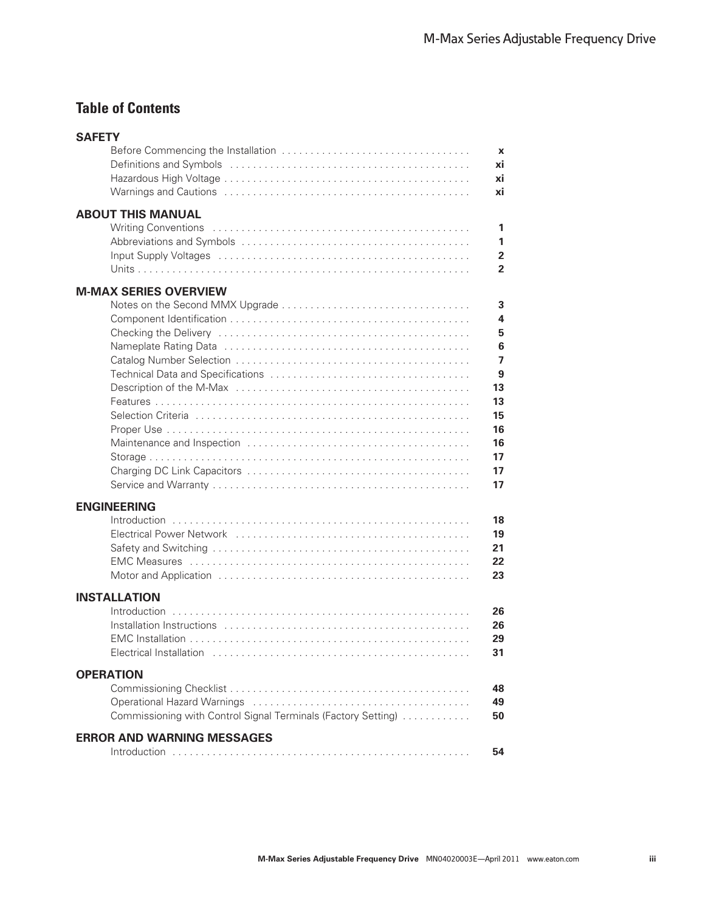### **Table of Contents**

| <b>SAFETY</b>                                                                                                  |                     |
|----------------------------------------------------------------------------------------------------------------|---------------------|
|                                                                                                                | X<br>хi             |
|                                                                                                                | хi<br>хi            |
| <b>ABOUT THIS MANUAL</b><br><b>Writing Conventions</b>                                                         | 1                   |
|                                                                                                                | 1                   |
|                                                                                                                | 2<br>2              |
| <b>M-MAX SERIES OVERVIEW</b>                                                                                   |                     |
|                                                                                                                | 3<br>4              |
|                                                                                                                | 5                   |
|                                                                                                                | 6                   |
|                                                                                                                | $\overline{7}$<br>9 |
|                                                                                                                | 13                  |
|                                                                                                                | 13                  |
|                                                                                                                | 15                  |
|                                                                                                                | 16                  |
|                                                                                                                | 16<br>17            |
|                                                                                                                | 17                  |
|                                                                                                                | 17                  |
| <b>ENGINEERING</b>                                                                                             |                     |
|                                                                                                                | 18                  |
|                                                                                                                | 19<br>21            |
|                                                                                                                | 22                  |
|                                                                                                                | 23                  |
| <b>INSTALLATION</b>                                                                                            |                     |
| Introduction                                                                                                   | 26                  |
|                                                                                                                | 26                  |
| Electrical Installation (Alternative Alternative Alternative Alternative Alternative Alternative Alternative A | 29<br>31            |
| <b>OPERATION</b>                                                                                               |                     |
|                                                                                                                | 48                  |
|                                                                                                                | 49                  |
| Commissioning with Control Signal Terminals (Factory Setting)                                                  | 50                  |
| <b>ERROR AND WARNING MESSAGES</b>                                                                              | 54                  |
|                                                                                                                |                     |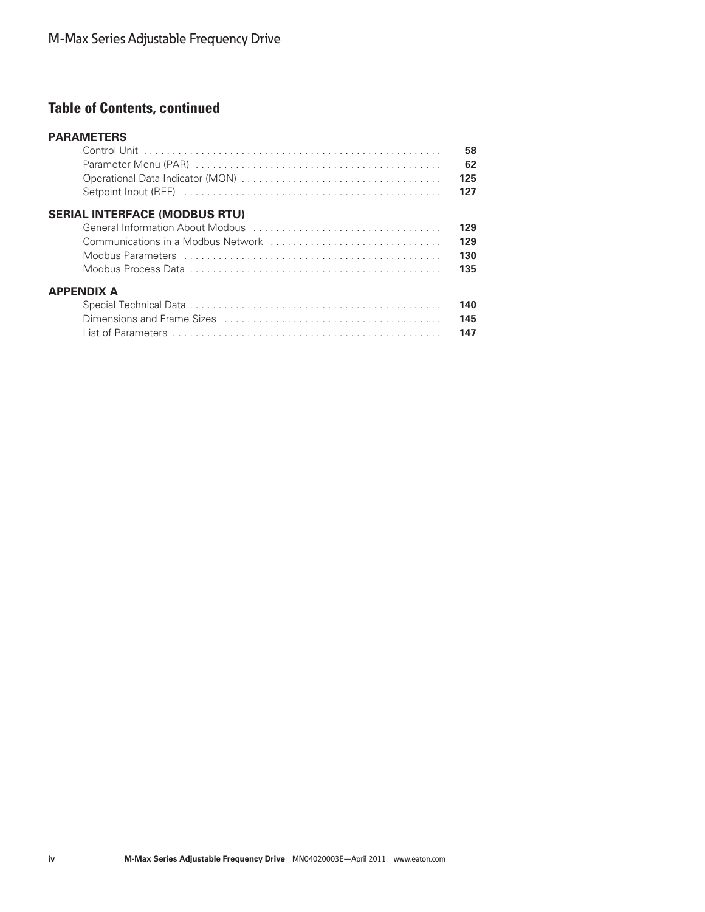## **Table of Contents, continued**

| <b>PARAMETERS</b>                                                                                              |     |
|----------------------------------------------------------------------------------------------------------------|-----|
|                                                                                                                | 58  |
|                                                                                                                | 62  |
|                                                                                                                | 125 |
|                                                                                                                | 127 |
| SERIAL INTERFACE (MODBUS RTU)                                                                                  |     |
|                                                                                                                | 129 |
| Communications in a Modbus Network (interventional communications in a Modbus Network (i.e., i.e., i.e., i.e., | 129 |
|                                                                                                                | 130 |
|                                                                                                                | 135 |
| <b>APPENDIX A</b>                                                                                              |     |
|                                                                                                                | 140 |
|                                                                                                                | 145 |
|                                                                                                                | 147 |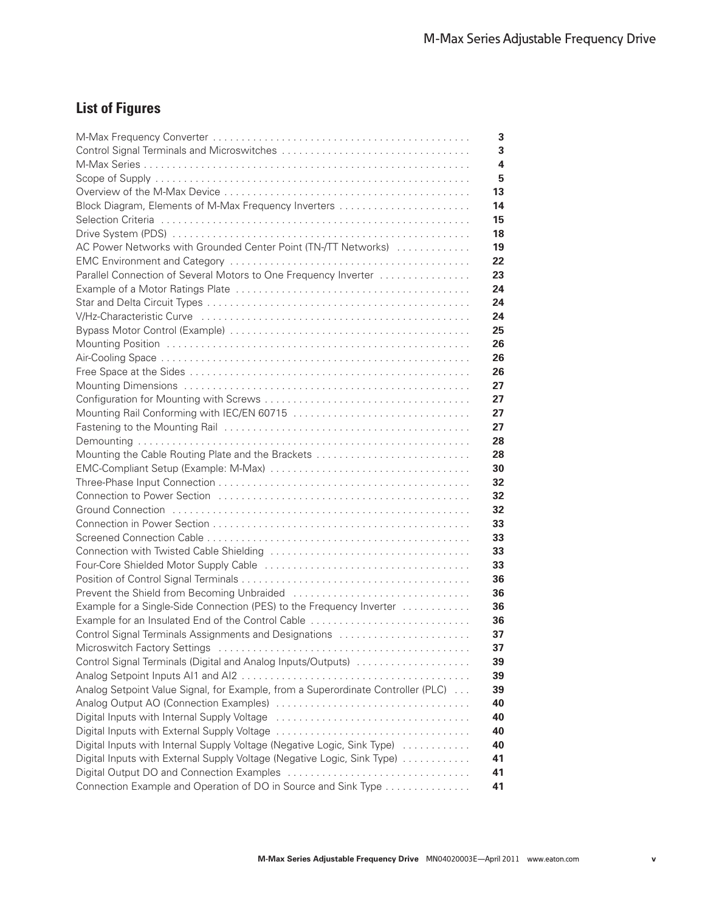## **List of Figures**

|                                                                                        | 3 |
|----------------------------------------------------------------------------------------|---|
|                                                                                        | 3 |
|                                                                                        | 4 |
|                                                                                        | 5 |
| 13                                                                                     |   |
| Block Diagram, Elements of M-Max Frequency Inverters<br>14                             |   |
| 15                                                                                     |   |
| 18                                                                                     |   |
| AC Power Networks with Grounded Center Point (TN-/TT Networks)<br>19                   |   |
| 22                                                                                     |   |
| Parallel Connection of Several Motors to One Frequency Inverter<br>23                  |   |
| 24                                                                                     |   |
| 24                                                                                     |   |
| 24                                                                                     |   |
| 25                                                                                     |   |
|                                                                                        |   |
| 26                                                                                     |   |
| 26                                                                                     |   |
| 26                                                                                     |   |
| 27                                                                                     |   |
| 27                                                                                     |   |
| 27                                                                                     |   |
| 27                                                                                     |   |
| 28                                                                                     |   |
| Mounting the Cable Routing Plate and the Brackets<br>28                                |   |
| 30                                                                                     |   |
| 32                                                                                     |   |
| 32                                                                                     |   |
| 32                                                                                     |   |
| 33                                                                                     |   |
| 33                                                                                     |   |
| 33                                                                                     |   |
| 33                                                                                     |   |
| 36                                                                                     |   |
| 36                                                                                     |   |
| Example for a Single-Side Connection (PES) to the Frequency Inverter<br>36             |   |
| Example for an Insulated End of the Control Cable<br>36                                |   |
| Control Signal Terminals Assignments and Designations<br>37                            |   |
| 37                                                                                     |   |
| Control Signal Terminals (Digital and Analog Inputs/Outputs)<br>39                     |   |
| 39                                                                                     |   |
| Analog Setpoint Value Signal, for Example, from a Superordinate Controller (PLC)<br>39 |   |
| 40                                                                                     |   |
| 40                                                                                     |   |
| 40                                                                                     |   |
|                                                                                        |   |
| Digital Inputs with Internal Supply Voltage (Negative Logic, Sink Type)<br>40          |   |
| Digital Inputs with External Supply Voltage (Negative Logic, Sink Type)<br>41          |   |
| 41                                                                                     |   |
| Connection Example and Operation of DO in Source and Sink Type<br>41                   |   |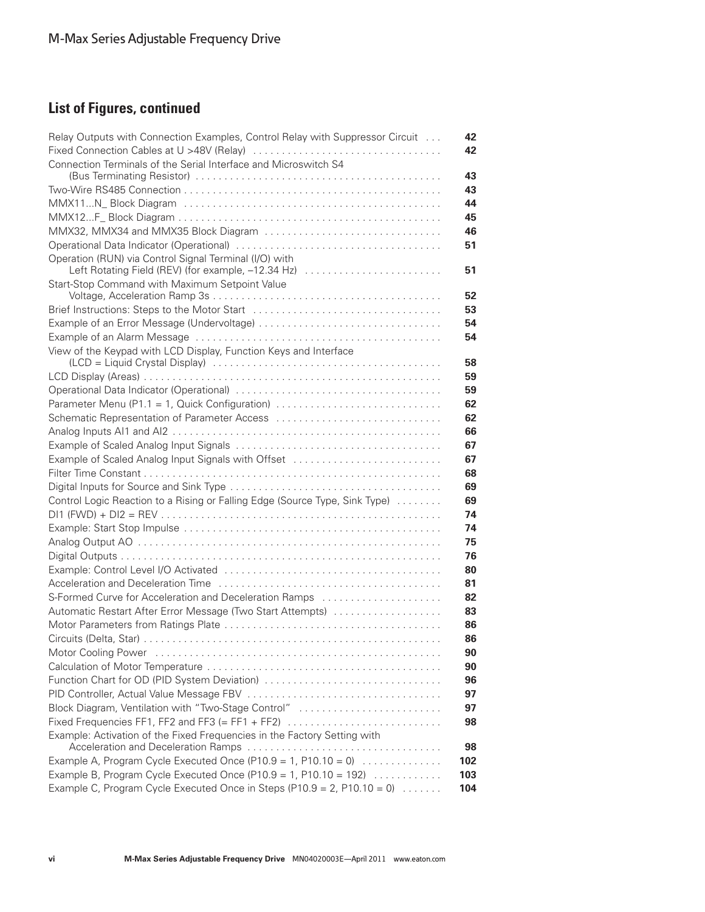## **List of Figures, continued**

| 42<br>Relay Outputs with Connection Examples, Control Relay with Suppressor Circuit                       |
|-----------------------------------------------------------------------------------------------------------|
| 42                                                                                                        |
| Connection Terminals of the Serial Interface and Microswitch S4<br>43                                     |
| 43                                                                                                        |
| 44                                                                                                        |
| 45                                                                                                        |
| 46                                                                                                        |
| 51                                                                                                        |
| Operation (RUN) via Control Signal Terminal (I/O) with                                                    |
| 51<br>Left Rotating Field (REV) (for example, -12.34 Hz)                                                  |
| Start-Stop Command with Maximum Setpoint Value<br>52                                                      |
| 53                                                                                                        |
| 54                                                                                                        |
| 54                                                                                                        |
| View of the Keypad with LCD Display, Function Keys and Interface<br>58                                    |
| 59                                                                                                        |
| 59                                                                                                        |
| Parameter Menu (P1.1 = 1, Quick Configuration)<br>62                                                      |
| 62                                                                                                        |
| 66                                                                                                        |
| 67                                                                                                        |
| Example of Scaled Analog Input Signals with Offset<br>67                                                  |
| 68                                                                                                        |
| 69                                                                                                        |
| Control Logic Reaction to a Rising or Falling Edge (Source Type, Sink Type)<br>69                         |
| 74                                                                                                        |
| 74                                                                                                        |
| 75                                                                                                        |
| 76                                                                                                        |
| 80                                                                                                        |
| 81                                                                                                        |
| 82                                                                                                        |
| 83                                                                                                        |
| 86                                                                                                        |
| 86                                                                                                        |
| 90                                                                                                        |
| 90                                                                                                        |
| Function Chart for OD (PID System Deviation)<br>96                                                        |
| 97                                                                                                        |
| Block Diagram, Ventilation with "Two-Stage Control"<br>97                                                 |
| Fixed Frequencies FF1, FF2 and FF3 (= FF1 + FF2) $\ldots \ldots \ldots \ldots \ldots \ldots \ldots$<br>98 |
| Example: Activation of the Fixed Frequencies in the Factory Setting with                                  |
| 98                                                                                                        |
| Example A, Program Cycle Executed Once (P10.9 = 1, P10.10 = 0) $\ldots \ldots \ldots$<br>102              |
| Example B, Program Cycle Executed Once (P10.9 = 1, P10.10 = 192) $\ldots \ldots \ldots$<br>103            |
| Example C, Program Cycle Executed Once in Steps (P10.9 = 2, P10.10 = 0) $\ldots \ldots$<br>104            |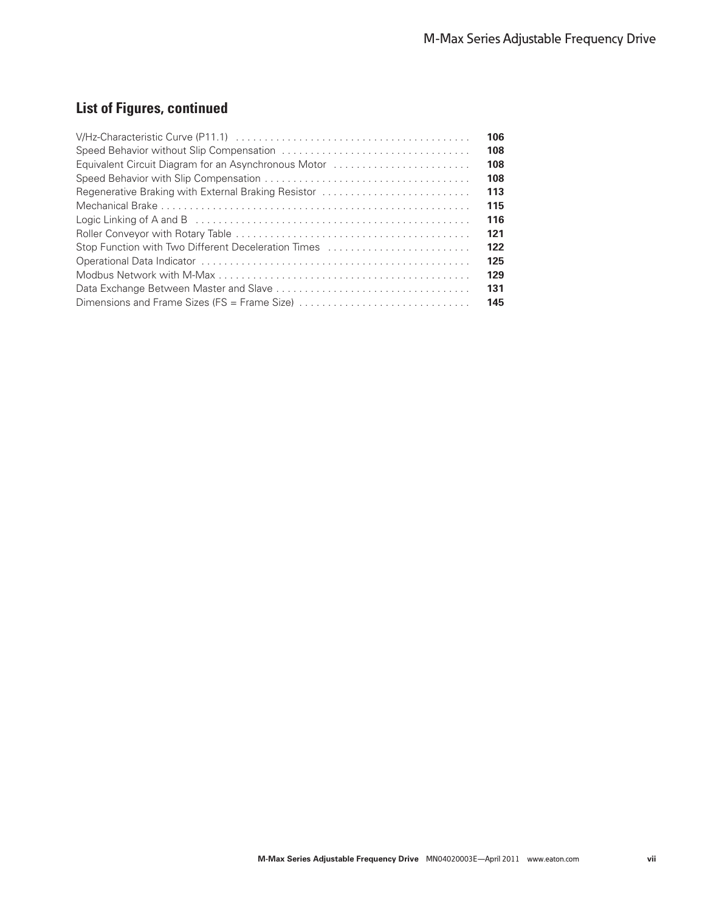## **List of Figures, continued**

| 106                                                         |  |
|-------------------------------------------------------------|--|
| 108                                                         |  |
| Equivalent Circuit Diagram for an Asynchronous Motor<br>108 |  |
| 108                                                         |  |
| 113<br>Regenerative Braking with External Braking Resistor  |  |
| 115                                                         |  |
| 116                                                         |  |
| 121                                                         |  |
| Stop Function with Two Different Deceleration Times<br>122  |  |
| 125                                                         |  |
| 129                                                         |  |
| 131                                                         |  |
| Dimensions and Frame Sizes (FS = Frame Size)<br>145         |  |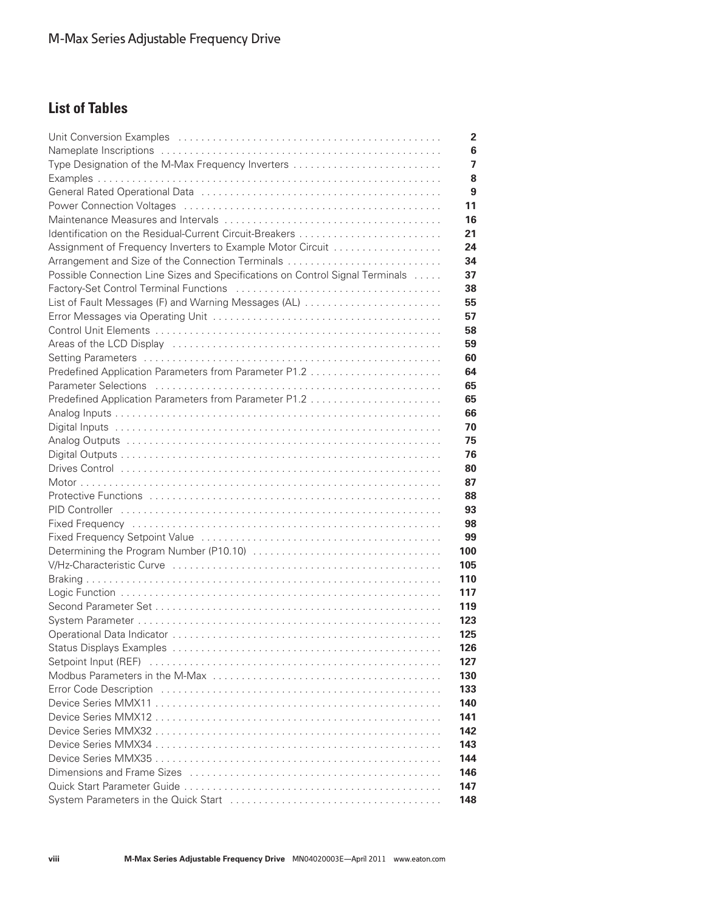## **List of Tables**

| 2                                                                                                                      |
|------------------------------------------------------------------------------------------------------------------------|
| 6                                                                                                                      |
| Type Designation of the M-Max Frequency Inverters<br>7                                                                 |
| 8                                                                                                                      |
| 9                                                                                                                      |
| 11                                                                                                                     |
| 16                                                                                                                     |
| 21                                                                                                                     |
| Assignment of Frequency Inverters to Example Motor Circuit<br>24                                                       |
| Arrangement and Size of the Connection Terminals<br>34                                                                 |
| Possible Connection Line Sizes and Specifications on Control Signal Terminals<br>37                                    |
| 38                                                                                                                     |
| List of Fault Messages (F) and Warning Messages (AL)<br>55                                                             |
| 57                                                                                                                     |
| 58                                                                                                                     |
| 59                                                                                                                     |
| 60                                                                                                                     |
| 64                                                                                                                     |
| Parameter Selections (and account and account and account and account account account account account account a<br>65  |
| 65                                                                                                                     |
| 66                                                                                                                     |
| 70                                                                                                                     |
| 75                                                                                                                     |
| 76                                                                                                                     |
| 80                                                                                                                     |
| 87                                                                                                                     |
| 88                                                                                                                     |
| 93                                                                                                                     |
| 98                                                                                                                     |
| Fixed Frequency Setpoint Value (all contained all contained all contained all of the set of the set of the set<br>99   |
| 100                                                                                                                    |
| V/Hz-Characteristic Curve (and contain and contained a state of the contact of the contact of the contact of t<br>105  |
| 110                                                                                                                    |
| 117                                                                                                                    |
| 119                                                                                                                    |
| 123                                                                                                                    |
| 125                                                                                                                    |
| 126                                                                                                                    |
| 127                                                                                                                    |
| 130                                                                                                                    |
| Error Code Description (Construction of the Code Description of the Code Description (Code Description)<br>133         |
| 140                                                                                                                    |
| 141                                                                                                                    |
| 142                                                                                                                    |
| Device Series MMX34<br>143                                                                                             |
| 144                                                                                                                    |
| Dimensions and Frame Sizes (and account of the state of the Size of Theorem and Theorem and Theorem and Theorem<br>146 |
| 147                                                                                                                    |
| 148                                                                                                                    |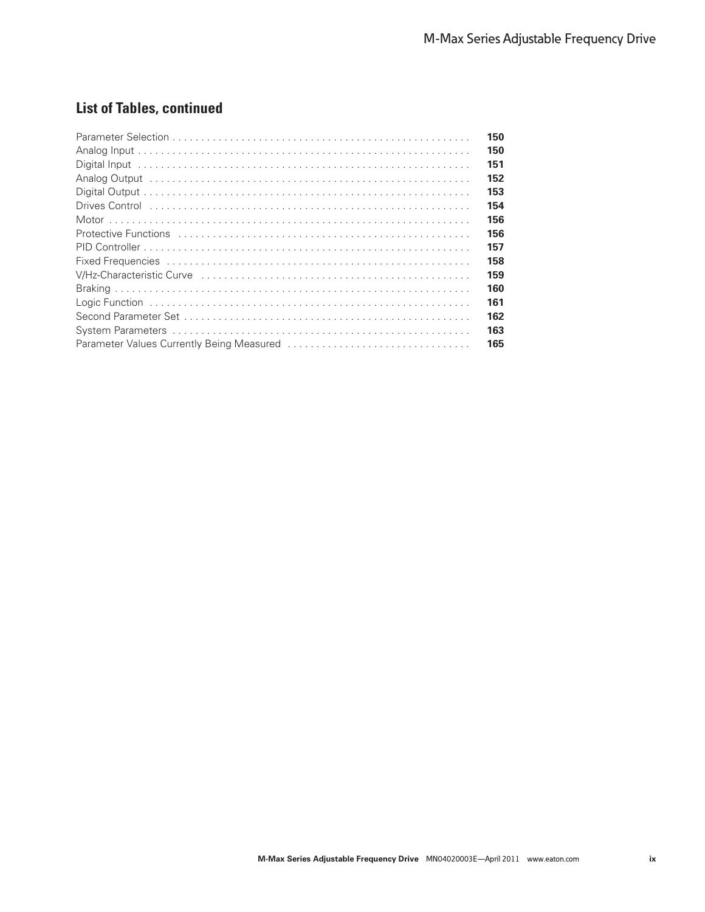## **List of Tables, continued**

| 150                                                                                                                     |
|-------------------------------------------------------------------------------------------------------------------------|
| 150                                                                                                                     |
| Digital Input (and all and all and all and all and all and all and all and all and all and all and all and all a<br>151 |
| 152                                                                                                                     |
| 153                                                                                                                     |
| 154                                                                                                                     |
| 156                                                                                                                     |
| 156                                                                                                                     |
| 157                                                                                                                     |
| 158                                                                                                                     |
| 159                                                                                                                     |
| 160                                                                                                                     |
| 161                                                                                                                     |
| 162                                                                                                                     |
| 163                                                                                                                     |
| 165                                                                                                                     |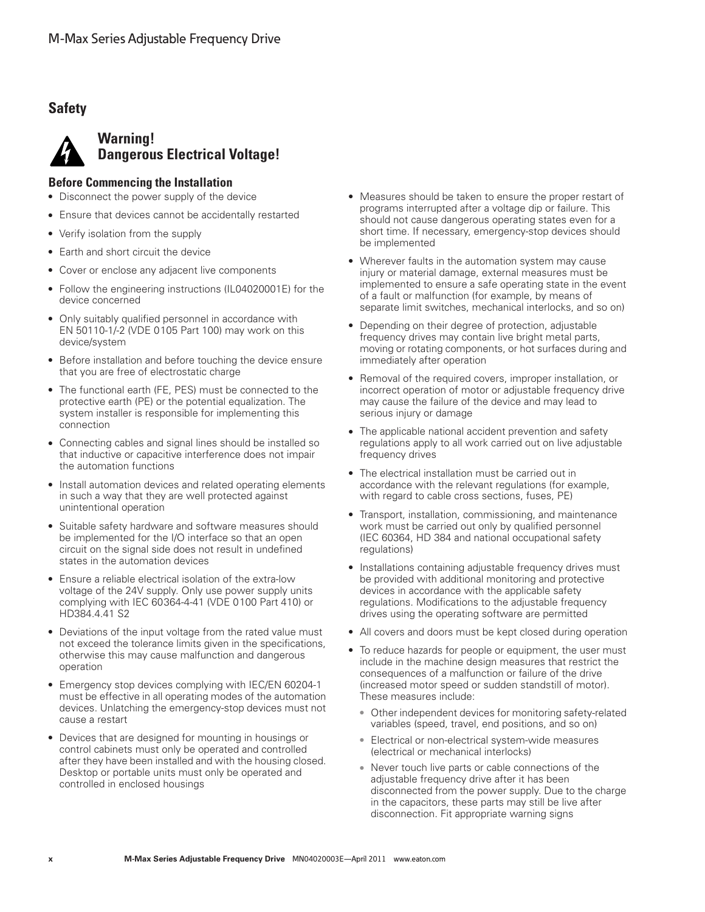### **Safety**



### **Warning! Dangerous Electrical Voltage!**

#### **Before Commencing the Installation**

- Disconnect the power supply of the device
- Ensure that devices cannot be accidentally restarted
- Verify isolation from the supply
- Earth and short circuit the device
- Cover or enclose any adjacent live components
- Follow the engineering instructions (IL04020001E) for the device concerned
- Only suitably qualified personnel in accordance with EN 50110-1/-2 (VDE 0105 Part 100) may work on this device/system
- Before installation and before touching the device ensure that you are free of electrostatic charge
- The functional earth (FE, PES) must be connected to the protective earth (PE) or the potential equalization. The system installer is responsible for implementing this connection
- Connecting cables and signal lines should be installed so that inductive or capacitive interference does not impair the automation functions
- Install automation devices and related operating elements in such a way that they are well protected against unintentional operation
- Suitable safety hardware and software measures should be implemented for the I/O interface so that an open circuit on the signal side does not result in undefined states in the automation devices
- Ensure a reliable electrical isolation of the extra-low voltage of the 24V supply. Only use power supply units complying with IEC 60364-4-41 (VDE 0100 Part 410) or HD384.4.41 S2
- Deviations of the input voltage from the rated value must not exceed the tolerance limits given in the specifications, otherwise this may cause malfunction and dangerous operation
- Emergency stop devices complying with IEC/EN 60204-1 must be effective in all operating modes of the automation devices. Unlatching the emergency-stop devices must not cause a restart
- Devices that are designed for mounting in housings or control cabinets must only be operated and controlled after they have been installed and with the housing closed. Desktop or portable units must only be operated and controlled in enclosed housings
- Measures should be taken to ensure the proper restart of programs interrupted after a voltage dip or failure. This should not cause dangerous operating states even for a short time. If necessary, emergency-stop devices should be implemented
- Wherever faults in the automation system may cause injury or material damage, external measures must be implemented to ensure a safe operating state in the event of a fault or malfunction (for example, by means of separate limit switches, mechanical interlocks, and so on)
- Depending on their degree of protection, adjustable frequency drives may contain live bright metal parts, moving or rotating components, or hot surfaces during and immediately after operation
- Removal of the required covers, improper installation, or incorrect operation of motor or adjustable frequency drive may cause the failure of the device and may lead to serious injury or damage
- The applicable national accident prevention and safety regulations apply to all work carried out on live adjustable frequency drives
- The electrical installation must be carried out in accordance with the relevant regulations (for example, with regard to cable cross sections, fuses, PE)
- Transport, installation, commissioning, and maintenance work must be carried out only by qualified personnel (IEC 60364, HD 384 and national occupational safety regulations)
- Installations containing adjustable frequency drives must be provided with additional monitoring and protective devices in accordance with the applicable safety regulations. Modifications to the adjustable frequency drives using the operating software are permitted
- All covers and doors must be kept closed during operation
- To reduce hazards for people or equipment, the user must include in the machine design measures that restrict the consequences of a malfunction or failure of the drive (increased motor speed or sudden standstill of motor). These measures include:
	- Other independent devices for monitoring safety-related variables (speed, travel, end positions, and so on)
	- Electrical or non-electrical system-wide measures (electrical or mechanical interlocks)
	- Never touch live parts or cable connections of the adjustable frequency drive after it has been disconnected from the power supply. Due to the charge in the capacitors, these parts may still be live after disconnection. Fit appropriate warning signs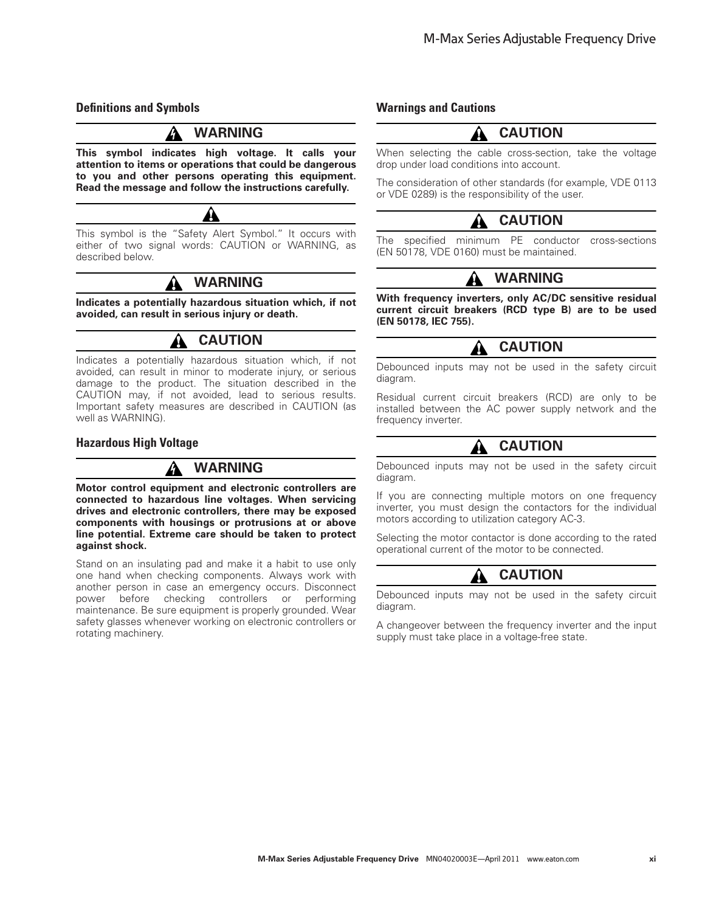**Definitions and Symbols**

### **WARNING**

**This symbol indicates high voltage. It calls your attention to items or operations that could be dangerous to you and other persons operating this equipment. Read the message and follow the instructions carefully.**

This symbol is the "Safety Alert Symbol." It occurs with either of two signal words: CAUTION or WARNING, as described below.

### **WARNING**

**Indicates a potentially hazardous situation which, if not avoided, can result in serious injury or death.**

### **CAUTION**

Indicates a potentially hazardous situation which, if not avoided, can result in minor to moderate injury, or serious damage to the product. The situation described in the CAUTION may, if not avoided, lead to serious results. Important safety measures are described in CAUTION (as well as WARNING).

#### **Hazardous High Voltage**

### **WARNING**

**Motor control equipment and electronic controllers are connected to hazardous line voltages. When servicing drives and electronic controllers, there may be exposed components with housings or protrusions at or above line potential. Extreme care should be taken to protect against shock.**

Stand on an insulating pad and make it a habit to use only one hand when checking components. Always work with another person in case an emergency occurs. Disconnect power before checking controllers or performing maintenance. Be sure equipment is properly grounded. Wear safety glasses whenever working on electronic controllers or rotating machinery.

#### **Warnings and Cautions**

### **CAUTION**

When selecting the cable cross-section, take the voltage drop under load conditions into account.

The consideration of other standards (for example, VDE 0113 or VDE 0289) is the responsibility of the user.

### **CAUTION**

The specified minimum PE conductor cross-sections (EN 50178, VDE 0160) must be maintained.

### **WARNING**

**With frequency inverters, only AC/DC sensitive residual current circuit breakers (RCD type B) are to be used (EN 50178, IEC 755).**

### **CAUTION**

Debounced inputs may not be used in the safety circuit diagram.

Residual current circuit breakers (RCD) are only to be installed between the AC power supply network and the frequency inverter.

### **CAUTION**

Debounced inputs may not be used in the safety circuit diagram.

If you are connecting multiple motors on one frequency inverter, you must design the contactors for the individual motors according to utilization category AC-3.

Selecting the motor contactor is done according to the rated operational current of the motor to be connected.

### **CAUTION**

Debounced inputs may not be used in the safety circuit diagram.

A changeover between the frequency inverter and the input supply must take place in a voltage-free state.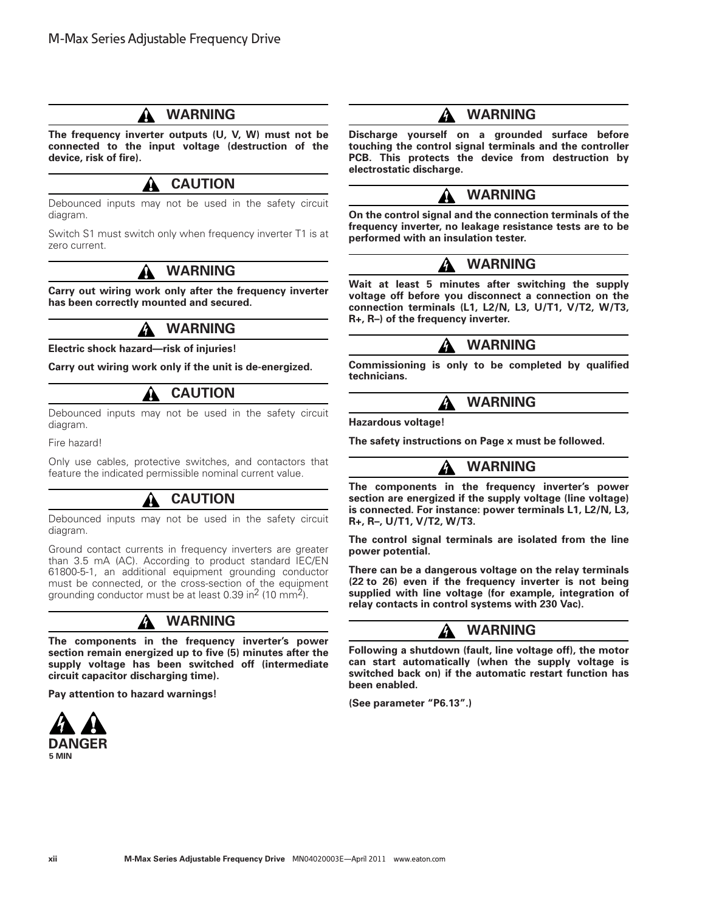### **WARNING**

**The frequency inverter outputs (U, V, W) must not be connected to the input voltage (destruction of the device, risk of fire).**

### **CAUTION**

Debounced inputs may not be used in the safety circuit diagram.

Switch S1 must switch only when frequency inverter T1 is at zero current.

#### **WARNING** 44

**Carry out wiring work only after the frequency inverter has been correctly mounted and secured.**

### **WARNING**

**Electric shock hazard—risk of injuries!**

**Carry out wiring work only if the unit is de-energized.**

### **CAUTION**

Debounced inputs may not be used in the safety circuit diagram.

Fire hazard!

Only use cables, protective switches, and contactors that feature the indicated permissible nominal current value.

## **CAUTION**

Debounced inputs may not be used in the safety circuit diagram.

Ground contact currents in frequency inverters are greater than 3.5 mA (AC). According to product standard IEC/EN 61800-5-1, an additional equipment grounding conductor must be connected, or the cross-section of the equipment grounding conductor must be at least  $0.39$  in<sup>2</sup> (10 mm<sup>2</sup>).

### **WARNING**

**The components in the frequency inverter's power section remain energized up to five (5) minutes after the supply voltage has been switched off (intermediate circuit capacitor discharging time).**

**Pay attention to hazard warnings!**



### **WARNING**

**Discharge yourself on a grounded surface before touching the control signal terminals and the controller PCB. This protects the device from destruction by electrostatic discharge.**

### **WARNING**

**On the control signal and the connection terminals of the frequency inverter, no leakage resistance tests are to be performed with an insulation tester.**

#### **WARNING** </del>

**Wait at least 5 minutes after switching the supply voltage off before you disconnect a connection on the connection terminals (L1, L2/N, L3, U/T1, V/T2, W/T3, R+, R–) of the frequency inverter.**

### **WARNING**

**Commissioning is only to be completed by qualified technicians.**

### **WARNING**

**Hazardous voltage!**

**The safety instructions on Page x must be followed.**

### **WARNING**

**The components in the frequency inverter's power section are energized if the supply voltage (line voltage) is connected. For instance: power terminals L1, L2/N, L3, R+, R–, U/T1, V/T2, W/T3.**

**The control signal terminals are isolated from the line power potential.**

**There can be a dangerous voltage on the relay terminals (22 to 26) even if the frequency inverter is not being supplied with line voltage (for example, integration of relay contacts in control systems with 230 Vac).**

#### **WARNING** ᠘

**Following a shutdown (fault, line voltage off), the motor can start automatically (when the supply voltage is switched back on) if the automatic restart function has been enabled.**

**(See parameter "P6.13".)**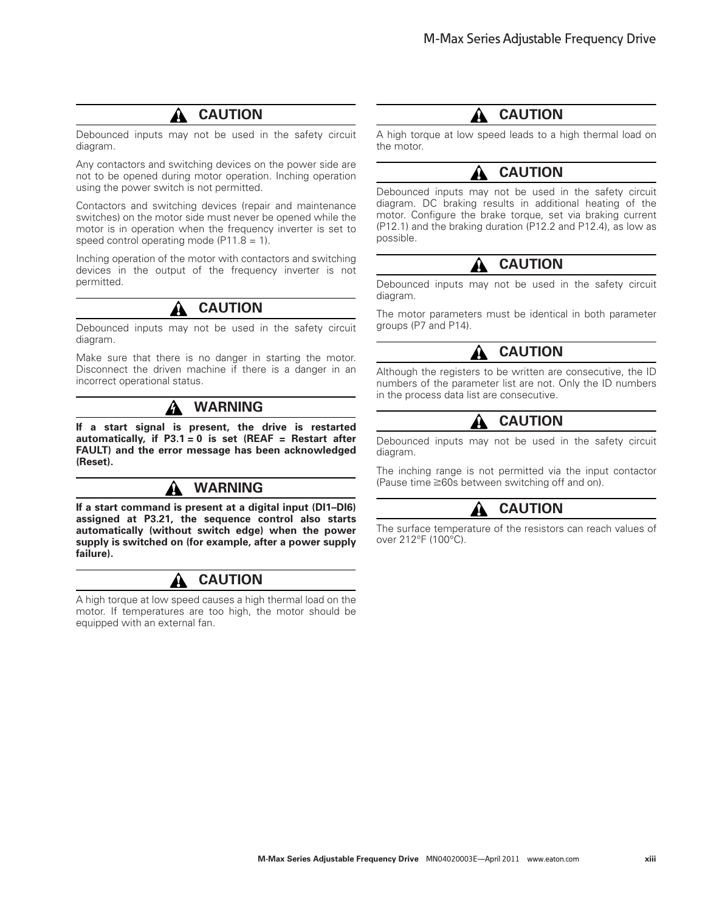### **CAUTION**

Debounced inputs may not be used in the safety circuit diagram.

Any contactors and switching devices on the power side are not to be opened during motor operation. Inching operation using the power switch is not permitted.

Contactors and switching devices (repair and maintenance switches) on the motor side must never be opened while the motor is in operation when the frequency inverter is set to speed control operating mode ( $P11.8 = 1$ ).

Inching operation of the motor with contactors and switching devices in the output of the frequency inverter is not permitted.

### **CAUTION**

Debounced inputs may not be used in the safety circuit diagram.

Make sure that there is no danger in starting the motor. Disconnect the driven machine if there is a danger in an incorrect operational status.

#### **WARNING** 41

**If a start signal is present, the drive is restarted automatically, if P3.1 = 0 is set (REAF = Restart after FAULT) and the error message has been acknowledged (Reset).**

### **WARNING**

**If a start command is present at a digital input (DI1–DI6) assigned at P3.21, the sequence control also starts automatically (without switch edge) when the power supply is switched on (for example, after a power supply failure).**

## **CAUTION**

A high torque at low speed causes a high thermal load on the motor. If temperatures are too high, the motor should be equipped with an external fan.

### **CAUTION**

A high torque at low speed leads to a high thermal load on the motor.

### **CAUTION**

Debounced inputs may not be used in the safety circuit diagram. DC braking results in additional heating of the motor. Configure the brake torque, set via braking current (P12.1) and the braking duration (P12.2 and P12.4), as low as possible.

#### **CAUTION** ₩

Debounced inputs may not be used in the safety circuit diagram.

The motor parameters must be identical in both parameter groups (P7 and P14).

### **CAUTION**

Although the registers to be written are consecutive, the ID numbers of the parameter list are not. Only the ID numbers in the process data list are consecutive.

### **CAUTION**

Debounced inputs may not be used in the safety circuit diagram.

The inching range is not permitted via the input contactor (Pause time  $\geq 60$ s between switching off and on).

#### **CAUTION** AI

The surface temperature of the resistors can reach values of over 212°F (100°C).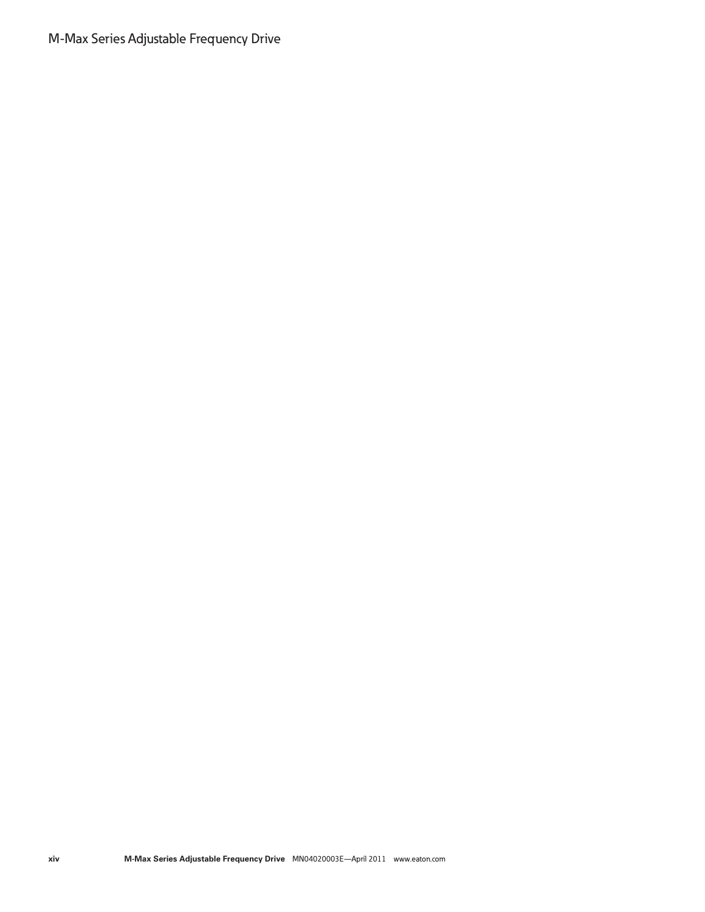M-Max Series Adjustable Frequency Drive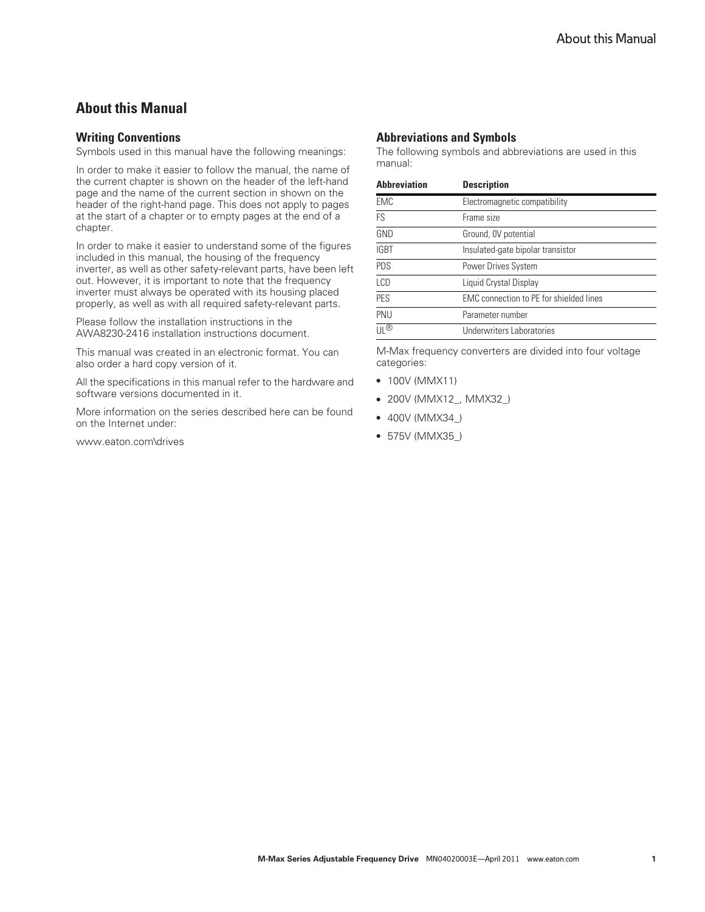### **About this Manual**

#### **Writing Conventions**

Symbols used in this manual have the following meanings:

In order to make it easier to follow the manual, the name of the current chapter is shown on the header of the left-hand page and the name of the current section in shown on the header of the right-hand page. This does not apply to pages at the start of a chapter or to empty pages at the end of a chapter.

In order to make it easier to understand some of the figures included in this manual, the housing of the frequency inverter, as well as other safety-relevant parts, have been left out. However, it is important to note that the frequency inverter must always be operated with its housing placed properly, as well as with all required safety-relevant parts.

Please follow the installation instructions in the AWA8230-2416 installation instructions document.

This manual was created in an electronic format. You can also order a hard copy version of it.

All the specifications in this manual refer to the hardware and software versions documented in it.

More information on the series described here can be found on the Internet under:

www.eaton.com\drives

#### **Abbreviations and Symbols**

The following symbols and abbreviations are used in this manual:

| <b>Abbreviation</b> | <b>Description</b>                      |  |
|---------------------|-----------------------------------------|--|
| <b>EMC</b>          | Electromagnetic compatibility           |  |
| FS                  | Frame size                              |  |
| <b>GND</b>          | Ground, OV potential                    |  |
| <b>IGBT</b>         | Insulated-gate bipolar transistor       |  |
| PDS                 | Power Drives System                     |  |
| LCD                 | Liquid Crystal Display                  |  |
| PES                 | EMC connection to PE for shielded lines |  |
| PNU                 | Parameter number                        |  |
| UL®                 | Underwriters Laboratories               |  |

M-Max frequency converters are divided into four voltage categories:

- 100V (MMX11)
- 200V (MMX12\_, MMX32\_)
- 400V (MMX34\_)
- 575V (MMX35\_)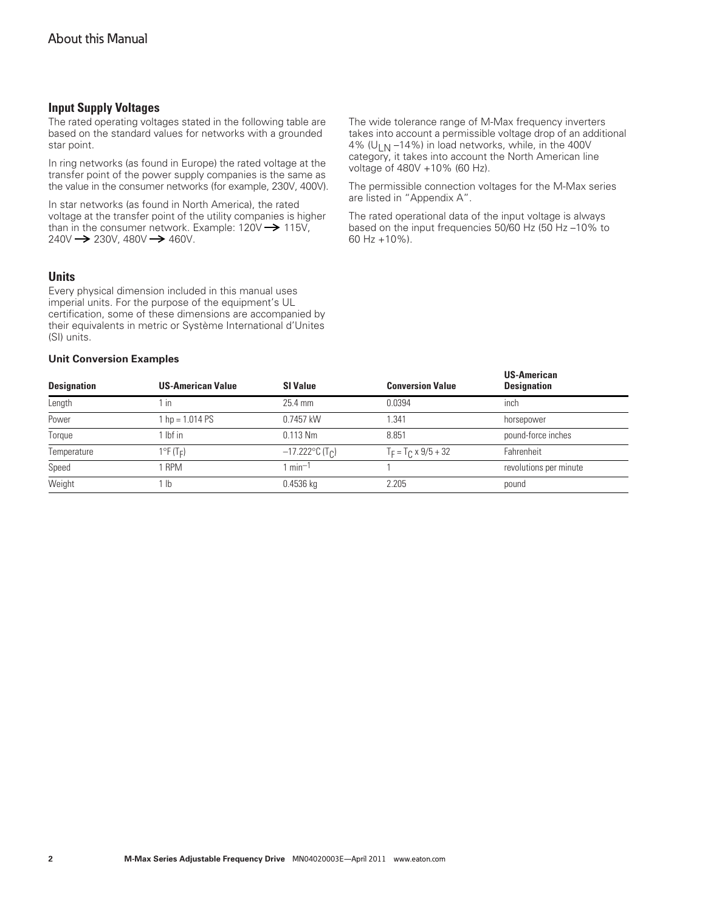#### **Input Supply Voltages**

The rated operating voltages stated in the following table are based on the standard values for networks with a grounded star point.

In ring networks (as found in Europe) the rated voltage at the transfer point of the power supply companies is the same as the value in the consumer networks (for example, 230V, 400V).

In star networks (as found in North America), the rated voltage at the transfer point of the utility companies is higher than in the consumer network. Example:  $120V \rightarrow 115V$ ,  $240V \rightarrow 230V$ ,  $480V \rightarrow 460V$ .

#### **Units**

Every physical dimension included in this manual uses imperial units. For the purpose of the equipment's UL certification, some of these dimensions are accompanied by their equivalents in metric or Système International d'Unites (SI) units.

#### **Unit Conversion Examples**

The wide tolerance range of M-Max frequency inverters takes into account a permissible voltage drop of an additional 4% (U<sub>LN</sub> –14%) in load networks, while, in the 400V<br>category, it takes into account the North American line voltage of 480V +10% (60 Hz).

The permissible connection voltages for the M-Max series are listed in "Appendix A".

The rated operational data of the input voltage is always based on the input frequencies 50/60 Hz (50 Hz –10% to 60 Hz +10%).

| <b>Designation</b> | <b>US-American Value</b> | <b>SI Value</b>                       | <b>Conversion Value</b>     | <b>US-American</b><br><b>Designation</b> |
|--------------------|--------------------------|---------------------------------------|-----------------------------|------------------------------------------|
| Length             | in                       | 25.4 mm                               | 0.0394                      | inch                                     |
| Power              | 1 hp = 1.014 PS          | 0.7457 kW                             | 1.341                       | horsepower                               |
| Torque             | lbf in                   | $0.113$ Nm                            | 8.851                       | pound-force inches                       |
| Temperature        | 1°F (T <sub>F</sub> )    | $-17.222^{\circ}$ C (T <sub>C</sub> ) | $T_F = T_C \times 9/5 + 32$ | Fahrenheit                               |
| Speed              | <b>RPM</b>               | $\mid$ min <sup>-1</sup>              |                             | revolutions per minute                   |
| Weight             | lb                       | 0.4536 kg                             | 2.205                       | pound                                    |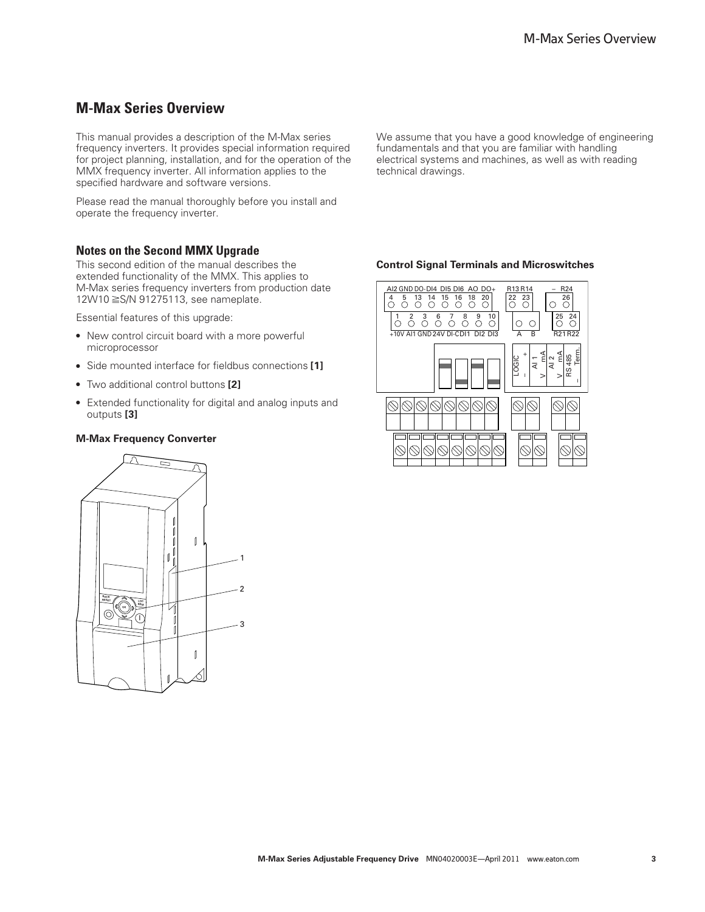### **M-Max Series Overview**

This manual provides a description of the M-Max series frequency inverters. It provides special information required for project planning, installation, and for the operation of the MMX frequency inverter. All information applies to the specified hardware and software versions.

Please read the manual thoroughly before you install and operate the frequency inverter.

#### **Notes on the Second MMX Upgrade**

This second edition of the manual describes the extended functionality of the MMX. This applies to M-Max series frequency inverters from production date  $12W10 \geq S/N$  91275113, see nameplate.

Essential features of this upgrade:

- New control circuit board with a more powerful microprocessor
- Side mounted interface for fieldbus connections **[1]**
- Two additional control buttons **[2]**
- Extended functionality for digital and analog inputs and outputs **[3]**

#### **M-Max Frequency Converter**



We assume that you have a good knowledge of engineering fundamentals and that you are familiar with handling electrical systems and machines, as well as with reading technical drawings.

#### **Control Signal Terminals and Microswitches**

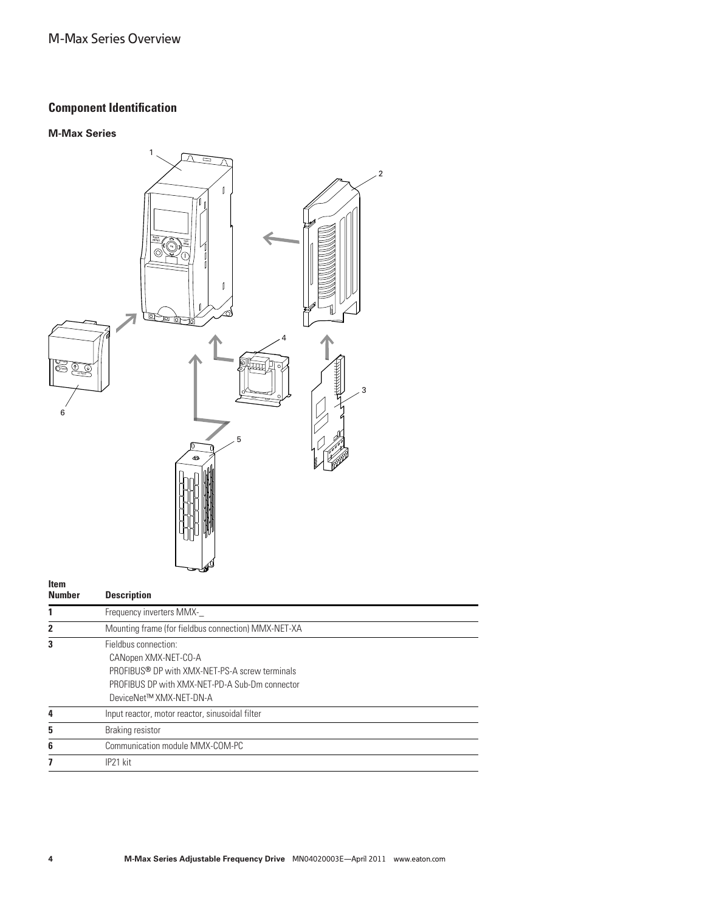M-Max Series Overview

### **Component Identification**

### **M-Max Series**



| Number | <b>Description</b>                                                                                                                                                                      |
|--------|-----------------------------------------------------------------------------------------------------------------------------------------------------------------------------------------|
|        | Frequency inverters MMX-                                                                                                                                                                |
| 2      | Mounting frame (for fieldbus connection) MMX-NET-XA                                                                                                                                     |
| 3      | Fieldbus connection:<br>CANopen XMX-NET-CO-A<br>PROFIBUS <sup>®</sup> DP with XMX-NET-PS-A screw terminals<br>PROFIBUS DP with XMX-NET-PD-A Sub-Dm connector<br>DeviceNet™ XMX-NET-DN-A |
| 4      | Input reactor, motor reactor, sinusoidal filter                                                                                                                                         |
| 5      | Braking resistor                                                                                                                                                                        |
| 6      | Communication module MMX-COM-PC                                                                                                                                                         |
|        | IP21 kit                                                                                                                                                                                |
|        |                                                                                                                                                                                         |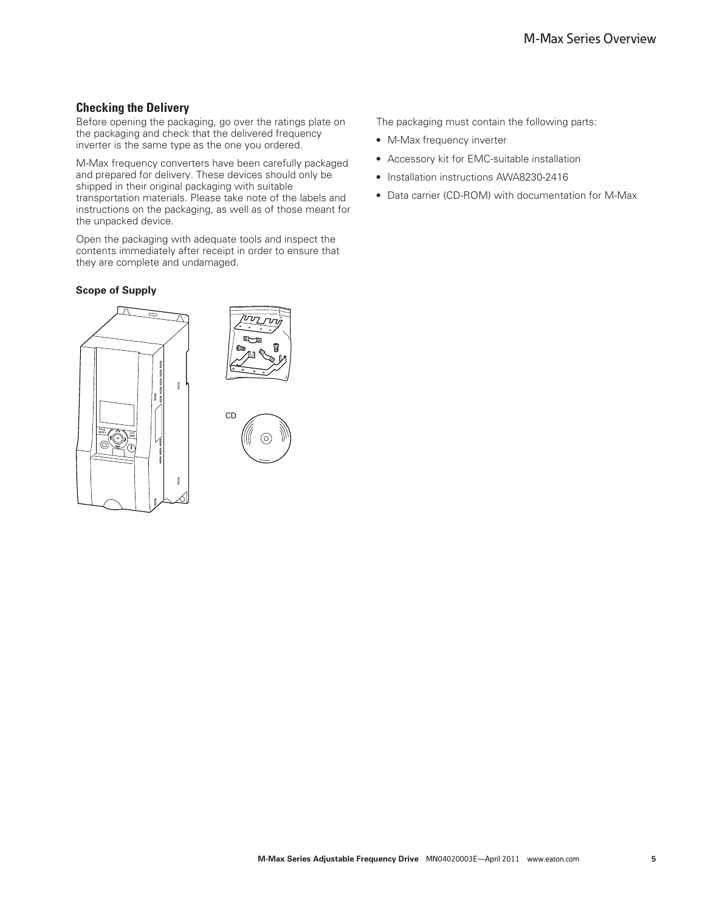### **Checking the Delivery**

Before opening the packaging, go over the ratings plate on the packaging and check that the delivered frequency inverter is the same type as the one you ordered.

M-Max frequency converters have been carefully packaged and prepared for delivery. These devices should only be shipped in their original packaging with suitable transportation materials. Please take note of the labels and instructions on the packaging, as well as of those meant for the unpacked device.

Open the packaging with adequate tools and inspect the contents immediately after receipt in order to ensure that they are complete and undamaged.

#### **Scope of Supply**





The packaging must contain the following parts:

- M-Max frequency inverter
- Accessory kit for EMC-suitable installation
- Installation instructions AWA8230-2416
- Data carrier (CD-ROM) with documentation for M-Max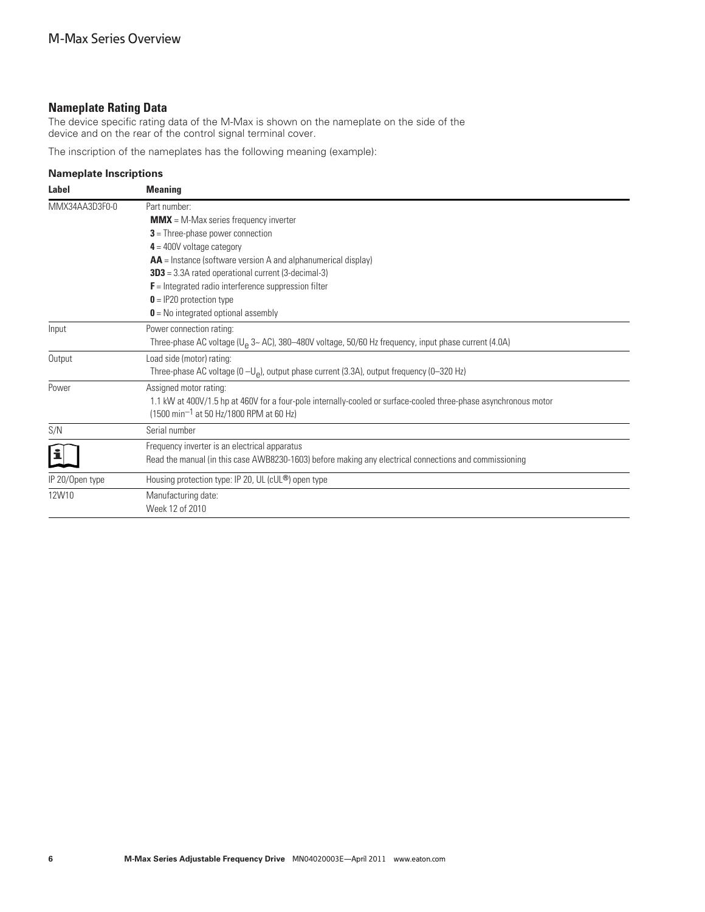### **Nameplate Rating Data**

The device specific rating data of the M-Max is shown on the nameplate on the side of the device and on the rear of the control signal terminal cover.

The inscription of the nameplates has the following meaning (example):

#### **Nameplate Inscriptions**

| Label           | <b>Meaning</b>                                                                                                   |
|-----------------|------------------------------------------------------------------------------------------------------------------|
| MMX34AA3D3F0-0  | Part number:                                                                                                     |
|                 | $MMX = M-Max$ series frequency inverter                                                                          |
|                 | $3$ = Three-phase power connection                                                                               |
|                 | $4 = 400V$ voltage category                                                                                      |
|                 | $AA$ = Instance (software version A and alphanumerical display)                                                  |
|                 | $3D3 = 3.3A$ rated operational current (3-decimal-3)                                                             |
|                 | $F =$ Integrated radio interference suppression filter                                                           |
|                 | $\mathbf{0}$ = IP20 protection type                                                                              |
|                 | $\mathbf{0}$ = No integrated optional assembly                                                                   |
| Input           | Power connection rating:                                                                                         |
|                 | Three-phase AC voltage (U <sub>e</sub> 3~ AC), 380-480V voltage, 50/60 Hz frequency, input phase current (4.0A)  |
| Output          | Load side (motor) rating:                                                                                        |
|                 | Three-phase AC voltage ( $0 - U_{\text{el}}$ ), output phase current (3.3A), output frequency (0-320 Hz)         |
| Power           | Assigned motor rating:                                                                                           |
|                 | 1.1 kW at 400V/1.5 hp at 460V for a four-pole internally-cooled or surface-cooled three-phase asynchronous motor |
|                 | $(1500 \text{ min}^{-1}$ at 50 Hz/1800 RPM at 60 Hz)                                                             |
| S/N             | Serial number                                                                                                    |
|                 | Frequency inverter is an electrical apparatus                                                                    |
|                 | Read the manual (in this case AWB8230-1603) before making any electrical connections and commissioning           |
| IP 20/Open type | Housing protection type: IP 20, UL (cUL®) open type                                                              |
| 12W10           | Manufacturing date:                                                                                              |
|                 | Week 12 of 2010                                                                                                  |
|                 |                                                                                                                  |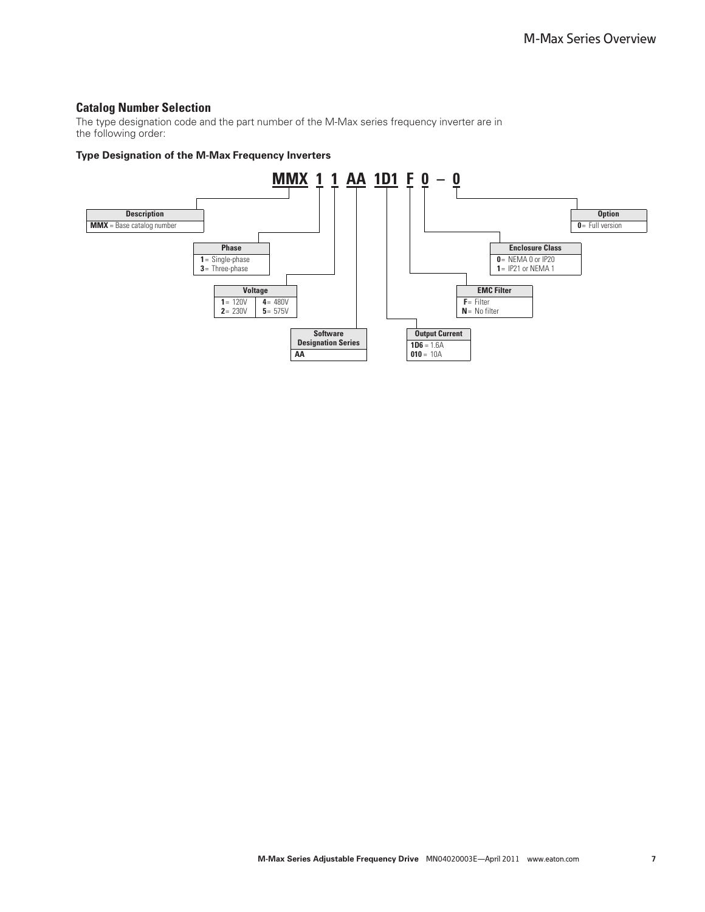### **Catalog Number Selection**

The type designation code and the part number of the M-Max series frequency inverter are in the following order:

#### **Type Designation of the M-Max Frequency Inverters**

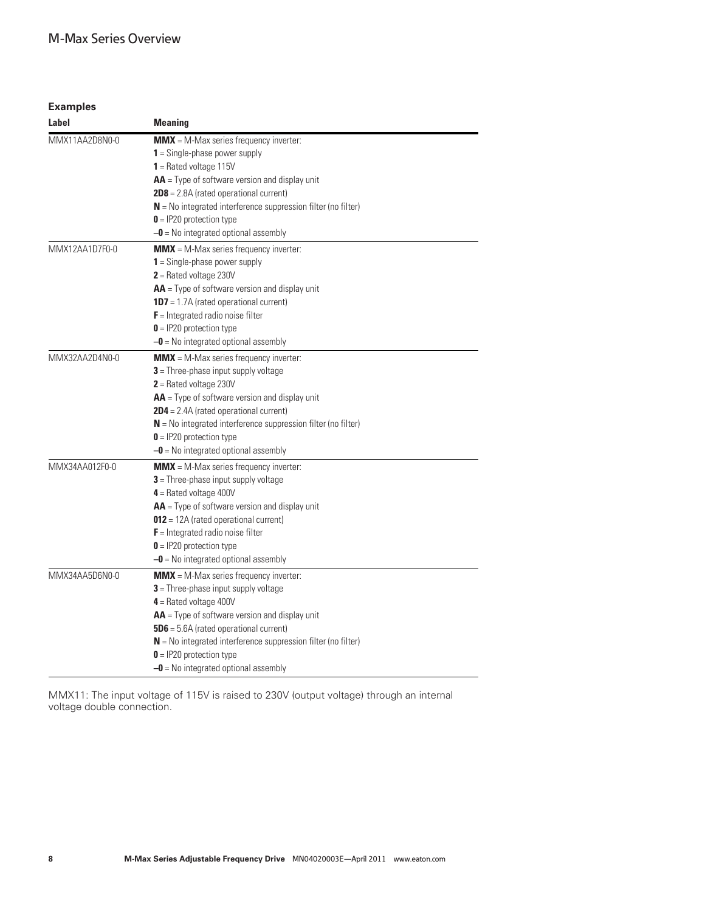### M-Max Series Overview

#### **Examples**

| <b>Label</b>   | <b>Meaning</b>                                                  |
|----------------|-----------------------------------------------------------------|
| MMX11AA2D8N0-0 | <b>MMX</b> = M-Max series frequency inverter:                   |
|                | $1 =$ Single-phase power supply                                 |
|                | $1 =$ Rated voltage 115V                                        |
|                | $AA$ = Type of software version and display unit                |
|                | $2D8 = 2.8A$ (rated operational current)                        |
|                | $N = No$ integrated interference suppression filter (no filter) |
|                | $0 =$ IP20 protection type                                      |
|                | $-0$ = No integrated optional assembly                          |
| MMX12AA1D7F0-0 | $MMX = M-Max$ series frequency inverter:                        |
|                | $1 =$ Single-phase power supply                                 |
|                | $2$ = Rated voltage 230V                                        |
|                | $AA$ = Type of software version and display unit                |
|                | $1D7 = 1.7A$ (rated operational current)                        |
|                | $F =$ Integrated radio noise filter                             |
|                | $\mathbf{0}$ = IP20 protection type                             |
|                | $-0$ = No integrated optional assembly                          |
| MMX32AA2D4N0-0 | <b>MMX</b> = M-Max series frequency inverter:                   |
|                | $3$ = Three-phase input supply voltage                          |
|                | $2$ = Rated voltage 230V                                        |
|                | $AA$ = Type of software version and display unit                |
|                | $2D4 = 2.4A$ (rated operational current)                        |
|                | $N = No$ integrated interference suppression filter (no filter) |
|                | $0 =$ IP20 protection type                                      |
|                | $-0$ = No integrated optional assembly                          |
| MMX34AA012F0-0 | $MMX = M-Max$ series frequency inverter:                        |
|                | $3$ = Three-phase input supply voltage                          |
|                | $4$ = Rated voltage 400V                                        |
|                | $AA$ = Type of software version and display unit                |
|                | $012 = 12A$ (rated operational current)                         |
|                | $F =$ Integrated radio noise filter                             |
|                | $0 =$ IP20 protection type                                      |
|                | $-0$ = No integrated optional assembly                          |
| MMX34AA5D6N0-0 | <b>MMX</b> = M-Max series frequency inverter:                   |
|                | $3$ = Three-phase input supply voltage                          |
|                | $4$ = Rated voltage 400V                                        |
|                | $AA$ = Type of software version and display unit                |
|                | $5D6 = 5.6A$ (rated operational current)                        |
|                | $N = No$ integrated interference suppression filter (no filter) |
|                | $0 =$ IP20 protection type                                      |
|                | $-0$ = No integrated optional assembly                          |

MMX11: The input voltage of 115V is raised to 230V (output voltage) through an internal voltage double connection.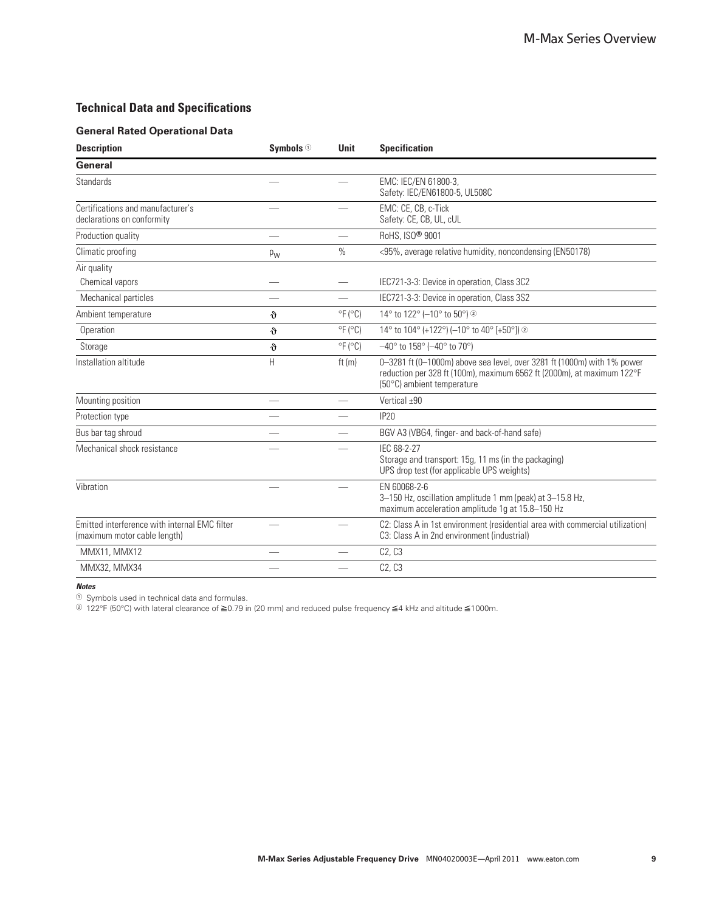### **Technical Data and Specifications**

#### **General Rated Operational Data**

| <b>Description</b>                                                            | <b>Symbols</b> <sup>1</sup> | <b>Unit</b>                | <b>Specification</b>                                                                                                                                                            |
|-------------------------------------------------------------------------------|-----------------------------|----------------------------|---------------------------------------------------------------------------------------------------------------------------------------------------------------------------------|
| <b>General</b>                                                                |                             |                            |                                                                                                                                                                                 |
| <b>Standards</b>                                                              |                             |                            | EMC: IEC/EN 61800-3,<br>Safety: IEC/EN61800-5, UL508C                                                                                                                           |
| Certifications and manufacturer's<br>declarations on conformity               |                             |                            | EMC: CE, CB, c-Tick<br>Safety: CE, CB, UL, cUL                                                                                                                                  |
| Production quality                                                            |                             | $\overline{\phantom{0}}$   | RoHS, ISO <sup>®</sup> 9001                                                                                                                                                     |
| Climatic proofing                                                             | $p_{\rm W}$                 | $\%$                       | <95%, average relative humidity, noncondensing (EN50178)                                                                                                                        |
| Air quality                                                                   |                             |                            |                                                                                                                                                                                 |
| Chemical vapors                                                               |                             |                            | IEC721-3-3: Device in operation, Class 3C2                                                                                                                                      |
| Mechanical particles                                                          |                             |                            | IEC721-3-3: Device in operation, Class 3S2                                                                                                                                      |
| Ambient temperature                                                           | ᡥ                           | $\degree$ F ( $\degree$ C) | 14° to 122° (-10° to 50°) <sup>2</sup>                                                                                                                                          |
| Operation                                                                     | ᡥ                           | $\circ$ F( $\circ$ C)      | 14° to 104° (+122°) (-10° to 40° [+50°]) 2                                                                                                                                      |
| Storage                                                                       | $\vartheta$                 | $\degree$ F ( $\degree$ C) | $-40^{\circ}$ to 158° ( $-40^{\circ}$ to 70°)                                                                                                                                   |
| Installation altitude                                                         | Н                           | ft $(m)$                   | 0-3281 ft (0-1000m) above sea level, over 3281 ft (1000m) with 1% power<br>reduction per 328 ft (100m), maximum 6562 ft (2000m), at maximum 122°F<br>(50°C) ambient temperature |
| Mounting position                                                             |                             |                            | Vertical ±90                                                                                                                                                                    |
| Protection type                                                               |                             |                            | IP20                                                                                                                                                                            |
| Bus bar tag shroud                                                            |                             |                            | BGV A3 (VBG4, finger- and back-of-hand safe)                                                                                                                                    |
| Mechanical shock resistance                                                   |                             |                            | IEC 68-2-27<br>Storage and transport: 15g, 11 ms (in the packaging)<br>UPS drop test (for applicable UPS weights)                                                               |
| Vibration                                                                     |                             |                            | EN 60068-2-6<br>3-150 Hz, oscillation amplitude 1 mm (peak) at 3-15.8 Hz,<br>maximum acceleration amplitude 1g at 15.8-150 Hz                                                   |
| Emitted interference with internal EMC filter<br>(maximum motor cable length) |                             |                            | C2: Class A in 1st environment (residential area with commercial utilization)<br>C3: Class A in 2nd environment (industrial)                                                    |
| MMX11, MMX12                                                                  |                             |                            | C <sub>2</sub> , C <sub>3</sub>                                                                                                                                                 |
| MMX32, MMX34                                                                  |                             |                            | C <sub>2</sub> , C <sub>3</sub>                                                                                                                                                 |

*Notes*

 $\odot$  Symbols used in technical data and formulas.

2 122°F (50°C) with lateral clearance of  $\geq$ 0.79 in (20 mm) and reduced pulse frequency  $\leq$ 4 kHz and altitude  $\leq$ 1000m.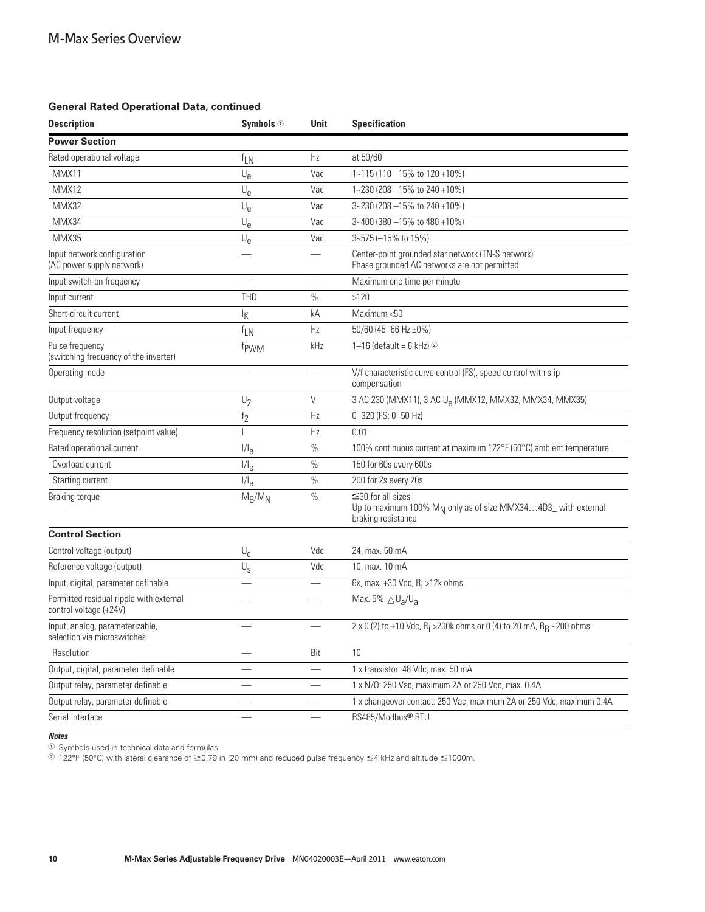#### **General Rated Operational Data, continued**

| <b>Description</b>                                                | <b>Symbols</b> <sup>1</sup> | Unit                     | <b>Specification</b>                                                                                                      |
|-------------------------------------------------------------------|-----------------------------|--------------------------|---------------------------------------------------------------------------------------------------------------------------|
| <b>Power Section</b>                                              |                             |                          |                                                                                                                           |
| Rated operational voltage                                         | $f_{LN}$                    | Hz                       | at 50/60                                                                                                                  |
| MMX11                                                             | $U_{\rm e}$                 | Vac                      | 1~115 (110 -15% to 120 +10%)                                                                                              |
| MMX12                                                             | $U_{\rm e}$                 | Vac                      | 1~230 (208 -15% to 240 +10%)                                                                                              |
| MMX32                                                             | $U_{\rm e}$                 | Vac                      | 3~230 (208 -15% to 240 +10%)                                                                                              |
| MMX34                                                             | $U_{\rm e}$                 | Vac                      | 3~400 (380 -15% to 480 +10%)                                                                                              |
| MMX35                                                             | $\mathsf{U}_{\mathsf{e}}$   | Vac                      | 3~575 (-15% to 15%)                                                                                                       |
| Input network configuration<br>(AC power supply network)          |                             |                          | Center-point grounded star network (TN-S network)<br>Phase grounded AC networks are not permitted                         |
| Input switch-on frequency                                         |                             | $\overline{\phantom{0}}$ | Maximum one time per minute                                                                                               |
| Input current                                                     | <b>THD</b>                  | $\%$                     | >120                                                                                                                      |
| Short-circuit current                                             | Ιĸ                          | kA                       | Maximum <50                                                                                                               |
| Input frequency                                                   | $f_{LN}$                    | Hz                       | 50/60 (45-66 Hz ±0%)                                                                                                      |
| Pulse frequency<br>(switching frequency of the inverter)          | f <sub>PWM</sub>            | kHz                      | 1-16 (default = 6 kHz) $\odot$                                                                                            |
| Operating mode                                                    |                             |                          | V/f characteristic curve control (FS), speed control with slip<br>compensation                                            |
| Output voltage                                                    | $U_2$                       | V                        | 3 AC 230 (MMX11), 3 AC U <sub>e</sub> (MMX12, MMX32, MMX34, MMX35)                                                        |
| Output frequency                                                  | f <sub>2</sub>              | Hz                       | 0-320 (FS: 0-50 Hz)                                                                                                       |
| Frequency resolution (setpoint value)                             |                             | Hz                       | 0.01                                                                                                                      |
| Rated operational current                                         | $1/1_{\odot}$               | $\frac{0}{0}$            | 100% continuous current at maximum 122°F (50°C) ambient temperature                                                       |
| Overload current                                                  | 1/1 <sub>e</sub>            | $\frac{0}{0}$            | 150 for 60s every 600s                                                                                                    |
| Starting current                                                  | 1/1 <sub>e</sub>            | $\frac{0}{0}$            | 200 for 2s every 20s                                                                                                      |
| <b>Braking torque</b>                                             | $M_B/M_N$                   | $\frac{0}{0}$            | $\leq$ 30 for all sizes<br>Up to maximum 100% M <sub>N</sub> only as of size MMX344D3_with external<br>braking resistance |
| <b>Control Section</b>                                            |                             |                          |                                                                                                                           |
| Control voltage (output)                                          | $U_{\rm C}$                 | Vdc                      | 24, max. 50 mA                                                                                                            |
| Reference voltage (output)                                        | $\mathsf{U}_\mathsf{S}$     | Vdc                      | 10, max. 10 mA                                                                                                            |
| Input, digital, parameter definable                               |                             | $\overline{\phantom{0}}$ | 6x, max. $+30$ Vdc, $R_i > 12k$ ohms                                                                                      |
| Permitted residual ripple with external<br>control voltage (+24V) |                             |                          | Max. 5% $\triangle$ U <sub>a</sub> /U <sub>a</sub>                                                                        |
| Input, analog, parameterizable,<br>selection via microswitches    |                             |                          | $2 \times 0$ (2) to +10 Vdc, R <sub>i</sub> >200k ohms or 0 (4) to 20 mA, R <sub>R</sub> ~200 ohms                        |
| Resolution                                                        |                             | Bit                      | 10                                                                                                                        |
| Output, digital, parameter definable                              |                             |                          | 1 x transistor: 48 Vdc, max. 50 mA                                                                                        |
| Output relay, parameter definable                                 |                             |                          | 1 x N/O: 250 Vac, maximum 2A or 250 Vdc, max. 0.4A                                                                        |
| Output relay, parameter definable                                 |                             |                          | 1 x changeover contact: 250 Vac, maximum 2A or 250 Vdc, maximum 0.4A                                                      |
| Serial interface                                                  |                             |                          | RS485/Modbus® RTU                                                                                                         |

#### *Notes*

 $\odot$  Symbols used in technical data and formulas.

2 122°F (50°C) with lateral clearance of  $\geq$  0.79 in (20 mm) and reduced pulse frequency  $\leq$  4 kHz and altitude  $\leq$  1000m.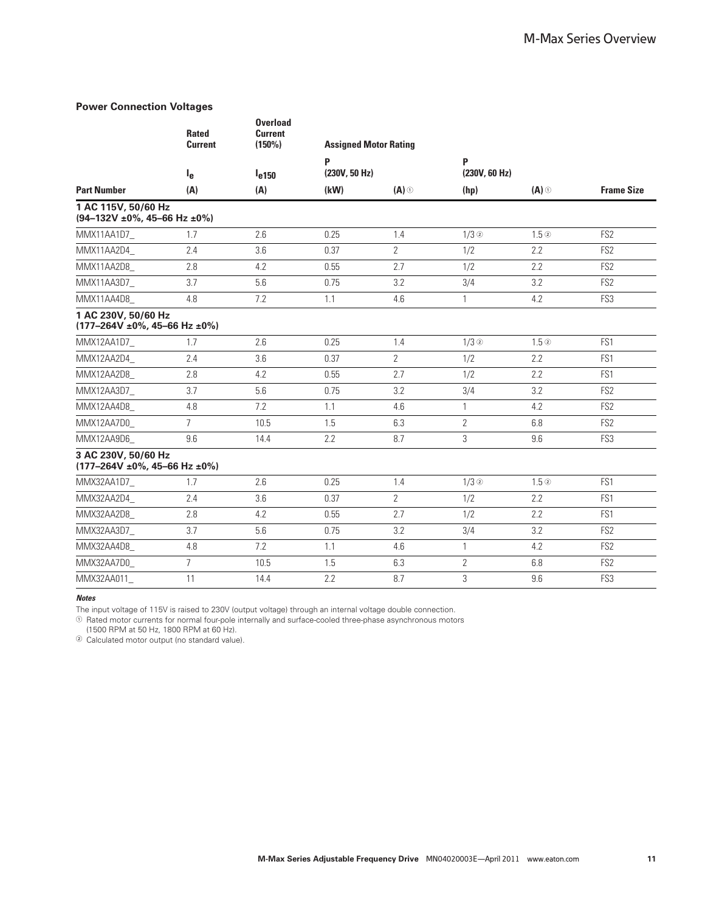#### **Power Connection Voltages**

|                                                               | <b>Rated</b><br><b>Current</b> | <b>Overload</b><br><b>Current</b><br>$(150\%)$ |                    | <b>Assigned Motor Rating</b> |                    |                  |                   |
|---------------------------------------------------------------|--------------------------------|------------------------------------------------|--------------------|------------------------------|--------------------|------------------|-------------------|
|                                                               | $I_{\rm e}$                    | $I_{e150}$                                     | P<br>(230V, 50 Hz) |                              | P<br>(230V, 60 Hz) |                  |                   |
| <b>Part Number</b>                                            | (A)                            | (A)                                            | (kW)               | (A)                          | (hp)               | $\odot$ (A)      | <b>Frame Size</b> |
| 1 AC 115V, 50/60 Hz<br>(94-132V ±0%, 45-66 Hz ±0%)            |                                |                                                |                    |                              |                    |                  |                   |
| MMX11AA1D7_                                                   | 1.7                            | 2.6                                            | 0.25               | 1.4                          | $1/3$ <sup>2</sup> | 1.5 <sup>°</sup> | FS <sub>2</sub>   |
| MMX11AA2D4                                                    | 2.4                            | 3.6                                            | 0.37               | $\overline{2}$               | 1/2                | 2.2              | FS <sub>2</sub>   |
| MMX11AA2D8                                                    | 2.8                            | 4.2                                            | 0.55               | 2.7                          | 1/2                | 2.2              | FS <sub>2</sub>   |
| MMX11AA3D7_                                                   | 3.7                            | 5.6                                            | 0.75               | 3.2                          | 3/4                | 3.2              | FS <sub>2</sub>   |
| MMX11AA4D8                                                    | 4.8                            | 7.2                                            | 1.1                | 4.6                          | 1                  | 4.2              | FS3               |
| 1 AC 230V, 50/60 Hz<br>$(177-264V \pm 0\%, 45-66 Hz \pm 0\%)$ |                                |                                                |                    |                              |                    |                  |                   |
| MMX12AA1D7                                                    | 1.7                            | 2.6                                            | 0.25               | 1.4                          | $1/3$ ②            | 1.5 <sup>°</sup> | FS1               |
| MMX12AA2D4                                                    | 2.4                            | 3.6                                            | 0.37               | $\overline{2}$               | 1/2                | 2.2              | FS1               |
| MMX12AA2D8                                                    | 2.8                            | 4.2                                            | 0.55               | 2.7                          | 1/2                | 2.2              | FS1               |
| MMX12AA3D7                                                    | 3.7                            | 5.6                                            | 0.75               | 3.2                          | 3/4                | 3.2              | FS <sub>2</sub>   |
| MMX12AA4D8                                                    | 4.8                            | 7.2                                            | 1.1                | 4.6                          | $\mathbf{1}$       | 4.2              | FS <sub>2</sub>   |
| MMX12AA7D0                                                    | $\overline{7}$                 | 10.5                                           | 1.5                | 6.3                          | $\overline{2}$     | 6.8              | FS <sub>2</sub>   |
| MMX12AA9D6_                                                   | 9.6                            | 14.4                                           | 2.2                | 8.7                          | 3                  | 9.6              | FS3               |
| 3 AC 230V, 50/60 Hz<br>$(177-264V \pm 0\%, 45-66 Hz \pm 0\%)$ |                                |                                                |                    |                              |                    |                  |                   |
| MMX32AA1D7                                                    | 1.7                            | 2.6                                            | 0.25               | 1.4                          | $1/3$ ②            | 1.5 <sup>°</sup> | FS1               |
| MMX32AA2D4                                                    | 2.4                            | 3.6                                            | 0.37               | $\overline{2}$               | 1/2                | 2.2              | FS1               |
| MMX32AA2D8                                                    | 2.8                            | 4.2                                            | 0.55               | 2.7                          | 1/2                | 2.2              | FS1               |
| MMX32AA3D7                                                    | 3.7                            | 5.6                                            | 0.75               | 3.2                          | 3/4                | 3.2              | FS <sub>2</sub>   |
| MMX32AA4D8_                                                   | 4.8                            | 7.2                                            | 1.1                | 4.6                          | $\mathbf{1}$       | 4.2              | FS <sub>2</sub>   |
| MMX32AA7D0                                                    | $\overline{7}$                 | 10.5                                           | 1.5                | 6.3                          | $\overline{2}$     | 6.8              | FS <sub>2</sub>   |
| MMX32AA011_                                                   | 11                             | 14.4                                           | 2.2                | 8.7                          | 3                  | 9.6              | FS3               |

#### *Notes*

The input voltage of 115V is raised to 230V (output voltage) through an internal voltage double connection.

- Rated motor currents for normal four-pole internally and surface-cooled three-phase asynchronous motors (1500 RPM at 50 Hz, 1800 RPM at 60 Hz).

Calculated motor output (no standard value).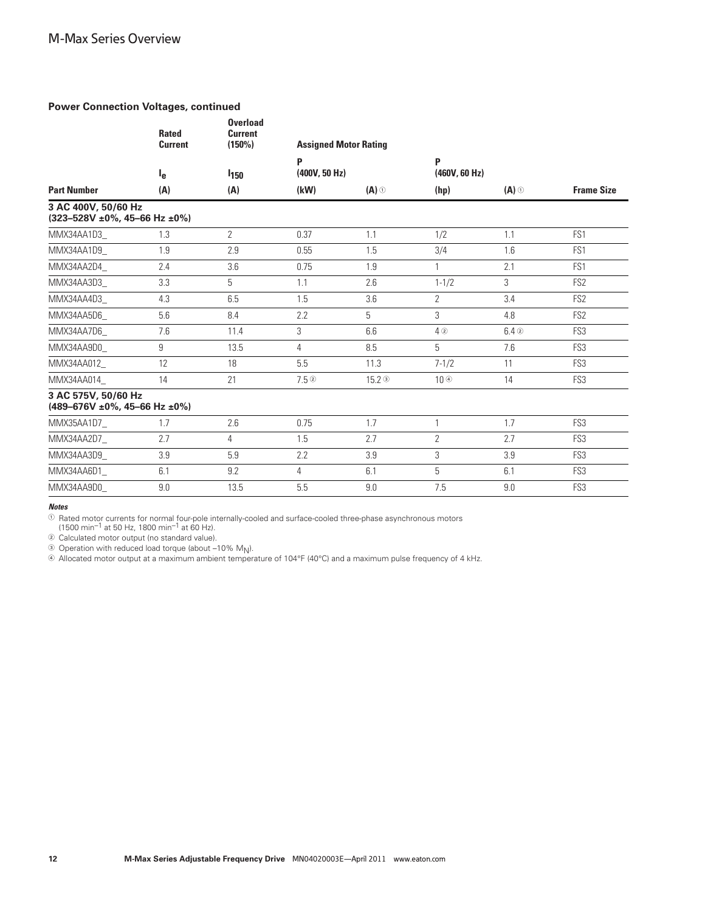#### **Power Connection Voltages, continued**

| P<br>P<br>(400V, 50 Hz)<br>(460V, 60 Hz)<br>$I_{e}$<br>$I_{150}$<br>(A)<br>(A)<br><b>Part Number</b><br>(kW)<br>(A)<br>(A)<br>(hp)<br>3 AC 400V, 50/60 Hz<br>$(323 - 528V \pm 0\%, 45 - 66 Hz \pm 0\%)$<br>2<br>FS1<br>MMX34AA1D3<br>0.37<br>1.1<br>1.1<br>1/2<br>1.3<br>2.9<br>1.5<br>FS1<br>MMX34AA1D9<br>1.9<br>0.55<br>3/4<br>1.6<br>1.9<br>2.4<br>3.6<br>2.1<br>FS1<br>MMX34AA2D4<br>0.75<br>1<br>3<br>5<br>MMX34AA3D3<br>3.3<br>1.1<br>2.6<br>FS <sub>2</sub><br>$1 - 1/2$<br>2<br>3.4<br>MMX34AA4D3<br>4.3<br>6.5<br>1.5<br>3.6<br>FS <sub>2</sub><br>5<br>3<br>5.6<br>MMX34AA5D6<br>8.4<br>2.2<br>4.8<br>FS <sub>2</sub><br>3<br>7.6<br>6.6<br>6.4@<br>FS3<br>MMX34AA7D6<br>11.4<br>4 <sup>°</sup> | <b>Rated</b><br><b>Current</b> | <b>Overload</b><br><b>Current</b><br>$(150\%)$ | <b>Assigned Motor Rating</b> |   |                   |
|------------------------------------------------------------------------------------------------------------------------------------------------------------------------------------------------------------------------------------------------------------------------------------------------------------------------------------------------------------------------------------------------------------------------------------------------------------------------------------------------------------------------------------------------------------------------------------------------------------------------------------------------------------------------------------------------------------|--------------------------------|------------------------------------------------|------------------------------|---|-------------------|
|                                                                                                                                                                                                                                                                                                                                                                                                                                                                                                                                                                                                                                                                                                            |                                |                                                |                              |   |                   |
|                                                                                                                                                                                                                                                                                                                                                                                                                                                                                                                                                                                                                                                                                                            |                                |                                                |                              |   | <b>Frame Size</b> |
|                                                                                                                                                                                                                                                                                                                                                                                                                                                                                                                                                                                                                                                                                                            |                                |                                                |                              |   |                   |
|                                                                                                                                                                                                                                                                                                                                                                                                                                                                                                                                                                                                                                                                                                            |                                |                                                |                              |   |                   |
|                                                                                                                                                                                                                                                                                                                                                                                                                                                                                                                                                                                                                                                                                                            |                                |                                                |                              |   |                   |
|                                                                                                                                                                                                                                                                                                                                                                                                                                                                                                                                                                                                                                                                                                            |                                |                                                |                              |   |                   |
|                                                                                                                                                                                                                                                                                                                                                                                                                                                                                                                                                                                                                                                                                                            |                                |                                                |                              |   |                   |
|                                                                                                                                                                                                                                                                                                                                                                                                                                                                                                                                                                                                                                                                                                            |                                |                                                |                              |   |                   |
|                                                                                                                                                                                                                                                                                                                                                                                                                                                                                                                                                                                                                                                                                                            |                                |                                                |                              |   |                   |
|                                                                                                                                                                                                                                                                                                                                                                                                                                                                                                                                                                                                                                                                                                            |                                |                                                |                              |   |                   |
| 9<br>4<br>8.5<br>7.6<br>MMX34AA9D0<br>13.5<br>FS3                                                                                                                                                                                                                                                                                                                                                                                                                                                                                                                                                                                                                                                          |                                |                                                |                              | 5 |                   |
| 12<br>MMX34AA012<br>18<br>5.5<br>FS3<br>11.3<br>$7 - 1/2$<br>11                                                                                                                                                                                                                                                                                                                                                                                                                                                                                                                                                                                                                                            |                                |                                                |                              |   |                   |
| MMX34AA014<br>14<br>21<br>7.5 <sup>°</sup><br>$15.2$ 3<br>14<br>FS3<br>10 <sup>①</sup>                                                                                                                                                                                                                                                                                                                                                                                                                                                                                                                                                                                                                     |                                |                                                |                              |   |                   |
| 3 AC 575V, 50/60 Hz<br>(489-676V ±0%, 45-66 Hz ±0%)                                                                                                                                                                                                                                                                                                                                                                                                                                                                                                                                                                                                                                                        |                                |                                                |                              |   |                   |
| 1.7<br>1.7<br>0.75<br>1<br>FS3<br>1.7<br>2.6<br>MMX35AA1D7_                                                                                                                                                                                                                                                                                                                                                                                                                                                                                                                                                                                                                                                |                                |                                                |                              |   |                   |
| $\overline{2}$<br>MMX34AA2D7<br>2.7<br>4<br>1.5<br>2.7<br>2.7<br>FS3                                                                                                                                                                                                                                                                                                                                                                                                                                                                                                                                                                                                                                       |                                |                                                |                              |   |                   |
| 3<br>3.9<br>5.9<br>2.2<br>3.9<br>3.9<br>MMX34AA3D9<br>FS3                                                                                                                                                                                                                                                                                                                                                                                                                                                                                                                                                                                                                                                  |                                |                                                |                              |   |                   |
| 5<br>6.1<br>9.2<br>6.1<br>6.1<br>MMX34AA6D1<br>4<br>FS3                                                                                                                                                                                                                                                                                                                                                                                                                                                                                                                                                                                                                                                    |                                |                                                |                              |   |                   |
| MMX34AA9D0<br>9.0<br>5.5<br>7.5<br>13.5<br>9.0<br>9.0<br>FS3                                                                                                                                                                                                                                                                                                                                                                                                                                                                                                                                                                                                                                               |                                |                                                |                              |   |                   |

#### *Notes*

 $\degree$  Rated motor currents for normal four-pole internally-cooled and surface-cooled three-phase asynchronous motors<br>(1500 min<sup>–1</sup> at 50 Hz, 1800 min<sup>–1</sup> at 60 Hz).

Calculated motor output (no standard value).

 $\circ$  Operation with reduced load torque (about –10% M<sub>N</sub>).

Allocated motor output at a maximum ambient temperature of 104°F (40°C) and a maximum pulse frequency of 4 kHz.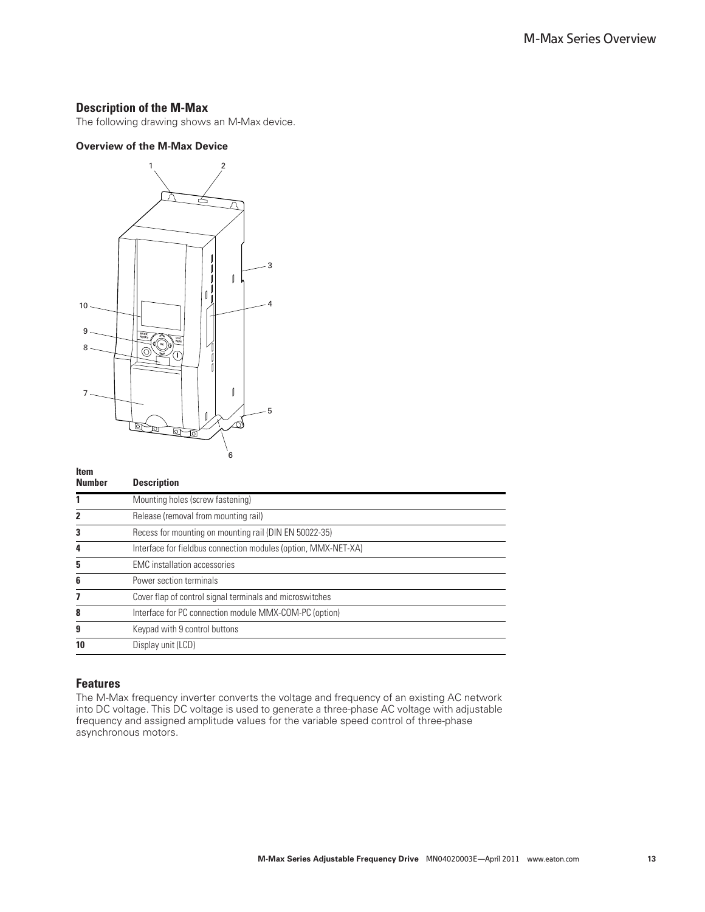### **Description of the M-Max**

The following drawing shows an M-Max device.

#### **Overview of the M-Max Device**



#### **Item**

| <b>Description</b>                                             |
|----------------------------------------------------------------|
| Mounting holes (screw fastening)                               |
| Release (removal from mounting rail)                           |
| Recess for mounting on mounting rail (DIN EN 50022-35)         |
| Interface for fieldbus connection modules (option, MMX-NET-XA) |
| <b>EMC</b> installation accessories                            |
| Power section terminals                                        |
| Cover flap of control signal terminals and microswitches       |
| Interface for PC connection module MMX-COM-PC (option)         |
| Keypad with 9 control buttons                                  |
| Display unit (LCD)                                             |
|                                                                |

#### **Features**

The M-Max frequency inverter converts the voltage and frequency of an existing AC network into DC voltage. This DC voltage is used to generate a three-phase AC voltage with adjustable frequency and assigned amplitude values for the variable speed control of three-phase asynchronous motors.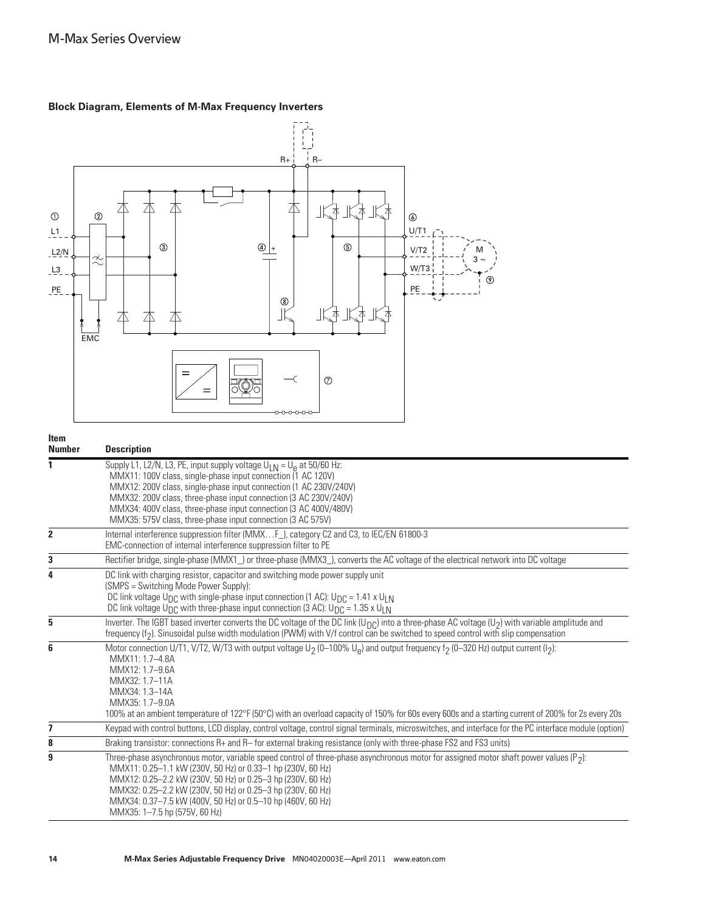



MMX35: 1–7.5 hp (575V, 60 Hz)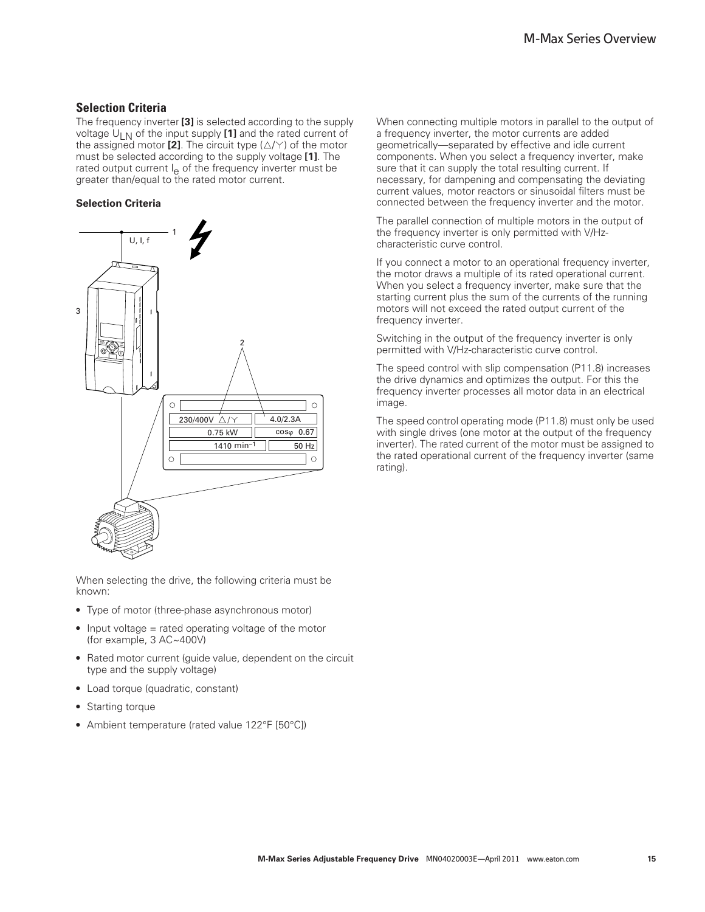#### **Selection Criteria**

The frequency inverter **[3]** is selected according to the supply voltage  $U_{LN}$  of the input supply  $[1]$  and the rated current of the assigned motor [2]. The circuit type  $(\triangle/Y)$  of the motor must be selected according to the supply voltage **[1]**. The rated output current  $I_{\rm e}$  of the frequency inverter must be greater than/equal to the rated motor current.

#### **Selection Criteria**



When selecting the drive, the following criteria must be known:

- Type of motor (three-phase asynchronous motor)
- $\bullet$  Input voltage = rated operating voltage of the motor (for example, 3 AC~400V)
- Rated motor current (guide value, dependent on the circuit type and the supply voltage)
- Load torque (quadratic, constant)
- Starting torque
- Ambient temperature (rated value 122°F [50°C])

When connecting multiple motors in parallel to the output of a frequency inverter, the motor currents are added geometrically—separated by effective and idle current components. When you select a frequency inverter, make sure that it can supply the total resulting current. If necessary, for dampening and compensating the deviating current values, motor reactors or sinusoidal filters must be connected between the frequency inverter and the motor.

The parallel connection of multiple motors in the output of the frequency inverter is only permitted with V/Hzcharacteristic curve control.

If you connect a motor to an operational frequency inverter. the motor draws a multiple of its rated operational current. When you select a frequency inverter, make sure that the starting current plus the sum of the currents of the running motors will not exceed the rated output current of the frequency inverter.

Switching in the output of the frequency inverter is only permitted with V/Hz-characteristic curve control.

The speed control with slip compensation (P11.8) increases the drive dynamics and optimizes the output. For this the frequency inverter processes all motor data in an electrical image.

The speed control operating mode (P11.8) must only be used with single drives (one motor at the output of the frequency inverter). The rated current of the motor must be assigned to the rated operational current of the frequency inverter (same rating).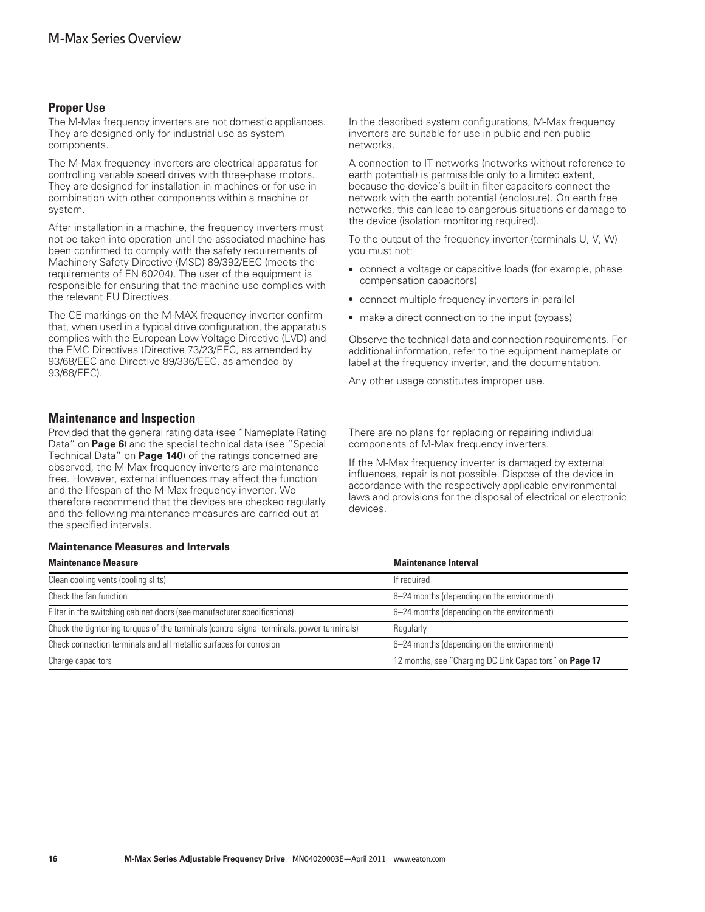#### **Proper Use**

The M-Max frequency inverters are not domestic appliances. They are designed only for industrial use as system components.

The M-Max frequency inverters are electrical apparatus for controlling variable speed drives with three-phase motors. They are designed for installation in machines or for use in combination with other components within a machine or system.

After installation in a machine, the frequency inverters must not be taken into operation until the associated machine has been confirmed to comply with the safety requirements of Machinery Safety Directive (MSD) 89/392/EEC (meets the requirements of EN 60204). The user of the equipment is responsible for ensuring that the machine use complies with the relevant EU Directives.

The CE markings on the M-MAX frequency inverter confirm that, when used in a typical drive configuration, the apparatus complies with the European Low Voltage Directive (LVD) and the EMC Directives (Directive 73/23/EEC, as amended by 93/68/EEC and Directive 89/336/EEC, as amended by 93/68/EEC).

#### **Maintenance and Inspection**

Provided that the general rating data (see "Nameplate Rating Data" on **Page 6**) and the special technical data (see "Special Technical Data" on **Page 140**) of the ratings concerned are observed, the M-Max frequency inverters are maintenance free. However, external influences may affect the function and the lifespan of the M-Max frequency inverter. We therefore recommend that the devices are checked regularly and the following maintenance measures are carried out at the specified intervals.

In the described system configurations, M-Max frequency inverters are suitable for use in public and non-public networks.

A connection to IT networks (networks without reference to earth potential) is permissible only to a limited extent, because the device's built-in filter capacitors connect the network with the earth potential (enclosure). On earth free networks, this can lead to dangerous situations or damage to the device (isolation monitoring required).

To the output of the frequency inverter (terminals U, V, W) you must not:

- connect a voltage or capacitive loads (for example, phase compensation capacitors)
- connect multiple frequency inverters in parallel
- make a direct connection to the input (bypass)

Observe the technical data and connection requirements. For additional information, refer to the equipment nameplate or label at the frequency inverter, and the documentation.

Any other usage constitutes improper use.

There are no plans for replacing or repairing individual components of M-Max frequency inverters.

If the M-Max frequency inverter is damaged by external influences, repair is not possible. Dispose of the device in accordance with the respectively applicable environmental laws and provisions for the disposal of electrical or electronic devices.

#### **Maintenance Measures and Intervals**

| <b>Maintenance Measure</b>                                                                | <b>Maintenance Interval</b>                             |  |  |
|-------------------------------------------------------------------------------------------|---------------------------------------------------------|--|--|
| Clean cooling vents (cooling slits)                                                       | If required                                             |  |  |
| Check the fan function                                                                    | 6-24 months (depending on the environment)              |  |  |
| Filter in the switching cabinet doors (see manufacturer specifications)                   | 6-24 months (depending on the environment)              |  |  |
| Check the tightening torques of the terminals (control signal terminals, power terminals) | Regularly                                               |  |  |
| Check connection terminals and all metallic surfaces for corrosion                        | 6–24 months (depending on the environment)              |  |  |
| Charge capacitors                                                                         | 12 months, see "Charging DC Link Capacitors" on Page 17 |  |  |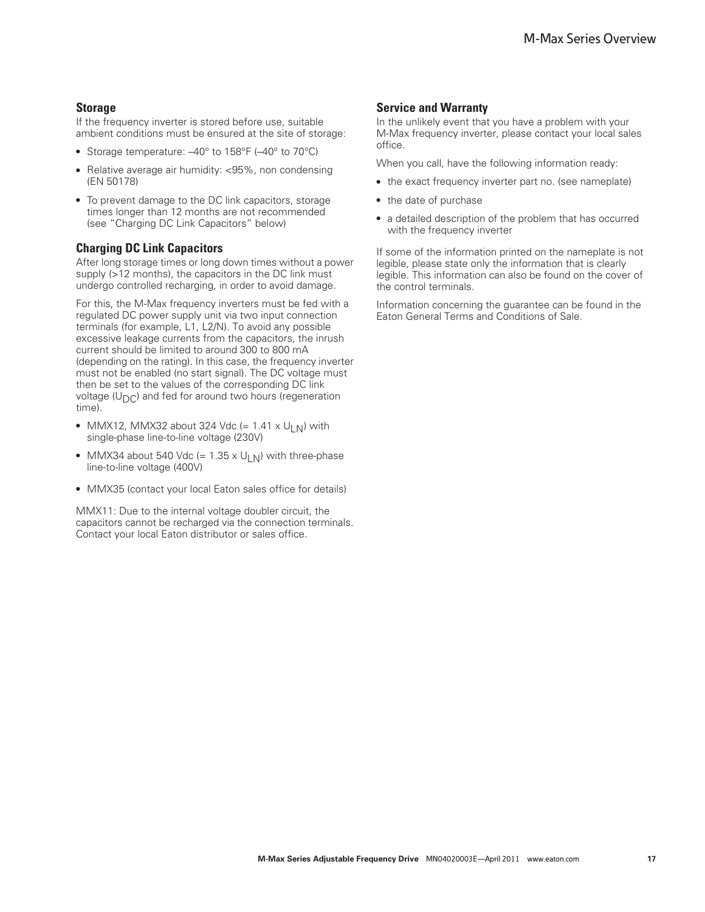#### **Storage**

If the frequency inverter is stored before use, suitable ambient conditions must be ensured at the site of storage:

- Storage temperature: –40° to 158°F (–40° to 70°C)
- Relative average air humidity: <95%, non condensing (EN 50178)
- To prevent damage to the DC link capacitors, storage times longer than 12 months are not recommended (see "Charging DC Link Capacitors" below)

### **Charging DC Link Capacitors**

After long storage times or long down times without a power supply (>12 months), the capacitors in the DC link must undergo controlled recharging, in order to avoid damage.

For this, the M-Max frequency inverters must be fed with a regulated DC power supply unit via two input connection terminals (for example, L1, L2/N). To avoid any possible excessive leakage currents from the capacitors, the inrush current should be limited to around 300 to 800 mA (depending on the rating). In this case, the frequency inverter must not be enabled (no start signal). The DC voltage must then be set to the values of the corresponding DC link voltage  $(U_{DC})$  and fed for around two hours (regeneration time).

- MMX12, MMX32 about 324 Vdc (=  $1.41 \times U_{L,N}$ ) with single-phase line-to-line voltage (230V)
- MMX34 about 540 Vdc (=  $1.35 \times U_{LN}$ ) with three-phase line-to-line voltage (400V)
- MMX35 (contact your local Eaton sales office for details)

MMX11: Due to the internal voltage doubler circuit, the capacitors cannot be recharged via the connection terminals. Contact your local Eaton distributor or sales office.

#### **Service and Warranty**

In the unlikely event that you have a problem with your M-Max frequency inverter, please contact your local sales office.

When you call, have the following information ready:

- the exact frequency inverter part no. (see nameplate)
- the date of purchase
- a detailed description of the problem that has occurred with the frequency inverter

If some of the information printed on the nameplate is not legible, please state only the information that is clearly legible. This information can also be found on the cover of the control terminals.

Information concerning the guarantee can be found in the Eaton General Terms and Conditions of Sale.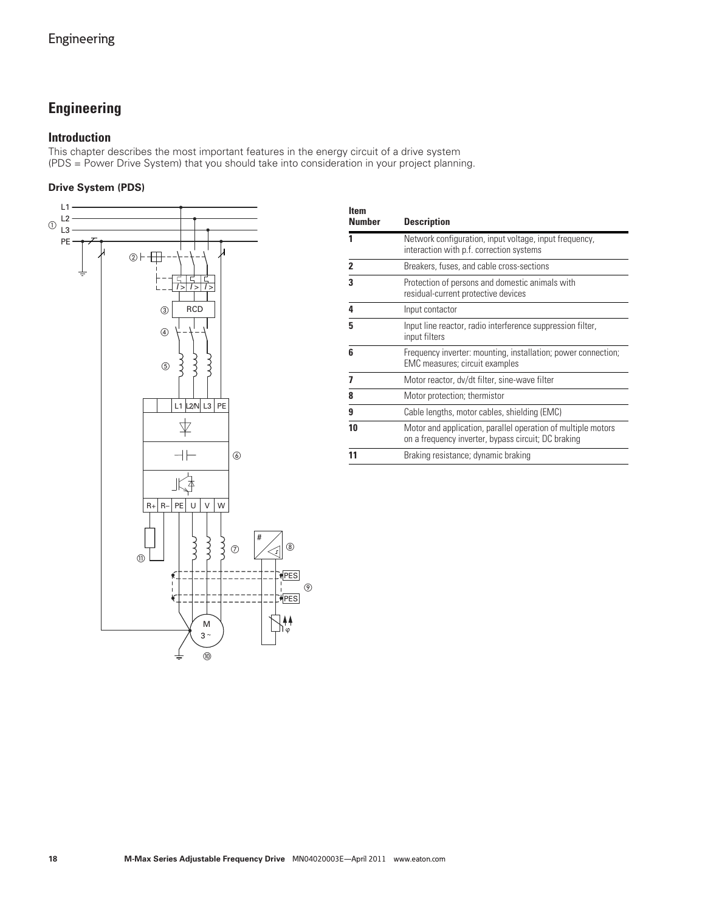### **Engineering**

### **Introduction**

This chapter describes the most important features in the energy circuit of a drive system (PDS = Power Drive System) that you should take into consideration in your project planning.

#### **Drive System (PDS)**



| <b>Item</b><br><b>Number</b> | <b>Description</b>                                                                                                  |
|------------------------------|---------------------------------------------------------------------------------------------------------------------|
|                              | Network configuration, input voltage, input frequency,<br>interaction with p.f. correction systems                  |
| 2                            | Breakers, fuses, and cable cross-sections                                                                           |
| 3                            | Protection of persons and domestic animals with<br>residual-current protective devices                              |
| 4                            | Input contactor                                                                                                     |
| 5                            | Input line reactor, radio interference suppression filter,<br>input filters                                         |
| հ                            | Frequency inverter: mounting, installation; power connection;<br>EMC measures; circuit examples                     |
| 7                            | Motor reactor, dv/dt filter, sine-wave filter                                                                       |
| 8                            | Motor protection; thermistor                                                                                        |
| 9                            | Cable lengths, motor cables, shielding (EMC)                                                                        |
| 10                           | Motor and application, parallel operation of multiple motors<br>on a frequency inverter, bypass circuit; DC braking |
| 11                           | Braking resistance; dynamic braking                                                                                 |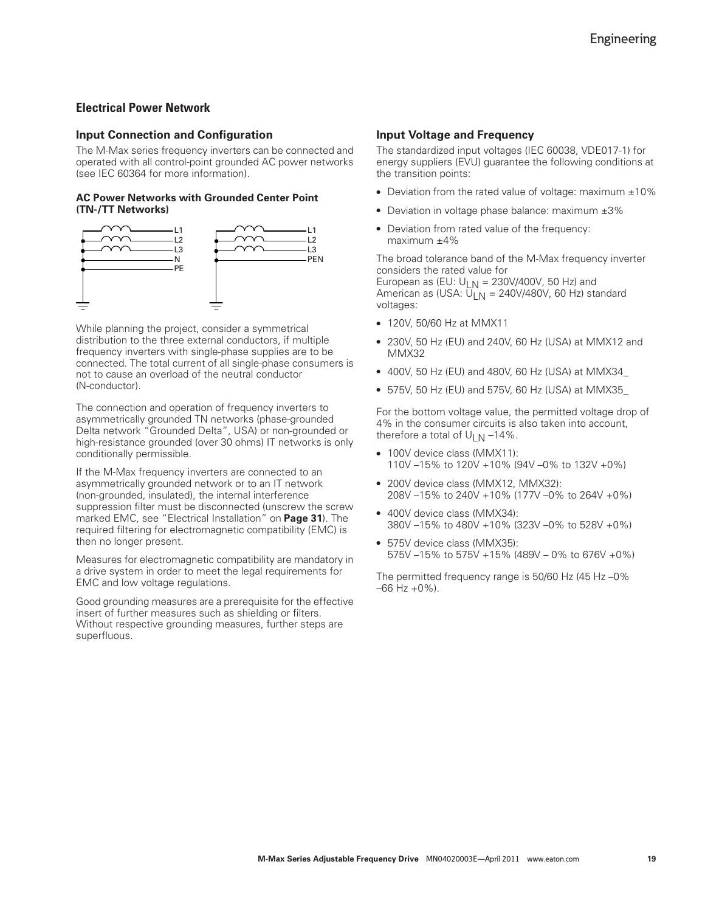### **Electrical Power Network**

#### **Input Connection and Configuration**

The M-Max series frequency inverters can be connected and operated with all control-point grounded AC power networks (see IEC 60364 for more information).

#### **AC Power Networks with Grounded Center Point (TN-/TT Networks)**



While planning the project, consider a symmetrical distribution to the three external conductors, if multiple frequency inverters with single-phase supplies are to be connected. The total current of all single-phase consumers is not to cause an overload of the neutral conductor (N-conductor).

The connection and operation of frequency inverters to asymmetrically grounded TN networks (phase-grounded Delta network "Grounded Delta", USA) or non-grounded or high-resistance grounded (over 30 ohms) IT networks is only conditionally permissible.

If the M-Max frequency inverters are connected to an asymmetrically grounded network or to an IT network (non-grounded, insulated), the internal interference suppression filter must be disconnected (unscrew the screw marked EMC, see "Electrical Installation" on **Page 31**). The required filtering for electromagnetic compatibility (EMC) is then no longer present.

Measures for electromagnetic compatibility are mandatory in a drive system in order to meet the legal requirements for EMC and low voltage regulations.

Good grounding measures are a prerequisite for the effective insert of further measures such as shielding or filters. Without respective grounding measures, further steps are superfluous.

#### **Input Voltage and Frequency**

The standardized input voltages (IEC 60038, VDE017-1) for energy suppliers (EVU) guarantee the following conditions at the transition points:

- Deviation from the rated value of voltage: maximum ±10%
- Deviation in voltage phase balance: maximum  $\pm 3\%$
- Deviation from rated value of the frequency: maximum ±4%

The broad tolerance band of the M-Max frequency inverter considers the rated value for European as (EU:  $U_{N} = 230V/400V$ , 50 Hz) and American as (USA:  $\overline{U}_{N} = 240V/480V$ , 60 Hz) standard voltages:

- 120V, 50/60 Hz at MMX11
- 230V, 50 Hz (EU) and 240V, 60 Hz (USA) at MMX12 and MMX32
- 400V, 50 Hz (EU) and 480V, 60 Hz (USA) at MMX34\_
- 575V, 50 Hz (EU) and 575V, 60 Hz (USA) at MMX35\_

For the bottom voltage value, the permitted voltage drop of 4% in the consumer circuits is also taken into account, therefore a total of  $U_{LN}$  –14%.

- 100V device class (MMX11): 110V –15% to 120V +10% (94V –0% to 132V +0%)
- 200V device class (MMX12, MMX32): 208V –15% to 240V +10% (177V –0% to 264V +0%)
- 400V device class (MMX34): 380V –15% to 480V +10% (323V –0% to 528V +0%)
- 575V device class (MMX35): 575V –15% to 575V +15% (489V – 0% to 676V +0%)

The permitted frequency range is 50/60 Hz (45 Hz –0%  $-66$  Hz  $+0\%$ ).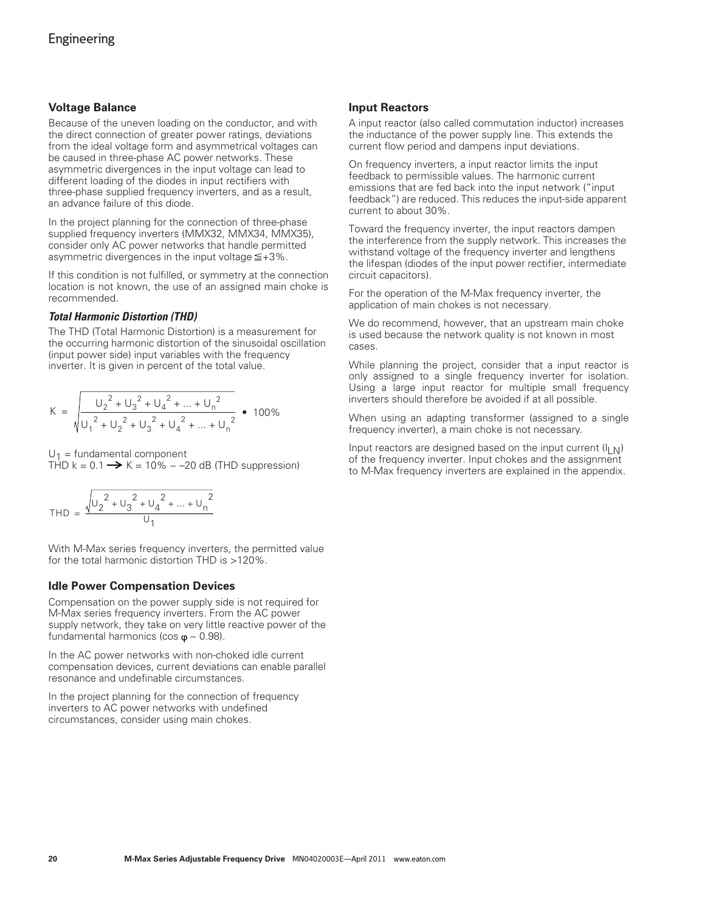#### **Voltage Balance**

Because of the uneven loading on the conductor, and with the direct connection of greater power ratings, deviations from the ideal voltage form and asymmetrical voltages can be caused in three-phase AC power networks. These asymmetric divergences in the input voltage can lead to different loading of the diodes in input rectifiers with three-phase supplied frequency inverters, and as a result, an advance failure of this diode.

In the project planning for the connection of three-phase supplied frequency inverters (MMX32, MMX34, MMX35), consider only AC power networks that handle permitted asymmetric divergences in the input voltage  $\leq +3\%$ .

If this condition is not fulfilled, or symmetry at the connection location is not known, the use of an assigned main choke is recommended.

#### *Total Harmonic Distortion (THD)*

The THD (Total Harmonic Distortion) is a measurement for the occurring harmonic distortion of the sinusoidal oscillation (input power side) input variables with the frequency inverter. It is given in percent of the total value.

$$
K = \sqrt{\frac{U_2^2 + U_3^2 + U_4^2 + \dots + U_n^2}{U_1^2 + U_2^2 + U_3^2 + U_4^2 + \dots + U_n^2}}
$$

 $U_1$  = fundamental component THD  $k = 0.1 \rightarrow K = 10\% \sim -20$  dB (THD suppression)

$$
\mathsf{THD} = \frac{\sqrt{U_2^2 + U_3^2 + U_4^2 + \dots + U_n^2}}{U_1}
$$

With M-Max series frequency inverters, the permitted value for the total harmonic distortion THD is >120%.

#### **Idle Power Compensation Devices**

Compensation on the power supply side is not required for M-Max series frequency inverters. From the AC power supply network, they take on very little reactive power of the fundamental harmonics (cos  $\varphi \sim 0.98$ ).

In the AC power networks with non-choked idle current compensation devices, current deviations can enable parallel resonance and undefinable circumstances.

In the project planning for the connection of frequency inverters to AC power networks with undefined circumstances, consider using main chokes.

#### **Input Reactors**

A input reactor (also called commutation inductor) increases the inductance of the power supply line. This extends the current flow period and dampens input deviations.

On frequency inverters, a input reactor limits the input feedback to permissible values. The harmonic current emissions that are fed back into the input network ("input feedback") are reduced. This reduces the input-side apparent current to about 30%.

Toward the frequency inverter, the input reactors dampen the interference from the supply network. This increases the withstand voltage of the frequency inverter and lengthens the lifespan (diodes of the input power rectifier, intermediate circuit capacitors).

For the operation of the M-Max frequency inverter, the application of main chokes is not necessary.

We do recommend, however, that an upstream main choke is used because the network quality is not known in most cases.

While planning the project, consider that a input reactor is only assigned to a single frequency inverter for isolation. Using a large input reactor for multiple small frequency inverters should therefore be avoided if at all possible.

When using an adapting transformer (assigned to a single frequency inverter), a main choke is not necessary.

Input reactors are designed based on the input current  $(I_{\text{EM}})$ of the frequency inverter. Input chokes and the assignment to M-Max frequency inverters are explained in the appendix.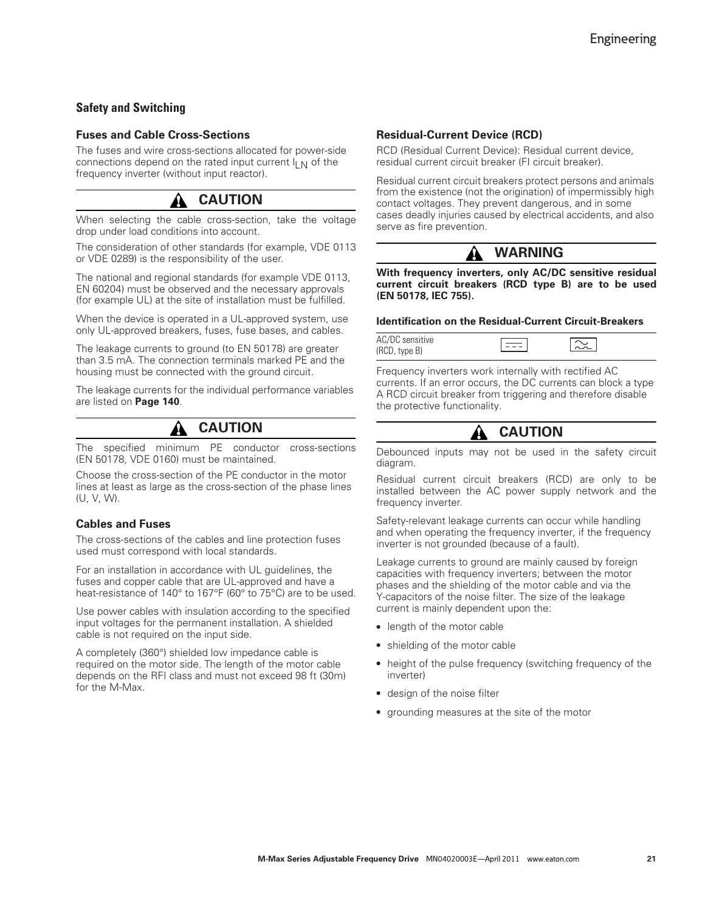### **Safety and Switching**

#### **Fuses and Cable Cross-Sections**

The fuses and wire cross-sections allocated for power-side connections depend on the rated input current  $I_{LN}$  of the frequency inverter (without input reactor).

## **CAUTION**

When selecting the cable cross-section, take the voltage drop under load conditions into account.

The consideration of other standards (for example, VDE 0113 or VDE 0289) is the responsibility of the user.

The national and regional standards (for example VDE 0113, EN 60204) must be observed and the necessary approvals (for example UL) at the site of installation must be fulfilled.

When the device is operated in a UL-approved system, use only UL-approved breakers, fuses, fuse bases, and cables.

The leakage currents to ground (to EN 50178) are greater than 3.5 mA. The connection terminals marked PE and the housing must be connected with the ground circuit.

The leakage currents for the individual performance variables are listed on **Page 140**.

## **CAUTION**

The specified minimum PE conductor cross-sections (EN 50178, VDE 0160) must be maintained.

Choose the cross-section of the PE conductor in the motor lines at least as large as the cross-section of the phase lines (U, V, W).

#### **Cables and Fuses**

The cross-sections of the cables and line protection fuses used must correspond with local standards.

For an installation in accordance with UL guidelines, the fuses and copper cable that are UL-approved and have a heat-resistance of 140° to 167°F (60° to 75°C) are to be used.

Use power cables with insulation according to the specified input voltages for the permanent installation. A shielded cable is not required on the input side.

A completely (360°) shielded low impedance cable is required on the motor side. The length of the motor cable depends on the RFI class and must not exceed 98 ft (30m) for the M-Max.

#### **Residual-Current Device (RCD)**

RCD (Residual Current Device): Residual current device, residual current circuit breaker (FI circuit breaker).

Residual current circuit breakers protect persons and animals from the existence (not the origination) of impermissibly high contact voltages. They prevent dangerous, and in some cases deadly injuries caused by electrical accidents, and also serve as fire prevention.

## **WARNING**

**With frequency inverters, only AC/DC sensitive residual current circuit breakers (RCD type B) are to be used (EN 50178, IEC 755).**

#### **Identification on the Residual-Current Circuit-Breakers**



Frequency inverters work internally with rectified AC currents. If an error occurs, the DC currents can block a type A RCD circuit breaker from triggering and therefore disable the protective functionality.

## **CAUTION**

Debounced inputs may not be used in the safety circuit diagram.

Residual current circuit breakers (RCD) are only to be installed between the AC power supply network and the frequency inverter.

Safety-relevant leakage currents can occur while handling and when operating the frequency inverter, if the frequency inverter is not grounded (because of a fault).

Leakage currents to ground are mainly caused by foreign capacities with frequency inverters; between the motor phases and the shielding of the motor cable and via the Y-capacitors of the noise filter. The size of the leakage current is mainly dependent upon the:

- length of the motor cable
- shielding of the motor cable
- height of the pulse frequency (switching frequency of the inverter)
- design of the noise filter
- grounding measures at the site of the motor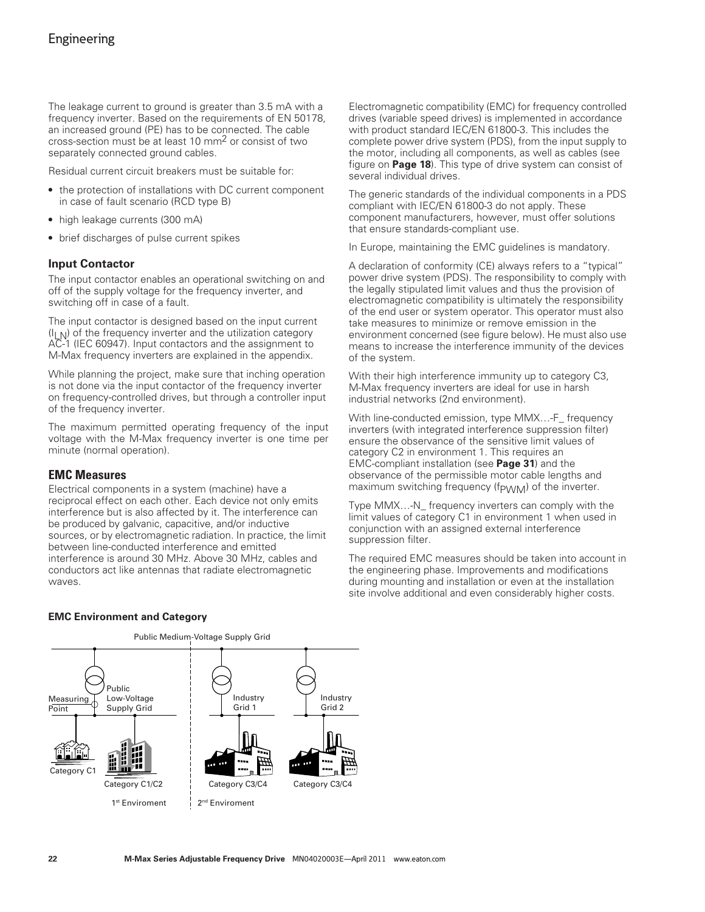The leakage current to ground is greater than 3.5 mA with a frequency inverter. Based on the requirements of EN 50178, an increased ground (PE) has to be connected. The cable cross-section must be at least 10 mm2 or consist of two separately connected ground cables.

Residual current circuit breakers must be suitable for:

- the protection of installations with DC current component in case of fault scenario (RCD type B)
- high leakage currents (300 mA)
- brief discharges of pulse current spikes

#### **Input Contactor**

The input contactor enables an operational switching on and off of the supply voltage for the frequency inverter, and switching off in case of a fault.

The input contactor is designed based on the input current  $(I_{LN})$  of the frequency inverter and the utilization category AC-1 (IEC 60947). Input contactors and the assignment to M-Max frequency inverters are explained in the appendix.

While planning the project, make sure that inching operation is not done via the input contactor of the frequency inverter on frequency-controlled drives, but through a controller input of the frequency inverter.

The maximum permitted operating frequency of the input voltage with the M-Max frequency inverter is one time per minute (normal operation).

#### **EMC Measures**

Electrical components in a system (machine) have a reciprocal effect on each other. Each device not only emits interference but is also affected by it. The interference can be produced by galvanic, capacitive, and/or inductive sources, or by electromagnetic radiation. In practice, the limit between line-conducted interference and emitted interference is around 30 MHz. Above 30 MHz, cables and conductors act like antennas that radiate electromagnetic waves.

Electromagnetic compatibility (EMC) for frequency controlled drives (variable speed drives) is implemented in accordance with product standard IEC/EN 61800-3. This includes the complete power drive system (PDS), from the input supply to the motor, including all components, as well as cables (see figure on **Page 18**). This type of drive system can consist of several individual drives.

The generic standards of the individual components in a PDS compliant with IEC/EN 61800-3 do not apply. These component manufacturers, however, must offer solutions that ensure standards-compliant use.

In Europe, maintaining the EMC guidelines is mandatory.

A declaration of conformity (CE) always refers to a "typical" power drive system (PDS). The responsibility to comply with the legally stipulated limit values and thus the provision of electromagnetic compatibility is ultimately the responsibility of the end user or system operator. This operator must also take measures to minimize or remove emission in the environment concerned (see figure below). He must also use means to increase the interference immunity of the devices of the system.

With their high interference immunity up to category C3, M-Max frequency inverters are ideal for use in harsh industrial networks (2nd environment).

With line-conducted emission, type MMX…-F\_ frequency inverters (with integrated interference suppression filter) ensure the observance of the sensitive limit values of category C2 in environment 1. This requires an EMC-compliant installation (see **Page 31**) and the observance of the permissible motor cable lengths and maximum switching frequency (f<sub>PWM</sub>) of the inverter.

Type MMX…-N\_ frequency inverters can comply with the limit values of category C1 in environment 1 when used in conjunction with an assigned external interference suppression filter.

The required EMC measures should be taken into account in the engineering phase. Improvements and modifications during mounting and installation or even at the installation site involve additional and even considerably higher costs.

#### **EMC Environment and Category**

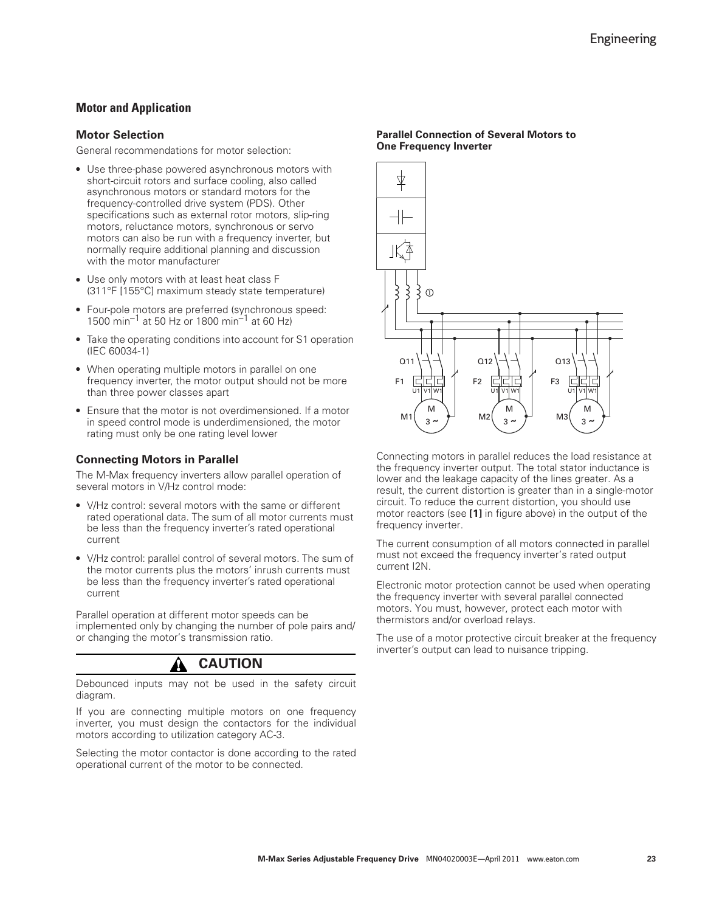### **Motor and Application**

#### **Motor Selection**

General recommendations for motor selection:

- Use three-phase powered asynchronous motors with short-circuit rotors and surface cooling, also called asynchronous motors or standard motors for the frequency-controlled drive system (PDS). Other specifications such as external rotor motors, slip-ring motors, reluctance motors, synchronous or servo motors can also be run with a frequency inverter, but normally require additional planning and discussion with the motor manufacturer
- Use only motors with at least heat class F (311°F [155°C] maximum steady state temperature)
- Four-pole motors are preferred (synchronous speed: 1500 min<sup>-1</sup> at 50 Hz or 1800 min<sup>-1</sup> at 60 Hz)
- Take the operating conditions into account for S1 operation (IEC 60034-1)
- When operating multiple motors in parallel on one frequency inverter, the motor output should not be more than three power classes apart
- Ensure that the motor is not overdimensioned. If a motor in speed control mode is underdimensioned, the motor rating must only be one rating level lower

#### **Connecting Motors in Parallel**

The M-Max frequency inverters allow parallel operation of several motors in V/Hz control mode:

- V/Hz control: several motors with the same or different rated operational data. The sum of all motor currents must be less than the frequency inverter's rated operational current
- V/Hz control: parallel control of several motors. The sum of the motor currents plus the motors' inrush currents must be less than the frequency inverter's rated operational current

Parallel operation at different motor speeds can be implemented only by changing the number of pole pairs and/ or changing the motor's transmission ratio.

## **CAUTION**

Debounced inputs may not be used in the safety circuit diagram.

If you are connecting multiple motors on one frequency inverter, you must design the contactors for the individual motors according to utilization category AC-3.

Selecting the motor contactor is done according to the rated operational current of the motor to be connected.





Connecting motors in parallel reduces the load resistance at the frequency inverter output. The total stator inductance is lower and the leakage capacity of the lines greater. As a result, the current distortion is greater than in a single-motor circuit. To reduce the current distortion, you should use motor reactors (see **[1]** in figure above) in the output of the frequency inverter.

The current consumption of all motors connected in parallel must not exceed the frequency inverter's rated output current I2N.

Electronic motor protection cannot be used when operating the frequency inverter with several parallel connected motors. You must, however, protect each motor with thermistors and/or overload relays.

The use of a motor protective circuit breaker at the frequency inverter's output can lead to nuisance tripping.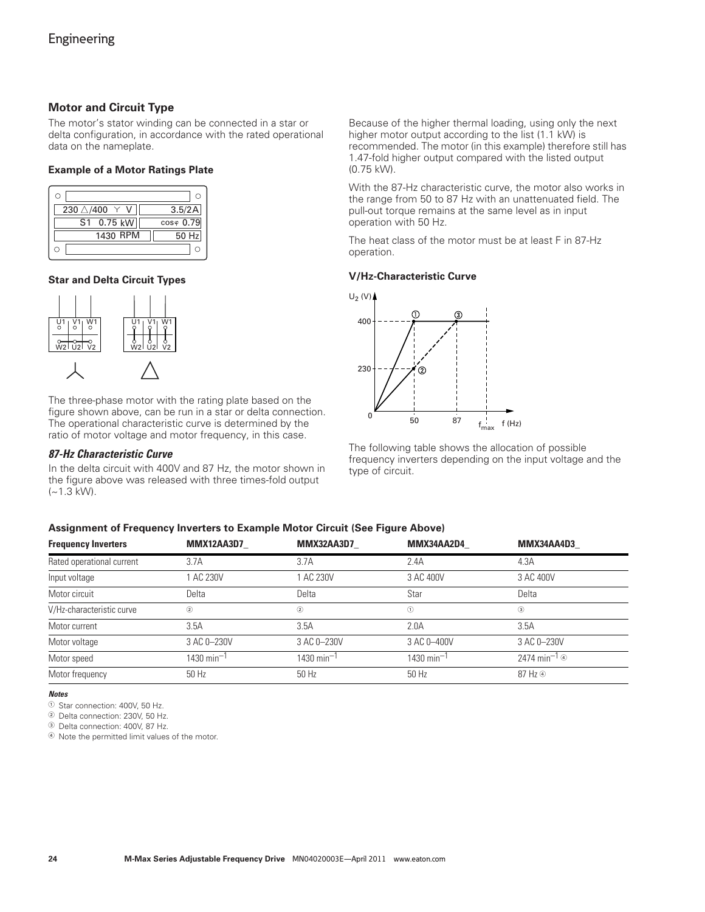#### **Motor and Circuit Type**

The motor's stator winding can be connected in a star or delta configuration, in accordance with the rated operational data on the nameplate.

#### **Example of a Motor Ratings Plate**

| 230 △/400 Y V | 3.5/2A             |
|---------------|--------------------|
| S1 0.75 kW    | $\cos\varphi$ 0.79 |
| 1430 RPM      | 50 Hz              |
|               |                    |

#### **Star and Delta Circuit Types**



The three-phase motor with the rating plate based on the figure shown above, can be run in a star or delta connection. The operational characteristic curve is determined by the ratio of motor voltage and motor frequency, in this case.

#### *87-Hz Characteristic Curve*

In the delta circuit with 400V and 87 Hz, the motor shown in the figure above was released with three times-fold output  $(-1.3$  kW).

Because of the higher thermal loading, using only the next higher motor output according to the list (1.1 kW) is recommended. The motor (in this example) therefore still has 1.47-fold higher output compared with the listed output (0.75 kW).

With the 87-Hz characteristic curve, the motor also works in the range from 50 to 87 Hz with an unattenuated field. The pull-out torque remains at the same level as in input operation with 50 Hz.

The heat class of the motor must be at least F in 87-Hz operation.

#### **V/Hz-Characteristic Curve**



The following table shows the allocation of possible frequency inverters depending on the input voltage and the type of circuit.

#### **Assignment of Frequency Inverters to Example Motor Circuit (See Figure Above)**

| <b>Frequency Inverters</b> | MMX12AA3D7               | MMX32AA3D7               | MMX34AA2D4               | MMX34AA4D3                      |
|----------------------------|--------------------------|--------------------------|--------------------------|---------------------------------|
| Rated operational current  | 3.7A                     | 3.7A                     | 2.4A                     | 4.3A                            |
| Input voltage              | 1 AC 230V                | <b>AC 230V</b>           | 3 AC 400V                | 3 AC 400V                       |
| Motor circuit              | Delta                    | Delta                    | Star                     | Delta                           |
| V/Hz-characteristic curve  | $\circled{2}$            | $\circled{2}$            | $^{\circ}$               | $\circled{3}$                   |
| Motor current              | 3.5A                     | 3.5A                     | 2.0A                     | 3.5A                            |
| Motor voltage              | 3 AC 0-230V              | 3 AC 0-230V              | 3 AC 0-400V              | 3 AC 0-230V                     |
| Motor speed                | $1430$ min <sup>-1</sup> | $1430$ min <sup>-1</sup> | $1430$ min <sup>-1</sup> | 2474 min <sup>-1</sup> $\omega$ |
| Motor frequency            | 50 Hz                    | 50 Hz                    | 50 Hz                    | $87$ Hz $\circledast$           |

*Notes*

10 Star connection: 400V, 50 Hz.

Delta connection: 230V, 50 Hz.

Delta connection: 400V, 87 Hz.

 $\circledast$  Note the permitted limit values of the motor.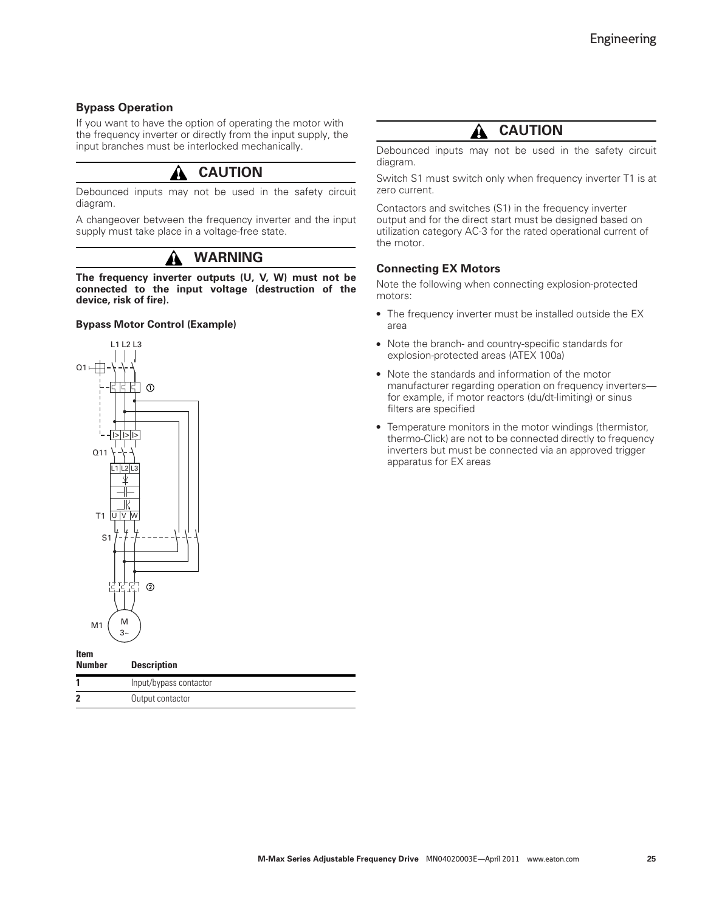### **Bypass Operation**

If you want to have the option of operating the motor with the frequency inverter or directly from the input supply, the input branches must be interlocked mechanically.

## **CAUTION**

Debounced inputs may not be used in the safety circuit diagram.

A changeover between the frequency inverter and the input supply must take place in a voltage-free state.

## **WARNING**

**The frequency inverter outputs (U, V, W) must not be connected to the input voltage (destruction of the device, risk of fire).**

#### **Bypass Motor Control (Example)**



| неш<br><b>Number</b> | <b>Description</b>     |
|----------------------|------------------------|
|                      | Input/bypass contactor |
|                      | Output contactor       |

#### **CAUTION** A

Debounced inputs may not be used in the safety circuit diagram.

Switch S1 must switch only when frequency inverter T1 is at zero current.

Contactors and switches (S1) in the frequency inverter output and for the direct start must be designed based on utilization category AC-3 for the rated operational current of the motor.

#### **Connecting EX Motors**

Note the following when connecting explosion-protected motors:

- The frequency inverter must be installed outside the EX area
- Note the branch- and country-specific standards for explosion-protected areas (ATEX 100a)
- Note the standards and information of the motor manufacturer regarding operation on frequency inverters for example, if motor reactors (du/dt-limiting) or sinus filters are specified
- Temperature monitors in the motor windings (thermistor, thermo-Click) are not to be connected directly to frequency inverters but must be connected via an approved trigger apparatus for EX areas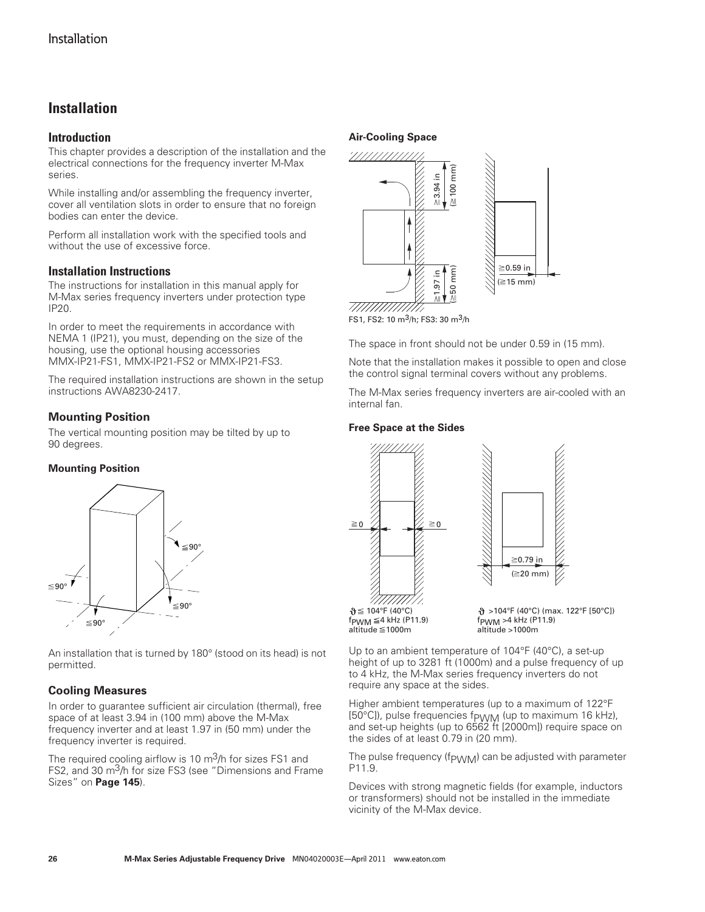## **Installation**

#### **Introduction**

This chapter provides a description of the installation and the electrical connections for the frequency inverter M-Max series.

While installing and/or assembling the frequency inverter, cover all ventilation slots in order to ensure that no foreign bodies can enter the device.

Perform all installation work with the specified tools and without the use of excessive force.

#### **Installation Instructions**

The instructions for installation in this manual apply for M-Max series frequency inverters under protection type IP20.

In order to meet the requirements in accordance with NEMA 1 (IP21), you must, depending on the size of the housing, use the optional housing accessories MMX-IP21-FS1, MMX-IP21-FS2 or MMX-IP21-FS3.

The required installation instructions are shown in the setup instructions AWA8230-2417.

#### **Mounting Position**

The vertical mounting position may be tilted by up to 90 degrees.

#### **Mounting Position**



An installation that is turned by 180° (stood on its head) is not permitted.

#### **Cooling Measures**

In order to guarantee sufficient air circulation (thermal), free space of at least 3.94 in (100 mm) above the M-Max frequency inverter and at least 1.97 in (50 mm) under the frequency inverter is required.

The required cooling airflow is 10  $\text{m}^3$ /h for sizes FS1 and FS2, and 30 m3/h for size FS3 (see "Dimensions and Frame Sizes" on **Page 145**).

#### **Air-Cooling Space**



FS1, FS2: 10 m3/h; FS3: 30 m3/h

The space in front should not be under 0.59 in (15 mm).

Note that the installation makes it possible to open and close the control signal terminal covers without any problems.

The M-Max series frequency inverters are air-cooled with an internal fan.

#### **Free Space at the Sides**



 $f_{\text{PWM}} \leq 4$  kHz (P11.9)  $\text{altitude} \leq 1000 \text{m}$ 

 $\theta$  >104°F (40°C) (max. 122°F [50°C]) fPWM >4 kHz (P11.9) altitude >1000m

Up to an ambient temperature of 104°F (40°C), a set-up height of up to 3281 ft (1000m) and a pulse frequency of up to 4 kHz, the M-Max series frequency inverters do not require any space at the sides.

Higher ambient temperatures (up to a maximum of 122°F [50°C]), pulse frequencies f<sub>PWM</sub> (up to maximum 16 kHz), and set-up heights (up to 6562 ft [2000m]) require space on the sides of at least 0.79 in (20 mm).

The pulse frequency ( $f_{\text{PWM}}$ ) can be adjusted with parameter P11.9.

Devices with strong magnetic fields (for example, inductors or transformers) should not be installed in the immediate vicinity of the M-Max device.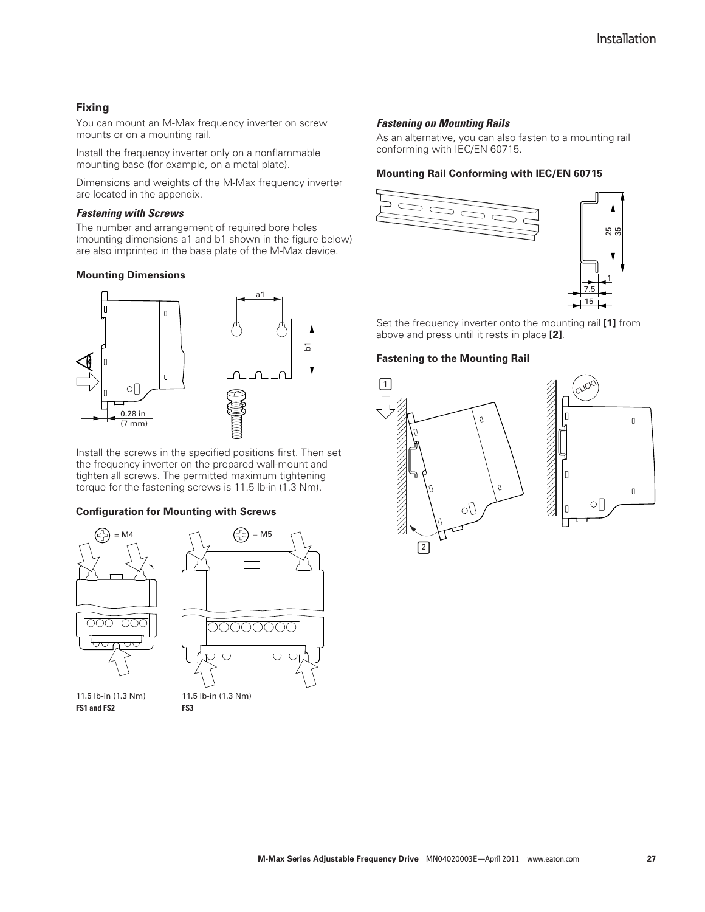### **Fixing**

You can mount an M-Max frequency inverter on screw mounts or on a mounting rail.

Install the frequency inverter only on a nonflammable mounting base (for example, on a metal plate).

Dimensions and weights of the M-Max frequency inverter are located in the appendix.

#### *Fastening with Screws*

The number and arrangement of required bore holes (mounting dimensions a1 and b1 shown in the figure below) are also imprinted in the base plate of the M-Max device.

#### **Mounting Dimensions**



Install the screws in the specified positions first. Then set the frequency inverter on the prepared wall-mount and tighten all screws. The permitted maximum tightening torque for the fastening screws is 11.5 lb-in (1.3 Nm).

#### **Configuration for Mounting with Screws**





**FS1 and FS2**

#### *Fastening on Mounting Rails*

As an alternative, you can also fasten to a mounting rail conforming with IEC/EN 60715.

#### **Mounting Rail Conforming with IEC/EN 60715**



Set the frequency inverter onto the mounting rail **[1]** from above and press until it rests in place **[2]**.

#### **Fastening to the Mounting Rail**



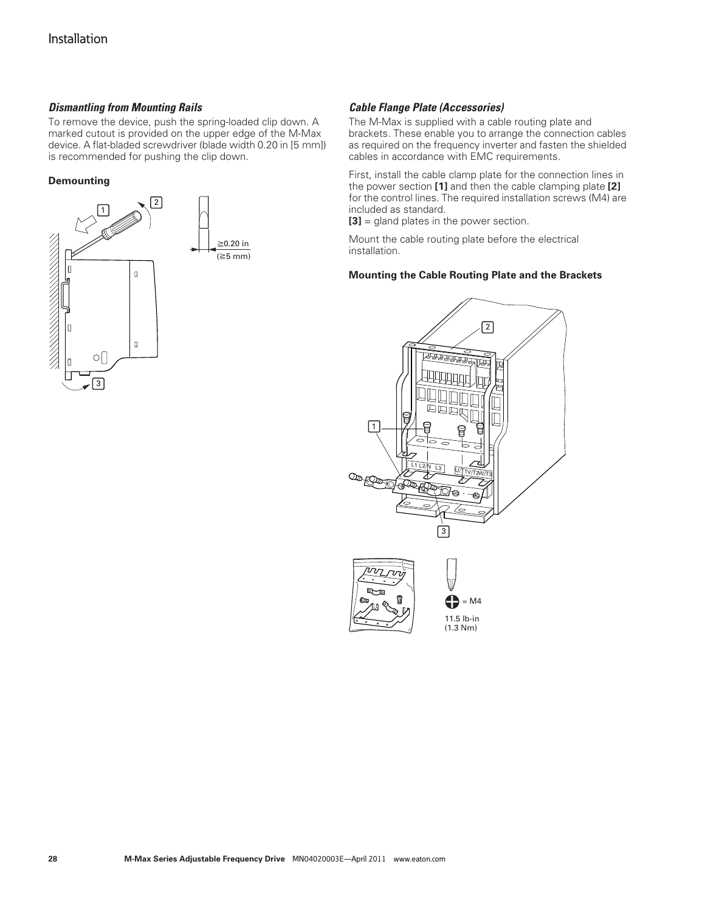#### *Dismantling from Mounting Rails*

To remove the device, push the spring-loaded clip down. A marked cutout is provided on the upper edge of the M-Max device. A flat-bladed screwdriver (blade width 0.20 in [5 mm]) is recommended for pushing the clip down.

#### **Demounting**



#### *Cable Flange Plate (Accessories)*

The M-Max is supplied with a cable routing plate and brackets. These enable you to arrange the connection cables as required on the frequency inverter and fasten the shielded cables in accordance with EMC requirements.

First, install the cable clamp plate for the connection lines in the power section **[1]** and then the cable clamping plate **[2]** for the control lines. The required installation screws (M4) are included as standard.

**[3]** = gland plates in the power section.

Mount the cable routing plate before the electrical installation.

#### **Mounting the Cable Routing Plate and the Brackets**



 $\bigoplus$  = M4 11.5 lb-in (1.3 Nm)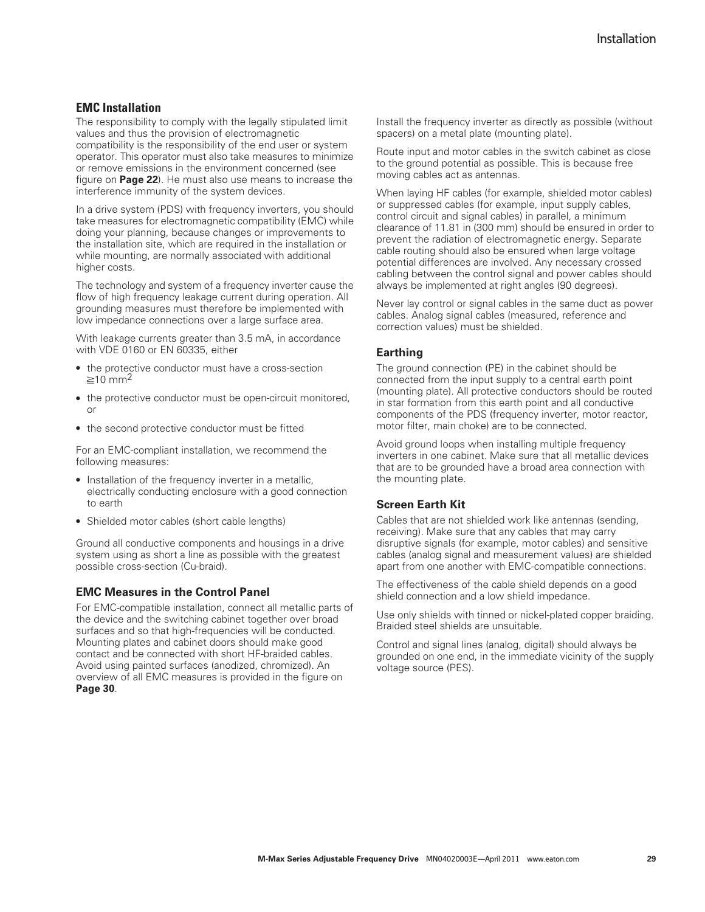### **EMC Installation**

The responsibility to comply with the legally stipulated limit values and thus the provision of electromagnetic compatibility is the responsibility of the end user or system operator. This operator must also take measures to minimize or remove emissions in the environment concerned (see figure on **Page 22**). He must also use means to increase the interference immunity of the system devices.

In a drive system (PDS) with frequency inverters, you should take measures for electromagnetic compatibility (EMC) while doing your planning, because changes or improvements to the installation site, which are required in the installation or while mounting, are normally associated with additional higher costs.

The technology and system of a frequency inverter cause the flow of high frequency leakage current during operation. All grounding measures must therefore be implemented with low impedance connections over a large surface area.

With leakage currents greater than 3.5 mA, in accordance with VDE 0160 or EN 60335, either

- the protective conductor must have a cross-section  $\geq 10$  mm<sup>2</sup>
- the protective conductor must be open-circuit monitored, or
- the second protective conductor must be fitted

For an EMC-compliant installation, we recommend the following measures:

- Installation of the frequency inverter in a metallic, electrically conducting enclosure with a good connection to earth
- Shielded motor cables (short cable lengths)

Ground all conductive components and housings in a drive system using as short a line as possible with the greatest possible cross-section (Cu-braid).

#### **EMC Measures in the Control Panel**

For EMC-compatible installation, connect all metallic parts of the device and the switching cabinet together over broad surfaces and so that high-frequencies will be conducted. Mounting plates and cabinet doors should make good contact and be connected with short HF-braided cables. Avoid using painted surfaces (anodized, chromized). An overview of all EMC measures is provided in the figure on **Page 30**.

Install the frequency inverter as directly as possible (without spacers) on a metal plate (mounting plate).

Route input and motor cables in the switch cabinet as close to the ground potential as possible. This is because free moving cables act as antennas.

When laying HF cables (for example, shielded motor cables) or suppressed cables (for example, input supply cables, control circuit and signal cables) in parallel, a minimum clearance of 11.81 in (300 mm) should be ensured in order to prevent the radiation of electromagnetic energy. Separate cable routing should also be ensured when large voltage potential differences are involved. Any necessary crossed cabling between the control signal and power cables should always be implemented at right angles (90 degrees).

Never lay control or signal cables in the same duct as power cables. Analog signal cables (measured, reference and correction values) must be shielded.

#### **Earthing**

The ground connection (PE) in the cabinet should be connected from the input supply to a central earth point (mounting plate). All protective conductors should be routed in star formation from this earth point and all conductive components of the PDS (frequency inverter, motor reactor, motor filter, main choke) are to be connected.

Avoid ground loops when installing multiple frequency inverters in one cabinet. Make sure that all metallic devices that are to be grounded have a broad area connection with the mounting plate.

### **Screen Earth Kit**

Cables that are not shielded work like antennas (sending, receiving). Make sure that any cables that may carry disruptive signals (for example, motor cables) and sensitive cables (analog signal and measurement values) are shielded apart from one another with EMC-compatible connections.

The effectiveness of the cable shield depends on a good shield connection and a low shield impedance.

Use only shields with tinned or nickel-plated copper braiding. Braided steel shields are unsuitable.

Control and signal lines (analog, digital) should always be grounded on one end, in the immediate vicinity of the supply voltage source (PES).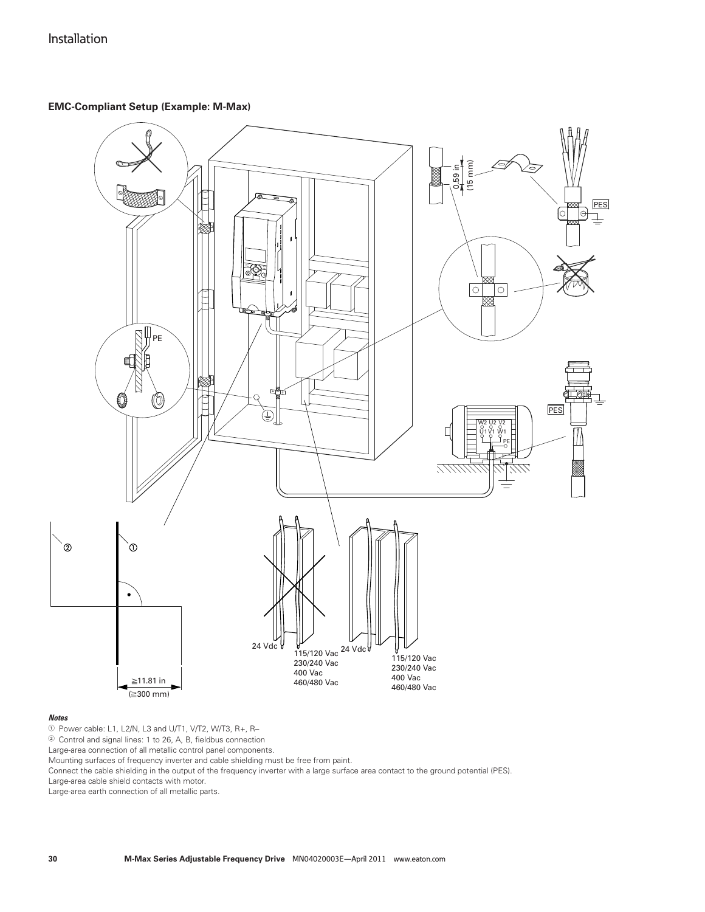**EMC-Compliant Setup (Example: M-Max)**



#### *Notes*

- Power cable: L1, L2/N, L3 and U/T1, V/T2, W/T3, R+, R–

Control and signal lines: 1 to 26, A, B, fieldbus connection

Large-area connection of all metallic control panel components.

Mounting surfaces of frequency inverter and cable shielding must be free from paint.

Connect the cable shielding in the output of the frequency inverter with a large surface area contact to the ground potential (PES).

Large-area cable shield contacts with motor.

Large-area earth connection of all metallic parts.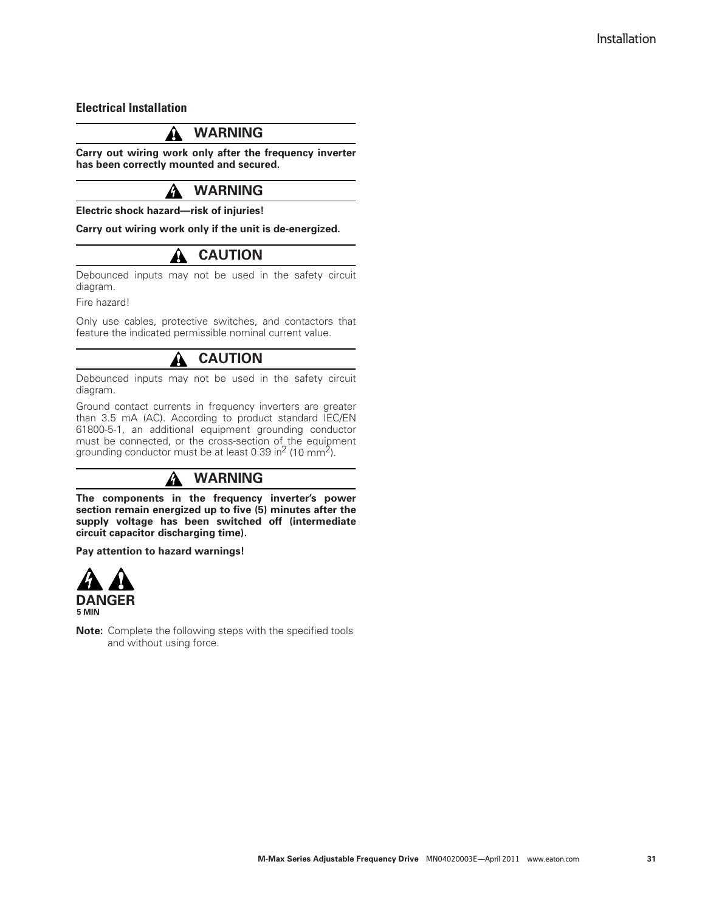**Electrical Installation**

#### **WARNING** A

**Carry out wiring work only after the frequency inverter has been correctly mounted and secured.**

#### **WARNING** Δ

**Electric shock hazard—risk of injuries!**

**Carry out wiring work only if the unit is de-energized.**

## **CAUTION**

Debounced inputs may not be used in the safety circuit diagram.

Fire hazard!

Only use cables, protective switches, and contactors that feature the indicated permissible nominal current value.

## **CAUTION**

Debounced inputs may not be used in the safety circuit diagram.

Ground contact currents in frequency inverters are greater than 3.5 mA (AC). According to product standard IEC/EN 61800-5-1, an additional equipment grounding conductor must be connected, or the cross-section of the equipment grounding conductor must be at least  $0.39$  in<sup>2</sup> (10 mm<sup>2</sup>).

#### **WARNING** ᠘

**The components in the frequency inverter's power section remain energized up to five (5) minutes after the supply voltage has been switched off (intermediate circuit capacitor discharging time).**

**Pay attention to hazard warnings!**



**Note:** Complete the following steps with the specified tools and without using force.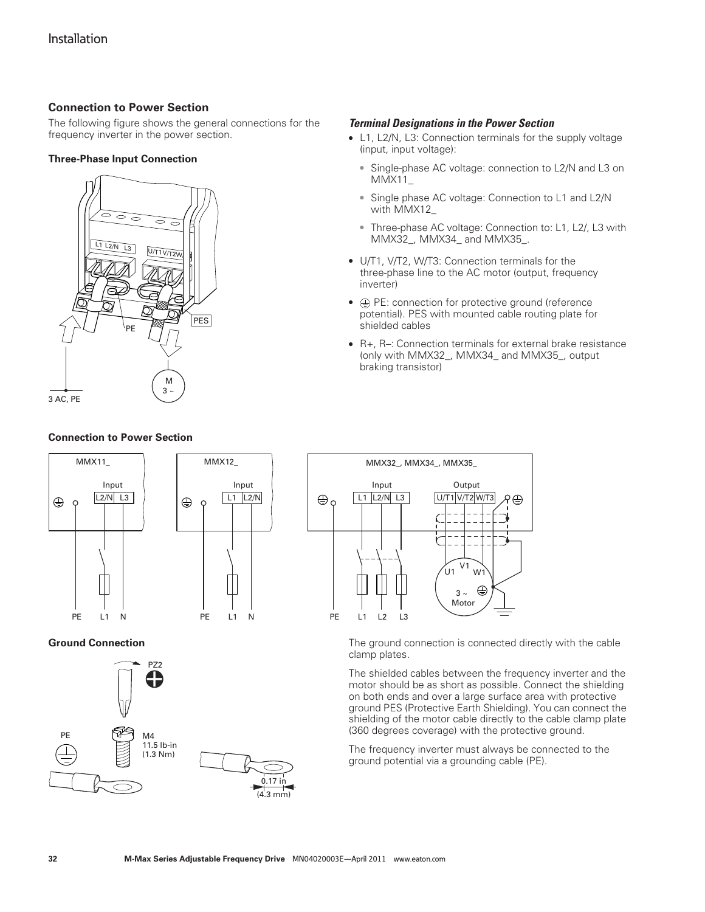### **Connection to Power Section**

The following figure shows the general connections for the frequency inverter in the power section.

#### **Three-Phase Input Connection**



#### **Connection to Power Section**





#### *Terminal Designations in the Power Section*

- L1, L2/N, L3: Connection terminals for the supply voltage (input, input voltage):
	- Single-phase AC voltage: connection to L2/N and L3 on MMX11\_
	- Single phase AC voltage: Connection to L1 and L2/N with MMX12\_
	- Three-phase AC voltage: Connection to: L1, L2/, L3 with MMX32\_, MMX34\_ and MMX35\_.
- U/T1, V/T2, W/T3: Connection terminals for the three-phase line to the AC motor (output, frequency inverter)
- PE: connection for protective ground (reference potential). PES with mounted cable routing plate for shielded cables
- R+, R–: Connection terminals for external brake resistance (only with MMX32\_, MMX34\_ and MMX35\_, output braking transistor)



**Ground Connection Ground Connection** The ground connection is connected directly with the cable clamp plates.

> The shielded cables between the frequency inverter and the motor should be as short as possible. Connect the shielding on both ends and over a large surface area with protective ground PES (Protective Earth Shielding). You can connect the shielding of the motor cable directly to the cable clamp plate (360 degrees coverage) with the protective ground.

The frequency inverter must always be connected to the ground potential via a grounding cable (PE).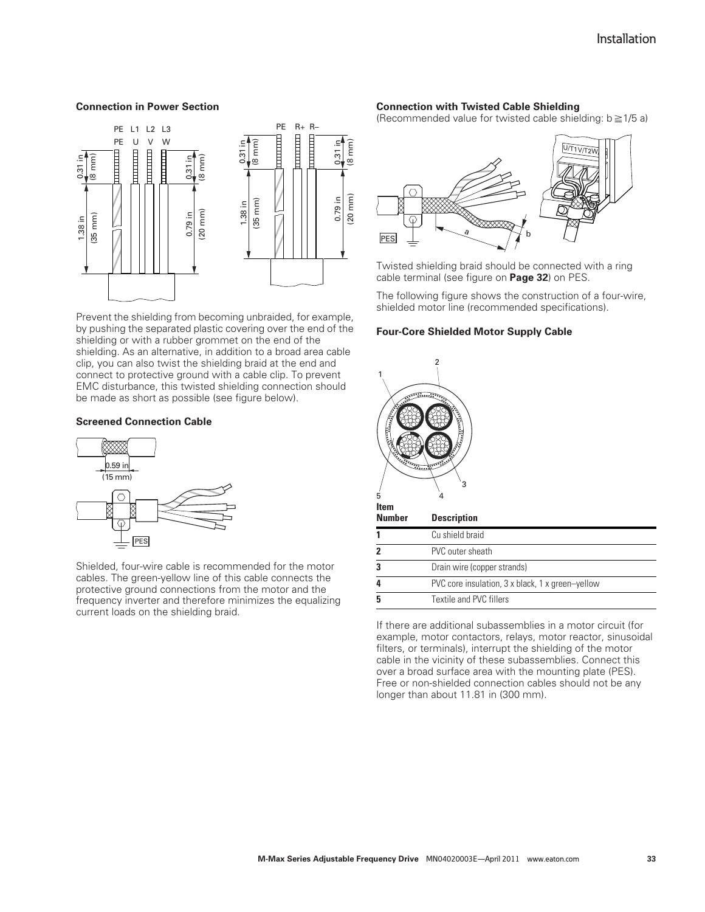#### **Connection in Power Section**



Prevent the shielding from becoming unbraided, for example, by pushing the separated plastic covering over the end of the shielding or with a rubber grommet on the end of the shielding. As an alternative, in addition to a broad area cable clip, you can also twist the shielding braid at the end and connect to protective ground with a cable clip. To prevent EMC disturbance, this twisted shielding connection should be made as short as possible (see figure below).

#### **Screened Connection Cable**



Shielded, four-wire cable is recommended for the motor cables. The green-yellow line of this cable connects the protective ground connections from the motor and the frequency inverter and therefore minimizes the equalizing current loads on the shielding braid.

#### **Connection with Twisted Cable Shielding**

(Recommended value for twisted cable shielding:  $b \ge 1/5$  a)



Twisted shielding braid should be connected with a ring cable terminal (see figure on **Page 32**) on PES.

The following figure shows the construction of a four-wire, shielded motor line (recommended specifications).

#### **Four-Core Shielded Motor Supply Cable**

| <br>5                        | $\overline{2}$<br>3                              |
|------------------------------|--------------------------------------------------|
| <b>Item</b><br><b>Number</b> | <b>Description</b>                               |
|                              | Cu shield braid                                  |
| $\overline{2}$               | PVC outer sheath                                 |
| 3                            | Drain wire (copper strands)                      |
| 4                            | PVC core insulation, 3 x black, 1 x green-yellow |
| 5                            | <b>Textile and PVC fillers</b>                   |

If there are additional subassemblies in a motor circuit (for example, motor contactors, relays, motor reactor, sinusoidal filters, or terminals), interrupt the shielding of the motor cable in the vicinity of these subassemblies. Connect this over a broad surface area with the mounting plate (PES). Free or non-shielded connection cables should not be any longer than about 11.81 in (300 mm).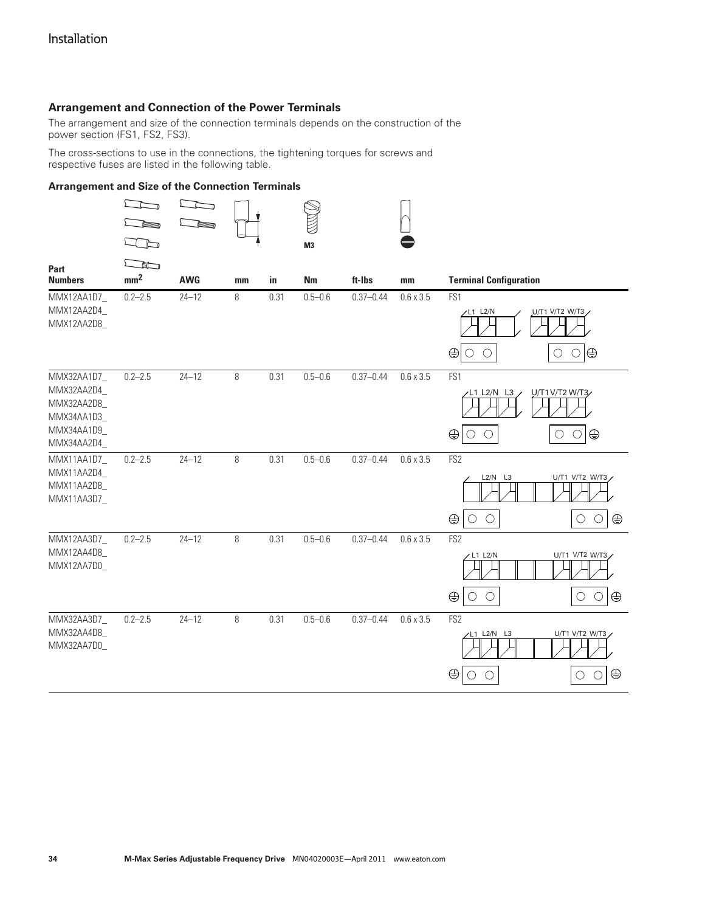#### **Arrangement and Connection of the Power Terminals**

The arrangement and size of the connection terminals depends on the construction of the power section (FS1, FS2, FS3).

The cross-sections to use in the connections, the tightening torques for screws and respective fuses are listed in the following table.

#### **Arrangement and Size of the Connection Terminals**

|                                                                                        |                       |            |    |      | M3          |               |                  |                                                                                                                                    |
|----------------------------------------------------------------------------------------|-----------------------|------------|----|------|-------------|---------------|------------------|------------------------------------------------------------------------------------------------------------------------------------|
| Part<br><b>Numbers</b>                                                                 | èo<br>mm <sup>2</sup> | <b>AWG</b> | mm | in.  | <b>Nm</b>   | ft-Ibs        | mm               | <b>Terminal Configuration</b>                                                                                                      |
| MMX12AA1D7<br>MMX12AA2D4_<br>MMX12AA2D8_                                               | $0.2 - 2.5$           | $24 - 12$  | 8  | 0.31 | $0.5 - 0.6$ | $0.37 - 0.44$ | $0.6 \times 3.5$ | FS1<br>/L1 L2/N<br>U/T1 V/T2 W/T3<br>$\oplus$<br>⊕<br>$\bigcirc$<br>$\bigcirc$<br>$\bigcirc$                                       |
| MMX32AA1D7_<br>MMX32AA2D4_<br>MMX32AA2D8_<br>MMX34AA1D3_<br>MMX34AA1D9_<br>MMX34AA2D4_ | $0.2 - 2.5$           | $24 - 12$  | 8  | 0.31 | $0.5 - 0.6$ | $0.37 - 0.44$ | $0.6 \times 3.5$ | FS1<br>L1 L2/N L3<br>U/T1V/T2W/T3<br>$\oplus$<br>⊕<br>$\bigcirc$<br>$\bigcirc$<br>O<br>$\bigcirc$                                  |
| MMX11AA1D7_<br>MMX11AA2D4_<br>MMX11AA2D8_<br>MMX11AA3D7_                               | $0.2 - 2.5$           | $24 - 12$  | 8  | 0.31 | $0.5 - 0.6$ | $0.37 - 0.44$ | $0.6 \times 3.5$ | FS <sub>2</sub><br>U/T1 V/T2 W/T3<br>L2/N<br>L <sub>3</sub><br>$\oplus$<br>$\oplus$<br>$\bigcirc$<br>$\bigcirc$<br>O<br>$\bigcirc$ |
| MMX12AA3D7_<br>MMX12AA4D8_<br>MMX12AA7D0_                                              | $0.2 - 2.5$           | $24 - 12$  | 8  | 0.31 | $0.5 - 0.6$ | $0.37 - 0.44$ | $0.6 \times 3.5$ | FS <sub>2</sub><br>U/T1 V/T2 W/T3<br>L1 L2/N<br>$\oplus$<br>$\oplus$<br>$\bigcirc$<br>$\bigcirc$<br>$\bigcirc$<br>$\bigcirc$       |
| MMX32AA3D7_<br>MMX32AA4D8_<br>MMX32AA7D0_                                              | $0.2 - 2.5$           | $24 - 12$  | 8  | 0.31 | $0.5 - 0.6$ | $0.37 - 0.44$ | $0.6 \times 3.5$ | FS <sub>2</sub><br>U/T1 V/T2 W/T3<br>L1 L2/N L3<br>⊕<br>⊕<br>$\bigcirc$<br>О<br>C<br>O                                             |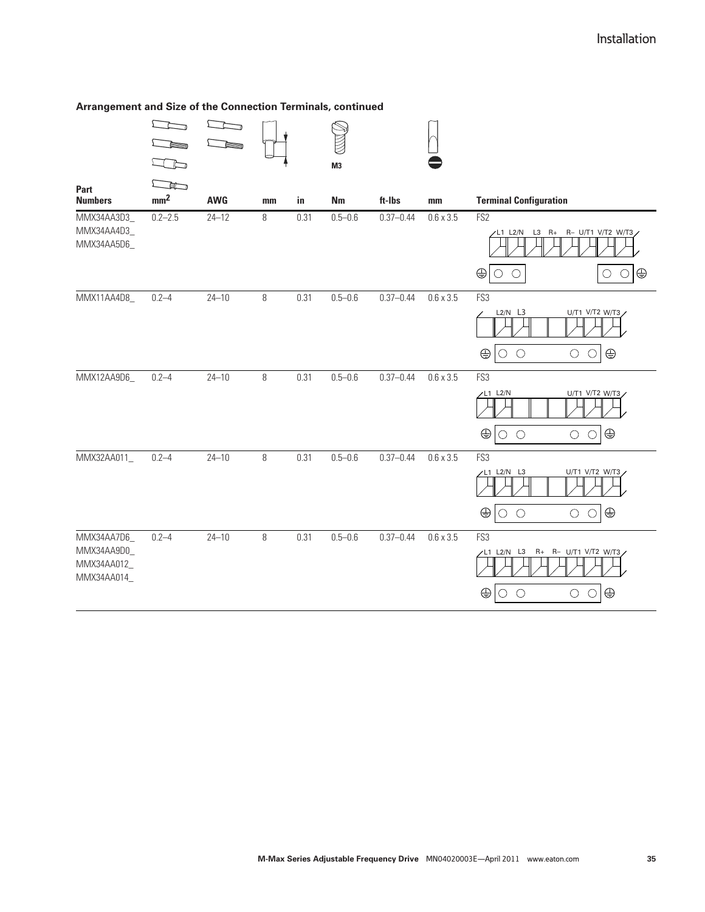|                                                          |                 |            |        |      | M3          |               |                  |                                                                                                                   |
|----------------------------------------------------------|-----------------|------------|--------|------|-------------|---------------|------------------|-------------------------------------------------------------------------------------------------------------------|
| Part<br><b>Numbers</b>                                   | mm <sup>2</sup> | <b>AWG</b> | mm     | in   | <b>Nm</b>   | ft-Ibs        | mm               | <b>Terminal Configuration</b>                                                                                     |
| MMX34AA3D3_<br>MMX34AA4D3_<br>MMX34AA5D6_                | $0.2 - 2.5$     | $24 - 12$  | 8      | 0.31 | $0.5 - 0.6$ | $0.37 - 0.44$ | $0.6 \times 3.5$ | FS2<br>/L1 L2/N<br>R- U/T1 V/T2 W/T3<br>$L3$ R+<br>$\oplus$<br>⊕<br>$\bigcirc$<br>$\bigcirc$                      |
| MMX11AA4D8_                                              | $0.2 - 4$       | $24 - 10$  | $\, 8$ | 0.31 | $0.5 - 0.6$ | $0.37 - 0.44$ | $0.6 \times 3.5$ | FS3<br>$L2/N$ $L3$<br>U/T1 V/T2 W/T3<br>$\oplus$<br>$\circ$ $\circ$<br>$\oplus$<br>$\bigcirc$<br>$\bigcirc$       |
| MMX12AA9D6_                                              | $0.2 - 4$       | $24 - 10$  | 8      | 0.31 | $0.5 - 0.6$ | $0.37 - 0.44$ | $0.6 \times 3.5$ | FS3<br>U/T1 V/T2 W/T3<br>/L1 L2/N<br>$\oplus$<br>$\oplus$<br>$\circ$ $\circ$<br>$\bigcirc$<br>$\bigcirc$          |
| MMX32AA011_                                              | $0.2 - 4$       | $24 - 10$  | 8      | 0.31 | $0.5 - 0.6$ | $0.37 - 0.44$ | $0.6 \times 3.5$ | FS3<br>L1 L2/N L3<br>U/T1 V/T2 W/T3<br>$\oplus$<br>$\oplus$<br>$\circ$ $\circ$<br>$\bigcirc$<br>$\bigcirc$        |
| MMX34AA7D6_<br>MMX34AA9D0_<br>MMX34AA012_<br>MMX34AA014_ | $0.2 - 4$       | $24 - 10$  | 8      | 0.31 | $0.5 - 0.6$ | $0.37 - 0.44$ | $0.6 \times 3.5$ | FS3<br>$-L1$ L2/N L3<br>$R+$<br>R- U/T1 V/T2 W/T3<br>$\oplus$<br>⊕<br>$\circ$ $\circ$<br>$\bigcirc$<br>$\bigcirc$ |

**Arrangement and Size of the Connection Terminals, continued**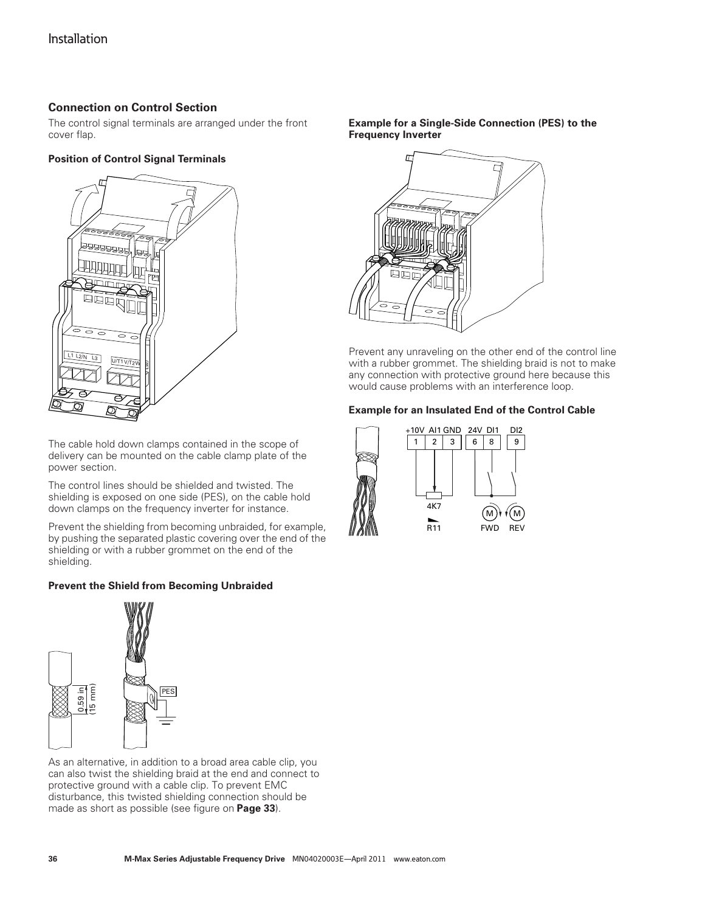### **Connection on Control Section**

The control signal terminals are arranged under the front cover flap.

#### **Position of Control Signal Terminals**



The cable hold down clamps contained in the scope of delivery can be mounted on the cable clamp plate of the power section.

The control lines should be shielded and twisted. The shielding is exposed on one side (PES), on the cable hold down clamps on the frequency inverter for instance.

Prevent the shielding from becoming unbraided, for example, by pushing the separated plastic covering over the end of the shielding or with a rubber grommet on the end of the shielding.

### **Prevent the Shield from Becoming Unbraided**



As an alternative, in addition to a broad area cable clip, you can also twist the shielding braid at the end and connect to protective ground with a cable clip. To prevent EMC disturbance, this twisted shielding connection should be made as short as possible (see figure on **Page 33**).

#### **Example for a Single-Side Connection (PES) to the Frequency Inverter**



Prevent any unraveling on the other end of the control line with a rubber grommet. The shielding braid is not to make any connection with protective ground here because this would cause problems with an interference loop.

#### **Example for an Insulated End of the Control Cable**

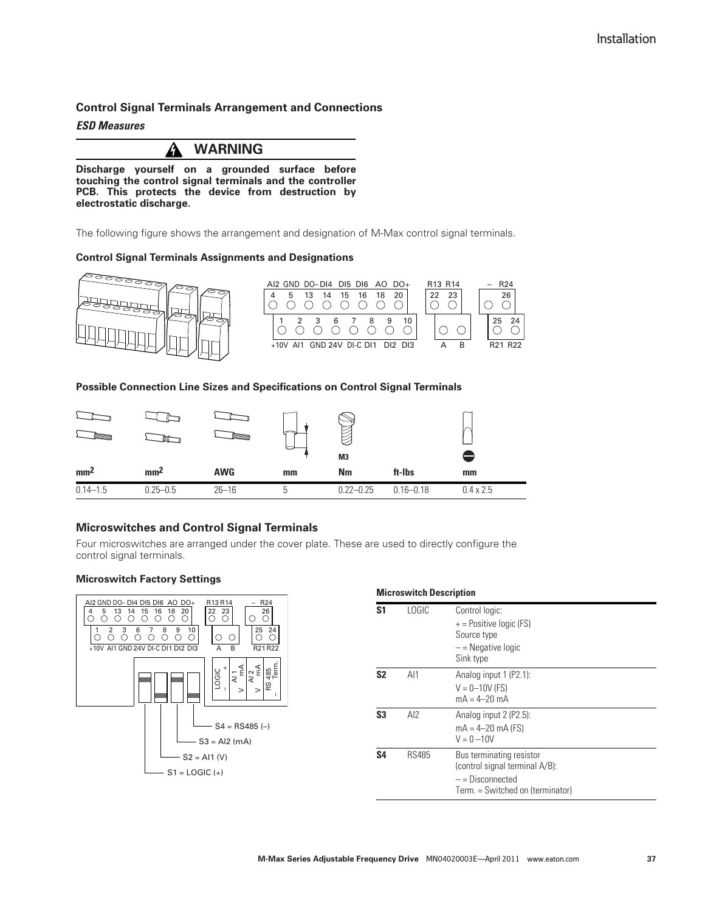#### **Control Signal Terminals Arrangement and Connections**

*ESD Measures*

#### **WARNING** Δ

**Discharge yourself on a grounded surface before touching the control signal terminals and the controller PCB. This protects the device from destruction by electrostatic discharge.**

The following figure shows the arrangement and designation of M-Max control signal terminals.

#### **Control Signal Terminals Assignments and Designations**



#### **Possible Connection Line Sizes and Specifications on Control Signal Terminals**

| mm <sup>2</sup> | mm <sup>2</sup> | <b>AWG</b> | mm | M <sub>3</sub><br><b>Nm</b> | ft-Ibs        | mm               |
|-----------------|-----------------|------------|----|-----------------------------|---------------|------------------|
| $0.14 - 1.5$    | $0.25 - 0.5$    | $26 - 16$  | b  | $0.22 - 0.25$               | $0.16 - 0.18$ | $0.4 \times 2.5$ |
|                 |                 |            |    |                             |               |                  |

#### **Microswitches and Control Signal Terminals**

Four microswitches are arranged under the cover plate. These are used to directly configure the control signal terminals.

#### **Microswitch Factory Settings**



#### **Microswitch Description**

| S1             | <b>LOGIC</b> | Control logic:<br>$+$ = Positive logic (FS)<br>Source type<br>$-$ = Negative logic<br>Sink type                      |  |
|----------------|--------------|----------------------------------------------------------------------------------------------------------------------|--|
| S <sub>2</sub> | Al1          | Analog input 1 (P2.1):<br>$V = 0 - 10V$ (FS)<br>$mA = 4 - 20 mA$                                                     |  |
| S3             | AI2          | Analog input 2 (P2.5):<br>$mA = 4-20 mA$ (FS)<br>$V = 0 - 10V$                                                       |  |
| S4             | <b>RS485</b> | Bus terminating resistor<br>(control signal terminal A/B):<br>$-$ = Disconnected<br>Term. = Switched on (terminator) |  |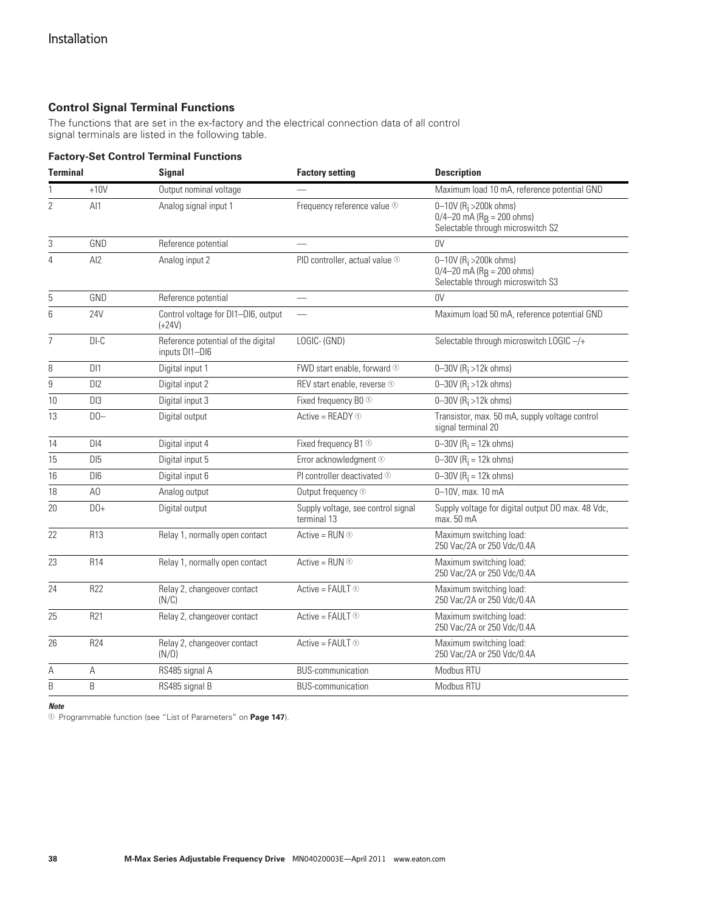### **Control Signal Terminal Functions**

The functions that are set in the ex-factory and the electrical connection data of all control signal terminals are listed in the following table.

#### **Factory-Set Control Terminal Functions**

| <b>Terminal</b> |                 | <b>Signal</b>                                        | <b>Factory setting</b>                            | <b>Description</b>                                                                                           |  |
|-----------------|-----------------|------------------------------------------------------|---------------------------------------------------|--------------------------------------------------------------------------------------------------------------|--|
|                 | $+10V$          | Output nominal voltage                               |                                                   | Maximum load 10 mA, reference potential GND                                                                  |  |
| $\overline{2}$  | AI1             | Analog signal input 1                                | Frequency reference value $\odot$                 | 0-10V ( $R_i > 200k$ ohms)<br>$0/4 - 20$ mA (R <sub>R</sub> = 200 ohms)<br>Selectable through microswitch S2 |  |
| 3               | GND             | Reference potential                                  |                                                   | 0V                                                                                                           |  |
| 4               | AI2             | Analog input 2                                       | PID controller, actual value <sup>1</sup>         | 0-10V ( $R_i > 200k$ ohms)<br>$0/4 - 20$ mA (R <sub>R</sub> = 200 ohms)<br>Selectable through microswitch S3 |  |
| 5               | GND             | Reference potential                                  |                                                   | 0V                                                                                                           |  |
| 6               | 24V             | Control voltage for DI1-DI6, output<br>$(+24V)$      |                                                   | Maximum load 50 mA, reference potential GND                                                                  |  |
| $\overline{7}$  | $DI-C$          | Reference potential of the digital<br>inputs DI1-DI6 | LOGIC- (GND)                                      | Selectable through microswitch LOGIC-/+                                                                      |  |
| 8               | DI1             | Digital input 1                                      | FWD start enable, forward $\odot$                 | 0-30V ( $R_i > 12k$ ohms)                                                                                    |  |
| 9               | DI2             | Digital input 2                                      | REV start enable, reverse <sup>1</sup>            | 0-30V ( $R_i > 12k$ ohms)                                                                                    |  |
| 10              | DI3             | Digital input 3                                      | Fixed frequency B0 <sup>o</sup>                   | 0-30V ( $R_i > 12k$ ohms)                                                                                    |  |
| 13              | $D()$ -         | Digital output                                       | Active = $READV$ $\odot$                          | Transistor, max. 50 mA, supply voltage control<br>signal terminal 20                                         |  |
| 14              | DI4             | Digital input 4                                      | Fixed frequency B1 <sup>1</sup>                   | $0 - 30V$ (R <sub>i</sub> = 12k ohms)                                                                        |  |
| 15              | DI5             | Digital input 5                                      | Error acknowledgment <a></a>                      | 0-30V ( $R_i = 12k$ ohms)                                                                                    |  |
| 16              | DI <sub>6</sub> | Digital input 6                                      | PI controller deactivated <sup>1</sup>            | $0 - 30V$ (R <sub>i</sub> = 12k ohms)                                                                        |  |
| 18              | A <sub>0</sub>  | Analog output                                        | Output frequency <sup>1</sup>                     | 0-10V, max. 10 mA                                                                                            |  |
| 20              | $D0+$           | Digital output                                       | Supply voltage, see control signal<br>terminal 13 | Supply voltage for digital output DO max. 48 Vdc,<br>max. 50 mA                                              |  |
| 22              | R <sub>13</sub> | Relay 1, normally open contact                       | Active = RUN $\odot$                              | Maximum switching load:<br>250 Vac/2A or 250 Vdc/0.4A                                                        |  |
| 23              | R <sub>14</sub> | Relay 1, normally open contact                       | Active = $RUN$ $\odot$                            | Maximum switching load:<br>250 Vac/2A or 250 Vdc/0.4A                                                        |  |
| 24              | R22             | Relay 2, changeover contact<br>(N/C)                 | Active = FAULT ①                                  | Maximum switching load:<br>250 Vac/2A or 250 Vdc/0.4A                                                        |  |
| 25              | R <sub>21</sub> | Relay 2, changeover contact                          | Active = FAULT $\odot$                            | Maximum switching load:<br>250 Vac/2A or 250 Vdc/0.4A                                                        |  |
| 26              | R24             | Relay 2, changeover contact<br>(N/0)                 | Active = FAULT <sup>①</sup>                       | Maximum switching load:<br>250 Vac/2A or 250 Vdc/0.4A                                                        |  |
| Α               | Α               | RS485 signal A                                       | <b>BUS-communication</b>                          | Modbus RTU                                                                                                   |  |
| B               | B               | RS485 signal B                                       | <b>BUS-communication</b>                          | Modbus RTU                                                                                                   |  |

*Note*

- Programmable function (see "List of Parameters" on **Page 147**).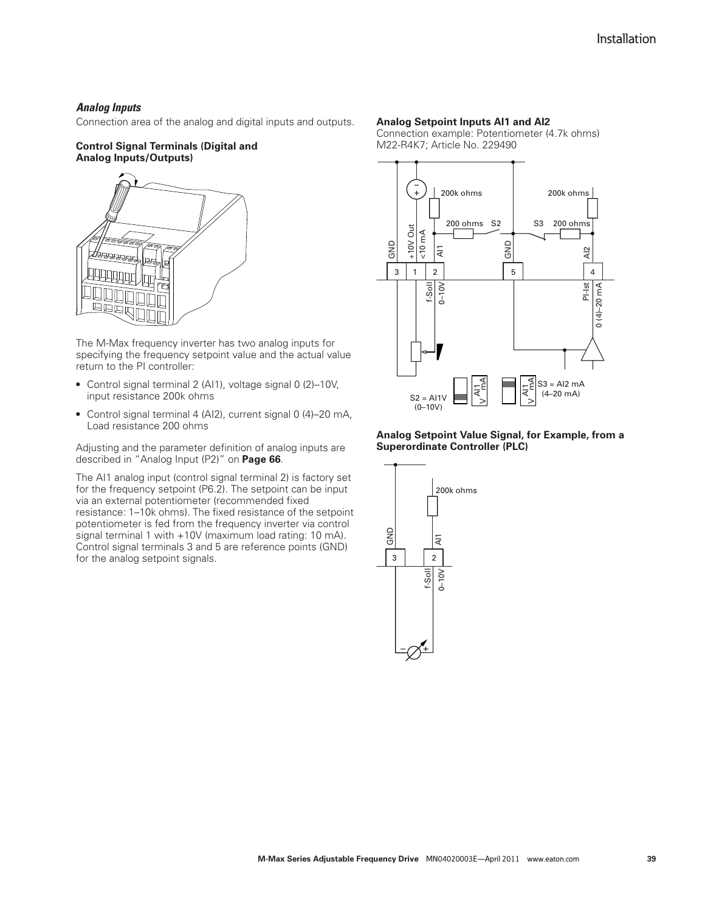#### *Analog Inputs*

Connection area of the analog and digital inputs and outputs.

#### **Control Signal Terminals (Digital and Analog Inputs/Outputs)**



The M-Max frequency inverter has two analog inputs for specifying the frequency setpoint value and the actual value return to the PI controller:

- Control signal terminal 2 (AI1), voltage signal 0 (2)-10V, input resistance 200k ohms
- Control signal terminal 4 (AI2), current signal 0 (4)-20 mA, Load resistance 200 ohms

Adjusting and the parameter definition of analog inputs are described in "Analog Input (P2)" on **Page 66**.

The AI1 analog input (control signal terminal 2) is factory set for the frequency setpoint (P6.2). The setpoint can be input via an external potentiometer (recommended fixed resistance: 1–10k ohms). The fixed resistance of the setpoint potentiometer is fed from the frequency inverter via control signal terminal 1 with +10V (maximum load rating: 10 mA). Control signal terminals 3 and 5 are reference points (GND) for the analog setpoint signals.

#### **Analog Setpoint Inputs AI1 and AI2**

Connection example: Potentiometer (4.7k ohms) M22-R4K7; Article No. 229490



#### **Analog Setpoint Value Signal, for Example, from a Superordinate Controller (PLC)**

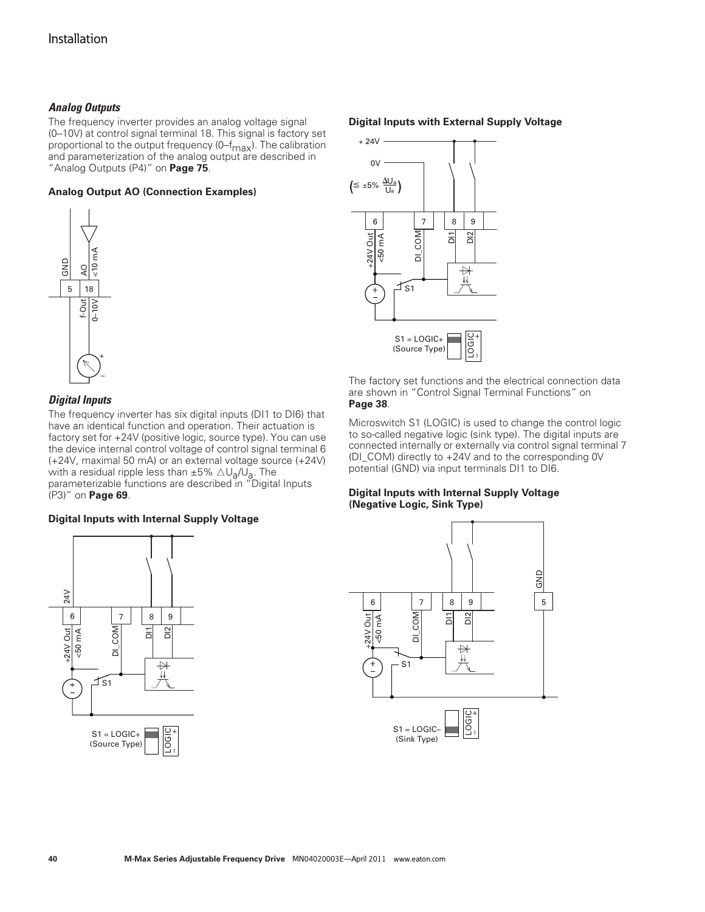#### *Analog Outputs*

The frequency inverter provides an analog voltage signal (0–10V) at control signal terminal 18. This signal is factory set proportional to the output frequency (0–f<sub>max</sub>). The calibration and parameterization of the analog output are described in "Analog Outputs (P4)" on **Page 75**.

#### **Analog Output AO (Connection Examples)**



#### *Digital Inputs*

The frequency inverter has six digital inputs (DI1 to DI6) that have an identical function and operation. Their actuation is factory set for +24V (positive logic, source type). You can use the device internal control voltage of control signal terminal 6 (+24V, maximal 50 mA) or an external voltage source (+24V) with a residual ripple less than  $\pm 5\%$   $\triangle U_{a}/U_{a}$ . The parameterizable functions are described in "Digital Inputs (P3)" on **Page 69**.

#### **Digital Inputs with Internal Supply Voltage**



#### **Digital Inputs with External Supply Voltage**



The factory set functions and the electrical connection data are shown in "Control Signal Terminal Functions" on **Page 38**.

Microswitch S1 (LOGIC) is used to change the control logic to so-called negative logic (sink type). The digital inputs are connected internally or externally via control signal terminal 7 (DI\_COM) directly to +24V and to the corresponding 0V potential (GND) via input terminals DI1 to DI6.

#### **Digital Inputs with Internal Supply Voltage (Negative Logic, Sink Type)**

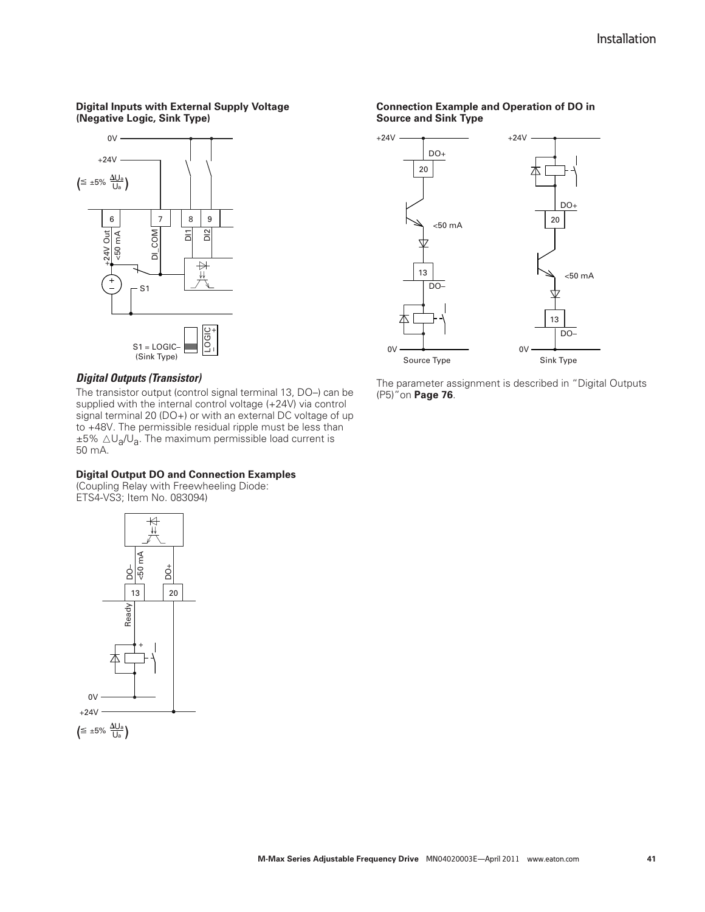#### **Digital Inputs with External Supply Voltage (Negative Logic, Sink Type)**



#### *Digital Outputs (Transistor)*

The transistor output (control signal terminal 13, DO–) can be supplied with the internal control voltage (+24V) via control signal terminal 20 (DO+) or with an external DC voltage of up to +48V. The permissible residual ripple must be less than  $\pm 5\%$   $\triangle U_a/U_a$ . The maximum permissible load current is 50 mA.

#### **Digital Output DO and Connection Examples**

(Coupling Relay with Freewheeling Diode: ETS4-VS3; Item No. 083094)



#### **Connection Example and Operation of DO in Source and Sink Type**



The parameter assignment is described in "Digital Outputs (P5)"on **Page 76**.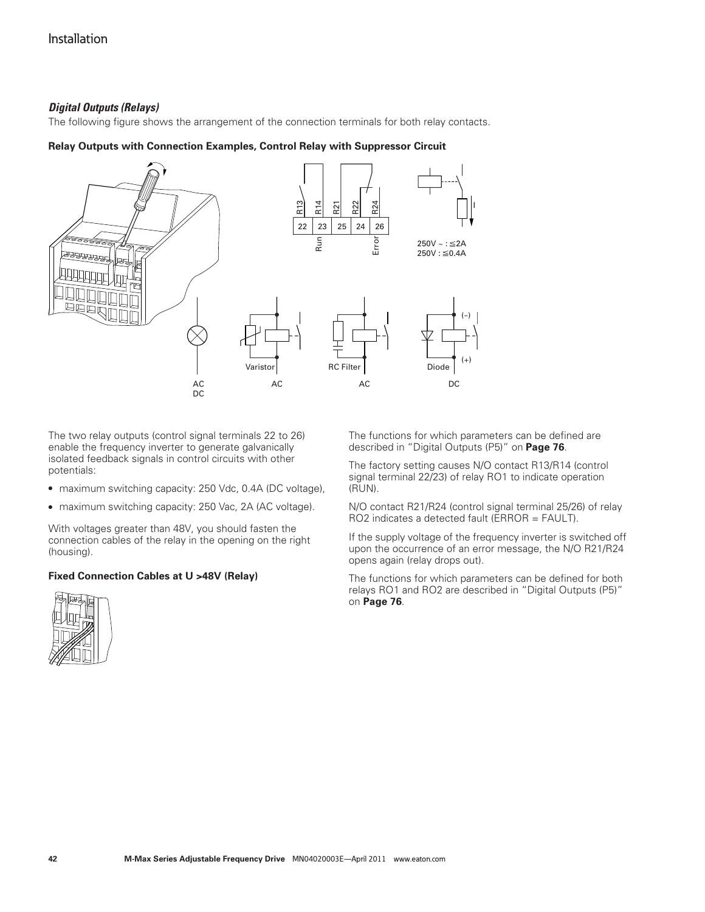#### *Digital Outputs (Relays)*

The following figure shows the arrangement of the connection terminals for both relay contacts.

#### **Relay Outputs with Connection Examples, Control Relay with Suppressor Circuit**



The two relay outputs (control signal terminals 22 to 26) enable the frequency inverter to generate galvanically isolated feedback signals in control circuits with other potentials:

- maximum switching capacity: 250 Vdc, 0.4A (DC voltage),
- maximum switching capacity: 250 Vac, 2A (AC voltage).

With voltages greater than 48V, you should fasten the connection cables of the relay in the opening on the right (housing).

#### **Fixed Connection Cables at U >48V (Relay)**



The functions for which parameters can be defined are described in "Digital Outputs (P5)" on **Page 76**.

The factory setting causes N/O contact R13/R14 (control signal terminal 22/23) of relay RO1 to indicate operation (RUN).

N/O contact R21/R24 (control signal terminal 25/26) of relay RO2 indicates a detected fault (ERROR = FAULT).

If the supply voltage of the frequency inverter is switched off upon the occurrence of an error message, the N/O R21/R24 opens again (relay drops out).

The functions for which parameters can be defined for both relays RO1 and RO2 are described in "Digital Outputs (P5)" on **Page 76**.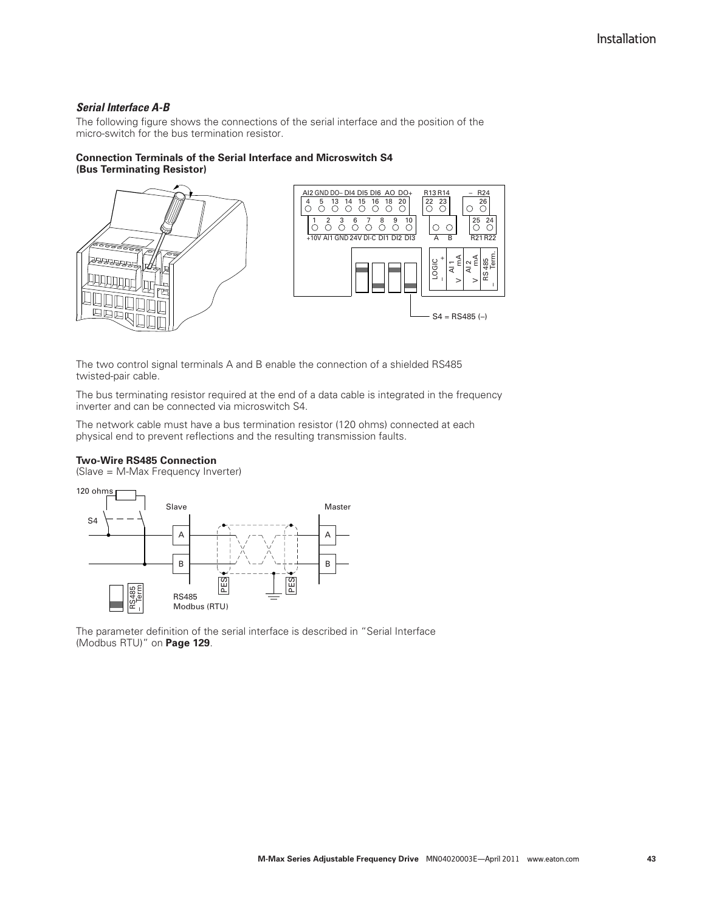#### *Serial Interface A-B*

The following figure shows the connections of the serial interface and the position of the micro-switch for the bus termination resistor.

#### **Connection Terminals of the Serial Interface and Microswitch S4 (Bus Terminating Resistor)**



The two control signal terminals A and B enable the connection of a shielded RS485 twisted-pair cable.

The bus terminating resistor required at the end of a data cable is integrated in the frequency inverter and can be connected via microswitch S4.

The network cable must have a bus termination resistor (120 ohms) connected at each physical end to prevent reflections and the resulting transmission faults.

#### **Two-Wire RS485 Connection**

(Slave = M-Max Frequency Inverter)



The parameter definition of the serial interface is described in "Serial Interface (Modbus RTU)" on **Page 129**.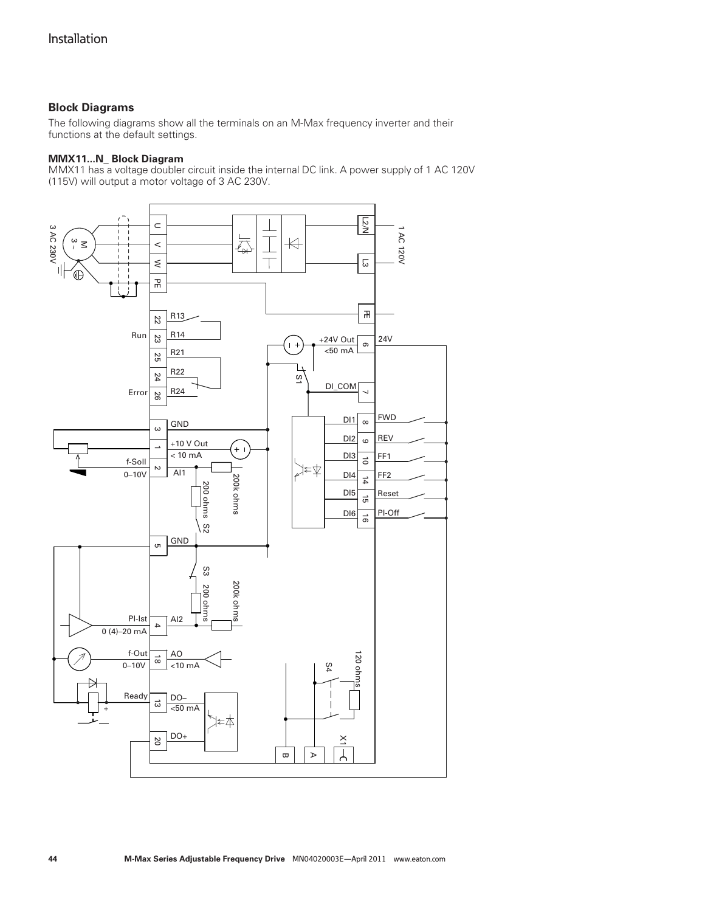#### **Block Diagrams**

The following diagrams show all the terminals on an M-Max frequency inverter and their functions at the default settings.

#### **MMX11...N\_ Block Diagram**

MMX11 has a voltage doubler circuit inside the internal DC link. A power supply of 1 AC 120V (115V) will output a motor voltage of 3 AC 230V.

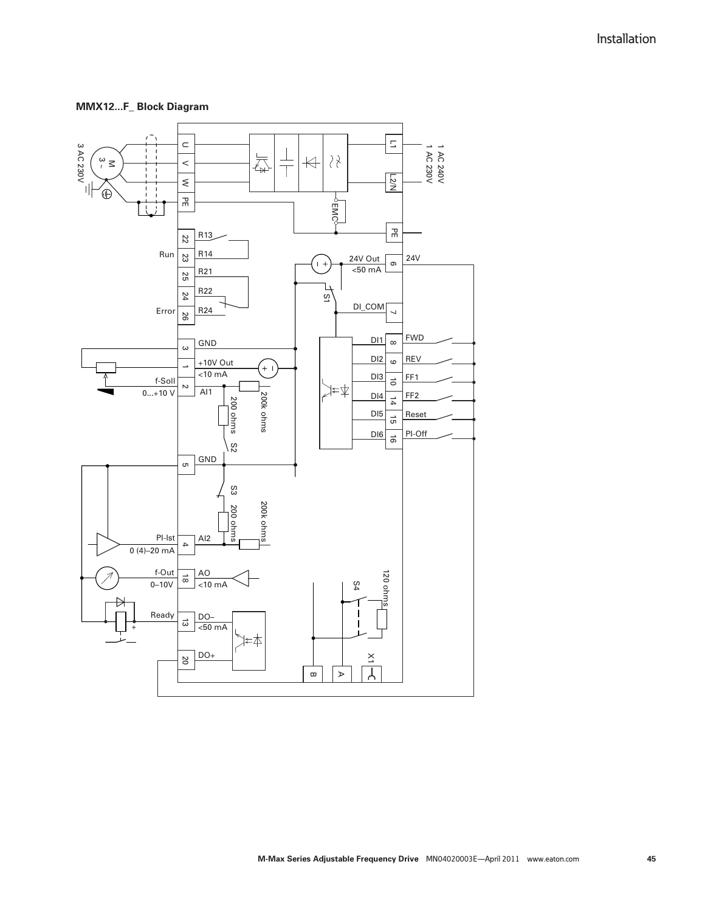#### **MMX12...F\_ Block Diagram**

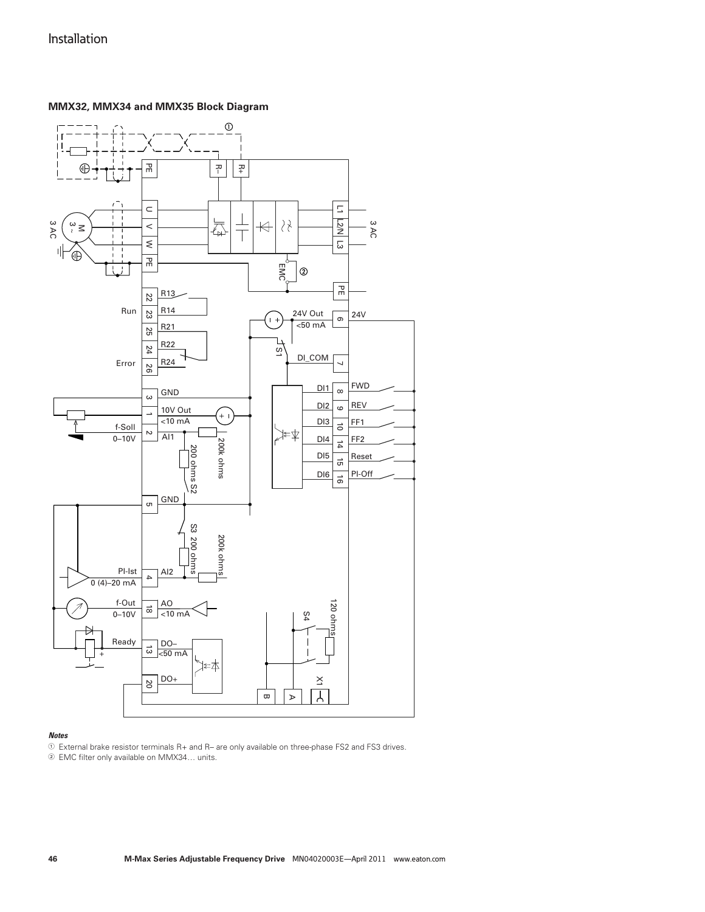#### **MMX32, MMX34 and MMX35 Block Diagram**



#### *Notes*

- $\textcircled{\tiny{1}}$  External brake resistor terminals R+ and R– are only available on three-phase FS2 and FS3 drives.
-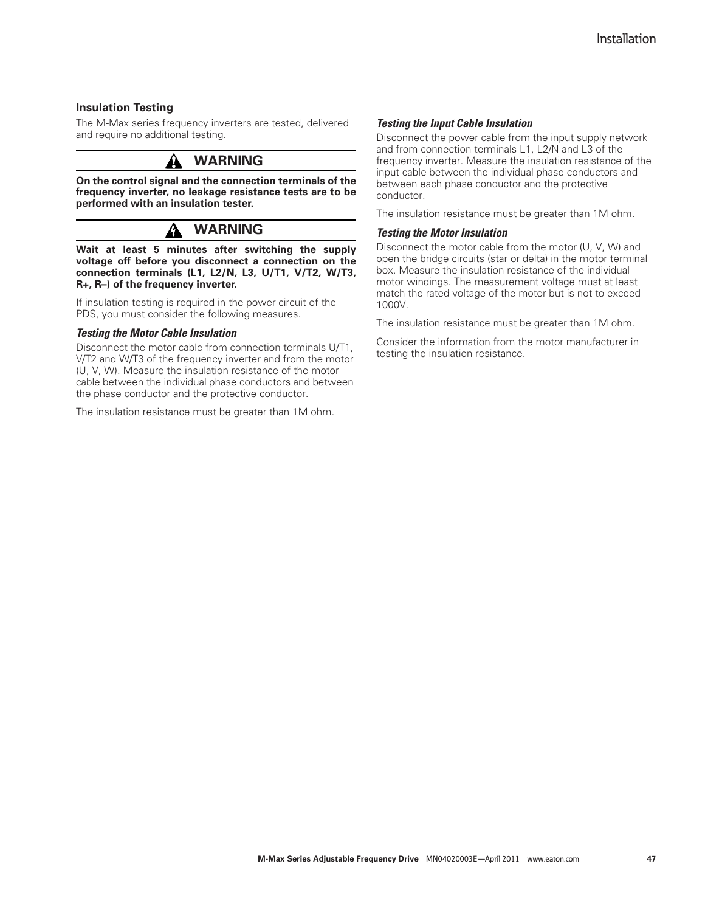#### **Insulation Testing**

The M-Max series frequency inverters are tested, delivered and require no additional testing.

#### **WARNING** </del>

**On the control signal and the connection terminals of the frequency inverter, no leakage resistance tests are to be performed with an insulation tester.**

#### **WARNING** Δ

**Wait at least 5 minutes after switching the supply voltage off before you disconnect a connection on the connection terminals (L1, L2/N, L3, U/T1, V/T2, W/T3, R+, R–) of the frequency inverter.**

If insulation testing is required in the power circuit of the PDS, you must consider the following measures.

#### *Testing the Motor Cable Insulation*

Disconnect the motor cable from connection terminals U/T1, V/T2 and W/T3 of the frequency inverter and from the motor (U, V, W). Measure the insulation resistance of the motor cable between the individual phase conductors and between the phase conductor and the protective conductor.

The insulation resistance must be greater than 1M ohm.

#### *Testing the Input Cable Insulation*

Disconnect the power cable from the input supply network and from connection terminals L1, L2/N and L3 of the frequency inverter. Measure the insulation resistance of the input cable between the individual phase conductors and between each phase conductor and the protective conductor.

The insulation resistance must be greater than 1M ohm.

#### *Testing the Motor Insulation*

Disconnect the motor cable from the motor (U, V, W) and open the bridge circuits (star or delta) in the motor terminal box. Measure the insulation resistance of the individual motor windings. The measurement voltage must at least match the rated voltage of the motor but is not to exceed 1000V.

The insulation resistance must be greater than 1M ohm.

Consider the information from the motor manufacturer in testing the insulation resistance.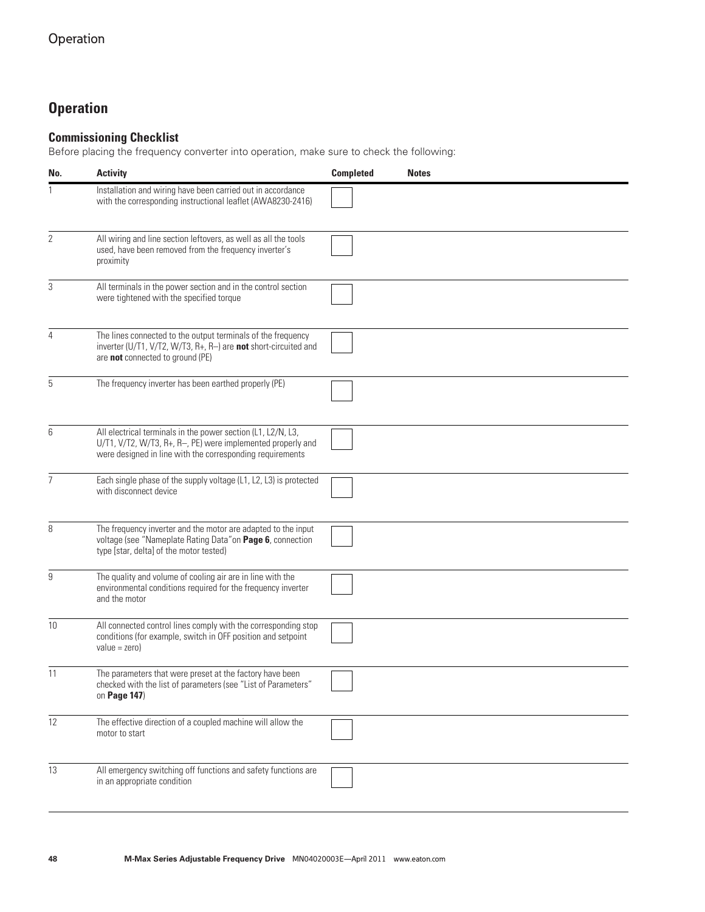# **Operation**

## **Commissioning Checklist**

Before placing the frequency converter into operation, make sure to check the following:

| No.            | <b>Activity</b>                                                                                                                                                                          | <b>Completed</b> | <b>Notes</b> |
|----------------|------------------------------------------------------------------------------------------------------------------------------------------------------------------------------------------|------------------|--------------|
|                | Installation and wiring have been carried out in accordance<br>with the corresponding instructional leaflet (AWA8230-2416)                                                               |                  |              |
| $\mathbf{2}$   | All wiring and line section leftovers, as well as all the tools<br>used, have been removed from the frequency inverter's<br>proximity                                                    |                  |              |
| 3              | All terminals in the power section and in the control section<br>were tightened with the specified torque                                                                                |                  |              |
| $\overline{4}$ | The lines connected to the output terminals of the frequency<br>inverter (U/T1, V/T2, W/T3, R+, R-) are not short-circuited and<br>are not connected to ground (PE)                      |                  |              |
| 5              | The frequency inverter has been earthed properly (PE)                                                                                                                                    |                  |              |
| 6              | All electrical terminals in the power section (L1, L2/N, L3,<br>U/T1, V/T2, W/T3, R+, R-, PE) were implemented properly and<br>were designed in line with the corresponding requirements |                  |              |
| 7              | Each single phase of the supply voltage (L1, L2, L3) is protected<br>with disconnect device                                                                                              |                  |              |
| 8              | The frequency inverter and the motor are adapted to the input<br>voltage (see "Nameplate Rating Data" on Page 6, connection<br>type [star, delta] of the motor tested)                   |                  |              |
| 9              | The quality and volume of cooling air are in line with the<br>environmental conditions required for the frequency inverter<br>and the motor                                              |                  |              |
| 10             | All connected control lines comply with the corresponding stop<br>conditions (for example, switch in OFF position and setpoint<br>$value = zero$                                         |                  |              |
| 11             | The parameters that were preset at the factory have been<br>checked with the list of parameters (see "List of Parameters"<br>on Page 147)                                                |                  |              |
| 12             | The effective direction of a coupled machine will allow the<br>motor to start                                                                                                            |                  |              |
| 13             | All emergency switching off functions and safety functions are<br>in an appropriate condition                                                                                            |                  |              |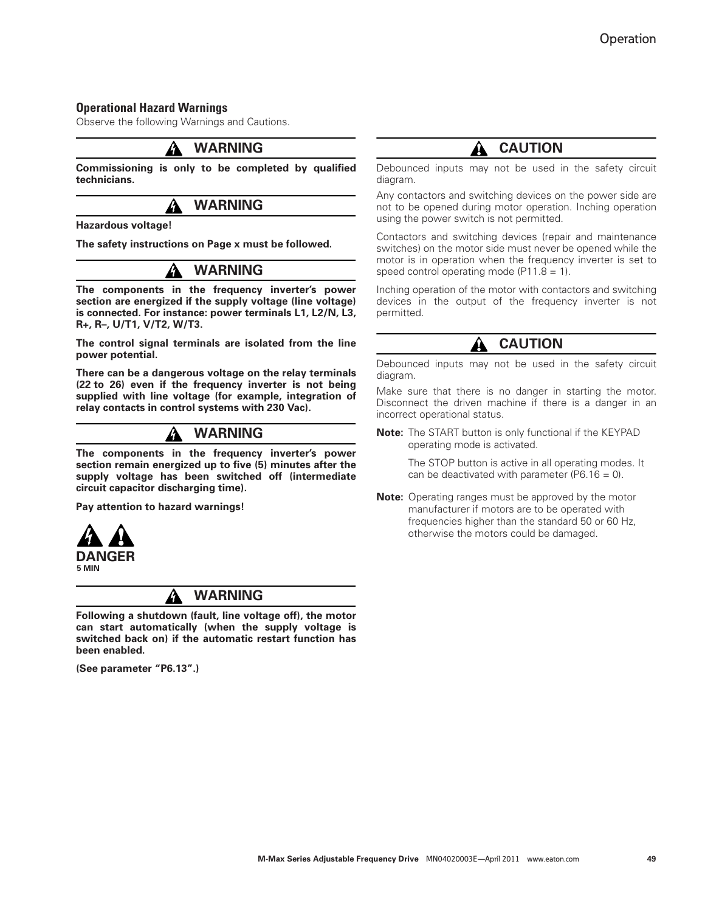### **Operational Hazard Warnings**

Observe the following Warnings and Cautions.

#### **WARNING** Δ

**Commissioning is only to be completed by qualified technicians.**

## **WARNING**

**Hazardous voltage!**

**The safety instructions on Page x must be followed.**

## **WARNING**

**The components in the frequency inverter's power section are energized if the supply voltage (line voltage) is connected. For instance: power terminals L1, L2/N, L3, R+, R–, U/T1, V/T2, W/T3.**

**The control signal terminals are isolated from the line power potential.**

**There can be a dangerous voltage on the relay terminals (22 to 26) even if the frequency inverter is not being supplied with line voltage (for example, integration of relay contacts in control systems with 230 Vac).**

#### **WARNING** ᠘

**The components in the frequency inverter's power section remain energized up to five (5) minutes after the supply voltage has been switched off (intermediate circuit capacitor discharging time).**

**Pay attention to hazard warnings!**



### **WARNING**

**Following a shutdown (fault, line voltage off), the motor can start automatically (when the supply voltage is switched back on) if the automatic restart function has been enabled.**

**(See parameter "P6.13".)**

## **CAUTION**

Debounced inputs may not be used in the safety circuit diagram.

Any contactors and switching devices on the power side are not to be opened during motor operation. Inching operation using the power switch is not permitted.

Contactors and switching devices (repair and maintenance switches) on the motor side must never be opened while the motor is in operation when the frequency inverter is set to speed control operating mode (P11.8 = 1).

Inching operation of the motor with contactors and switching devices in the output of the frequency inverter is not permitted.

#### **CAUTION** ▲

Debounced inputs may not be used in the safety circuit diagram.

Make sure that there is no danger in starting the motor. Disconnect the driven machine if there is a danger in an incorrect operational status.

**Note:** The START button is only functional if the KEYPAD operating mode is activated.

> The STOP button is active in all operating modes. It can be deactivated with parameter ( $P6.16 = 0$ ).

**Note:** Operating ranges must be approved by the motor manufacturer if motors are to be operated with frequencies higher than the standard 50 or 60 Hz, otherwise the motors could be damaged.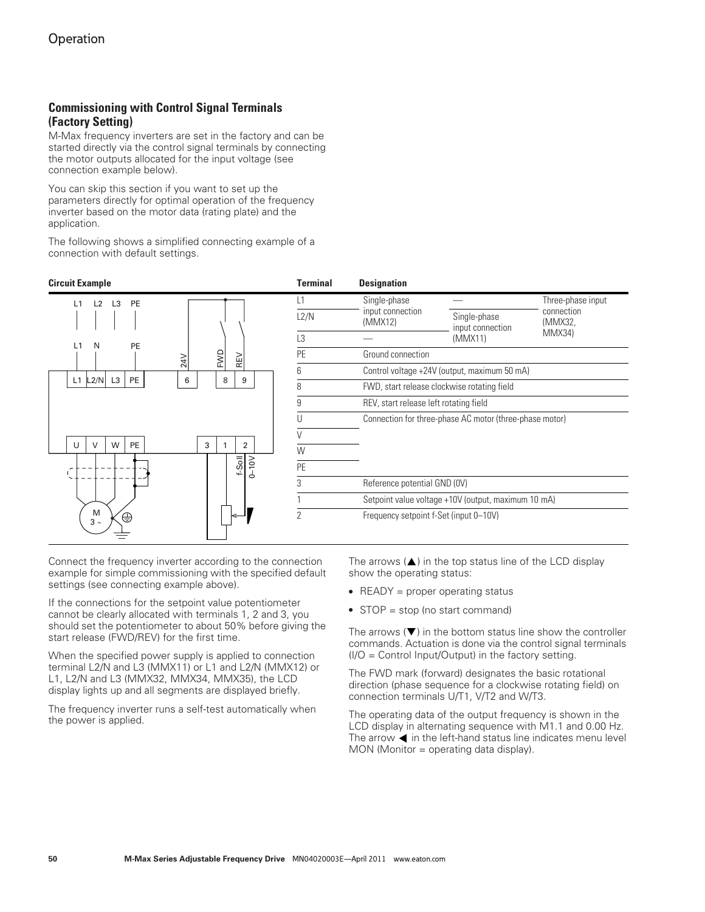## **Commissioning with Control Signal Terminals (Factory Setting)**

M-Max frequency inverters are set in the factory and can be started directly via the control signal terminals by connecting the motor outputs allocated for the input voltage (see connection example below).

You can skip this section if you want to set up the parameters directly for optimal operation of the frequency inverter based on the motor data (rating plate) and the application.

The following shows a simplified connecting example of a connection with default settings.



Connect the frequency inverter according to the connection example for simple commissioning with the specified default settings (see connecting example above).

If the connections for the setpoint value potentiometer cannot be clearly allocated with terminals 1, 2 and 3, you should set the potentiometer to about 50% before giving the start release (FWD/REV) for the first time.

When the specified power supply is applied to connection terminal L2/N and L3 (MMX11) or L1 and L2/N (MMX12) or L1, L2/N and L3 (MMX32, MMX34, MMX35), the LCD display lights up and all segments are displayed briefly.

The frequency inverter runs a self-test automatically when the power is applied.

The arrows  $(\triangle)$  in the top status line of the LCD display show the operating status:

- $\bullet$  READY = proper operating status
- STOP = stop (no start command)

The arrows  $(\blacktriangledown)$  in the bottom status line show the controller commands. Actuation is done via the control signal terminals  $(I/O = Control$  Input/Output) in the factory setting.

The FWD mark (forward) designates the basic rotational direction (phase sequence for a clockwise rotating field) on connection terminals U/T1, V/T2 and W/T3.

The operating data of the output frequency is shown in the LCD display in alternating sequence with M1.1 and 0.00 Hz. The arrow  $\blacktriangleleft$  in the left-hand status line indicates menu level MON (Monitor = operating data display).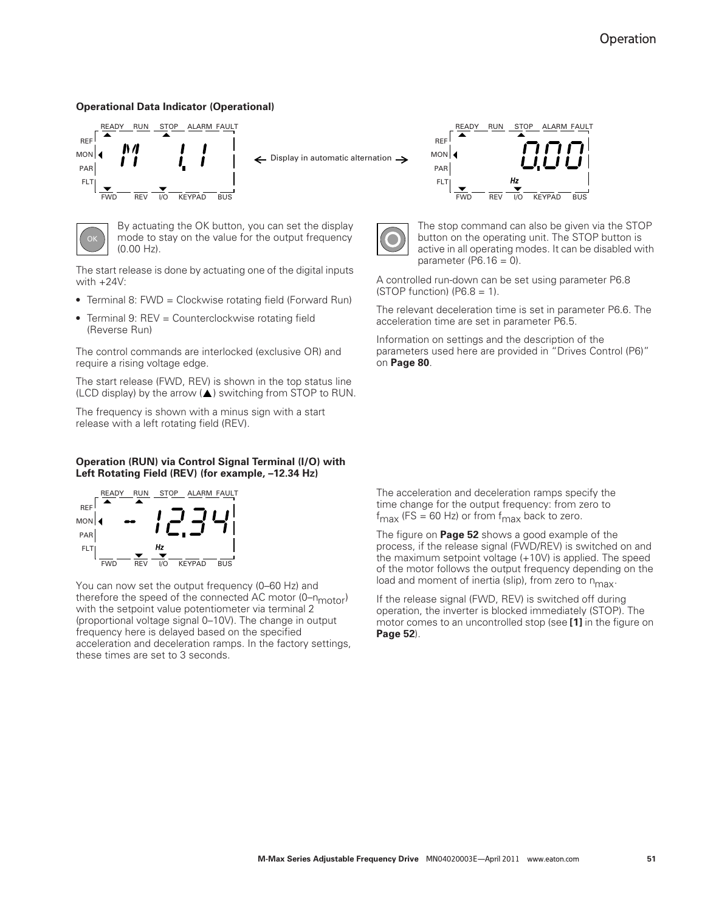#### **Operational Data Indicator (Operational)**



 $\leftarrow$  Display in automatic alternation  $\rightarrow$ 



By actuating the OK button, you can set the display mode to stay on the value for the output frequency (0.00 Hz).

The start release is done by actuating one of the digital inputs with +24V:

- Terminal 8: FWD = Clockwise rotating field (Forward Run)
- Terminal 9: REV = Counterclockwise rotating field (Reverse Run)

The control commands are interlocked (exclusive OR) and require a rising voltage edge.

The start release (FWD, REV) is shown in the top status line (LCD display) by the arrow  $(\triangle)$  switching from STOP to RUN.

The frequency is shown with a minus sign with a start release with a left rotating field (REV).

#### **Operation (RUN) via Control Signal Terminal (I/O) with Left Rotating Field (REV) (for example, –12.34 Hz)**



You can now set the output frequency (0–60 Hz) and therefore the speed of the connected AC motor (0-n<sub>motor</sub>) with the setpoint value potentiometer via terminal 2 (proportional voltage signal 0–10V). The change in output frequency here is delayed based on the specified acceleration and deceleration ramps. In the factory settings, these times are set to 3 seconds.





The stop command can also be given via the STOP button on the operating unit. The STOP button is active in all operating modes. It can be disabled with parameter ( $P6.16 = 0$ ).

A controlled run-down can be set using parameter P6.8 (STOP function) ( $P6.8 = 1$ ).

The relevant deceleration time is set in parameter P6.6. The acceleration time are set in parameter P6.5.

Information on settings and the description of the parameters used here are provided in "Drives Control (P6)" on **Page 80**.

The acceleration and deceleration ramps specify the time change for the output frequency: from zero to  $f_{\text{max}}$  (FS = 60 Hz) or from  $f_{\text{max}}$  back to zero.

The figure on **Page 52** shows a good example of the process, if the release signal (FWD/REV) is switched on and the maximum setpoint voltage (+10V) is applied. The speed of the motor follows the output frequency depending on the load and moment of inertia (slip), from zero to  $n_{\text{max}}$ .

If the release signal (FWD, REV) is switched off during operation, the inverter is blocked immediately (STOP). The motor comes to an uncontrolled stop (see **[1]** in the figure on **Page 52**).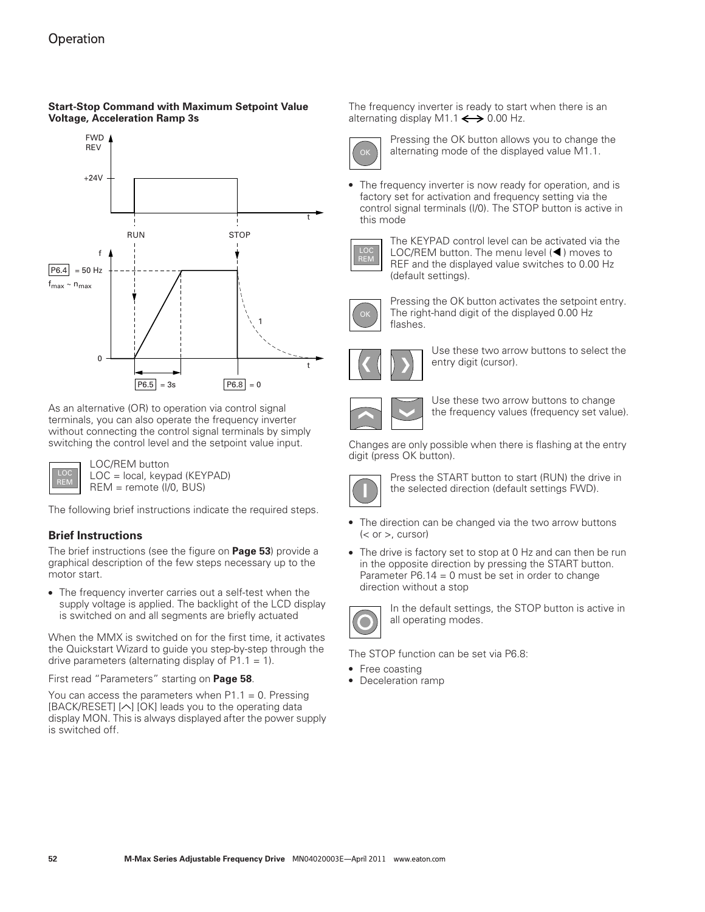

#### **Start-Stop Command with Maximum Setpoint Value Voltage, Acceleration Ramp 3s**

As an alternative (OR) to operation via control signal terminals, you can also operate the frequency inverter without connecting the control signal terminals by simply switching the control level and the setpoint value input.



LOC/REM button LOC = local, keypad (KEYPAD) REM = remote (I/0, BUS)

The following brief instructions indicate the required steps.

### **Brief Instructions**

The brief instructions (see the figure on **Page 53**) provide a graphical description of the few steps necessary up to the motor start.

• The frequency inverter carries out a self-test when the supply voltage is applied. The backlight of the LCD display is switched on and all segments are briefly actuated

When the MMX is switched on for the first time, it activates the Quickstart Wizard to guide you step-by-step through the drive parameters (alternating display of  $P1.1 = 1$ ).

First read "Parameters" starting on **Page 58**.

You can access the parameters when  $P1.1 = 0$ . Pressing [BACK/RESET]  $[\triangle]$  [OK] leads you to the operating data display MON. This is always displayed after the power supply is switched off.

The frequency inverter is ready to start when there is an alternating display M1.1  $\Longleftrightarrow$  0.00 Hz.



Pressing the OK button allows you to change the alternating mode of the displayed value M1.1.

The frequency inverter is now ready for operation, and is factory set for activation and frequency setting via the control signal terminals (I/0). The STOP button is active in this mode



The KEYPAD control level can be activated via the LOC/REM button. The menu level  $($ REF and the displayed value switches to 0.00 Hz (default settings).



Pressing the OK button activates the setpoint entry. The right-hand digit of the displayed 0.00 Hz flashes.



Use these two arrow buttons to select the entry digit (cursor).



Use these two arrow buttons to change the frequency values (frequency set value).

Changes are only possible when there is flashing at the entry digit (press OK button).



Press the START button to start (RUN) the drive in the selected direction (default settings FWD).

- The direction can be changed via the two arrow buttons  $(< or >.$  cursor)
- The drive is factory set to stop at 0 Hz and can then be run in the opposite direction by pressing the START button. Parameter  $P6.14 = 0$  must be set in order to change direction without a stop



In the default settings, the STOP button is active in all operating modes.

The STOP function can be set via P6.8:

- Free coasting
- Deceleration ramp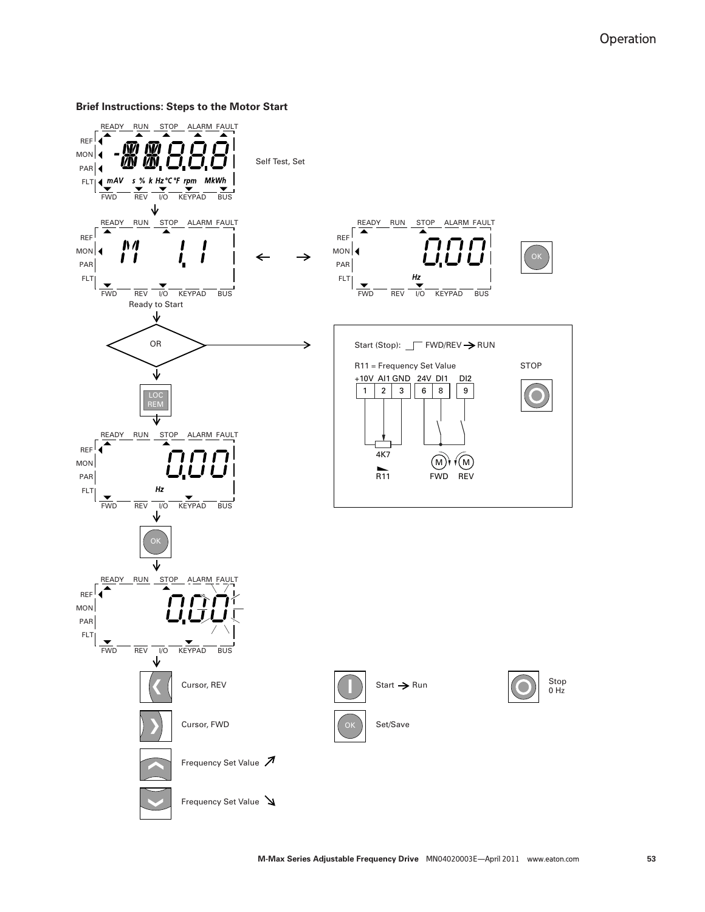

#### **Brief Instructions: Steps to the Motor Start**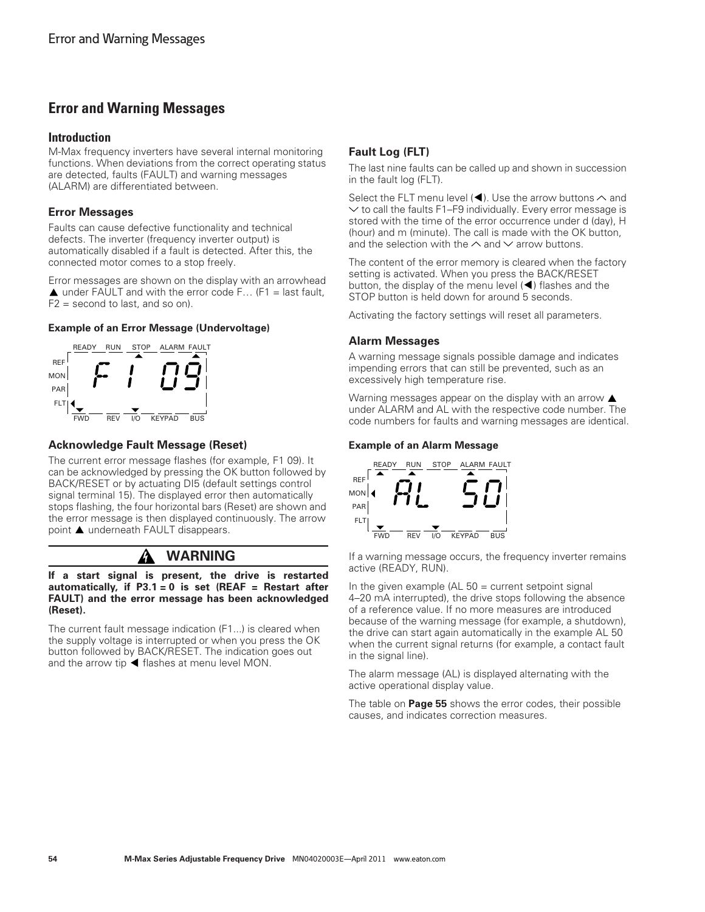## **Error and Warning Messages**

#### **Introduction**

M-Max frequency inverters have several internal monitoring functions. When deviations from the correct operating status are detected, faults (FAULT) and warning messages (ALARM) are differentiated between.

### **Error Messages**

Faults can cause defective functionality and technical defects. The inverter (frequency inverter output) is automatically disabled if a fault is detected. After this, the connected motor comes to a stop freely.

Error messages are shown on the display with an arrowhead  $\triangle$  under FAULT and with the error code F... (F1 = last fault, F2 = second to last, and so on).

#### **Example of an Error Message (Undervoltage)**



### **Acknowledge Fault Message (Reset)**

The current error message flashes (for example, F1 09). It can be acknowledged by pressing the OK button followed by BACK/RESET or by actuating DI5 (default settings control signal terminal 15). The displayed error then automatically stops flashing, the four horizontal bars (Reset) are shown and the error message is then displayed continuously. The arrow point **A** underneath FAULT disappears.

#### Δ **WARNING**

#### **If a start signal is present, the drive is restarted automatically, if P3.1 = 0 is set (REAF = Restart after FAULT) and the error message has been acknowledged (Reset).**

The current fault message indication (F1...) is cleared when the supply voltage is interrupted or when you press the OK button followed by BACK/RESET. The indication goes out and the arrow tip  $\blacktriangleleft$  flashes at menu level MON.

## **Fault Log (FLT)**

The last nine faults can be called up and shown in succession in the fault log (FLT).

Select the FLT menu level ( $\blacktriangleleft$ ). Use the arrow buttons  $\land$  and  $\times$  to call the faults F1–F9 individually. Every error message is stored with the time of the error occurrence under d (day), H (hour) and m (minute). The call is made with the OK button, and the selection with the  $\land$  and  $\lor$  arrow buttons.

The content of the error memory is cleared when the factory setting is activated. When you press the BACK/RESET button, the display of the menu level  $(\blacktriangleleft)$  flashes and the STOP button is held down for around 5 seconds.

Activating the factory settings will reset all parameters.

#### **Alarm Messages**

A warning message signals possible damage and indicates impending errors that can still be prevented, such as an excessively high temperature rise.

Warning messages appear on the display with an arrow  $\blacktriangle$ under ALARM and AL with the respective code number. The code numbers for faults and warning messages are identical.

#### **Example of an Alarm Message**



If a warning message occurs, the frequency inverter remains active (READY, RUN).

In the given example  $(AL 50 = current set point signal)$ 4–20 mA interrupted), the drive stops following the absence of a reference value. If no more measures are introduced because of the warning message (for example, a shutdown), the drive can start again automatically in the example AL 50 when the current signal returns (for example, a contact fault in the signal line).

The alarm message (AL) is displayed alternating with the active operational display value.

The table on **Page 55** shows the error codes, their possible causes, and indicates correction measures.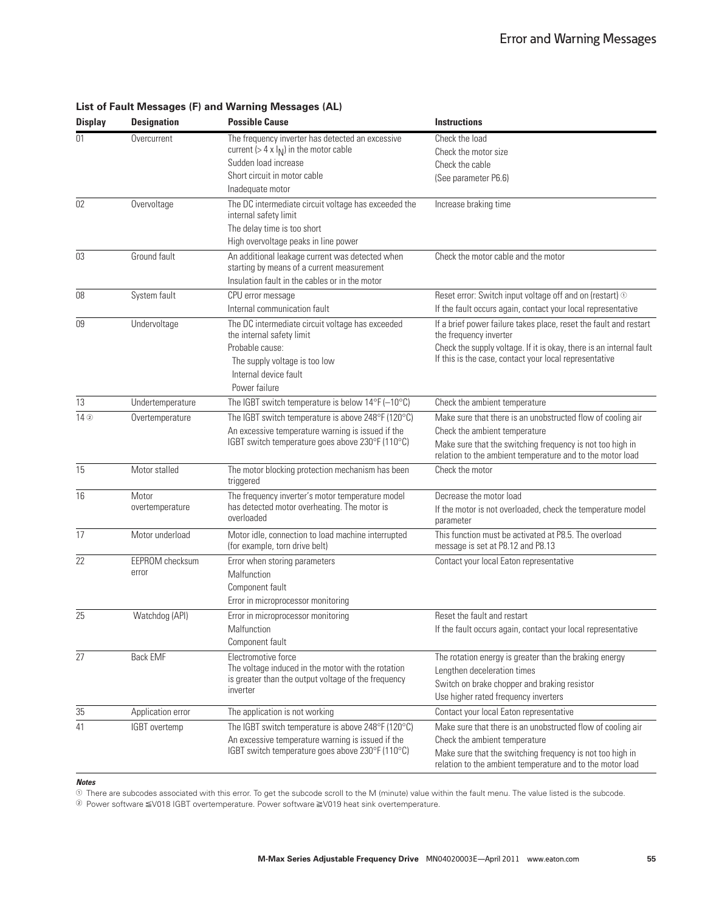| <b>Display</b> | <b>Designation</b> | <b>Possible Cause</b>                                                                         | <b>Instructions</b>                                                                                                    |
|----------------|--------------------|-----------------------------------------------------------------------------------------------|------------------------------------------------------------------------------------------------------------------------|
| 01             | Overcurrent        | The frequency inverter has detected an excessive                                              | Check the load                                                                                                         |
|                |                    | current $(> 4 \times I_N)$ in the motor cable                                                 | Check the motor size                                                                                                   |
|                |                    | Sudden load increase                                                                          | Check the cable                                                                                                        |
|                |                    | Short circuit in motor cable                                                                  | (See parameter P6.6)                                                                                                   |
|                |                    | Inadequate motor                                                                              |                                                                                                                        |
| 02             | Overvoltage        | The DC intermediate circuit voltage has exceeded the<br>internal safety limit                 | Increase braking time                                                                                                  |
|                |                    | The delay time is too short                                                                   |                                                                                                                        |
|                |                    | High overvoltage peaks in line power                                                          |                                                                                                                        |
| 03             | Ground fault       | An additional leakage current was detected when<br>starting by means of a current measurement | Check the motor cable and the motor                                                                                    |
|                |                    | Insulation fault in the cables or in the motor                                                |                                                                                                                        |
| 08             | System fault       | CPU error message                                                                             | Reset error: Switch input voltage off and on (restart) ®                                                               |
|                |                    | Internal communication fault                                                                  | If the fault occurs again, contact your local representative                                                           |
| 09             | Undervoltage       | The DC intermediate circuit voltage has exceeded<br>the internal safety limit                 | If a brief power failure takes place, reset the fault and restart<br>the frequency inverter                            |
|                |                    | Probable cause:                                                                               | Check the supply voltage. If it is okay, there is an internal fault                                                    |
|                |                    | The supply voltage is too low                                                                 | If this is the case, contact your local representative                                                                 |
|                |                    | Internal device fault                                                                         |                                                                                                                        |
|                |                    | Power failure                                                                                 |                                                                                                                        |
| 13             | Undertemperature   | The IGBT switch temperature is below $14^{\circ}F(-10^{\circ}C)$                              | Check the ambient temperature                                                                                          |
| 140            | Overtemperature    | The IGBT switch temperature is above 248°F (120°C)                                            | Make sure that there is an unobstructed flow of cooling air                                                            |
|                |                    | An excessive temperature warning is issued if the                                             | Check the ambient temperature                                                                                          |
|                |                    | IGBT switch temperature goes above 230°F (110°C)                                              | Make sure that the switching frequency is not too high in<br>relation to the ambient temperature and to the motor load |
| 15             | Motor stalled      | The motor blocking protection mechanism has been<br>triggered                                 | Check the motor                                                                                                        |
| 16             | Motor              | The frequency inverter's motor temperature model                                              | Decrease the motor load                                                                                                |
|                | overtemperature    | has detected motor overheating. The motor is<br>overloaded                                    | If the motor is not overloaded, check the temperature model<br>parameter                                               |
| 17             | Motor underload    | Motor idle, connection to load machine interrupted<br>(for example, torn drive belt)          | This function must be activated at P8.5. The overload<br>message is set at P8.12 and P8.13                             |
| 22             | EEPROM checksum    | Error when storing parameters                                                                 | Contact your local Eaton representative                                                                                |
|                | error              | Malfunction                                                                                   |                                                                                                                        |
|                |                    | Component fault                                                                               |                                                                                                                        |
|                |                    | Error in microprocessor monitoring                                                            |                                                                                                                        |
| 25             | Watchdog (API)     | Error in microprocessor monitoring                                                            | Reset the fault and restart                                                                                            |
|                |                    | Malfunction                                                                                   | If the fault occurs again, contact your local representative                                                           |
|                |                    | Component fault                                                                               |                                                                                                                        |
| 27             | <b>Back EMF</b>    | Electromotive force                                                                           | The rotation energy is greater than the braking energy                                                                 |
|                |                    | The voltage induced in the motor with the rotation                                            | Lengthen deceleration times                                                                                            |
|                |                    | is greater than the output voltage of the frequency<br>inverter                               | Switch on brake chopper and braking resistor                                                                           |
|                |                    |                                                                                               | Use higher rated frequency inverters                                                                                   |
| 35             | Application error  | The application is not working                                                                | Contact your local Eaton representative                                                                                |
| 41             | IGBT overtemp      | The IGBT switch temperature is above 248°F (120°C)                                            | Make sure that there is an unobstructed flow of cooling air                                                            |
|                |                    | An excessive temperature warning is issued if the                                             | Check the ambient temperature                                                                                          |
|                |                    | IGBT switch temperature goes above 230°F (110°C)                                              | Make sure that the switching frequency is not too high in                                                              |
|                |                    |                                                                                               | relation to the ambient temperature and to the motor load                                                              |

#### **List of Fault Messages (F) and Warning Messages (AL)**

*Notes*

- There are subcodes associated with this error. To get the subcode scroll to the M (minute) value within the fault menu. The value listed is the subcode.

 $\circledR$  Power software  $\leq$ V018 IGBT overtemperature. Power software  $\geq$ V019 heat sink overtemperature.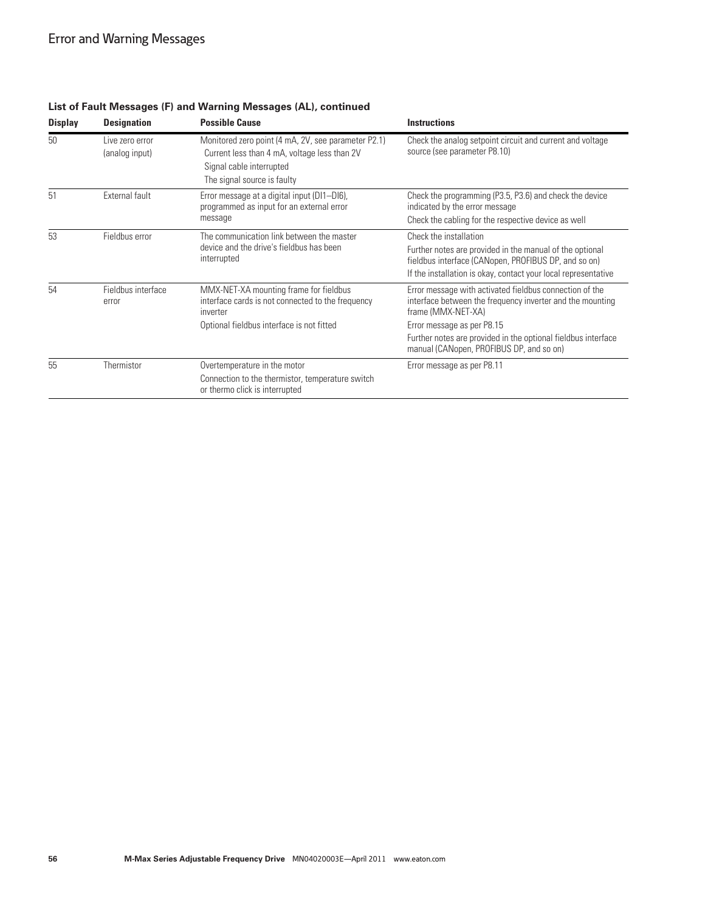| <b>Display</b> | <b>Designation</b>                | <b>Possible Cause</b>                                                                                                                                          | <b>Instructions</b>                                                                                                                        |
|----------------|-----------------------------------|----------------------------------------------------------------------------------------------------------------------------------------------------------------|--------------------------------------------------------------------------------------------------------------------------------------------|
| 50             | Live zero error<br>(analog input) | Monitored zero point (4 mA, 2V, see parameter P2.1)<br>Current less than 4 mA, voltage less than 2V<br>Signal cable interrupted<br>The signal source is faulty | Check the analog setpoint circuit and current and voltage<br>source (see parameter P8.10)                                                  |
| 51             | External fault                    | Error message at a digital input (DI1-DI6),<br>programmed as input for an external error                                                                       | Check the programming (P3.5, P3.6) and check the device<br>indicated by the error message                                                  |
|                |                                   | message                                                                                                                                                        | Check the cabling for the respective device as well                                                                                        |
| 53             | Fieldbus error                    | The communication link between the master<br>device and the drive's fieldbus has been<br>interrupted                                                           | Check the installation                                                                                                                     |
|                |                                   |                                                                                                                                                                | Further notes are provided in the manual of the optional<br>fieldbus interface (CANopen, PROFIBUS DP, and so on)                           |
|                |                                   |                                                                                                                                                                | If the installation is okay, contact your local representative                                                                             |
| 54             | Fieldbus interface<br>error       | MMX-NET-XA mounting frame for fieldbus<br>interface cards is not connected to the frequency<br>inverter                                                        | Error message with activated fieldbus connection of the<br>interface between the frequency inverter and the mounting<br>frame (MMX-NET-XA) |
|                |                                   | Optional fieldbus interface is not fitted                                                                                                                      | Error message as per P8.15                                                                                                                 |
|                |                                   |                                                                                                                                                                | Further notes are provided in the optional fieldbus interface<br>manual (CANopen, PROFIBUS DP, and so on)                                  |
| 55             | Thermistor                        | Overtemperature in the motor                                                                                                                                   | Error message as per P8.11                                                                                                                 |
|                |                                   | Connection to the thermistor, temperature switch<br>or thermo click is interrupted                                                                             |                                                                                                                                            |

#### **List of Fault Messages (F) and Warning Messages (AL), continued**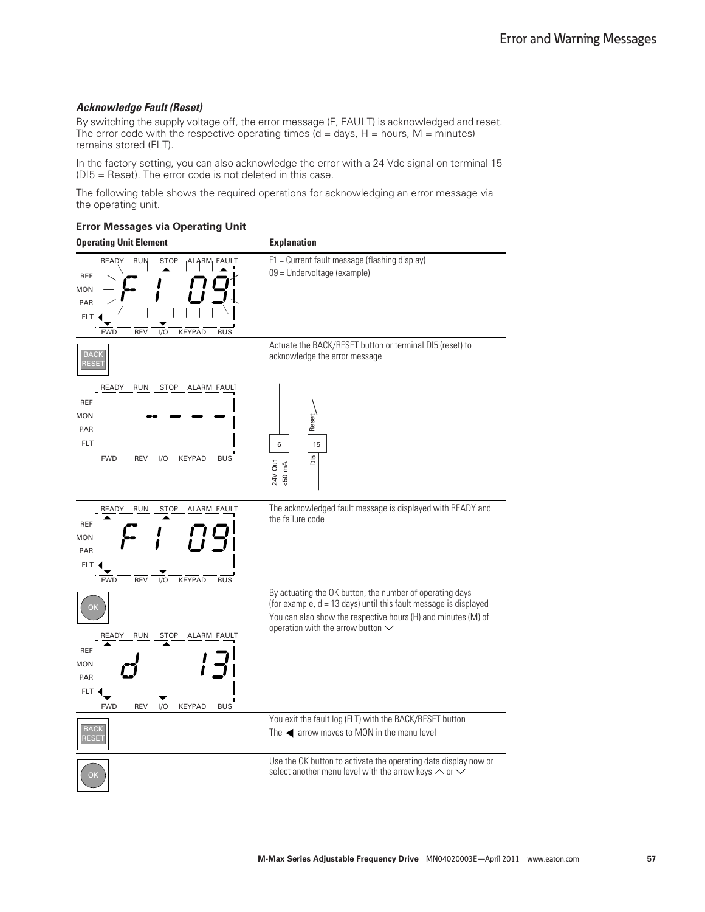## *Acknowledge Fault (Reset)*

By switching the supply voltage off, the error message (F, FAULT) is acknowledged and reset. The error code with the respective operating times  $(d = days, H = hours, M = minutes)$ remains stored (FLT).

In the factory setting, you can also acknowledge the error with a 24 Vdc signal on terminal 15 (DI5 = Reset). The error code is not deleted in this case.

The following table shows the required operations for acknowledging an error message via the operating unit.

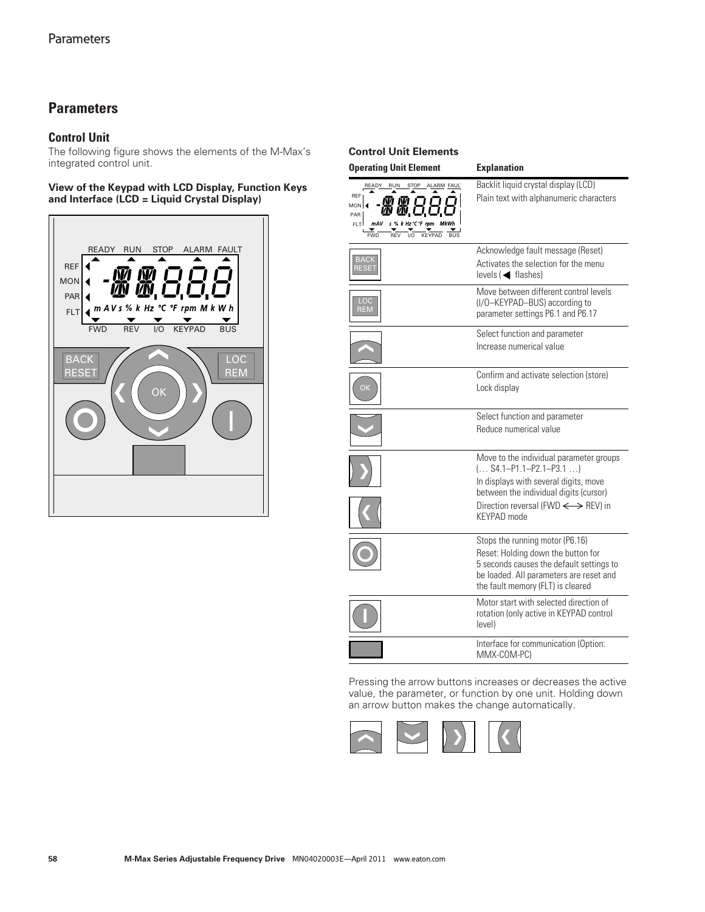# **Parameters**

## **Control Unit**

The following figure shows the elements of the M-Max's integrated control unit.

#### **View of the Keypad with LCD Display, Function Keys and Interface (LCD = Liquid Crystal Display)**



| <b>Control Unit Elements</b>                                                                                                                                                      |                                                                                                                                                                                                                                |
|-----------------------------------------------------------------------------------------------------------------------------------------------------------------------------------|--------------------------------------------------------------------------------------------------------------------------------------------------------------------------------------------------------------------------------|
| <b>Operating Unit Element</b>                                                                                                                                                     | <b>Explanation</b>                                                                                                                                                                                                             |
| READY<br><b>RUN</b><br><b>STOP</b><br>ARM FAUL<br><b>REF</b><br>Mi Ni C<br>MON<br>@ロし<br>PAR<br>mAV<br>s % k Hz °C °F rpm MkWh<br>FLT <sup>1</sup><br>KEYPAD<br>īισ<br>R1S<br>FWD | Backlit liquid crystal display (LCD)<br>Plain text with alphanumeric characters                                                                                                                                                |
| <b>BACK</b><br><b>RESET</b>                                                                                                                                                       | Acknowledge fault message (Reset)<br>Activates the selection for the menu<br>$levels$ $\leftarrow$ flashes)                                                                                                                    |
| LOC<br><b>REM</b>                                                                                                                                                                 | Move between different control levels<br>(I/O-KEYPAD-BUS) according to<br>parameter settings P6.1 and P6.17                                                                                                                    |
|                                                                                                                                                                                   | Select function and parameter<br>Increase numerical value                                                                                                                                                                      |
| ОΚ                                                                                                                                                                                | Confirm and activate selection (store)<br>Lock display                                                                                                                                                                         |
|                                                                                                                                                                                   | Select function and parameter<br>Reduce numerical value                                                                                                                                                                        |
|                                                                                                                                                                                   | Move to the individual parameter groups<br>$( S4.1-P1.1-P2.1-P3.1)$<br>In displays with several digits, move<br>between the individual digits (cursor)<br>Direction reversal (FWD $\Longleftrightarrow$ REV) in<br>KEYPAD mode |
|                                                                                                                                                                                   | Stops the running motor (P6.16)<br>Reset: Holding down the button for<br>5 seconds causes the default settings to<br>be loaded. All parameters are reset and<br>the fault memory (FLT) is cleared                              |
|                                                                                                                                                                                   | Motor start with selected direction of<br>rotation (only active in KEYPAD control<br>level)                                                                                                                                    |
|                                                                                                                                                                                   | Interface for communication (Option:<br>MMX-COM-PC)                                                                                                                                                                            |

Pressing the arrow buttons increases or decreases the active value, the parameter, or function by one unit. Holding down an arrow button makes the change automatically.

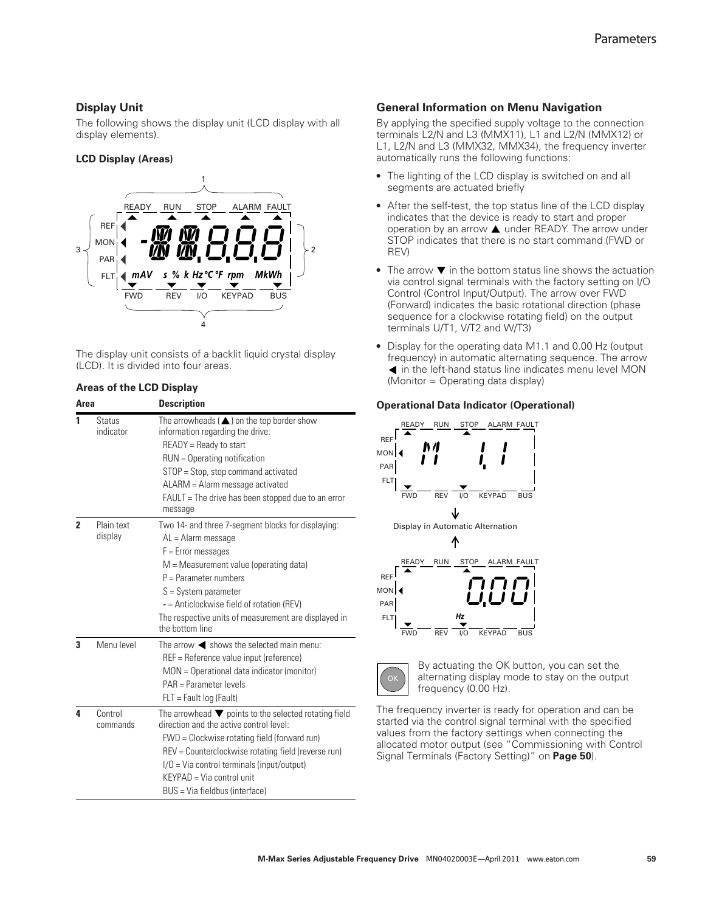## **Display Unit**

The following shows the display unit (LCD display with all display elements).

### **LCD Display (Areas)**



The display unit consists of a backlit liquid crystal display (LCD). It is divided into four areas.

| Areas of the LCD Display |  |  |
|--------------------------|--|--|
|--------------------------|--|--|

| Area |                       | <b>Description</b>                                                                                                                                                                                                                                                                                                                          |
|------|-----------------------|---------------------------------------------------------------------------------------------------------------------------------------------------------------------------------------------------------------------------------------------------------------------------------------------------------------------------------------------|
| 1    | Status<br>indicator   | The arrowheads $(\triangle)$ on the top border show<br>information regarding the drive:<br>READY = Ready to start<br>$RUN = Operating$ notification<br>STOP = Stop, stop command activated<br>ALARM = Alarm message activated<br>FAULT = The drive has been stopped due to an error<br>message                                              |
| 2    | Plain text<br>display | Two 14- and three 7-segment blocks for displaying:<br>$AL =$ Alarm message<br>$F =$ Error messages<br>$M = Measurement$ value (operating data)<br>$P = Parameter numbers$<br>$S = System parameter$<br>- = Anticlockwise field of rotation (REV)<br>The respective units of measurement are displayed in<br>the bottom line                 |
| 3    | Menu level            | The arrow $\blacktriangleleft$ shows the selected main menu:<br>REF = Reference value input (reference)<br>MON = Operational data indicator (monitor)<br>PAR = Parameter levels<br>FLT = Fault log (Fault)                                                                                                                                  |
| 4    | Control<br>commands   | The arrowhead $\blacktriangledown$ points to the selected rotating field<br>direction and the active control level:<br>FWD = Clockwise rotating field (forward run)<br>REV = Counterclockwise rotating field (reverse run)<br>$1/0$ = Via control terminals (input/output)<br>$KFYPAD = Via$ control unit<br>BUS = Via fieldbus (interface) |

### **General Information on Menu Navigation**

By applying the specified supply voltage to the connection terminals L2/N and L3 (MMX11), L1 and L2/N (MMX12) or L1, L2/N and L3 (MMX32, MMX34), the frequency inverter automatically runs the following functions:

- The lighting of the LCD display is switched on and all segments are actuated briefly
- After the self-test, the top status line of the LCD display indicates that the device is ready to start and proper operation by an arrow  $\triangle$  under READY. The arrow under STOP indicates that there is no start command (FWD or REV)
- $\bullet$  The arrow  $\nabla$  in the bottom status line shows the actuation via control signal terminals with the factory setting on I/O Control (Control Input/Output). The arrow over FWD (Forward) indicates the basic rotational direction (phase sequence for a clockwise rotating field) on the output terminals U/T1, V/T2 and W/T3)
- Display for the operating data M1.1 and 0.00 Hz (output frequency) in automatic alternating sequence. The arrow in the left-hand status line indicates menu level MON (Monitor = Operating data display)

#### **Operational Data Indicator (Operational)**





By actuating the OK button, you can set the alternating display mode to stay on the output frequency (0.00 Hz).

The frequency inverter is ready for operation and can be started via the control signal terminal with the specified values from the factory settings when connecting the allocated motor output (see "Commissioning with Control Signal Terminals (Factory Setting)" on **Page 50**).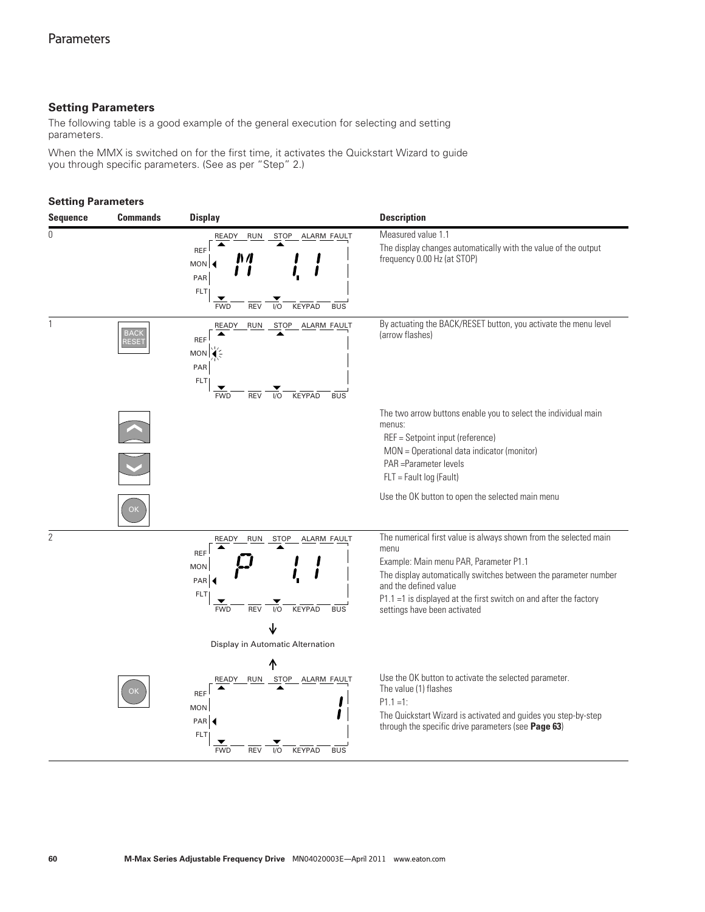## **Setting Parameters**

The following table is a good example of the general execution for selecting and setting parameters.

When the MMX is switched on for the first time, it activates the Quickstart Wizard to guide you through specific parameters. (See as per "Step" 2.)

| <b>Setting Parameters</b> |                      |                                                                                                                                                                                    |                                                                                                                                                                                                                                                                                                                        |
|---------------------------|----------------------|------------------------------------------------------------------------------------------------------------------------------------------------------------------------------------|------------------------------------------------------------------------------------------------------------------------------------------------------------------------------------------------------------------------------------------------------------------------------------------------------------------------|
| <b>Sequence</b>           | <b>Commands</b>      | <b>Display</b>                                                                                                                                                                     | <b>Description</b>                                                                                                                                                                                                                                                                                                     |
| 0                         |                      | <b>RUN</b><br><b>ALARM FAULT</b><br><b>STOP</b><br>READY<br><b>REF</b><br><b>MON</b><br>PAR<br><b>FLT</b><br><b>BUS</b><br><b>FWD</b><br>REV<br>1/O<br><b>KEYPAD</b>               | Measured value 1.1<br>The display changes automatically with the value of the output<br>frequency 0.00 Hz (at STOP)                                                                                                                                                                                                    |
| 1                         | <b>BACK</b><br>RESET | <b>READY</b><br><b>RUN</b><br><b>ALARM FAULT</b><br><b>STOP</b><br><b>REF</b><br><b>MON</b><br>PAR<br><b>FLT</b><br><b>KEYPAD</b><br><b>BUS</b><br><b>FWD</b><br><b>REV</b><br>1/O | By actuating the BACK/RESET button, you activate the menu level<br>(arrow flashes)                                                                                                                                                                                                                                     |
|                           |                      |                                                                                                                                                                                    | The two arrow buttons enable you to select the individual main<br>menus:<br>REF = Setpoint input (reference)<br>MON = Operational data indicator (monitor)                                                                                                                                                             |
|                           |                      |                                                                                                                                                                                    | PAR = Parameter levels<br>FLT = Fault log (Fault)                                                                                                                                                                                                                                                                      |
|                           | OK                   |                                                                                                                                                                                    | Use the OK button to open the selected main menu                                                                                                                                                                                                                                                                       |
| $\overline{2}$            |                      | <b>READY</b><br><b>RUN</b><br><b>STOP</b><br><b>ALARM FAULT</b><br><b>REF</b><br><b>MON</b><br>PAR<br><b>FLT</b><br><b>KEYPAD</b><br><b>BUS</b><br><b>REV</b><br><b>FWD</b><br>1/O | The numerical first value is always shown from the selected main<br>menu<br>Example: Main menu PAR, Parameter P1.1<br>The display automatically switches between the parameter number<br>and the defined value<br>$P1.1 = 1$ is displayed at the first switch on and after the factory<br>settings have been activated |
|                           |                      | Display in Automatic Alternation                                                                                                                                                   |                                                                                                                                                                                                                                                                                                                        |
|                           |                      |                                                                                                                                                                                    |                                                                                                                                                                                                                                                                                                                        |
|                           | OK                   | <b>RUN</b><br><b>ALARM FAULT</b><br>READY<br><b>STOP</b><br><b>REF</b><br><b>MON</b><br>PAR<br><b>FLT</b><br><b>REV</b><br>1/O<br><b>KEYPAD</b><br><b>BUS</b><br><b>FWD</b>        | Use the OK button to activate the selected parameter.<br>The value (1) flashes<br>$P1.1 = 1$ :<br>The Quickstart Wizard is activated and guides you step-by-step<br>through the specific drive parameters (see Page 63)                                                                                                |

#### **60 M-Max Series Adjustable Frequency Drive** MN04020003E—April 2011 www.eaton.com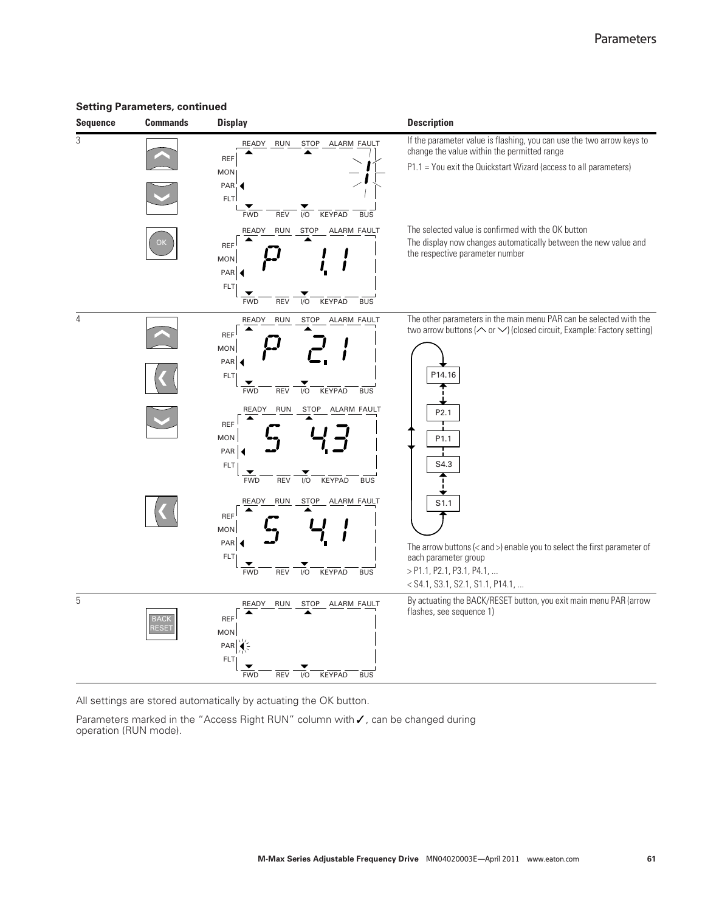### **Setting Parameters, continued**



All settings are stored automatically by actuating the OK button.

Parameters marked in the "Access Right RUN" column with  $\checkmark$ , can be changed during operation (RUN mode).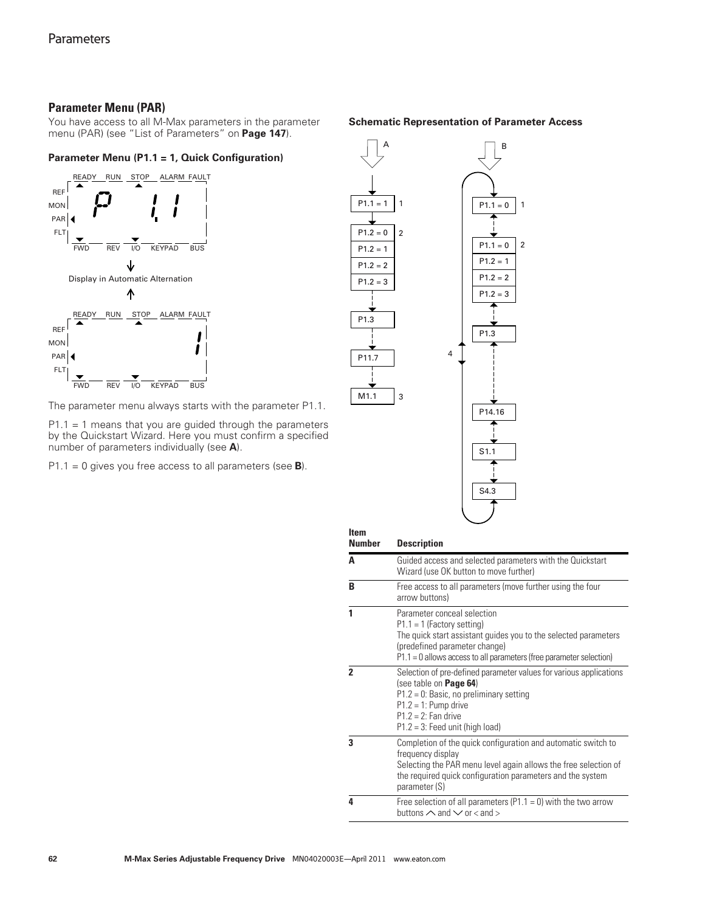## **Parameter Menu (PAR)**

You have access to all M-Max parameters in the parameter menu (PAR) (see "List of Parameters" on **Page 147**).

## **Parameter Menu (P1.1 = 1, Quick Configuration)**



The parameter menu always starts with the parameter P1.1.

 $P1.1 = 1$  means that you are guided through the parameters by the Quickstart Wizard. Here you must confirm a specified number of parameters individually (see **A**).

P1.1 = 0 gives you free access to all parameters (see **B**).

### **Schematic Representation of Parameter Access**



| пет<br><b>Number</b> | <b>Description</b>                                                                                                                                                                                                                       |
|----------------------|------------------------------------------------------------------------------------------------------------------------------------------------------------------------------------------------------------------------------------------|
| A                    | Guided access and selected parameters with the Quickstart<br>Wizard (use OK button to move further)                                                                                                                                      |
| В                    | Free access to all parameters (move further using the four<br>arrow buttons)                                                                                                                                                             |
| 1                    | Parameter conceal selection<br>$P1.1 = 1$ (Factory setting)<br>The quick start assistant guides you to the selected parameters<br>(predefined parameter change)<br>$P1.1 = 0$ allows access to all parameters (free parameter selection) |
| $\mathbf{2}$         | Selection of pre-defined parameter values for various applications<br>(see table on Page 64)<br>$P1.2 = 0$ : Basic, no preliminary setting<br>$P1.2 = 1$ : Pump drive<br>$P12 = 2$ Fan drive<br>$P1.2 = 3$ : Feed unit (high load)       |
| 3                    | Completion of the quick configuration and automatic switch to<br>frequency display<br>Selecting the PAR menu level again allows the free selection of<br>the required quick configuration parameters and the system<br>parameter (S)     |
| 4                    | Free selection of all parameters ( $P1.1 = 0$ ) with the two arrow<br>buttons $\land$ and $\lor$ or $\lt$ and $\gt$                                                                                                                      |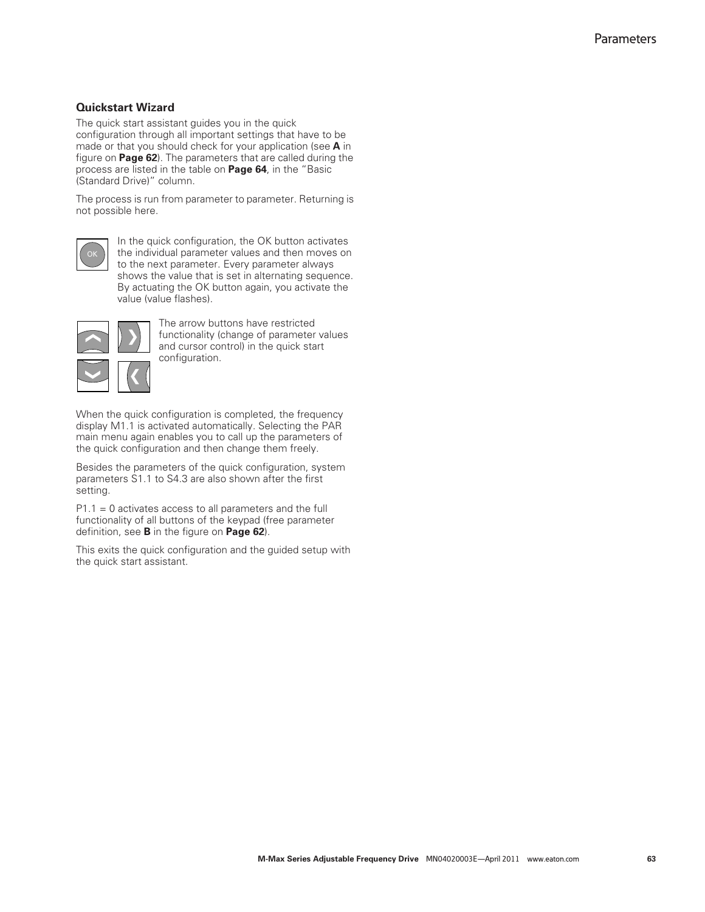## **Quickstart Wizard**

The quick start assistant guides you in the quick configuration through all important settings that have to be made or that you should check for your application (see **A** in figure on **Page 62**). The parameters that are called during the process are listed in the table on **Page 64**, in the "Basic (Standard Drive)" column.

The process is run from parameter to parameter. Returning is not possible here.



In the quick configuration, the OK button activates the individual parameter values and then moves on to the next parameter. Every parameter always shows the value that is set in alternating sequence. By actuating the OK button again, you activate the value (value flashes).



The arrow buttons have restricted functionality (change of parameter values and cursor control) in the quick start configuration.

When the quick configuration is completed, the frequency display M1.1 is activated automatically. Selecting the PAR main menu again enables you to call up the parameters of the quick configuration and then change them freely.

Besides the parameters of the quick configuration, system parameters S1.1 to S4.3 are also shown after the first setting.

 $P1.1 = 0$  activates access to all parameters and the full functionality of all buttons of the keypad (free parameter definition, see **B** in the figure on **Page 62**).

This exits the quick configuration and the guided setup with the quick start assistant.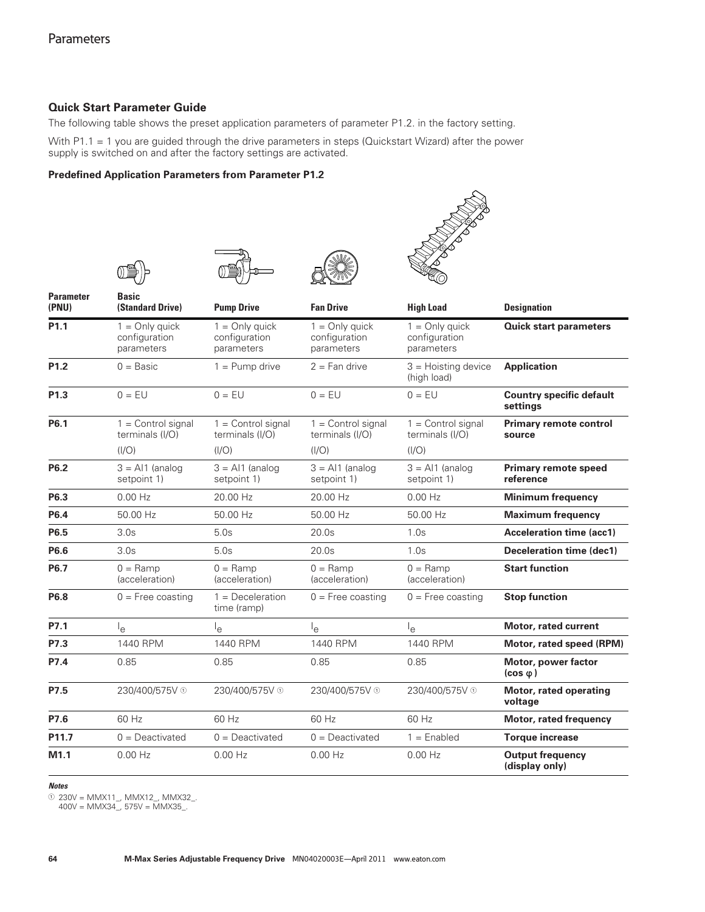## **Quick Start Parameter Guide**

The following table shows the preset application parameters of parameter P1.2. in the factory setting.

With P1.1 = 1 you are guided through the drive parameters in steps (Quickstart Wizard) after the power supply is switched on and after the factory settings are activated.

### **Predefined Application Parameters from Parameter P1.2**









| <b>Parameter</b><br>(PNU) | Basic<br>(Standard Drive)                                                                            | <b>Pump Drive</b>                               | <b>Fan Drive</b>                                 | <b>High Load</b>                                 | <b>Designation</b>                          |
|---------------------------|------------------------------------------------------------------------------------------------------|-------------------------------------------------|--------------------------------------------------|--------------------------------------------------|---------------------------------------------|
| P <sub>1.1</sub>          | $1 =$ Only quick<br>configuration<br>parameters                                                      | $1 =$ Only quick<br>configuration<br>parameters | $1 =$ Only quick<br>configuration<br>parameters  | $1 =$ Only quick<br>configuration<br>parameters  | <b>Quick start parameters</b>               |
| P <sub>1.2</sub>          | $0 =$ Basic                                                                                          | $1 =$ Pump drive                                | $2 = Fan$ drive                                  | $3 =$ Hoisting device<br>(high load)             | <b>Application</b>                          |
| P <sub>1.3</sub>          | $0 = EU$<br>$0 = EU$                                                                                 |                                                 | $0 = FU$                                         | $0 = FU$                                         | <b>Country specific default</b><br>settings |
| P6.1                      | $1 =$ Control signal<br>$1 =$ Control signal<br>terminals (I/O)<br>terminals (I/O)<br>( /O)<br>(I/O) |                                                 | $1 =$ Control signal<br>terminals (I/O)<br>(I/O) | $1 =$ Control signal<br>terminals (I/O)<br>(I/O) | <b>Primary remote control</b><br>source     |
| P6.2                      | $3 = A11$ (analog<br>setpoint 1)                                                                     | $3 = A11$ (analog<br>setpoint 1)                | $3 = A11$ (analog<br>setpoint 1)                 | $3 = A11$ (analog<br>setpoint 1)                 | <b>Primary remote speed</b><br>reference    |
| P6.3                      | $0.00$ Hz                                                                                            | 20.00 Hz                                        | 20.00 Hz                                         | $0.00$ Hz                                        | <b>Minimum frequency</b>                    |
| P6.4                      | 50.00 Hz                                                                                             | 50.00 Hz                                        | 50.00 Hz                                         | 50.00 Hz                                         | <b>Maximum frequency</b>                    |
| P6.5                      | 3.0s                                                                                                 | 5.0s                                            | 20.0s                                            | 1.0s                                             | <b>Acceleration time (acc1)</b>             |
| P6.6                      | 3.0s                                                                                                 | 5.0s                                            | 20.0s                                            | 1.0s                                             | <b>Deceleration time (dec1)</b>             |
| <b>P6.7</b>               | $0 =$ Ramp<br>(acceleration)                                                                         | $0 =$ Ramp<br>(acceleration)                    | $0 =$ Ramp<br>(acceleration)                     | $0 =$ Ramp<br>(acceleration)                     | <b>Start function</b>                       |
| P6.8                      | $0 =$ Free coasting                                                                                  | $1 = Deceleration$<br>time (ramp)               | $0 =$ Free coasting                              | $0 =$ Free coasting                              | <b>Stop function</b>                        |
| P7.1                      | $I_{e}$                                                                                              | $\mathsf{I}_\mathsf{e}$                         | l <sub>e</sub>                                   | $I_{e}$                                          | <b>Motor, rated current</b>                 |
| P7.3                      | 1440 RPM                                                                                             | 1440 RPM                                        | 1440 RPM                                         | 1440 RPM                                         | Motor, rated speed (RPM)                    |
| P7.4                      | 0.85                                                                                                 | 0.85                                            | 0.85                                             | 0.85                                             | Motor, power factor<br>$(cos \varphi)$      |
| P7.5                      | 230/400/575V <sup>0</sup>                                                                            | 230/400/575V <sup>0</sup>                       | 230/400/575V <sup>0</sup>                        | 230/400/575V <sup>0</sup>                        | Motor, rated operating<br>voltage           |
| P7.6                      | 60 Hz                                                                                                | 60 Hz                                           | 60 Hz                                            | 60 Hz                                            | Motor, rated frequency                      |
| P11.7                     | $0 =$ Deactivated                                                                                    | $0 =$ Deactivated                               | $0 =$ Deactivated                                | $1 =$ Enabled                                    | <b>Torque increase</b>                      |
| M1.1                      | $0.00$ Hz                                                                                            | $0.00$ Hz                                       | $0.00$ Hz                                        | $0.00$ Hz                                        | <b>Output frequency</b><br>(display only)   |

*Notes*

- 230V = MMX11\_, MMX12\_, MMX32\_.

400V = MMX34\_, 575V = MMX35\_.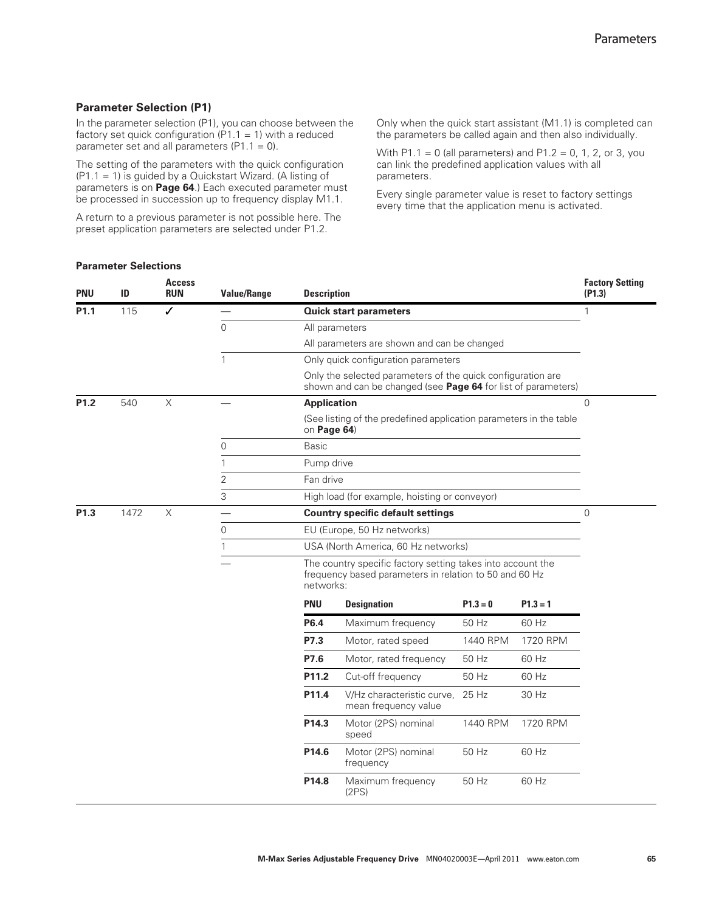## **Parameter Selection (P1)**

In the parameter selection (P1), you can choose between the factory set quick configuration (P1.1 = 1) with a reduced parameter set and all parameters  $(P1.1 = 0)$ .

The setting of the parameters with the quick configuration  $(P1.1 = 1)$  is guided by a Quickstart Wizard. (A listing of parameters is on **Page 64**.) Each executed parameter must be processed in succession up to frequency display M1.1.

A return to a previous parameter is not possible here. The preset application parameters are selected under P1.2.

Only when the quick start assistant (M1.1) is completed can the parameters be called again and then also individually.

With P1.1 = 0 (all parameters) and P1.2 = 0, 1, 2, or 3, you can link the predefined application values with all parameters.

Every single parameter value is reset to factory settings every time that the application menu is activated.

# **Parameter Selections**

| <b>PNU</b>       | ID   | <b>Access</b><br><b>RUN</b> | <b>Value/Range</b> | <b>Description</b>                                                                                                                 |                                                                    |            |            | <b>Factory Setting</b><br>(P1.3) |  |  |
|------------------|------|-----------------------------|--------------------|------------------------------------------------------------------------------------------------------------------------------------|--------------------------------------------------------------------|------------|------------|----------------------------------|--|--|
| P <sub>1.1</sub> | 115  | ✓                           |                    |                                                                                                                                    | <b>Quick start parameters</b>                                      |            |            | 1                                |  |  |
|                  |      |                             | $\Omega$           | All parameters                                                                                                                     |                                                                    |            |            |                                  |  |  |
|                  |      |                             |                    |                                                                                                                                    | All parameters are shown and can be changed                        |            |            |                                  |  |  |
|                  |      |                             | $\mathbf{1}$       | Only quick configuration parameters                                                                                                |                                                                    |            |            |                                  |  |  |
|                  |      |                             |                    | Only the selected parameters of the quick configuration are<br>shown and can be changed (see Page 64 for list of parameters)       |                                                                    |            |            |                                  |  |  |
| P <sub>1.2</sub> | 540  | $\times$                    |                    | <b>Application</b>                                                                                                                 |                                                                    |            |            | $\Omega$                         |  |  |
|                  |      |                             |                    | on Page 64)                                                                                                                        | (See listing of the predefined application parameters in the table |            |            |                                  |  |  |
|                  |      |                             | $\overline{0}$     | <b>Basic</b>                                                                                                                       |                                                                    |            |            |                                  |  |  |
|                  |      |                             | $\mathbf{1}$       | Pump drive                                                                                                                         |                                                                    |            |            |                                  |  |  |
|                  |      |                             | $\overline{2}$     | Fan drive                                                                                                                          |                                                                    |            |            |                                  |  |  |
|                  |      |                             | 3                  | High load (for example, hoisting or conveyor)                                                                                      |                                                                    |            |            |                                  |  |  |
| P <sub>1.3</sub> | 1472 | $\times$                    |                    |                                                                                                                                    | <b>Country specific default settings</b>                           |            |            |                                  |  |  |
|                  |      |                             | $\mathbf 0$        |                                                                                                                                    | EU (Europe, 50 Hz networks)                                        |            |            |                                  |  |  |
|                  |      |                             | $\mathbf{1}$       |                                                                                                                                    | USA (North America, 60 Hz networks)                                |            |            |                                  |  |  |
|                  |      |                             |                    | The country specific factory setting takes into account the<br>frequency based parameters in relation to 50 and 60 Hz<br>networks: |                                                                    |            |            |                                  |  |  |
|                  |      |                             |                    | <b>PNU</b>                                                                                                                         | <b>Designation</b>                                                 | $P1.3 = 0$ | $P1.3 = 1$ |                                  |  |  |
|                  |      |                             |                    | P6.4                                                                                                                               | Maximum frequency                                                  | 50 Hz      | 60 Hz      |                                  |  |  |
|                  |      |                             |                    | P7.3                                                                                                                               | Motor, rated speed                                                 | 1440 RPM   | 1720 RPM   |                                  |  |  |
|                  |      |                             |                    | P7.6                                                                                                                               | Motor, rated frequency                                             | 50 Hz      | 60 Hz      |                                  |  |  |
|                  |      |                             |                    | P11.2                                                                                                                              | Cut-off frequency                                                  | 50 Hz      | 60 Hz      |                                  |  |  |
|                  |      |                             |                    | P11.4                                                                                                                              | V/Hz characteristic curve,<br>mean frequency value                 | 25 Hz      | 30 Hz      |                                  |  |  |
|                  |      |                             |                    | P <sub>14.3</sub>                                                                                                                  | Motor (2PS) nominal<br>speed                                       | 1440 RPM   | 1720 RPM   |                                  |  |  |
|                  |      |                             |                    | P14.6                                                                                                                              | Motor (2PS) nominal<br>frequency                                   | 50 Hz      | 60 Hz      |                                  |  |  |
|                  |      |                             |                    | P14.8                                                                                                                              | Maximum frequency<br>(2PS)                                         | 50 Hz      | 60 Hz      |                                  |  |  |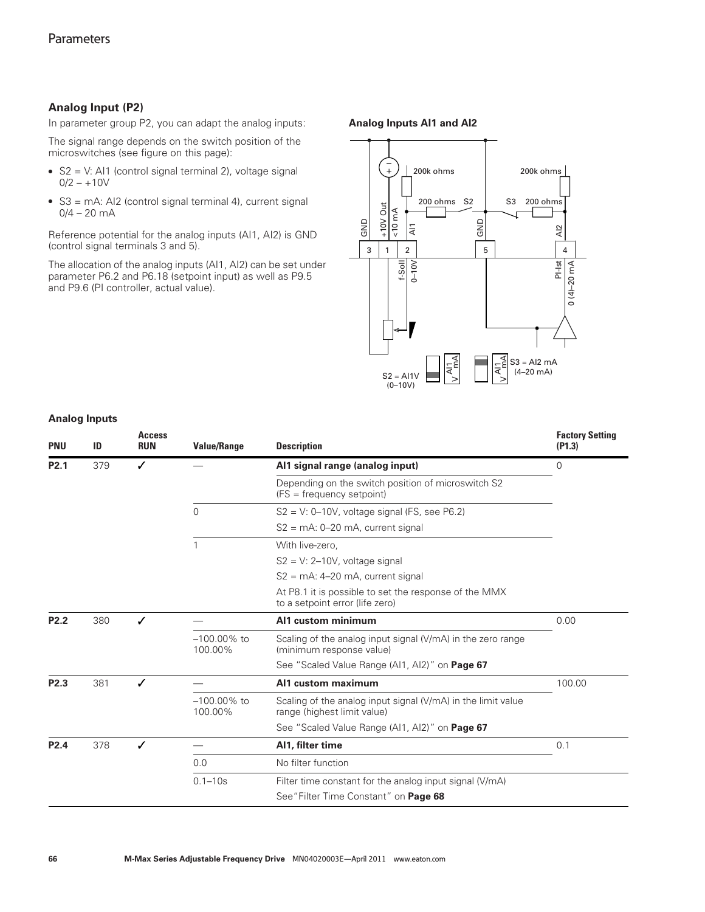## **Analog Input (P2)**

In parameter group P2, you can adapt the analog inputs:

The signal range depends on the switch position of the microswitches (see figure on this page):

- $\bullet$  S2 = V: Al1 (control signal terminal 2), voltage signal  $0/2 - +10V$
- S3 = mA: Al2 (control signal terminal 4), current signal  $0/4 - 20$  mA

Reference potential for the analog inputs (AI1, AI2) is GND (control signal terminals 3 and 5).

The allocation of the analog inputs (AI1, AI2) can be set under parameter P6.2 and P6.18 (setpoint input) as well as P9.5 and P9.6 (PI controller, actual value).

#### **Analog Inputs AI1 and AI2**



| <b>Analog Inputs</b> |  |
|----------------------|--|
|----------------------|--|

| <b>PNU</b>              | ID  | <b>Access</b><br><b>RUN</b> | <b>Value/Range</b>        | <b>Description</b>                                                                          | <b>Factory Setting</b><br>(P1.3) |
|-------------------------|-----|-----------------------------|---------------------------|---------------------------------------------------------------------------------------------|----------------------------------|
| P <sub>2.1</sub><br>379 |     | ✓                           |                           | Al1 signal range (analog input)                                                             | $\mathbf 0$                      |
|                         |     |                             |                           | Depending on the switch position of microswitch S2<br>$(FS = frequency setpoint)$           |                                  |
|                         |     |                             | $\Omega$                  | $S2 = V: 0-10V$ , voltage signal (FS, see P6.2)                                             |                                  |
|                         |     |                             |                           | $S2 = mA$ : 0-20 mA, current signal                                                         |                                  |
|                         |     |                             |                           | With live-zero,                                                                             |                                  |
|                         |     |                             |                           | $S2 = V: 2-10V$ , voltage signal                                                            |                                  |
|                         |     |                             |                           | $S2 = mA$ : 4-20 mA, current signal                                                         |                                  |
|                         |     |                             |                           | At P8.1 it is possible to set the response of the MMX<br>to a setpoint error (life zero)    |                                  |
| P2.2                    | 380 | ℐ                           |                           | Al1 custom minimum                                                                          | 0.00                             |
|                         |     |                             | $-100.00\%$ to<br>100.00% | Scaling of the analog input signal (V/mA) in the zero range<br>(minimum response value)     |                                  |
|                         |     |                             |                           | See "Scaled Value Range (Al1, Al2)" on Page 67                                              |                                  |
| P <sub>2.3</sub>        | 381 | ✓                           |                           | Al1 custom maximum                                                                          | 100.00                           |
|                         |     |                             | $-100.00\%$ to<br>100.00% | Scaling of the analog input signal (V/mA) in the limit value<br>range (highest limit value) |                                  |
|                         |     |                             |                           | See "Scaled Value Range (Al1, Al2)" on Page 67                                              |                                  |
| P2.4                    | 378 | ✓                           |                           | Al1, filter time                                                                            | 0.1                              |
|                         |     |                             | 0.0                       | No filter function                                                                          |                                  |
|                         |     |                             | $0.1 - 10s$               | Filter time constant for the analog input signal (V/mA)                                     |                                  |
|                         |     |                             |                           | See"Filter Time Constant" on Page 68                                                        |                                  |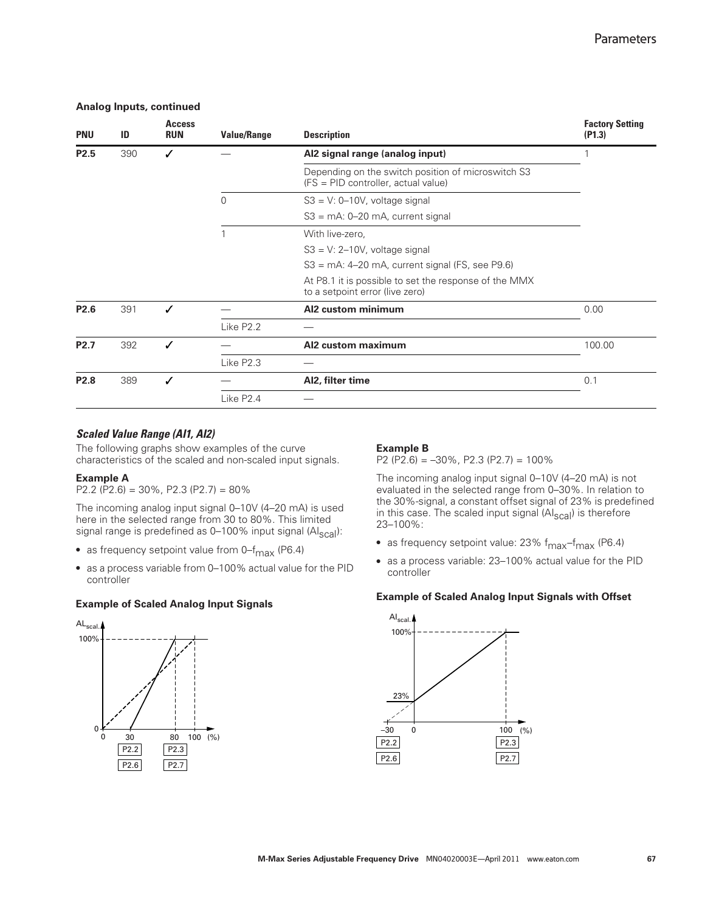### **Analog Inputs, continued**

| ID  | <b>Access</b><br><b>RUN</b> | <b>Value/Range</b> | <b>Description</b>                                                                        | <b>Factory Setting</b><br>(P1.3) |
|-----|-----------------------------|--------------------|-------------------------------------------------------------------------------------------|----------------------------------|
| 390 | ✓                           |                    | Al2 signal range (analog input)                                                           |                                  |
|     |                             |                    | Depending on the switch position of microswitch S3<br>(FS = PID controller, actual value) |                                  |
|     |                             | $\mathbf 0$        | $S3 = V: 0-10V$ , voltage signal                                                          |                                  |
|     |                             |                    | $S3 = mA$ : 0-20 mA, current signal                                                       |                                  |
|     |                             |                    | With live-zero,                                                                           |                                  |
|     |                             |                    | $S3 = V: 2-10V$ , voltage signal                                                          |                                  |
|     |                             |                    | $S3 = mA$ : 4–20 mA, current signal (FS, see P9.6)                                        |                                  |
|     |                             |                    | At P8.1 it is possible to set the response of the MMX<br>to a setpoint error (live zero)  |                                  |
| 391 | ✓                           |                    | Al2 custom minimum                                                                        | 0.00                             |
|     |                             | Like P2.2          |                                                                                           |                                  |
| 392 | ✓                           |                    | Al2 custom maximum                                                                        | 100.00                           |
|     |                             | Like P2.3          |                                                                                           |                                  |
| 389 | ✓                           |                    | Al2, filter time                                                                          | 0.1                              |
|     |                             | Like P2.4          |                                                                                           |                                  |
|     |                             |                    |                                                                                           |                                  |

### *Scaled Value Range (AI1, AI2)*

The following graphs show examples of the curve characteristics of the scaled and non-scaled input signals.

#### **Example A**

P2.2 (P2.6) =  $30\%$ , P2.3 (P2.7) =  $80\%$ 

The incoming analog input signal 0–10V (4–20 mA) is used here in the selected range from 30 to 80%. This limited signal range is predefined as 0-100% input signal (Al<sub>scal</sub>):

- as frequency setpoint value from  $0$ – $f_{\text{max}}$  (P6.4)
- as a process variable from 0–100% actual value for the PID controller

#### **Example of Scaled Analog Input Signals**



#### **Example B**

P2 (P2.6) =  $-30\%$ , P2.3 (P2.7) =  $100\%$ 

The incoming analog input signal 0–10V (4–20 mA) is not evaluated in the selected range from 0–30%. In relation to the 30%-signal, a constant offset signal of 23% is predefined in this case. The scaled input signal (AI<sub>SCal</sub>) is therefore 23–100%:

- as frequency setpoint value:  $23\%$  f<sub>max</sub>-f<sub>max</sub> (P6.4)
- as a process variable: 23–100% actual value for the PID controller

#### **Example of Scaled Analog Input Signals with Offset**

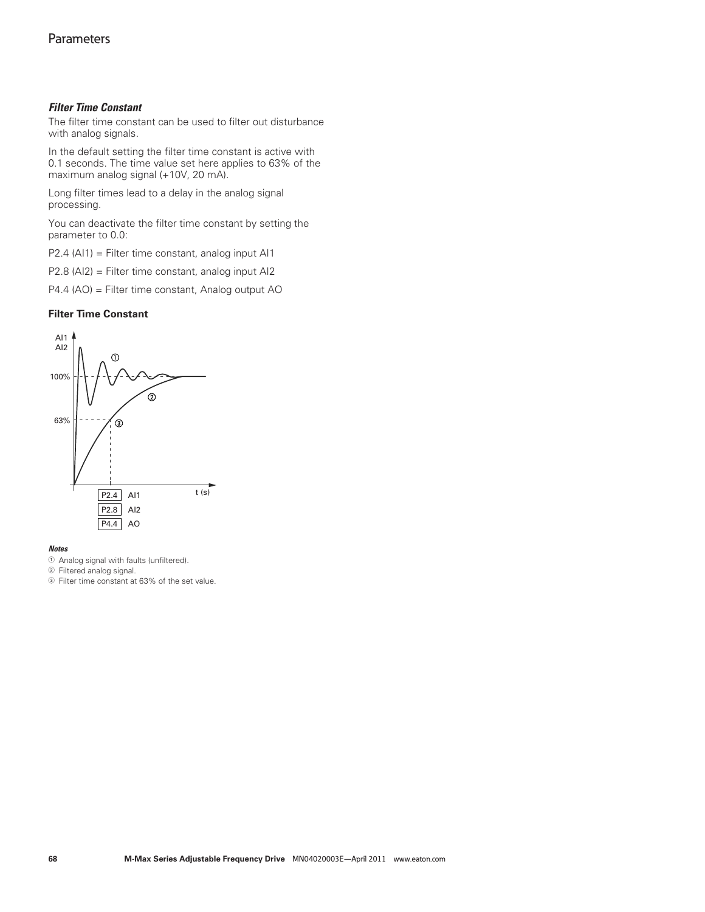## *Filter Time Constant*

The filter time constant can be used to filter out disturbance with analog signals.

In the default setting the filter time constant is active with 0.1 seconds. The time value set here applies to 63% of the maximum analog signal (+10V, 20 mA).

Long filter times lead to a delay in the analog signal processing.

You can deactivate the filter time constant by setting the parameter to 0.0:

P2.4 (AI1) = Filter time constant, analog input AI1

P2.8 (AI2) = Filter time constant, analog input AI2

P4.4 (AO) = Filter time constant, Analog output AO

#### **Filter Time Constant**



#### *Notes*

 $\Phi$  Analog signal with faults (unfiltered).

Filtered analog signal.

Filter time constant at 63% of the set value.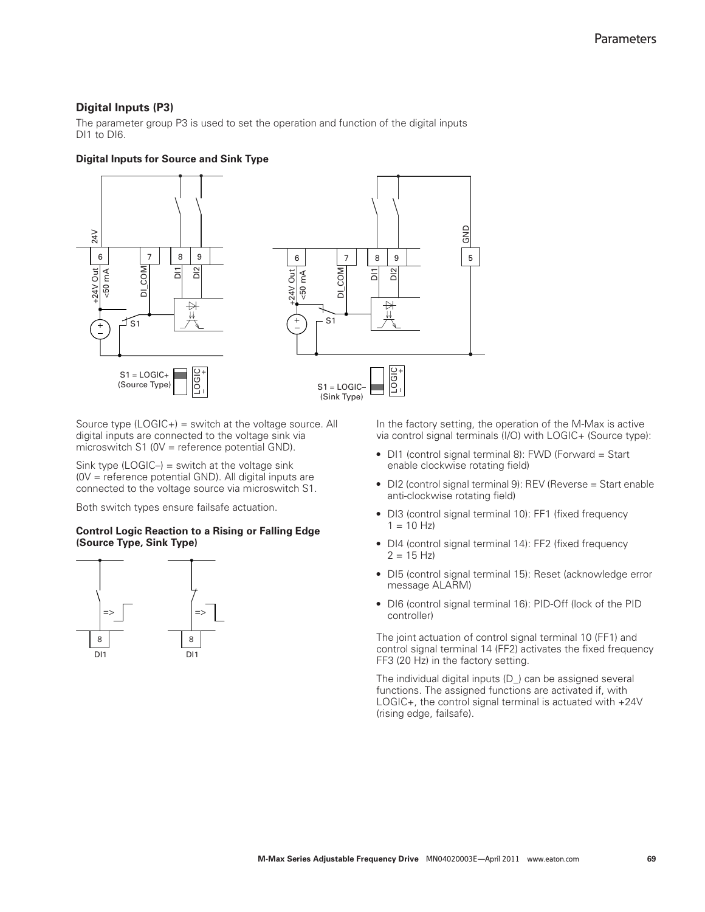## **Digital Inputs (P3)**

The parameter group P3 is used to set the operation and function of the digital inputs DI1 to DI6.

## **Digital Inputs for Source and Sink Type**



Source type (LOGIC+) = switch at the voltage source. All digital inputs are connected to the voltage sink via microswitch S1 (0V = reference potential GND).

Sink type  $(LOGIC-)$  = switch at the voltage sink  $(0V =$  reference potential GND). All digital inputs are connected to the voltage source via microswitch S1.

Both switch types ensure failsafe actuation.

### **Control Logic Reaction to a Rising or Falling Edge (Source Type, Sink Type)**



In the factory setting, the operation of the M-Max is active via control signal terminals (I/O) with LOGIC+ (Source type):

- DI1 (control signal terminal 8): FWD (Forward = Start enable clockwise rotating field)
- DI2 (control signal terminal 9): REV (Reverse = Start enable anti-clockwise rotating field)
- DI3 (control signal terminal 10): FF1 (fixed frequency  $1 = 10$  Hz)
- DI4 (control signal terminal 14): FF2 (fixed frequency  $2 = 15$  Hz)
- DI5 (control signal terminal 15): Reset (acknowledge error message ALARM)
- DI6 (control signal terminal 16): PID-Off (lock of the PID controller)

The joint actuation of control signal terminal 10 (FF1) and control signal terminal 14 (FF2) activates the fixed frequency FF3 (20 Hz) in the factory setting.

The individual digital inputs (D\_) can be assigned several functions. The assigned functions are activated if, with LOGIC+, the control signal terminal is actuated with +24V (rising edge, failsafe).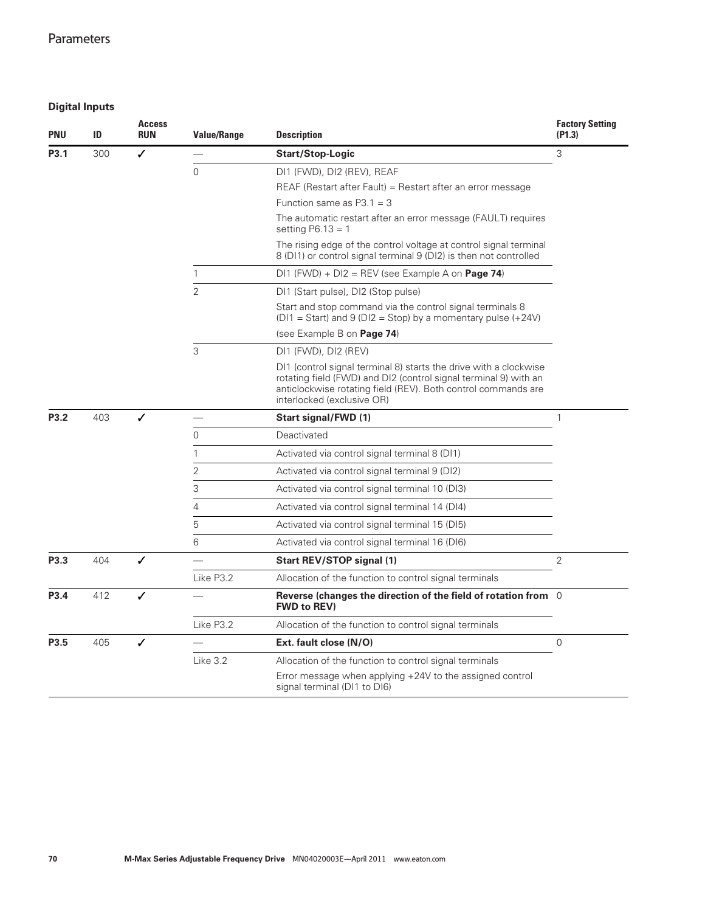# **Digital Inputs**

| <b>PNU</b>       | ID  | <b>Access</b><br><b>RUN</b> | <b>Value/Range</b> | <b>Description</b>                                                                                                                                                                                                                   | <b>Factory Setting</b><br>(P1.3) |  |
|------------------|-----|-----------------------------|--------------------|--------------------------------------------------------------------------------------------------------------------------------------------------------------------------------------------------------------------------------------|----------------------------------|--|
| P3.1             | 300 | ✓                           |                    | <b>Start/Stop-Logic</b>                                                                                                                                                                                                              | 3                                |  |
|                  |     |                             | $\Omega$           | DI1 (FWD), DI2 (REV), REAF                                                                                                                                                                                                           |                                  |  |
|                  |     |                             |                    | REAF (Restart after Fault) = Restart after an error message                                                                                                                                                                          |                                  |  |
|                  |     |                             |                    | Function same as $P3.1 = 3$                                                                                                                                                                                                          |                                  |  |
|                  |     |                             |                    | The automatic restart after an error message (FAULT) requires<br>setting $P6.13 = 1$                                                                                                                                                 |                                  |  |
|                  |     |                             |                    | The rising edge of the control voltage at control signal terminal<br>8 (DI1) or control signal terminal 9 (DI2) is then not controlled                                                                                               |                                  |  |
|                  |     |                             | $\mathbf{1}$       | DI1 (FWD) + DI2 = REV (see Example A on <b>Page 74</b> )                                                                                                                                                                             |                                  |  |
|                  |     |                             | 2                  | DI1 (Start pulse), DI2 (Stop pulse)                                                                                                                                                                                                  |                                  |  |
|                  |     |                             |                    | Start and stop command via the control signal terminals 8<br>$(D11 = Start)$ and 9 (DI2 = Stop) by a momentary pulse (+24V)                                                                                                          |                                  |  |
|                  |     |                             |                    | (see Example B on Page 74)                                                                                                                                                                                                           |                                  |  |
|                  |     |                             | 3                  | DI1 (FWD), DI2 (REV)                                                                                                                                                                                                                 |                                  |  |
|                  |     |                             |                    | DI1 (control signal terminal 8) starts the drive with a clockwise<br>rotating field (FWD) and DI2 (control signal terminal 9) with an<br>anticlockwise rotating field (REV). Both control commands are<br>interlocked (exclusive OR) |                                  |  |
| P <sub>3.2</sub> | 403 | ✓                           |                    | Start signal/FWD (1)                                                                                                                                                                                                                 | 1                                |  |
|                  |     |                             | $\mathbf 0$        | Deactivated                                                                                                                                                                                                                          |                                  |  |
|                  |     |                             | 1                  | Activated via control signal terminal 8 (DI1)                                                                                                                                                                                        |                                  |  |
|                  |     |                             | 2                  | Activated via control signal terminal 9 (DI2)                                                                                                                                                                                        |                                  |  |
|                  |     |                             | 3                  | Activated via control signal terminal 10 (DI3)                                                                                                                                                                                       |                                  |  |
|                  |     |                             | 4                  | Activated via control signal terminal 14 (DI4)                                                                                                                                                                                       |                                  |  |
|                  |     |                             | 5                  | Activated via control signal terminal 15 (DI5)                                                                                                                                                                                       |                                  |  |
|                  |     |                             | 6                  | Activated via control signal terminal 16 (DI6)                                                                                                                                                                                       |                                  |  |
| P <sub>3.3</sub> | 404 | ✓                           |                    | Start REV/STOP signal (1)                                                                                                                                                                                                            | 2                                |  |
|                  |     |                             | Like P3.2          | Allocation of the function to control signal terminals                                                                                                                                                                               |                                  |  |
| P <sub>3.4</sub> | 412 | ✓                           |                    | Reverse (changes the direction of the field of rotation from 0<br><b>FWD to REV)</b>                                                                                                                                                 |                                  |  |
|                  |     |                             | Like P3.2          | Allocation of the function to control signal terminals                                                                                                                                                                               |                                  |  |
| P <sub>3.5</sub> | 405 | ✓                           |                    | Ext. fault close (N/O)                                                                                                                                                                                                               | 0                                |  |
|                  |     |                             | Like 3.2           | Allocation of the function to control signal terminals                                                                                                                                                                               |                                  |  |
|                  |     |                             |                    | Error message when applying +24V to the assigned control<br>signal terminal (DI1 to DI6)                                                                                                                                             |                                  |  |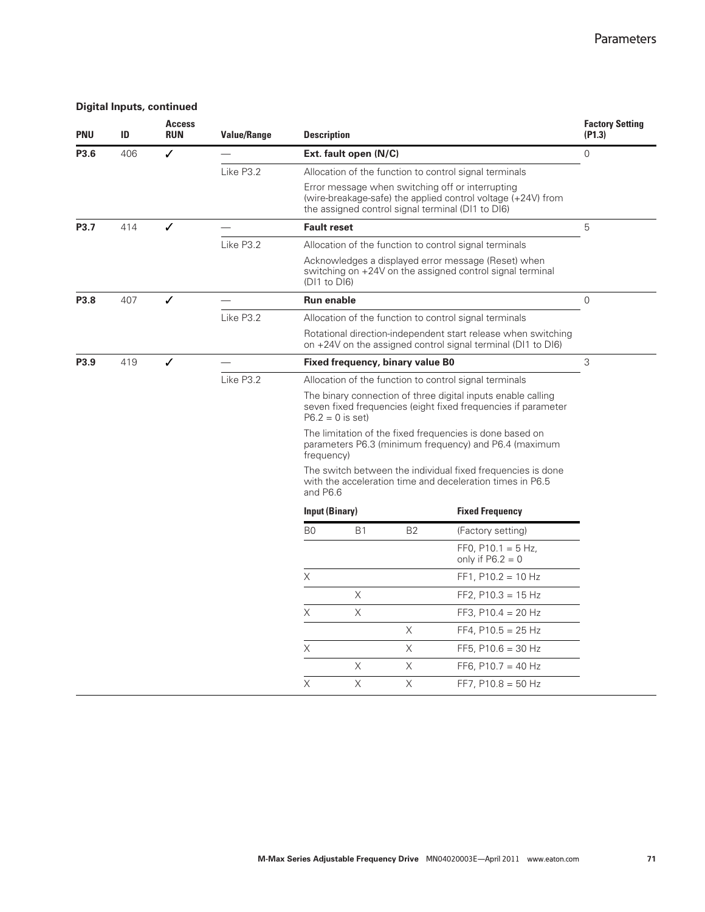## **Digital Inputs, continued**

| <b>PNU</b>  | ID  | <b>Access</b><br><b>RUN</b> | <b>Value/Range</b>                                     | <b>Description</b>    |                                                                                                                                      |   |                                                                                                                                                                       | <b>Factory Setting</b><br>(P1.3) |                |           |           |                   |  |
|-------------|-----|-----------------------------|--------------------------------------------------------|-----------------------|--------------------------------------------------------------------------------------------------------------------------------------|---|-----------------------------------------------------------------------------------------------------------------------------------------------------------------------|----------------------------------|----------------|-----------|-----------|-------------------|--|
| P3.6<br>406 |     | ✓                           |                                                        |                       | Ext. fault open (N/C)                                                                                                                |   |                                                                                                                                                                       | 0                                |                |           |           |                   |  |
|             |     |                             | Like P3.2                                              |                       |                                                                                                                                      |   | Allocation of the function to control signal terminals                                                                                                                |                                  |                |           |           |                   |  |
|             |     |                             |                                                        |                       |                                                                                                                                      |   | Error message when switching off or interrupting<br>(wire-breakage-safe) the applied control voltage (+24V) from<br>the assigned control signal terminal (DI1 to DI6) |                                  |                |           |           |                   |  |
| P3.7        | 414 | ✓                           |                                                        |                       | <b>Fault reset</b>                                                                                                                   |   |                                                                                                                                                                       |                                  |                |           |           |                   |  |
|             |     |                             | Like P3.2                                              |                       |                                                                                                                                      |   | Allocation of the function to control signal terminals                                                                                                                |                                  |                |           |           |                   |  |
|             |     |                             |                                                        | $(D 1)$ to $D 6$      |                                                                                                                                      |   | Acknowledges a displayed error message (Reset) when<br>switching on +24V on the assigned control signal terminal                                                      |                                  |                |           |           |                   |  |
| P3.8        | 407 | ✓                           |                                                        | <b>Run enable</b>     |                                                                                                                                      |   |                                                                                                                                                                       | 0                                |                |           |           |                   |  |
|             |     |                             | Like P3.2                                              |                       |                                                                                                                                      |   | Allocation of the function to control signal terminals                                                                                                                |                                  |                |           |           |                   |  |
|             |     |                             |                                                        |                       |                                                                                                                                      |   | Rotational direction-independent start release when switching<br>on +24V on the assigned control signal terminal (DI1 to DI6)                                         |                                  |                |           |           |                   |  |
| 419<br>P3.9 | ✓   |                             |                                                        |                       |                                                                                                                                      |   | Fixed frequency, binary value B0                                                                                                                                      |                                  | 3              |           |           |                   |  |
|             |     | Like P3.2                   | Allocation of the function to control signal terminals |                       |                                                                                                                                      |   |                                                                                                                                                                       |                                  |                |           |           |                   |  |
|             |     |                             |                                                        |                       | $P6.2 = 0$ is set)                                                                                                                   |   | The binary connection of three digital inputs enable calling<br>seven fixed frequencies (eight fixed frequencies if parameter                                         |                                  |                |           |           |                   |  |
|             |     |                             |                                                        | frequency)            |                                                                                                                                      |   | The limitation of the fixed frequencies is done based on<br>parameters P6.3 (minimum frequency) and P6.4 (maximum                                                     |                                  |                |           |           |                   |  |
|             |     |                             |                                                        |                       | The switch between the individual fixed frequencies is done<br>with the acceleration time and deceleration times in P6.5<br>and P6.6 |   |                                                                                                                                                                       |                                  |                |           |           |                   |  |
|             |     |                             |                                                        | <b>Input (Binary)</b> |                                                                                                                                      |   | <b>Fixed Frequency</b>                                                                                                                                                |                                  |                |           |           |                   |  |
|             |     |                             |                                                        |                       |                                                                                                                                      |   |                                                                                                                                                                       |                                  | B <sub>0</sub> | <b>B1</b> | <b>B2</b> | (Factory setting) |  |
|             |     |                             |                                                        |                       |                                                                                                                                      |   | FF0, P10.1 = $5$ Hz,<br>only if $P6.2 = 0$                                                                                                                            |                                  |                |           |           |                   |  |
|             |     |                             |                                                        | X                     |                                                                                                                                      |   | $FF1, P10.2 = 10 Hz$                                                                                                                                                  |                                  |                |           |           |                   |  |
|             |     |                             |                                                        |                       | $\mathsf X$                                                                                                                          |   | $FF2, P10.3 = 15 Hz$                                                                                                                                                  |                                  |                |           |           |                   |  |
|             |     |                             |                                                        | X                     | Χ                                                                                                                                    |   | $FF3, P10.4 = 20 Hz$                                                                                                                                                  |                                  |                |           |           |                   |  |
|             |     |                             |                                                        |                       |                                                                                                                                      | X | $FF4, P10.5 = 25 Hz$                                                                                                                                                  |                                  |                |           |           |                   |  |
|             |     |                             |                                                        | Χ                     |                                                                                                                                      | Χ | FF5, $P10.6 = 30$ Hz                                                                                                                                                  |                                  |                |           |           |                   |  |
|             |     |                             |                                                        |                       | Χ                                                                                                                                    | Χ | FF6, P10.7 = 40 Hz                                                                                                                                                    |                                  |                |           |           |                   |  |
|             |     |                             |                                                        | $\times$              | $\mathsf X$                                                                                                                          | X | $FF7, P10.8 = 50 Hz$                                                                                                                                                  |                                  |                |           |           |                   |  |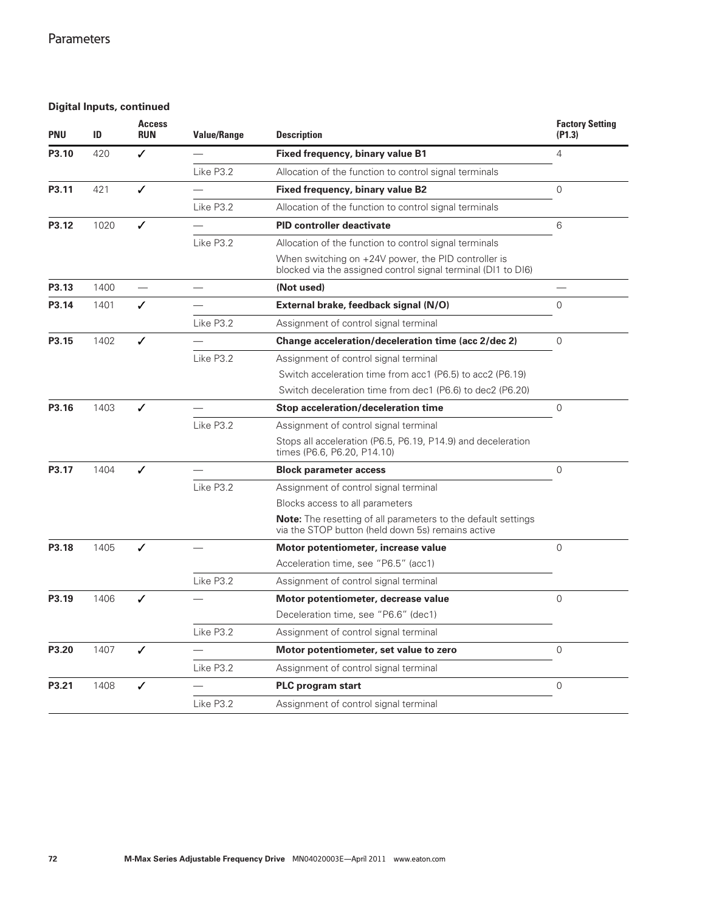# **Parameters**

## **Digital Inputs, continued**

| <b>PNU</b>        | ID   | <b>Access</b><br><b>RUN</b> | <b>Value/Range</b> | <b>Description</b>                                                                                                        | <b>Factory Setting</b><br>(P1.3) |
|-------------------|------|-----------------------------|--------------------|---------------------------------------------------------------------------------------------------------------------------|----------------------------------|
| P3.10             | 420  | ✓                           |                    | Fixed frequency, binary value B1                                                                                          | $\overline{4}$                   |
|                   |      |                             | Like P3.2          | Allocation of the function to control signal terminals                                                                    |                                  |
| P <sub>3.11</sub> | 421  | ✓                           |                    | Fixed frequency, binary value B2                                                                                          | $\Omega$                         |
|                   |      |                             | Like P3.2          | Allocation of the function to control signal terminals                                                                    |                                  |
| P <sub>3.12</sub> | 1020 | ✓                           |                    | <b>PID controller deactivate</b>                                                                                          | 6                                |
|                   |      |                             | Like P3.2          | Allocation of the function to control signal terminals                                                                    |                                  |
|                   |      |                             |                    | When switching on $+24V$ power, the PID controller is<br>blocked via the assigned control signal terminal (DI1 to DI6)    |                                  |
| P <sub>3.13</sub> | 1400 |                             |                    | (Not used)                                                                                                                |                                  |
| P <sub>3.14</sub> | 1401 | ✓                           |                    | External brake, feedback signal (N/O)                                                                                     | $\Omega$                         |
|                   |      |                             | Like P3.2          | Assignment of control signal terminal                                                                                     |                                  |
| P <sub>3.15</sub> | 1402 | ✓                           |                    | Change acceleration/deceleration time (acc 2/dec 2)                                                                       | $\Omega$                         |
|                   |      |                             | Like P3.2          | Assignment of control signal terminal                                                                                     |                                  |
|                   |      |                             |                    | Switch acceleration time from acc1 (P6.5) to acc2 (P6.19)                                                                 |                                  |
|                   |      |                             |                    | Switch deceleration time from dec1 (P6.6) to dec2 (P6.20)                                                                 |                                  |
| P <sub>3.16</sub> | 1403 | ✓                           |                    | Stop acceleration/deceleration time                                                                                       | $\overline{0}$                   |
|                   |      |                             | Like P3.2          | Assignment of control signal terminal                                                                                     |                                  |
|                   |      |                             |                    | Stops all acceleration (P6.5, P6.19, P14.9) and deceleration<br>times (P6.6, P6.20, P14.10)                               |                                  |
| P3.17             | 1404 | ✓                           |                    | <b>Block parameter access</b>                                                                                             | $\overline{0}$                   |
|                   |      |                             | Like P3.2          | Assignment of control signal terminal                                                                                     |                                  |
|                   |      |                             |                    | Blocks access to all parameters                                                                                           |                                  |
|                   |      |                             |                    | <b>Note:</b> The resetting of all parameters to the default settings<br>via the STOP button (held down 5s) remains active |                                  |
| P <sub>3.18</sub> | 1405 | ✓                           |                    | Motor potentiometer, increase value                                                                                       | $\Omega$                         |
|                   |      |                             |                    | Acceleration time, see "P6.5" (acc1)                                                                                      |                                  |
|                   |      |                             | Like P3.2          | Assignment of control signal terminal                                                                                     |                                  |
| P <sub>3.19</sub> | 1406 | ✓                           |                    | Motor potentiometer, decrease value                                                                                       | $\Omega$                         |
|                   |      |                             |                    | Deceleration time, see "P6.6" (dec1)                                                                                      |                                  |
|                   |      |                             | Like P3.2          | Assignment of control signal terminal                                                                                     |                                  |
| P <sub>3.20</sub> | 1407 | ✓                           |                    | Motor potentiometer, set value to zero                                                                                    | $\Omega$                         |
|                   |      |                             | Like P3.2          | Assignment of control signal terminal                                                                                     |                                  |
| P3.21             | 1408 | ✓                           |                    | <b>PLC program start</b>                                                                                                  | $\mathbf 0$                      |
|                   |      |                             | Like P3.2          | Assignment of control signal terminal                                                                                     |                                  |
|                   |      |                             |                    |                                                                                                                           |                                  |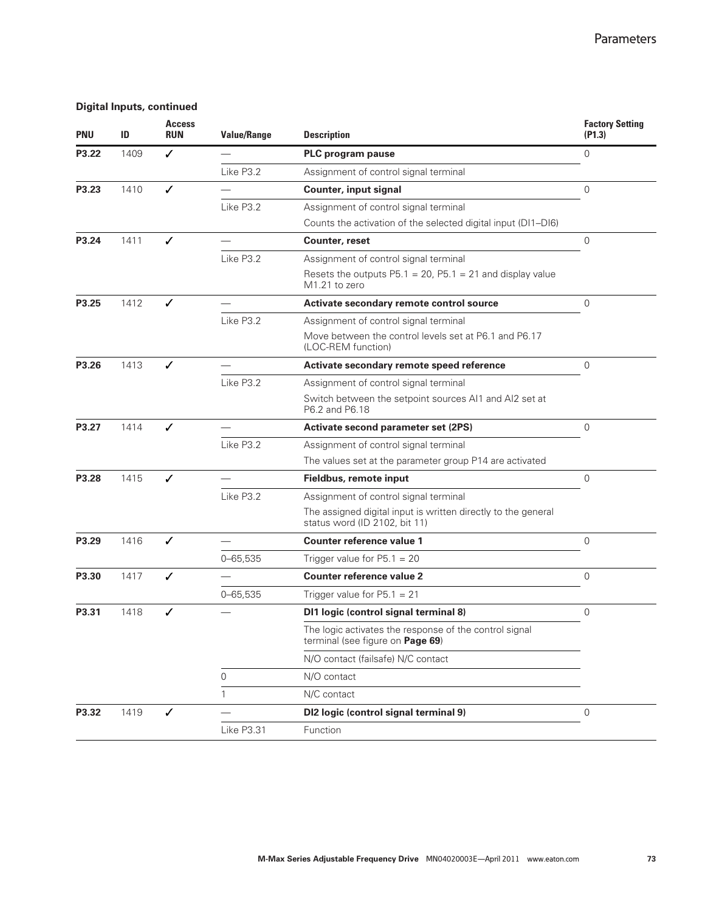## **Digital Inputs, continued**

| <b>PNU</b>        | ID   | <b>Access</b><br><b>RUN</b> | <b>Value/Range</b> | <b>Description</b>                                                                             | <b>Factory Setting</b><br>(P1.3) |
|-------------------|------|-----------------------------|--------------------|------------------------------------------------------------------------------------------------|----------------------------------|
| P3.22             | 1409 | ✓                           |                    | PLC program pause                                                                              | 0                                |
|                   |      |                             | Like P3.2          | Assignment of control signal terminal                                                          |                                  |
| P3.23             | 1410 | ✓                           |                    | Counter, input signal                                                                          | 0                                |
|                   |      |                             | Like P3.2          | Assignment of control signal terminal                                                          |                                  |
|                   |      |                             |                    | Counts the activation of the selected digital input (DI1-DI6)                                  |                                  |
| P3.24             | 1411 | ✓                           |                    | Counter, reset                                                                                 | 0                                |
|                   |      |                             | Like P3.2          | Assignment of control signal terminal                                                          |                                  |
|                   |      |                             |                    | Resets the outputs $P5.1 = 20$ , $P5.1 = 21$ and display value<br>M <sub>1.21</sub> to zero    |                                  |
| P3.25             | 1412 | ✓                           |                    | Activate secondary remote control source                                                       | $\Omega$                         |
|                   |      |                             | Like P3.2          | Assignment of control signal terminal                                                          |                                  |
|                   |      |                             |                    | Move between the control levels set at P6.1 and P6.17<br>(LOC-REM function)                    |                                  |
| P <sub>3.26</sub> | 1413 | ✓                           |                    | Activate secondary remote speed reference                                                      | 0                                |
|                   |      |                             | Like P3.2          | Assignment of control signal terminal                                                          |                                  |
|                   |      |                             |                    | Switch between the setpoint sources AI1 and AI2 set at<br>P6.2 and P6.18                       |                                  |
| P3.27             | 1414 | ✓                           |                    | Activate second parameter set (2PS)                                                            | 0                                |
|                   |      |                             | Like P3.2          | Assignment of control signal terminal                                                          |                                  |
|                   |      |                             |                    | The values set at the parameter group P14 are activated                                        |                                  |
| P3.28             | 1415 | ✓                           |                    | Fieldbus, remote input                                                                         | 0                                |
|                   |      |                             | Like P3.2          | Assignment of control signal terminal                                                          |                                  |
|                   |      |                             |                    | The assigned digital input is written directly to the general<br>status word (ID 2102, bit 11) |                                  |
| P3.29             | 1416 | ✓                           |                    | <b>Counter reference value 1</b>                                                               | 0                                |
|                   |      |                             | $0 - 65,535$       | Trigger value for $P5.1 = 20$                                                                  |                                  |
| P3.30             | 1417 | ✓                           |                    | <b>Counter reference value 2</b>                                                               | 0                                |
|                   |      |                             | $0 - 65,535$       | Trigger value for $P5.1 = 21$                                                                  |                                  |
| P3.31             | 1418 | ✓                           |                    | DI1 logic (control signal terminal 8)                                                          | 0                                |
|                   |      |                             |                    | The logic activates the response of the control signal<br>terminal (see figure on Page 69)     |                                  |
|                   |      |                             |                    | N/O contact (failsafe) N/C contact                                                             |                                  |
|                   |      |                             | 0                  | N/O contact                                                                                    |                                  |
|                   |      |                             | 1                  | N/C contact                                                                                    |                                  |
| P3.32             | 1419 | ✓                           |                    | DI2 logic (control signal terminal 9)                                                          | 0                                |
|                   |      |                             | Like P3.31         | Function                                                                                       |                                  |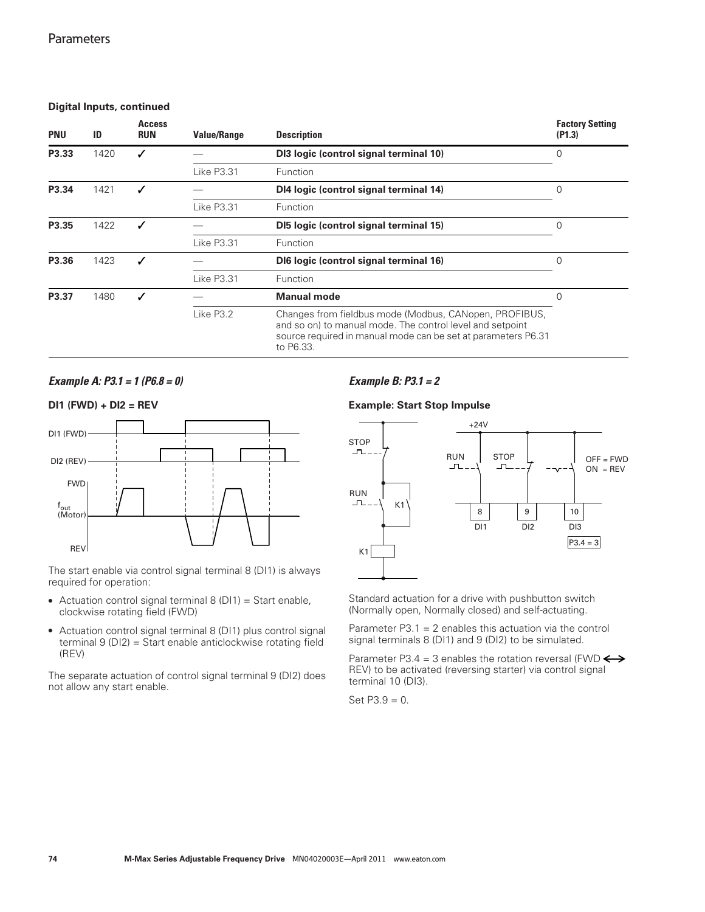## **Digital Inputs, continued**

| <b>PNU</b>        | ID   | <b>Access</b><br><b>RUN</b> | <b>Value/Range</b> | <b>Description</b>                                                                                                                                                                                | <b>Factory Setting</b><br>(P1.3) |
|-------------------|------|-----------------------------|--------------------|---------------------------------------------------------------------------------------------------------------------------------------------------------------------------------------------------|----------------------------------|
| P3.33             | 1420 | ℐ                           |                    | DI3 logic (control signal terminal 10)                                                                                                                                                            | $\mathbf 0$                      |
|                   |      |                             | Like P3.31         | Function                                                                                                                                                                                          |                                  |
| P3.34             | 1421 | J                           |                    | DI4 logic (control signal terminal 14)                                                                                                                                                            | $\Omega$                         |
|                   |      |                             | Like P3.31         | Function                                                                                                                                                                                          |                                  |
| P3.35             | 1422 | ✓                           |                    | DI5 logic (control signal terminal 15)                                                                                                                                                            | $\Omega$                         |
|                   |      |                             | Like P3.31         | Function                                                                                                                                                                                          |                                  |
| P3.36             | 1423 | ✓                           |                    | DI6 logic (control signal terminal 16)                                                                                                                                                            | $\Omega$                         |
|                   |      |                             | Like P3.31         | Function                                                                                                                                                                                          |                                  |
| P <sub>3.37</sub> | 1480 | ✓                           |                    | <b>Manual mode</b>                                                                                                                                                                                | $\overline{0}$                   |
|                   |      |                             | Like P3.2          | Changes from fieldbus mode (Modbus, CANopen, PROFIBUS,<br>and so on) to manual mode. The control level and setpoint<br>source required in manual mode can be set at parameters P6.31<br>to P6.33. |                                  |

*Example A: P3.1 = 1 (P6.8 = 0)*

### **DI1 (FWD) + DI2 = REV**



The start enable via control signal terminal 8 (DI1) is always required for operation:

- $\bullet$  Actuation control signal terminal 8 (DI1) = Start enable, clockwise rotating field (FWD)
- Actuation control signal terminal 8 (DI1) plus control signal terminal 9 (DI2) = Start enable anticlockwise rotating field (REV)

The separate actuation of control signal terminal 9 (DI2) does not allow any start enable.

## *Example B: P3.1 = 2*

### **Example: Start Stop Impulse**



Standard actuation for a drive with pushbutton switch (Normally open, Normally closed) and self-actuating.

Parameter P3.1 = 2 enables this actuation via the control signal terminals 8 (DI1) and 9 (DI2) to be simulated.

Parameter P3.4 = 3 enables the rotation reversal (FWD  $\Longleftrightarrow$ REV) to be activated (reversing starter) via control signal terminal 10 (DI3).

 $Set P3.9 = 0.$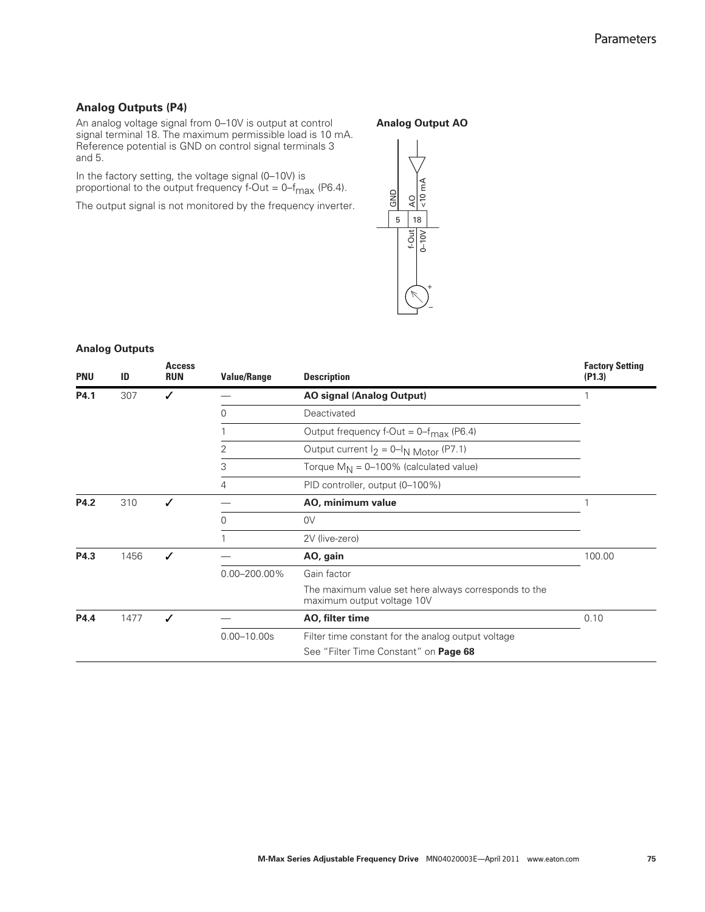## **Analog Outputs (P4)**

An analog voltage signal from 0–10V is output at control signal terminal 18. The maximum permissible load is 10 mA. Reference potential is GND on control signal terminals 3 and 5.

In the factory setting, the voltage signal (0–10V) is proportional to the output frequency f-Out =  $0$ – $f_{max}$  (P6.4).

The output signal is not monitored by the frequency inverter.

#### **Analog Output AO**



## **Analog Outputs**

| <b>PNU</b>  | ID   | <b>Access</b><br><b>RUN</b> | <b>Value/Range</b> | <b>Description</b>                                                                 | <b>Factory Setting</b><br>(P1.3) |
|-------------|------|-----------------------------|--------------------|------------------------------------------------------------------------------------|----------------------------------|
| <b>P4.1</b> | 307  | ✓                           |                    | <b>AO signal (Analog Output)</b>                                                   |                                  |
|             |      |                             | 0                  | Deactivated                                                                        |                                  |
|             |      |                             |                    | Output frequency f-Out = $0-f_{max}$ (P6.4)                                        |                                  |
|             |      |                             | 2                  | Output current $I_2 = 0 - I_N$ Motor (P7.1)                                        |                                  |
|             |      |                             | 3                  | Torque $M_N = 0-100\%$ (calculated value)                                          |                                  |
|             |      |                             | 4                  | PID controller, output (0-100%)                                                    |                                  |
| P4.2        | 310  | ✓                           |                    | AO, minimum value                                                                  | $\mathbf{\overline{1}}$          |
|             |      |                             | Ω                  | 0V                                                                                 |                                  |
|             |      |                             |                    | 2V (live-zero)                                                                     |                                  |
| P4.3        | 1456 | ✓                           |                    | AO, gain                                                                           | 100.00                           |
|             |      |                             | 0.00-200.00%       | Gain factor                                                                        |                                  |
|             |      |                             |                    | The maximum value set here always corresponds to the<br>maximum output voltage 10V |                                  |
| P4.4        | 1477 | ✓                           |                    | AO, filter time                                                                    | 0.10                             |
|             |      |                             | $0.00 - 10.00s$    | Filter time constant for the analog output voltage                                 |                                  |
|             |      |                             |                    | See "Filter Time Constant" on Page 68                                              |                                  |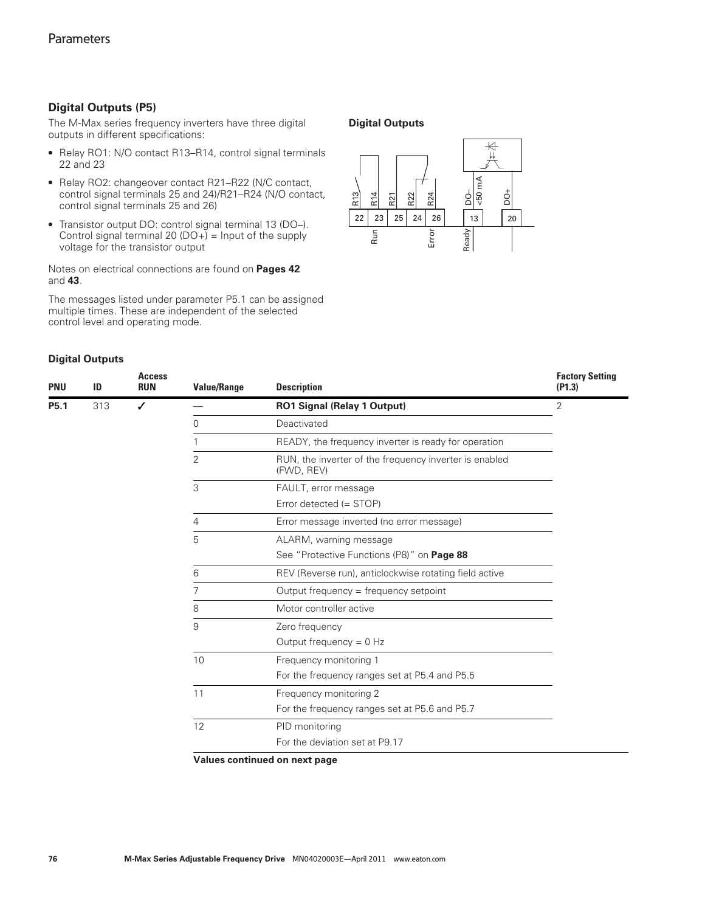## **Digital Outputs (P5)**

The M-Max series frequency inverters have three digital outputs in different specifications:

- Relay RO1: N/O contact R13–R14, control signal terminals 22 and 23
- Relay RO2: changeover contact R21–R22 (N/C contact, control signal terminals 25 and 24)/R21–R24 (N/O contact, control signal terminals 25 and 26)
- Transistor output DO: control signal terminal 13 (DO–). Control signal terminal 20  $(DO+)$  = Input of the supply voltage for the transistor output

Notes on electrical connections are found on **Pages 42** and **43**.

**Access**

The messages listed under parameter P5.1 can be assigned multiple times. These are independent of the selected control level and operating mode.

#### **Digital Outputs**

**PNU** 

#### **Digital Outputs**



**Factory Setting**

| PNU  | ID  | <b>RUN</b> | <b>Value/Range</b> | <b>Description</b>                                                   | (P1.3) |
|------|-----|------------|--------------------|----------------------------------------------------------------------|--------|
| P5.1 | 313 |            |                    | <b>RO1 Signal (Relay 1 Output)</b>                                   | 2      |
|      |     |            | 0                  | Deactivated                                                          |        |
|      |     |            |                    | READY, the frequency inverter is ready for operation                 |        |
|      |     |            | 2                  | RUN, the inverter of the frequency inverter is enabled<br>(FWD, REV) |        |
|      |     |            | 3                  | FAULT, error message                                                 |        |
|      |     |            |                    | Error detected (= STOP)                                              |        |
|      |     |            | 4                  | Error message inverted (no error message)                            |        |
|      |     |            | 5                  | ALARM, warning message                                               |        |
|      |     |            |                    | See "Protective Functions (P8)" on Page 88                           |        |
|      |     |            | 6                  | REV (Reverse run), anticlockwise rotating field active               |        |
|      |     |            |                    | Output frequency = frequency setpoint                                |        |
|      |     |            | 8                  | Motor controller active                                              |        |
|      |     |            | 9                  | Zero frequency                                                       |        |
|      |     |            |                    | Output frequency = 0 Hz                                              |        |
|      |     |            | 10                 | Frequency monitoring 1                                               |        |
|      |     |            |                    | For the frequency ranges set at P5.4 and P5.5                        |        |
|      |     |            | 11                 | Frequency monitoring 2                                               |        |
|      |     |            |                    | For the frequency ranges set at P5.6 and P5.7                        |        |
|      |     |            | 12                 | PID monitoring                                                       |        |
|      |     |            |                    | For the deviation set at P9.17                                       |        |

**Values continued on next page**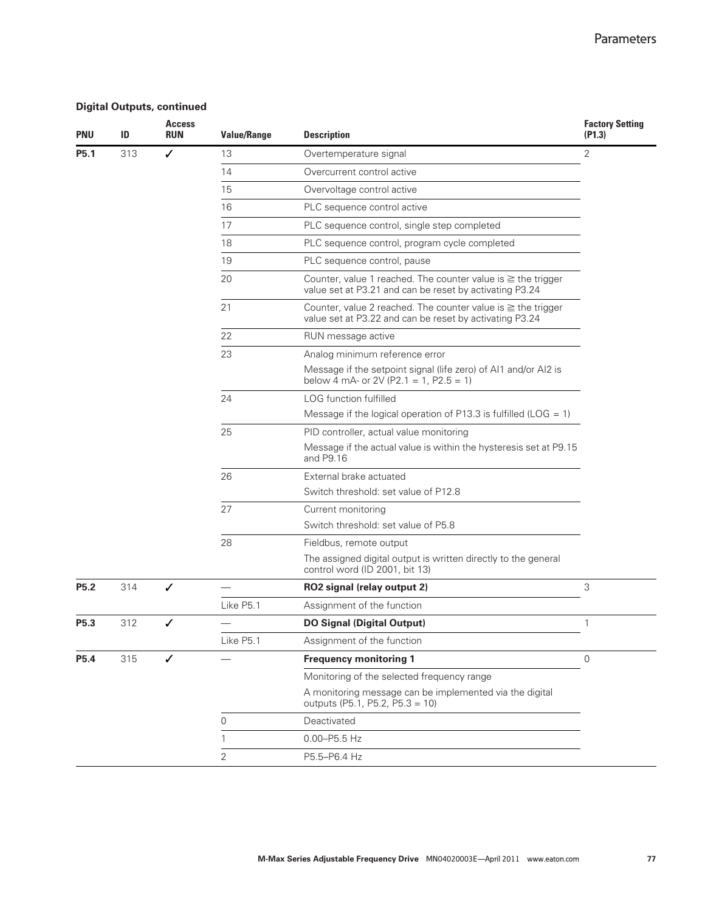## **Digital Outputs, continued**

| <b>PNU</b>       | ID  | <b>Access</b><br><b>RUN</b> | <b>Value/Range</b> | <b>Description</b>                                                                                                           | <b>Factory Setting</b><br>(P1.3) |
|------------------|-----|-----------------------------|--------------------|------------------------------------------------------------------------------------------------------------------------------|----------------------------------|
| P <sub>5.1</sub> | 313 | ✓                           | 13                 | Overtemperature signal                                                                                                       | 2                                |
|                  |     |                             | 14                 | Overcurrent control active                                                                                                   |                                  |
|                  |     |                             | 15                 | Overvoltage control active                                                                                                   |                                  |
|                  |     |                             | 16                 | PLC sequence control active                                                                                                  |                                  |
|                  |     |                             | 17                 | PLC sequence control, single step completed                                                                                  |                                  |
|                  |     |                             | 18                 | PLC sequence control, program cycle completed                                                                                |                                  |
|                  |     |                             | 19                 | PLC sequence control, pause                                                                                                  |                                  |
|                  |     |                             | 20                 | Counter, value 1 reached. The counter value is $\geq$ the trigger<br>value set at P3.21 and can be reset by activating P3.24 |                                  |
|                  |     |                             | 21                 | Counter, value 2 reached. The counter value is $\geq$ the trigger<br>value set at P3.22 and can be reset by activating P3.24 |                                  |
|                  |     |                             | 22                 | RUN message active                                                                                                           |                                  |
|                  |     |                             | 23                 | Analog minimum reference error                                                                                               |                                  |
|                  |     |                             |                    | Message if the setpoint signal (life zero) of Al1 and/or Al2 is<br>below 4 mA- or 2V (P2.1 = 1, P2.5 = 1)                    |                                  |
|                  |     |                             | 24                 | <b>LOG</b> function fulfilled                                                                                                |                                  |
|                  |     |                             |                    | Message if the logical operation of P13.3 is fulfilled (LOG = 1)                                                             |                                  |
|                  |     |                             | 25                 | PID controller, actual value monitoring                                                                                      |                                  |
|                  |     |                             |                    | Message if the actual value is within the hysteresis set at P9.15<br>and P9.16                                               |                                  |
|                  |     |                             | 26                 | External brake actuated                                                                                                      |                                  |
|                  |     |                             |                    | Switch threshold: set value of P12.8                                                                                         |                                  |
|                  |     |                             | 27                 | Current monitoring                                                                                                           |                                  |
|                  |     |                             |                    | Switch threshold: set value of P5.8                                                                                          |                                  |
|                  |     |                             | 28                 | Fieldbus, remote output                                                                                                      |                                  |
|                  |     |                             |                    | The assigned digital output is written directly to the general<br>control word (ID 2001, bit 13)                             |                                  |
| P <sub>5.2</sub> | 314 | $\checkmark$                |                    | RO2 signal (relay output 2)                                                                                                  | 3                                |
|                  |     |                             | Like P5.1          | Assignment of the function                                                                                                   |                                  |
| P <sub>5.3</sub> | 312 | ✓                           |                    | <b>DO Signal (Digital Output)</b>                                                                                            | 1                                |
|                  |     |                             | Like P5.1          | Assignment of the function                                                                                                   |                                  |
| P <sub>5.4</sub> | 315 | ✓                           |                    | <b>Frequency monitoring 1</b>                                                                                                | $\mathsf{O}\xspace$              |
|                  |     |                             |                    | Monitoring of the selected frequency range                                                                                   |                                  |
|                  |     |                             |                    | A monitoring message can be implemented via the digital<br>outputs (P5.1, P5.2, P5.3 = 10)                                   |                                  |
|                  |     |                             | 0                  | Deactivated                                                                                                                  |                                  |
|                  |     |                             |                    | 0.00-P5.5 Hz                                                                                                                 |                                  |
|                  |     |                             | 2                  | P5.5-P6.4 Hz                                                                                                                 |                                  |
|                  |     |                             |                    |                                                                                                                              |                                  |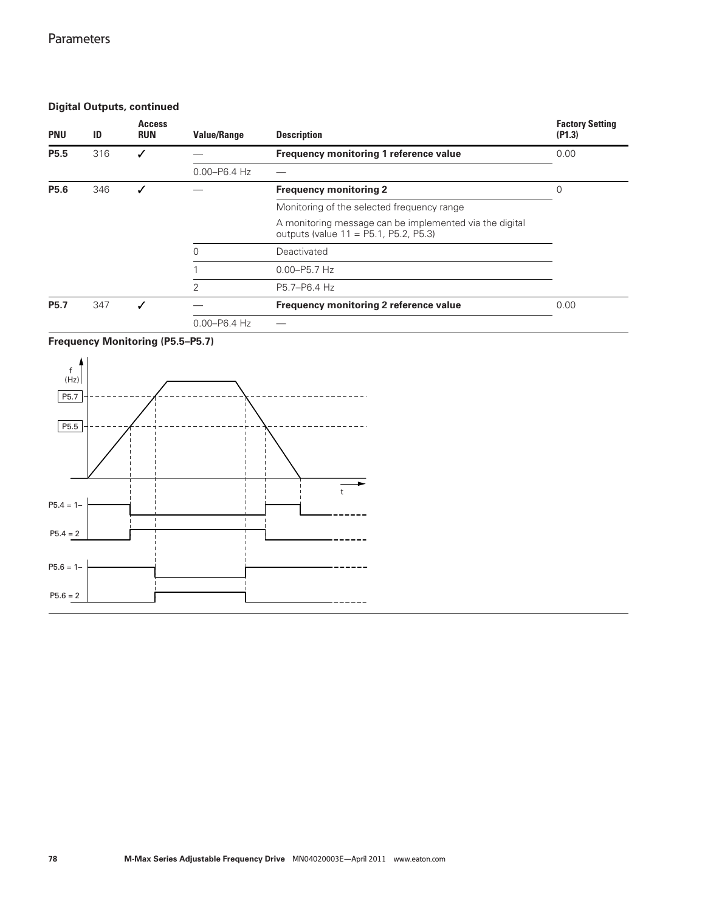## **Digital Outputs, continued**

| <b>PNU</b>       | ID  | <b>Access</b><br><b>RUN</b> | <b>Value/Range</b> | <b>Description</b>                                                                                  | <b>Factory Setting</b><br>(P1.3) |
|------------------|-----|-----------------------------|--------------------|-----------------------------------------------------------------------------------------------------|----------------------------------|
| P <sub>5.5</sub> | 316 |                             |                    | Frequency monitoring 1 reference value                                                              | 0.00                             |
|                  |     |                             | $0.00 - P6.4$ Hz   |                                                                                                     |                                  |
| P <sub>5.6</sub> | 346 |                             |                    | <b>Frequency monitoring 2</b>                                                                       | $\Omega$                         |
|                  |     |                             |                    | Monitoring of the selected frequency range                                                          |                                  |
|                  |     |                             |                    | A monitoring message can be implemented via the digital<br>outputs (value $11 = P5.1$ , P5.2, P5.3) |                                  |
|                  |     |                             | O                  | Deactivated                                                                                         |                                  |
|                  |     |                             |                    | $0.00 - P5.7$ Hz                                                                                    |                                  |
|                  |     |                             | 2                  | P5.7-P6.4 Hz                                                                                        |                                  |
| <b>P5.7</b>      | 347 | ℐ                           |                    | Frequency monitoring 2 reference value                                                              | 0.00                             |
|                  |     |                             | $0.00 - P6.4$ Hz   |                                                                                                     |                                  |

**Frequency Monitoring (P5.5–P5.7)**

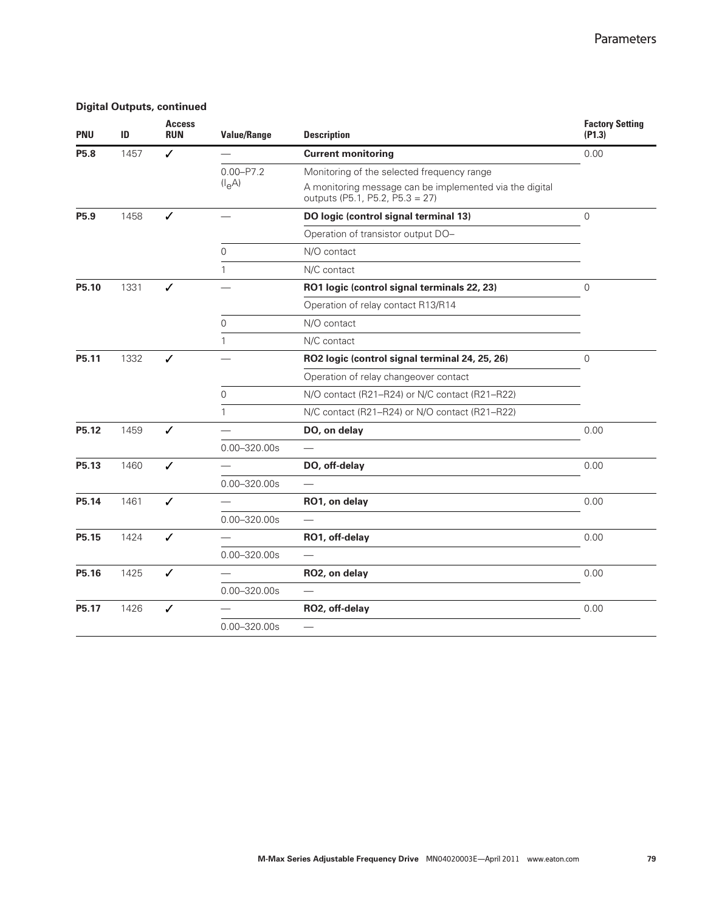## **Digital Outputs, continued**

| <b>PNU</b>        | ID   | <b>Access</b><br><b>RUN</b> | <b>Value/Range</b> | <b>Description</b>                                                                         | <b>Factory Setting</b><br>(P1.3) |
|-------------------|------|-----------------------------|--------------------|--------------------------------------------------------------------------------------------|----------------------------------|
| P <sub>5.8</sub>  | 1457 | ✓                           |                    | <b>Current monitoring</b>                                                                  | 0.00                             |
|                   |      |                             | $0.00 - P7.2$      | Monitoring of the selected frequency range                                                 |                                  |
|                   |      |                             | $(I_{\ominus}A)$   | A monitoring message can be implemented via the digital<br>outputs (P5.1, P5.2, P5.3 = 27) |                                  |
| P <sub>5.9</sub>  | 1458 | ✓                           |                    | DO logic (control signal terminal 13)                                                      | $\Omega$                         |
|                   |      |                             |                    | Operation of transistor output DO-                                                         |                                  |
|                   |      |                             | 0                  | N/O contact                                                                                |                                  |
|                   |      |                             | 1                  | N/C contact                                                                                |                                  |
| P5.10             | 1331 | ✓                           |                    | RO1 logic (control signal terminals 22, 23)                                                | $\Omega$                         |
|                   |      |                             |                    | Operation of relay contact R13/R14                                                         |                                  |
|                   |      |                             | 0                  | N/O contact                                                                                |                                  |
|                   |      |                             | 1                  | N/C contact                                                                                |                                  |
| P5.11             | 1332 | ✓                           |                    | RO2 logic (control signal terminal 24, 25, 26)                                             | $\Omega$                         |
|                   |      |                             |                    | Operation of relay changeover contact                                                      |                                  |
|                   |      |                             | $\Omega$           | N/O contact (R21-R24) or N/C contact (R21-R22)                                             |                                  |
|                   |      |                             | 1                  | N/C contact (R21-R24) or N/O contact (R21-R22)                                             |                                  |
| P5.12             | 1459 | $\checkmark$                |                    | DO, on delay                                                                               | 0.00                             |
|                   |      |                             | 0.00-320.00s       |                                                                                            |                                  |
| P5.13             | 1460 | ✓                           |                    | DO, off-delay                                                                              | 0.00                             |
|                   |      |                             | 0.00-320.00s       |                                                                                            |                                  |
| P5.14             | 1461 | ✓                           |                    | RO1, on delay                                                                              | 0.00                             |
|                   |      |                             | 0.00-320.00s       |                                                                                            |                                  |
| P5.15             | 1424 | ✓                           |                    | RO1, off-delay                                                                             | 0.00                             |
|                   |      |                             | 0.00-320.00s       |                                                                                            |                                  |
| P5.16             | 1425 | ✓                           |                    | RO2, on delay                                                                              | 0.00                             |
|                   |      |                             | $0.00 - 320.00s$   |                                                                                            |                                  |
| P <sub>5.17</sub> | 1426 | ✓                           |                    | RO2, off-delay                                                                             | 0.00                             |
|                   |      |                             | 0.00-320.00s       |                                                                                            |                                  |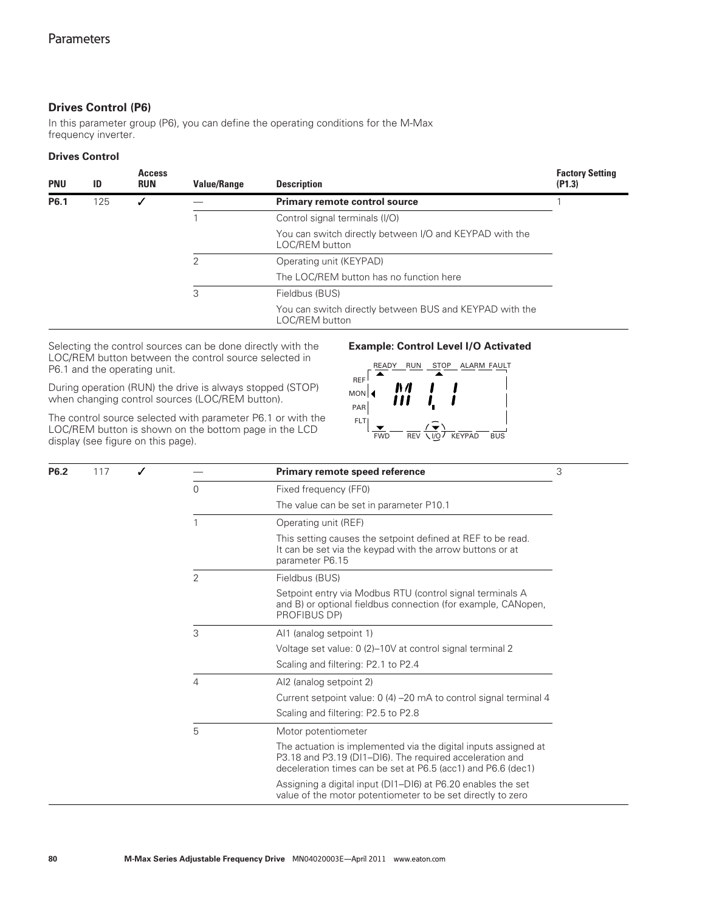## **Drives Control (P6)**

In this parameter group (P6), you can define the operating conditions for the M-Max frequency inverter.

## **Drives Control**

| ID  | <b>Access</b><br><b>RUN</b> | <b>Value/Range</b> | <b>Description</b>                                                        | <b>Factory Setting</b><br>(P1.3) |
|-----|-----------------------------|--------------------|---------------------------------------------------------------------------|----------------------------------|
| 125 |                             |                    | <b>Primary remote control source</b>                                      |                                  |
|     |                             |                    | Control signal terminals (I/O)                                            |                                  |
|     |                             |                    | You can switch directly between I/O and KEYPAD with the<br>LOC/REM button |                                  |
|     |                             | 2                  | Operating unit (KEYPAD)                                                   |                                  |
|     |                             |                    | The LOC/REM button has no function here                                   |                                  |
|     |                             | 3                  | Fieldbus (BUS)                                                            |                                  |
|     |                             |                    | You can switch directly between BUS and KEYPAD with the<br>LOC/REM button |                                  |
|     |                             |                    |                                                                           |                                  |

Selecting the control sources can be done directly with the LOC/REM button between the control source selected in P6.1 and the operating unit.

During operation (RUN) the drive is always stopped (STOP) when changing control sources (LOC/REM button).

The control source selected with parameter P6.1 or with the LOC/REM button is shown on the bottom page in the LCD display (see figure on this page).

**Example: Control Level I/O Activated**



| Fixed frequency (FF0)<br>$\Omega$<br>The value can be set in parameter P10.1<br>Operating unit (REF)<br>This setting causes the setpoint defined at REF to be read.                         |  |
|---------------------------------------------------------------------------------------------------------------------------------------------------------------------------------------------|--|
|                                                                                                                                                                                             |  |
|                                                                                                                                                                                             |  |
|                                                                                                                                                                                             |  |
| It can be set via the keypad with the arrow buttons or at<br>parameter P6.15                                                                                                                |  |
| 2<br>Fieldbus (BUS)                                                                                                                                                                         |  |
| Setpoint entry via Modbus RTU (control signal terminals A<br>and B) or optional fieldbus connection (for example, CANopen,<br>PROFIBUS DP)                                                  |  |
| 3<br>Al1 (analog setpoint 1)                                                                                                                                                                |  |
| Voltage set value: 0 (2)-10V at control signal terminal 2                                                                                                                                   |  |
| Scaling and filtering: P2.1 to P2.4                                                                                                                                                         |  |
| 4<br>Al2 (analog setpoint 2)                                                                                                                                                                |  |
| Current setpoint value: 0 (4) -20 mA to control signal terminal 4                                                                                                                           |  |
| Scaling and filtering: P2.5 to P2.8                                                                                                                                                         |  |
| 5<br>Motor potentiometer                                                                                                                                                                    |  |
| The actuation is implemented via the digital inputs assigned at<br>P3.18 and P3.19 (DI1–DI6). The required acceleration and<br>deceleration times can be set at P6.5 (acc1) and P6.6 (dec1) |  |
| Assigning a digital input (DI1–DI6) at P6.20 enables the set<br>value of the motor potentiometer to be set directly to zero                                                                 |  |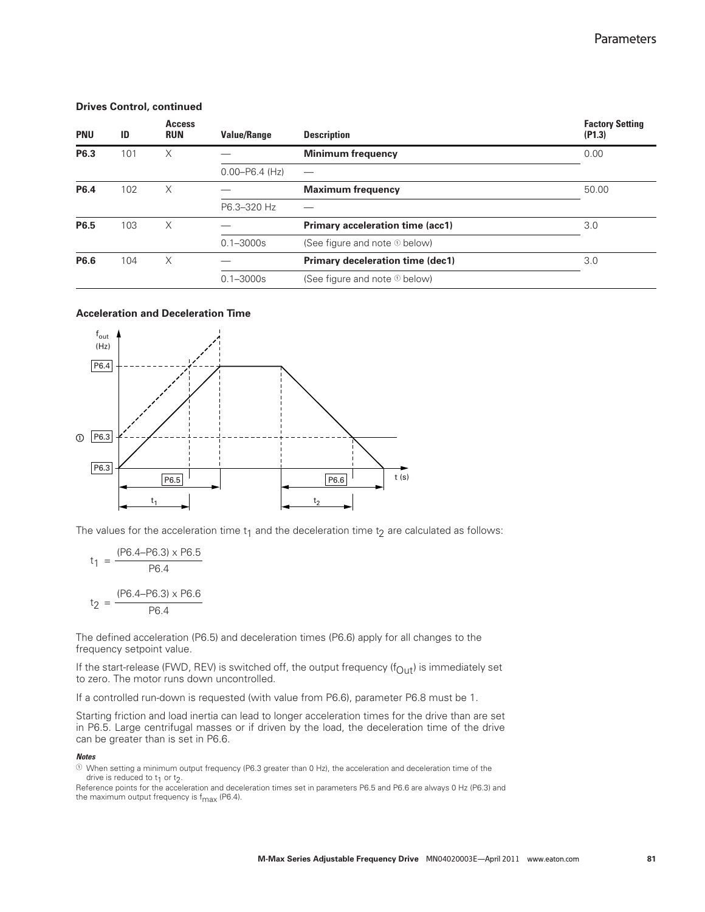| <b>PNU</b>       | ID  | <b>Access</b><br><b>RUN</b> | <b>Value/Range</b> | <b>Description</b>                      | <b>Factory Setting</b><br>(P1.3) |
|------------------|-----|-----------------------------|--------------------|-----------------------------------------|----------------------------------|
| P6.3             | 101 | X                           |                    | <b>Minimum frequency</b>                | 0.00                             |
|                  |     |                             | $0.00 - P6.4$ (Hz) |                                         |                                  |
| P <sub>6.4</sub> | 102 | X                           |                    | <b>Maximum frequency</b>                | 50.00                            |
|                  |     |                             | P6.3-320 Hz        |                                         |                                  |
| P6.5             | 103 | Х                           |                    | <b>Primary acceleration time (acc1)</b> | 3.0                              |
|                  |     |                             | $0.1 - 3000s$      | (See figure and note $\odot$ below)     |                                  |
| P6.6             | 104 | Χ                           |                    | <b>Primary deceleration time (dec1)</b> | 3.0                              |
|                  |     |                             | $0.1 - 3000s$      | (See figure and note $\odot$ below)     |                                  |

#### **Acceleration and Deceleration Time**



The values for the acceleration time  $t_1$  and the deceleration time  $t_2$  are calculated as follows:

$$
t_1 = \frac{(P6.4 - P6.3) \times P6.5}{P6.4}
$$

$$
t_2 = \frac{(P6.4 - P6.3) \times P6.6}{P6.4}
$$

The defined acceleration (P6.5) and deceleration times (P6.6) apply for all changes to the frequency setpoint value.

If the start-release (FWD, REV) is switched off, the output frequency ( $f_{Out}$ ) is immediately set to zero. The motor runs down uncontrolled.

If a controlled run-down is requested (with value from P6.6), parameter P6.8 must be 1.

Starting friction and load inertia can lead to longer acceleration times for the drive than are set in P6.5. Large centrifugal masses or if driven by the load, the deceleration time of the drive can be greater than is set in P6.6.

#### *Notes*

- When setting a minimum output frequency (P6.3 greater than 0 Hz), the acceleration and deceleration time of the drive is reduced to  $t_1$  or  $t_2$ .

Reference points for the acceleration and deceleration times set in parameters P6.5 and P6.6 are always 0 Hz (P6.3) and the maximum output frequency is  $f_{\text{max}}$  (P6.4).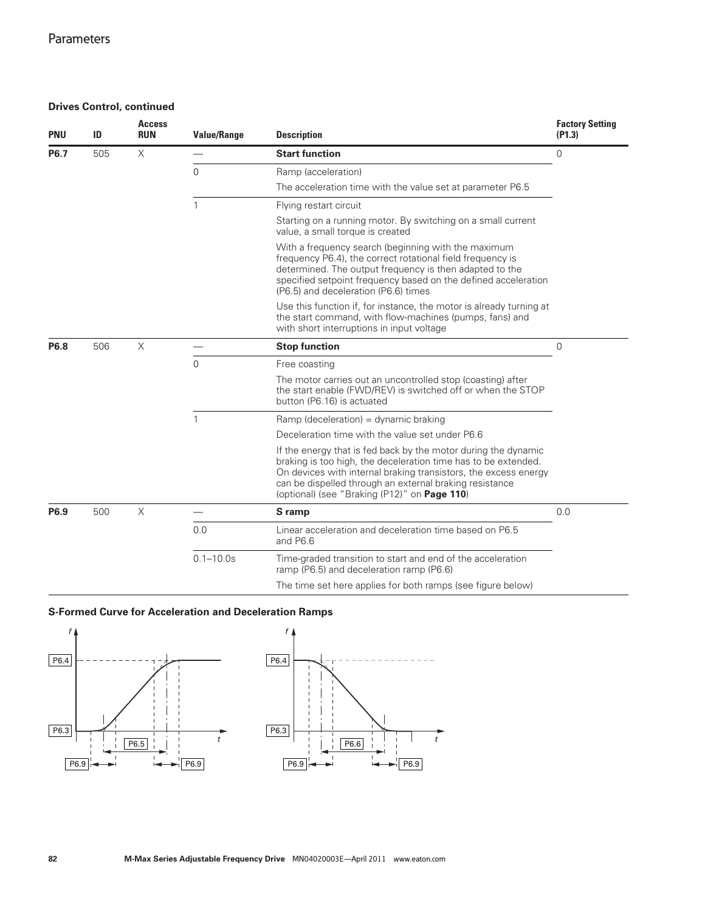| <b>PNU</b> | ID  | <b>Access</b><br><b>RUN</b> | <b>Value/Range</b> | <b>Description</b>                                                                                                                                                                                                                                                                                             | <b>Factory Setting</b><br>(P1.3) |
|------------|-----|-----------------------------|--------------------|----------------------------------------------------------------------------------------------------------------------------------------------------------------------------------------------------------------------------------------------------------------------------------------------------------------|----------------------------------|
| P6.7       | 505 | X                           |                    | <b>Start function</b>                                                                                                                                                                                                                                                                                          | $\Omega$                         |
|            |     |                             | $\overline{0}$     | Ramp (acceleration)                                                                                                                                                                                                                                                                                            |                                  |
|            |     |                             |                    | The acceleration time with the value set at parameter P6.5                                                                                                                                                                                                                                                     |                                  |
|            |     |                             | 1                  | Flying restart circuit                                                                                                                                                                                                                                                                                         |                                  |
|            |     |                             |                    | Starting on a running motor. By switching on a small current<br>value, a small torque is created                                                                                                                                                                                                               |                                  |
|            |     |                             |                    | With a frequency search (beginning with the maximum<br>frequency P6.4), the correct rotational field frequency is<br>determined. The output frequency is then adapted to the<br>specified setpoint frequency based on the defined acceleration<br>(P6.5) and deceleration (P6.6) times                         |                                  |
|            |     |                             |                    | Use this function if, for instance, the motor is already turning at<br>the start command, with flow-machines (pumps, fans) and<br>with short interruptions in input voltage                                                                                                                                    |                                  |
| P6.8       | 506 | X                           |                    | <b>Stop function</b>                                                                                                                                                                                                                                                                                           | $\mathbf 0$                      |
|            |     |                             | $\Omega$           | Free coasting                                                                                                                                                                                                                                                                                                  |                                  |
|            |     |                             |                    | The motor carries out an uncontrolled stop (coasting) after<br>the start enable (FWD/REV) is switched off or when the STOP<br>button (P6.16) is actuated                                                                                                                                                       |                                  |
|            |     |                             | 1                  | Ramp (deceleration) = dynamic braking                                                                                                                                                                                                                                                                          |                                  |
|            |     |                             |                    | Deceleration time with the value set under P6.6                                                                                                                                                                                                                                                                |                                  |
|            |     |                             |                    | If the energy that is fed back by the motor during the dynamic<br>braking is too high, the deceleration time has to be extended.<br>On devices with internal braking transistors, the excess energy<br>can be dispelled through an external braking resistance<br>(optional) (see "Braking (P12)" on Page 110) |                                  |
| P6.9       | 500 | X                           |                    | S ramp                                                                                                                                                                                                                                                                                                         | 0.0                              |
|            |     |                             | 0.0                | Linear acceleration and deceleration time based on P6.5<br>and P6.6                                                                                                                                                                                                                                            |                                  |
|            |     |                             | $0.1 - 10.0s$      | Time-graded transition to start and end of the acceleration<br>ramp (P6.5) and deceleration ramp (P6.6)                                                                                                                                                                                                        |                                  |
|            |     |                             |                    | The time set here applies for both ramps (see figure below)                                                                                                                                                                                                                                                    |                                  |

### **S-Formed Curve for Acceleration and Deceleration Ramps**



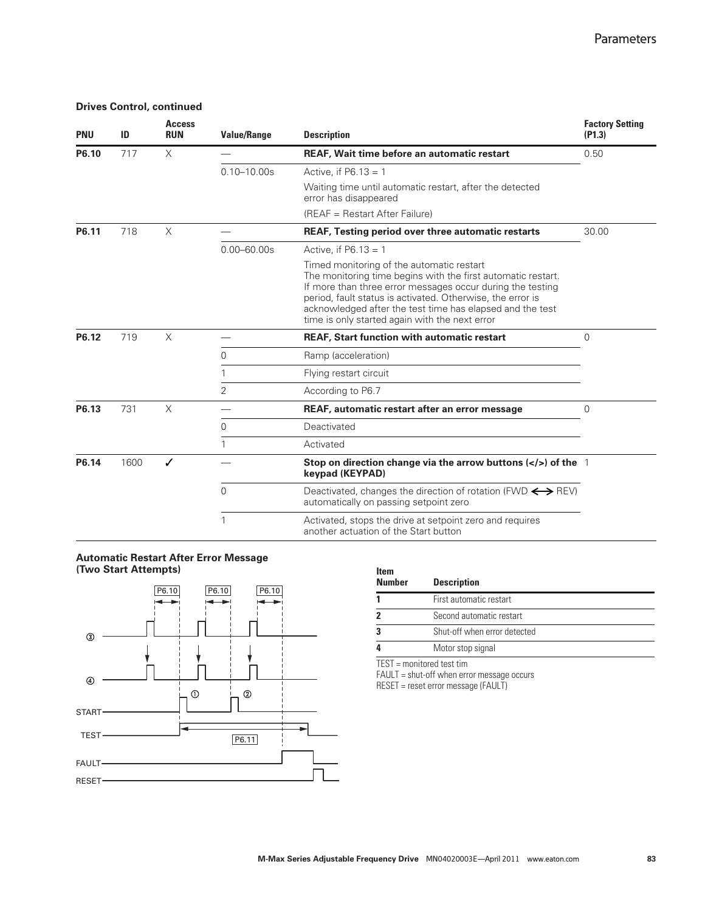| <b>PNU</b> | ID   | <b>Access</b><br><b>RUN</b> | <b>Value/Range</b> | <b>Description</b>                                                                                                                                                                                                                                                                                                                                   | <b>Factory Setting</b><br>(P1.3) |
|------------|------|-----------------------------|--------------------|------------------------------------------------------------------------------------------------------------------------------------------------------------------------------------------------------------------------------------------------------------------------------------------------------------------------------------------------------|----------------------------------|
| P6.10      | 717  | $\times$                    |                    | REAF, Wait time before an automatic restart                                                                                                                                                                                                                                                                                                          | 0.50                             |
|            |      |                             | $0.10 - 10.00s$    | Active, if $P6.13 = 1$                                                                                                                                                                                                                                                                                                                               |                                  |
|            |      |                             |                    | Waiting time until automatic restart, after the detected<br>error has disappeared                                                                                                                                                                                                                                                                    |                                  |
|            |      |                             |                    | (REAF = Restart After Failure)                                                                                                                                                                                                                                                                                                                       |                                  |
| P6.11      | 718  | $\times$                    |                    | <b>REAF, Testing period over three automatic restarts</b>                                                                                                                                                                                                                                                                                            | 30.00                            |
|            |      |                             | $0.00 - 60.00s$    | Active, if $P6.13 = 1$                                                                                                                                                                                                                                                                                                                               |                                  |
|            |      |                             |                    | Timed monitoring of the automatic restart<br>The monitoring time begins with the first automatic restart.<br>If more than three error messages occur during the testing<br>period, fault status is activated. Otherwise, the error is<br>acknowledged after the test time has elapsed and the test<br>time is only started again with the next error |                                  |
| P6.12      | 719  | $\times$                    |                    | REAF, Start function with automatic restart                                                                                                                                                                                                                                                                                                          | $\Omega$                         |
|            |      |                             | $\Omega$           | Ramp (acceleration)                                                                                                                                                                                                                                                                                                                                  |                                  |
|            |      |                             |                    | Flying restart circuit                                                                                                                                                                                                                                                                                                                               |                                  |
|            |      |                             | $\overline{2}$     | According to P6.7                                                                                                                                                                                                                                                                                                                                    |                                  |
| P6.13      | 731  | $\times$                    |                    | REAF, automatic restart after an error message                                                                                                                                                                                                                                                                                                       | $\Omega$                         |
|            |      |                             | 0                  | Deactivated                                                                                                                                                                                                                                                                                                                                          |                                  |
|            |      |                             | 1                  | Activated                                                                                                                                                                                                                                                                                                                                            |                                  |
| P6.14      | 1600 | ✓                           |                    | Stop on direction change via the arrow buttons $\langle \langle \rangle \rangle$ of the 1<br>keypad (KEYPAD)                                                                                                                                                                                                                                         |                                  |
|            |      |                             | 0                  | Deactivated, changes the direction of rotation (FWD $\Longleftrightarrow$ REV)<br>automatically on passing setpoint zero                                                                                                                                                                                                                             |                                  |
|            |      |                             |                    | Activated, stops the drive at setpoint zero and requires<br>another actuation of the Start button                                                                                                                                                                                                                                                    |                                  |

#### **Automatic Restart After Error Message (Two Start Attempts)**



| <b>Item</b><br><b>Number</b> | <b>Description</b>           |
|------------------------------|------------------------------|
|                              | First automatic restart      |
|                              | Second automatic restart     |
|                              | Shut-off when error detected |
|                              | Motor stop signal            |
|                              |                              |

TEST = monitored test tim

FAULT = shut-off when error message occurs RESET = reset error message (FAULT)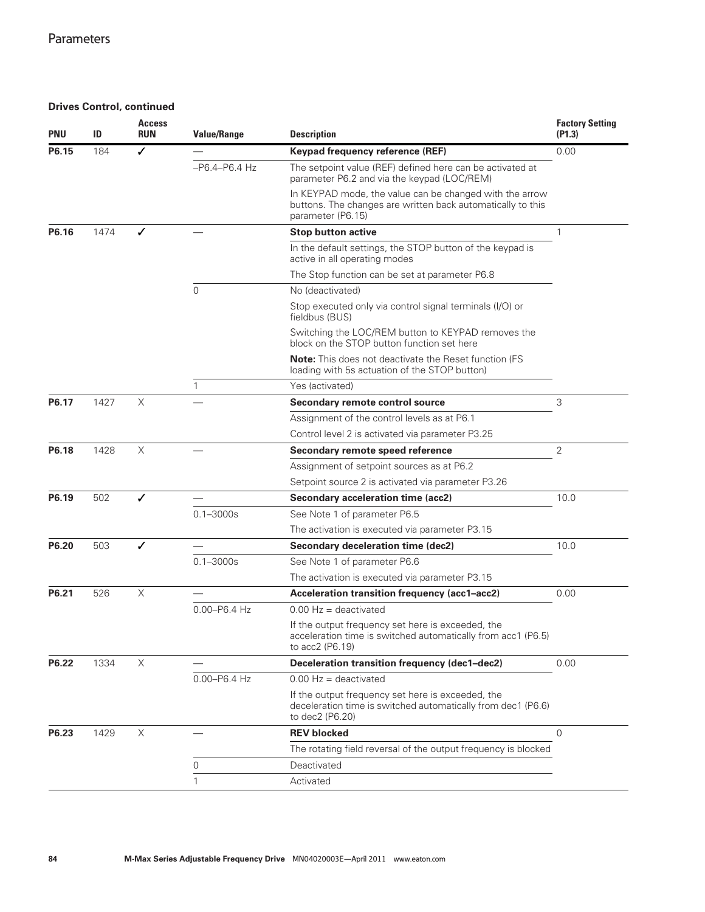| <b>PNU</b> | ID   | <b>Access</b><br><b>RUN</b> | <b>Value/Range</b> | <b>Description</b>                                                                                                                          | <b>Factory Setting</b><br>(P1.3) |
|------------|------|-----------------------------|--------------------|---------------------------------------------------------------------------------------------------------------------------------------------|----------------------------------|
| P6.15      | 184  | ✓                           |                    | Keypad frequency reference (REF)                                                                                                            | 0.00                             |
|            |      |                             | $-P6.4-P6.4 Hz$    | The setpoint value (REF) defined here can be activated at<br>parameter P6.2 and via the keypad (LOC/REM)                                    |                                  |
|            |      |                             |                    | In KEYPAD mode, the value can be changed with the arrow<br>buttons. The changes are written back automatically to this<br>parameter (P6.15) |                                  |
| P6.16      | 1474 | ✓                           |                    | <b>Stop button active</b>                                                                                                                   | 1                                |
|            |      |                             |                    | In the default settings, the STOP button of the keypad is<br>active in all operating modes                                                  |                                  |
|            |      |                             |                    | The Stop function can be set at parameter P6.8                                                                                              |                                  |
|            |      |                             | $\mathbf 0$        | No (deactivated)                                                                                                                            |                                  |
|            |      |                             |                    | Stop executed only via control signal terminals (I/O) or<br>fieldbus (BUS)                                                                  |                                  |
|            |      |                             |                    | Switching the LOC/REM button to KEYPAD removes the<br>block on the STOP button function set here                                            |                                  |
|            |      |                             |                    | <b>Note:</b> This does not deactivate the Reset function (FS<br>loading with 5s actuation of the STOP button)                               |                                  |
|            |      |                             | $\mathbf{1}$       | Yes (activated)                                                                                                                             |                                  |
| P6.17      | 1427 | $\times$                    |                    | Secondary remote control source                                                                                                             | 3                                |
|            |      |                             |                    | Assignment of the control levels as at P6.1                                                                                                 |                                  |
|            |      |                             |                    | Control level 2 is activated via parameter P3.25                                                                                            |                                  |
| P6.18      | 1428 | X                           |                    | Secondary remote speed reference                                                                                                            | $\overline{2}$                   |
|            |      |                             |                    | Assignment of setpoint sources as at P6.2                                                                                                   |                                  |
|            |      |                             |                    | Setpoint source 2 is activated via parameter P3.26                                                                                          |                                  |
| P6.19      | 502  | ✓                           |                    | Secondary acceleration time (acc2)                                                                                                          | 10.0                             |
|            |      |                             | $0.1 - 3000s$      | See Note 1 of parameter P6.5                                                                                                                |                                  |
|            |      |                             |                    | The activation is executed via parameter P3.15                                                                                              |                                  |
| P6.20      | 503  | ✓                           |                    | Secondary deceleration time (dec2)                                                                                                          | 10.0                             |
|            |      |                             | $0.1 - 3000s$      | See Note 1 of parameter P6.6                                                                                                                |                                  |
|            |      |                             |                    | The activation is executed via parameter P3.15                                                                                              |                                  |
| P6.21      | 526  | X                           |                    | Acceleration transition frequency (acc1-acc2)                                                                                               | 0.00                             |
|            |      |                             | 0.00-P6.4 Hz       | $0.00$ Hz = deactivated                                                                                                                     |                                  |
|            |      |                             |                    | If the output frequency set here is exceeded, the<br>acceleration time is switched automatically from acc1 (P6.5)<br>to acc2 (P6.19)        |                                  |
| P6.22      | 1334 | Χ                           |                    | Deceleration transition frequency (dec1-dec2)                                                                                               | 0.00                             |
|            |      |                             | 0.00-P6.4 Hz       | $0.00$ Hz = deactivated                                                                                                                     |                                  |
|            |      |                             |                    | If the output frequency set here is exceeded, the<br>deceleration time is switched automatically from dec1 (P6.6)<br>to dec2 (P6.20)        |                                  |
| P6.23      | 1429 | X                           |                    | <b>REV blocked</b>                                                                                                                          | $\mathbf 0$                      |
|            |      |                             |                    | The rotating field reversal of the output frequency is blocked                                                                              |                                  |
|            |      |                             | 0                  | Deactivated                                                                                                                                 |                                  |
|            |      |                             |                    | Activated                                                                                                                                   |                                  |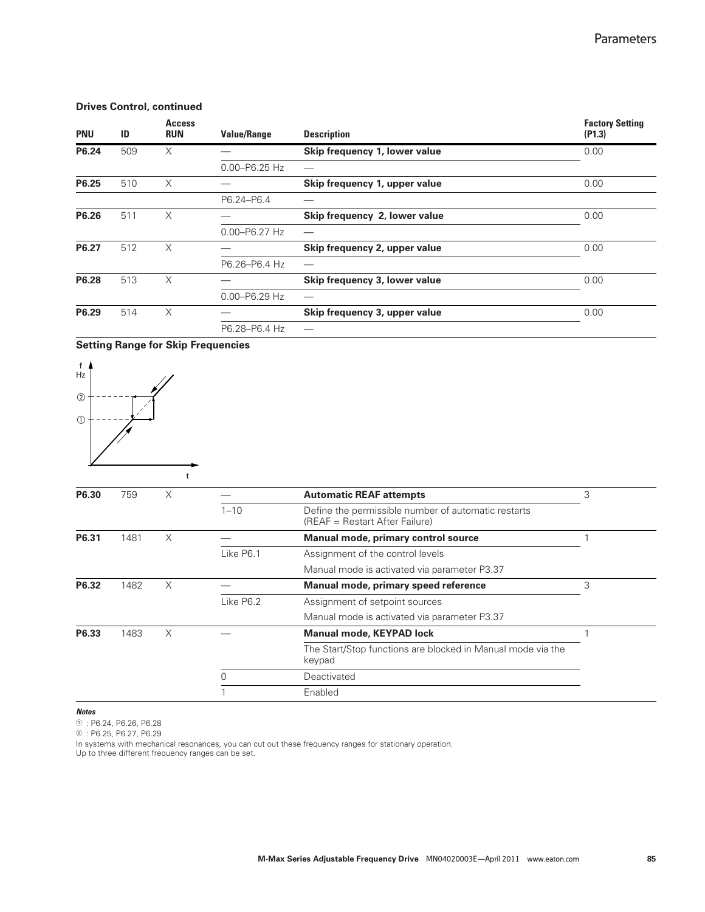| <b>PNU</b> | ID  | <b>Access</b><br><b>RUN</b> | <b>Value/Range</b> | <b>Description</b>            | <b>Factory Setting</b><br>(P1.3) |
|------------|-----|-----------------------------|--------------------|-------------------------------|----------------------------------|
| P6.24      | 509 | X                           |                    | Skip frequency 1, lower value | 0.00                             |
|            |     |                             | $0.00 - P6.25$ Hz  |                               |                                  |
| P6.25      | 510 | X                           |                    | Skip frequency 1, upper value | 0.00                             |
|            |     |                             | P6.24-P6.4         |                               |                                  |
| P6.26      | 511 | X                           |                    | Skip frequency 2, lower value | 0.00                             |
|            |     |                             | $0.00 - P6.27$ Hz  |                               |                                  |
| P6.27      | 512 | X                           |                    | Skip frequency 2, upper value | 0.00                             |
|            |     |                             | P6.26-P6.4 Hz      |                               |                                  |
| P6.28      | 513 | X                           |                    | Skip frequency 3, lower value | 0.00                             |
|            |     |                             | $0.00 - P6.29$ Hz  |                               |                                  |
| P6.29      | 514 | X                           |                    | Skip frequency 3, upper value | 0.00                             |
|            |     |                             | P6.28-P6.4 Hz      |                               |                                  |

## **Setting Range for Skip Frequencies**



| P6.30 | 759  | Χ |           | <b>Automatic REAF attempts</b>                                                        | 3 |
|-------|------|---|-----------|---------------------------------------------------------------------------------------|---|
|       |      |   | $1 - 10$  | Define the permissible number of automatic restarts<br>(REAF = Restart After Failure) |   |
| P6.31 | 1481 | X |           | Manual mode, primary control source                                                   |   |
|       |      |   | Like P6.1 | Assignment of the control levels                                                      |   |
|       |      |   |           | Manual mode is activated via parameter P3.37                                          |   |
| P6.32 | 1482 | X |           | Manual mode, primary speed reference                                                  | 3 |
|       |      |   | Like P6.2 | Assignment of setpoint sources                                                        |   |
|       |      |   |           | Manual mode is activated via parameter P3.37                                          |   |
| P6.33 | 1483 | X |           | <b>Manual mode, KEYPAD lock</b>                                                       |   |
|       |      |   |           | The Start/Stop functions are blocked in Manual mode via the<br>keypad                 |   |
|       |      |   |           | Deactivated                                                                           |   |
|       |      |   |           | Enabled                                                                               |   |

#### *Notes*

 $^{\circledR}$  : P6.24, P6.26, P6.28

: P6.25, P6.27, P6.29

In systems with mechanical resonances, you can cut out these frequency ranges for stationary operation.

Up to three different frequency ranges can be set.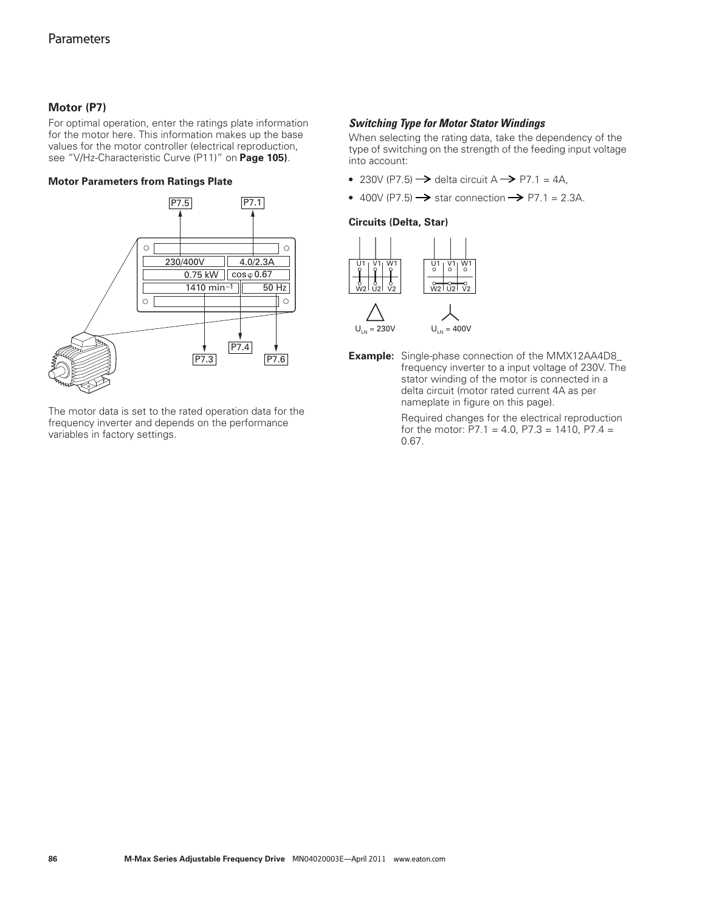## **Motor (P7)**

For optimal operation, enter the ratings plate information for the motor here. This information makes up the base values for the motor controller (electrical reproduction, see "V/Hz-Characteristic Curve (P11)" on **Page 105)**.

### **Motor Parameters from Ratings Plate**



The motor data is set to the rated operation data for the frequency inverter and depends on the performance variables in factory settings.

### *Switching Type for Motor Stator Windings*

When selecting the rating data, take the dependency of the type of switching on the strength of the feeding input voltage into account:

- 230V (P7.5)  $\rightarrow$  delta circuit A  $\rightarrow$  P7.1 = 4A,
- 400V (P7.5)  $\rightarrow$  star connection  $\rightarrow$  P7.1 = 2.3A.

#### **Circuits (Delta, Star)**

| W <sub>1</sub><br>V <sub>1</sub>                 | $\frac{W1}{0}$<br>$\frac{01}{6}$<br>$\sqrt{\frac{1}{10}}$ |
|--------------------------------------------------|-----------------------------------------------------------|
| $\frac{6}{102}$ $\frac{6}{12}$<br>$\frac{6}{12}$ | $\sqrt{21021}$ $\sqrt{2}$                                 |
|                                                  |                                                           |

 $U_{LN} = 230V$  $U_{LN} = 400V$ 

**Example:** Single-phase connection of the MMX12AA4D8\_ frequency inverter to a input voltage of 230V. The stator winding of the motor is connected in a delta circuit (motor rated current 4A as per nameplate in figure on this page).

> Required changes for the electrical reproduction for the motor:  $\overline{P}7.1 = 4.0$ ,  $\overline{P}7.3 = 1410$ ,  $\overline{P}7.4 =$ 0.67.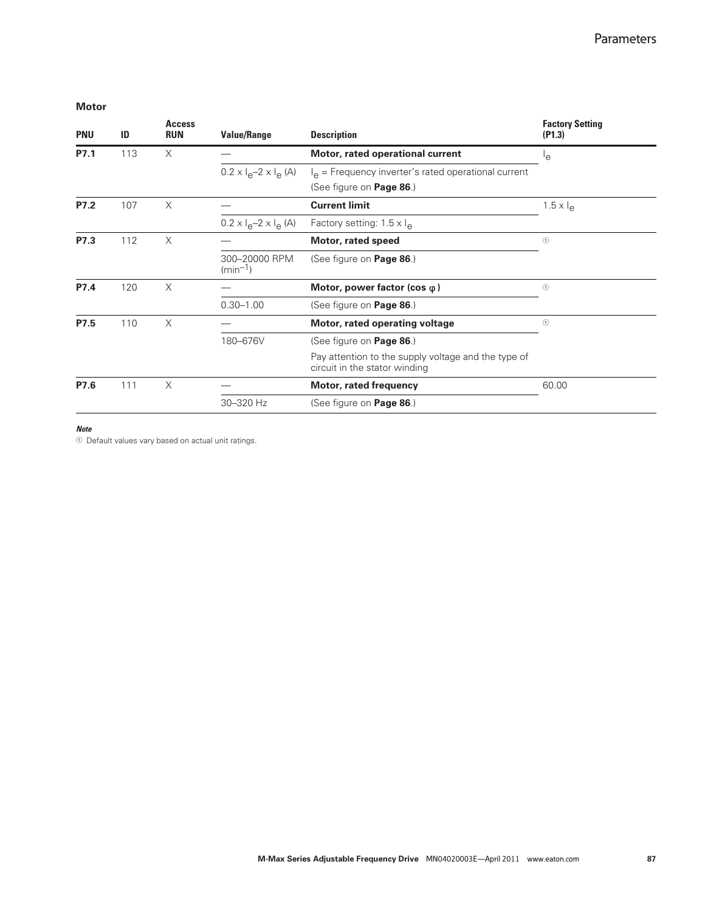#### **Motor**

| <b>PNU</b> | ID  | <b>Access</b><br><b>RUN</b> | <b>Value/Range</b>                              | <b>Description</b>                                                                   | <b>Factory Setting</b><br>(P1.3) |
|------------|-----|-----------------------------|-------------------------------------------------|--------------------------------------------------------------------------------------|----------------------------------|
| P7.1       | 113 | X                           |                                                 | Motor, rated operational current                                                     | ۾ ا                              |
|            |     |                             | $0.2 \times I_e - 2 \times I_e$ (A)             | $I_{\odot}$ = Frequency inverter's rated operational current                         |                                  |
|            |     |                             |                                                 | (See figure on Page 86.)                                                             |                                  |
| P7.2       | 107 | X                           |                                                 | <b>Current limit</b>                                                                 | $1.5 \times Ig$                  |
|            |     |                             | $0.2 \times I_{\odot} - 2 \times I_{\odot}$ (A) | Factory setting: $1.5 \times Ia$                                                     |                                  |
| P7.3       | 112 | X                           |                                                 | Motor, rated speed                                                                   | $\circ$                          |
|            |     |                             | 300-20000 RPM<br>$(min^{-1})$                   | (See figure on <b>Page 86</b> .)                                                     |                                  |
| P7.4       | 120 | X                           |                                                 | Motor, power factor (cos $\varphi$ )                                                 | $\circ$                          |
|            |     |                             | $0.30 - 1.00$                                   | (See figure on <b>Page 86</b> .)                                                     |                                  |
| P7.5       | 110 | X                           |                                                 | Motor, rated operating voltage                                                       | $\odot$                          |
|            |     |                             | 180-676V                                        | (See figure on <b>Page 86</b> .)                                                     |                                  |
|            |     |                             |                                                 | Pay attention to the supply voltage and the type of<br>circuit in the stator winding |                                  |
| P7.6       | 111 | $\times$                    |                                                 | <b>Motor, rated frequency</b>                                                        | 60.00                            |
|            |     |                             | 30-320 Hz                                       | (See figure on <b>Page 86</b> .)                                                     |                                  |
|            |     |                             |                                                 |                                                                                      |                                  |

#### *Note*

 $\textcircled{\tiny{1}}$  Default values vary based on actual unit ratings.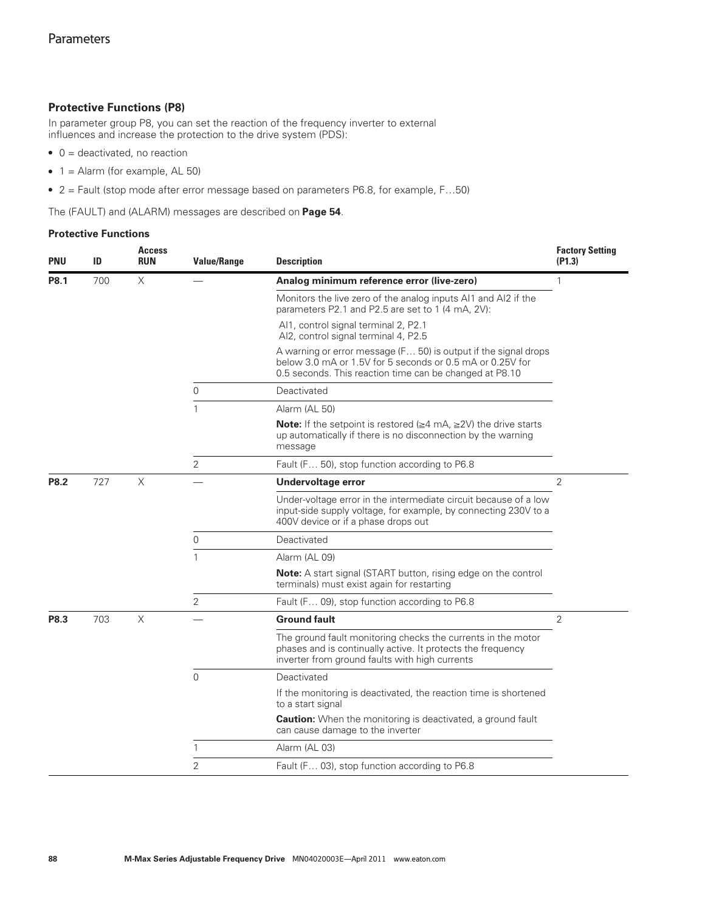## **Protective Functions (P8)**

In parameter group P8, you can set the reaction of the frequency inverter to external influences and increase the protection to the drive system (PDS):

- $\bullet$  0 = deactivated, no reaction
- $\bullet$  1 = Alarm (for example, AL 50)
- 2 = Fault (stop mode after error message based on parameters P6.8, for example, F...50)

The (FAULT) and (ALARM) messages are described on **Page 54**.

## **Protective Functions**

| <b>PNU</b>  | ID  | Access<br><b>RUN</b>      | <b>Value/Range</b> | <b>Description</b>                                                                                                                                                                      | <b>Factory Setting</b><br>(P1.3) |
|-------------|-----|---------------------------|--------------------|-----------------------------------------------------------------------------------------------------------------------------------------------------------------------------------------|----------------------------------|
| P8.1        | 700 | $\boldsymbol{\mathsf{X}}$ |                    | Analog minimum reference error (live-zero)                                                                                                                                              | $\mathbf{1}$                     |
|             |     |                           |                    | Monitors the live zero of the analog inputs Al1 and Al2 if the<br>parameters P2.1 and P2.5 are set to 1 (4 mA, 2V):                                                                     |                                  |
|             |     |                           |                    | Al1, control signal terminal 2, P2.1<br>Al2, control signal terminal 4, P2.5                                                                                                            |                                  |
|             |     |                           |                    | A warning or error message (F 50) is output if the signal drops<br>below 3.0 mA or 1.5V for 5 seconds or 0.5 mA or 0.25V for<br>0.5 seconds. This reaction time can be changed at P8.10 |                                  |
|             |     |                           | $\mathbf 0$        | Deactivated                                                                                                                                                                             |                                  |
|             |     |                           | $\mathbf{1}$       | Alarm (AL 50)                                                                                                                                                                           |                                  |
|             |     |                           |                    | <b>Note:</b> If the setpoint is restored ( $\geq 4$ mA, $\geq 2V$ ) the drive starts<br>up automatically if there is no disconnection by the warning<br>message                         |                                  |
|             |     |                           | 2                  | Fault (F 50), stop function according to P6.8                                                                                                                                           |                                  |
| <b>P8.2</b> | 727 | $\times$                  |                    | Undervoltage error                                                                                                                                                                      | $\overline{2}$                   |
|             |     |                           |                    | Under-voltage error in the intermediate circuit because of a low<br>input-side supply voltage, for example, by connecting 230V to a<br>400V device or if a phase drops out              |                                  |
|             |     |                           | 0                  | Deactivated                                                                                                                                                                             |                                  |
|             |     |                           | $\mathbf{1}$       | Alarm (AL 09)                                                                                                                                                                           |                                  |
|             |     |                           |                    | <b>Note:</b> A start signal (START button, rising edge on the control<br>terminals) must exist again for restarting                                                                     |                                  |
|             |     |                           | 2                  | Fault (F 09), stop function according to P6.8                                                                                                                                           |                                  |
| P8.3        | 703 | X                         |                    | <b>Ground fault</b>                                                                                                                                                                     | $\overline{2}$                   |
|             |     |                           |                    | The ground fault monitoring checks the currents in the motor<br>phases and is continually active. It protects the frequency<br>inverter from ground faults with high currents           |                                  |
|             |     |                           | $\overline{0}$     | Deactivated                                                                                                                                                                             |                                  |
|             |     |                           |                    | If the monitoring is deactivated, the reaction time is shortened<br>to a start signal                                                                                                   |                                  |
|             |     |                           |                    | <b>Caution:</b> When the monitoring is deactivated, a ground fault<br>can cause damage to the inverter                                                                                  |                                  |
|             |     |                           | $\mathbf{1}$       | Alarm (AL 03)                                                                                                                                                                           |                                  |
|             |     |                           | 2                  | Fault (F 03), stop function according to P6.8                                                                                                                                           |                                  |
|             |     |                           |                    |                                                                                                                                                                                         |                                  |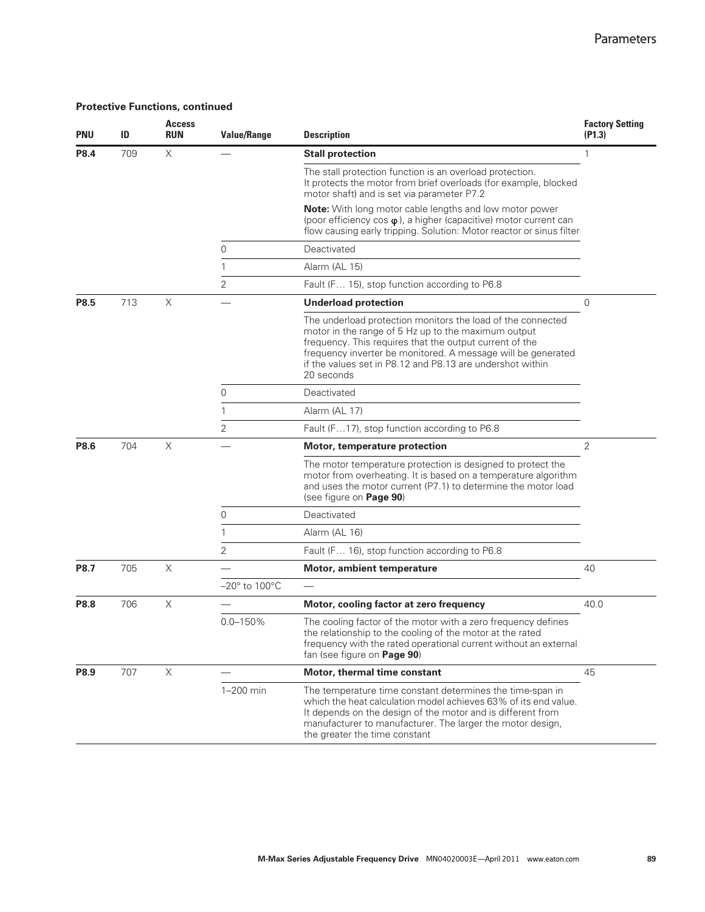### **Protective Functions, continued**

| <b>PNU</b>  | ID  | <b>Access</b><br><b>RUN</b> | <b>Value/Range</b>              | <b>Description</b>                                                                                                                                                                                                                                                                                                       | <b>Factory Setting</b><br>(P1.3) |
|-------------|-----|-----------------------------|---------------------------------|--------------------------------------------------------------------------------------------------------------------------------------------------------------------------------------------------------------------------------------------------------------------------------------------------------------------------|----------------------------------|
| <b>P8.4</b> | 709 | X                           |                                 | <b>Stall protection</b>                                                                                                                                                                                                                                                                                                  | 1                                |
|             |     |                             |                                 | The stall protection function is an overload protection.<br>It protects the motor from brief overloads (for example, blocked<br>motor shaft) and is set via parameter P7.2                                                                                                                                               |                                  |
|             |     |                             |                                 | <b>Note:</b> With long motor cable lengths and low motor power<br>(poor efficiency cos $\varphi$ ), a higher (capacitive) motor current can<br>flow causing early tripping. Solution: Motor reactor or sinus filter                                                                                                      |                                  |
|             |     |                             | $\Omega$                        | Deactivated                                                                                                                                                                                                                                                                                                              |                                  |
|             |     |                             | 1                               | Alarm (AL 15)                                                                                                                                                                                                                                                                                                            |                                  |
|             |     |                             | 2                               | Fault (F 15), stop function according to P6.8                                                                                                                                                                                                                                                                            |                                  |
| <b>P8.5</b> | 713 | $\times$                    |                                 | <b>Underload protection</b>                                                                                                                                                                                                                                                                                              | 0                                |
|             |     |                             |                                 | The underload protection monitors the load of the connected<br>motor in the range of 5 Hz up to the maximum output<br>frequency. This requires that the output current of the<br>frequency inverter be monitored. A message will be generated<br>if the values set in P8.12 and P8.13 are undershot within<br>20 seconds |                                  |
|             |     |                             | 0                               | Deactivated                                                                                                                                                                                                                                                                                                              |                                  |
|             |     |                             | 1                               | Alarm (AL 17)                                                                                                                                                                                                                                                                                                            |                                  |
|             |     |                             | 2                               | Fault (F17), stop function according to P6.8                                                                                                                                                                                                                                                                             |                                  |
| P8.6        | 704 | Χ                           |                                 | Motor, temperature protection                                                                                                                                                                                                                                                                                            | 2                                |
|             |     |                             |                                 | The motor temperature protection is designed to protect the<br>motor from overheating. It is based on a temperature algorithm<br>and uses the motor current (P7.1) to determine the motor load<br>(see figure on Page 90)                                                                                                |                                  |
|             |     |                             | 0                               | Deactivated                                                                                                                                                                                                                                                                                                              |                                  |
|             |     |                             | 1                               | Alarm (AL 16)                                                                                                                                                                                                                                                                                                            |                                  |
|             |     |                             | $\overline{2}$                  | Fault (F 16), stop function according to P6.8                                                                                                                                                                                                                                                                            |                                  |
| P8.7        | 705 | X                           |                                 | Motor, ambient temperature                                                                                                                                                                                                                                                                                               | 40                               |
|             |     |                             | $-20^\circ$ to 100 $^{\circ}$ C |                                                                                                                                                                                                                                                                                                                          |                                  |
| P8.8        | 706 | X                           |                                 | Motor, cooling factor at zero frequency                                                                                                                                                                                                                                                                                  | 40.0                             |
|             |     |                             | $0.0 - 150%$                    | The cooling factor of the motor with a zero frequency defines<br>the relationship to the cooling of the motor at the rated<br>frequency with the rated operational current without an external<br>fan (see figure on Page 90)                                                                                            |                                  |
| P8.9        | 707 | X                           |                                 | Motor, thermal time constant                                                                                                                                                                                                                                                                                             | 45                               |
|             |     |                             | 1-200 min                       | The temperature time constant determines the time-span in<br>which the heat calculation model achieves 63% of its end value.<br>It depends on the design of the motor and is different from<br>manufacturer to manufacturer. The larger the motor design,<br>the greater the time constant                               |                                  |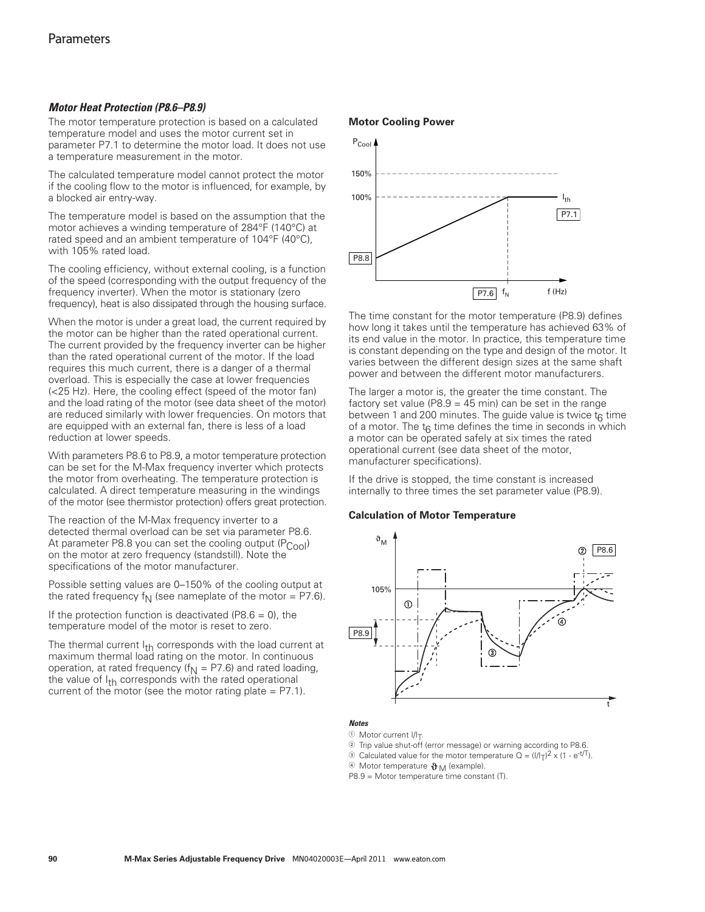### *Motor Heat Protection (P8.6–P8.9)*

The motor temperature protection is based on a calculated temperature model and uses the motor current set in parameter P7.1 to determine the motor load. It does not use a temperature measurement in the motor.

The calculated temperature model cannot protect the motor if the cooling flow to the motor is influenced, for example, by a blocked air entry-way.

The temperature model is based on the assumption that the motor achieves a winding temperature of 284°F (140°C) at rated speed and an ambient temperature of 104°F (40°C), with 105% rated load.

The cooling efficiency, without external cooling, is a function of the speed (corresponding with the output frequency of the frequency inverter). When the motor is stationary (zero frequency), heat is also dissipated through the housing surface.

When the motor is under a great load, the current required by the motor can be higher than the rated operational current. The current provided by the frequency inverter can be higher than the rated operational current of the motor. If the load requires this much current, there is a danger of a thermal overload. This is especially the case at lower frequencies (<25 Hz). Here, the cooling effect (speed of the motor fan) and the load rating of the motor (see data sheet of the motor) are reduced similarly with lower frequencies. On motors that are equipped with an external fan, there is less of a load reduction at lower speeds.

With parameters P8.6 to P8.9, a motor temperature protection can be set for the M-Max frequency inverter which protects the motor from overheating. The temperature protection is calculated. A direct temperature measuring in the windings of the motor (see thermistor protection) offers great protection.

The reaction of the M-Max frequency inverter to a detected thermal overload can be set via parameter P8.6. At parameter P8.8 you can set the cooling output  $(P_{Cool})$ on the motor at zero frequency (standstill). Note the specifications of the motor manufacturer.

Possible setting values are 0–150% of the cooling output at the rated frequency  $f_{\text{N}}$  (see nameplate of the motor = P7.6).

If the protection function is deactivated ( $P8.6 = 0$ ), the temperature model of the motor is reset to zero.

The thermal current  $I_{th}$  corresponds with the load current at maximum thermal load rating on the motor. In continuous operation, at rated frequency ( $f_N$  = P7.6) and rated loading, the value of  $I_{th}$  corresponds with the rated operational current of the motor (see the motor rating plate  $=$  P7.1).

#### **Motor Cooling Power**



The time constant for the motor temperature (P8.9) defines how long it takes until the temperature has achieved 63% of its end value in the motor. In practice, this temperature time is constant depending on the type and design of the motor. It varies between the different design sizes at the same shaft power and between the different motor manufacturers.

The larger a motor is, the greater the time constant. The factory set value ( $P8.9 = 45$  min) can be set in the range between 1 and 200 minutes. The guide value is twice  $t<sub>6</sub>$  time of a motor. The  $t_6$  time defines the time in seconds in which a motor can be operated safely at six times the rated operational current (see data sheet of the motor, manufacturer specifications).

If the drive is stopped, the time constant is increased internally to three times the set parameter value (P8.9).

#### **Calculation of Motor Temperature**



*Notes*

<sup>1</sup> Motor current I/I<sub>T</sub>.

Trip value shut-off (error message) or warning according to P8.6.

**3** Calculated value for the motor temperature  $Q = (I/I_T)^2 \times (1 - e^{-t/T})$ .

 $\circledast$  Motor temperature  $\vartheta$  M (example).

P8.9 = Motor temperature time constant (T).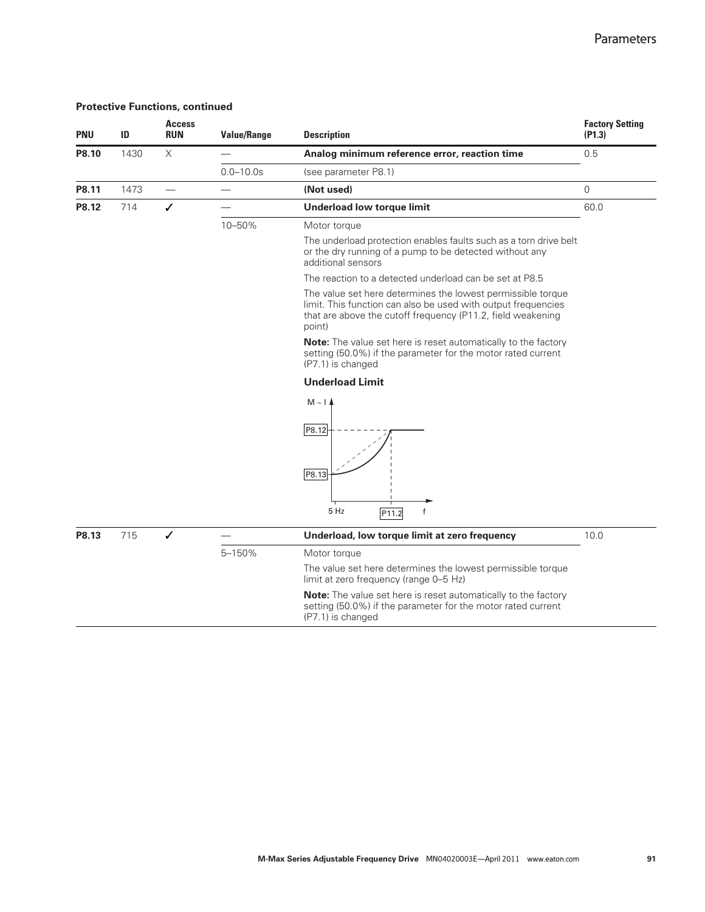## **Protective Functions, continued**

| <b>PNU</b> | ID   | <b>Access</b><br><b>RUN</b> | <b>Value/Range</b>       | <b>Description</b>                                                                                                                                                                                    | <b>Factory Setting</b><br>(P1.3) |  |  |  |                        |
|------------|------|-----------------------------|--------------------------|-------------------------------------------------------------------------------------------------------------------------------------------------------------------------------------------------------|----------------------------------|--|--|--|------------------------|
| P8.10      | 1430 | $\times$                    | $\overline{\phantom{0}}$ | Analog minimum reference error, reaction time                                                                                                                                                         | 0.5                              |  |  |  |                        |
|            |      |                             | $0.0 - 10.0s$            | (see parameter P8.1)                                                                                                                                                                                  |                                  |  |  |  |                        |
| P8.11      | 1473 |                             | $\overline{\phantom{0}}$ | (Not used)                                                                                                                                                                                            | $\mathbf 0$                      |  |  |  |                        |
| P8.12      | 714  | ✓                           |                          | <b>Underload low torque limit</b>                                                                                                                                                                     | 60.0                             |  |  |  |                        |
|            |      |                             | 10-50%                   | Motor torque                                                                                                                                                                                          |                                  |  |  |  |                        |
|            |      |                             |                          | The underload protection enables faults such as a torn drive belt<br>or the dry running of a pump to be detected without any<br>additional sensors                                                    |                                  |  |  |  |                        |
|            |      |                             |                          | The reaction to a detected underload can be set at P8.5                                                                                                                                               |                                  |  |  |  |                        |
|            |      |                             |                          | The value set here determines the lowest permissible torque<br>limit. This function can also be used with output frequencies<br>that are above the cutoff frequency (P11.2, field weakening<br>point) |                                  |  |  |  |                        |
|            |      |                             |                          | <b>Note:</b> The value set here is reset automatically to the factory<br>setting (50.0%) if the parameter for the motor rated current<br>(P7.1) is changed                                            |                                  |  |  |  |                        |
|            |      |                             |                          |                                                                                                                                                                                                       |                                  |  |  |  | <b>Underload Limit</b> |
|            |      |                             |                          | $M \sim 11$<br>P8.12<br>P8.13<br>5 Hz<br>$\mathsf f$<br>P11.2                                                                                                                                         |                                  |  |  |  |                        |
| P8.13      | 715  | ✓                           |                          | Underload, low torque limit at zero frequency                                                                                                                                                         | 10.0                             |  |  |  |                        |
|            |      |                             | 5-150%                   | Motor torque                                                                                                                                                                                          |                                  |  |  |  |                        |
|            |      |                             |                          | The value set here determines the lowest permissible torque<br>limit at zero frequency (range 0-5 Hz)                                                                                                 |                                  |  |  |  |                        |
|            |      |                             |                          | Note: The value set here is reset automatically to the factory<br>setting (50.0%) if the parameter for the motor rated current<br>(P7.1) is changed                                                   |                                  |  |  |  |                        |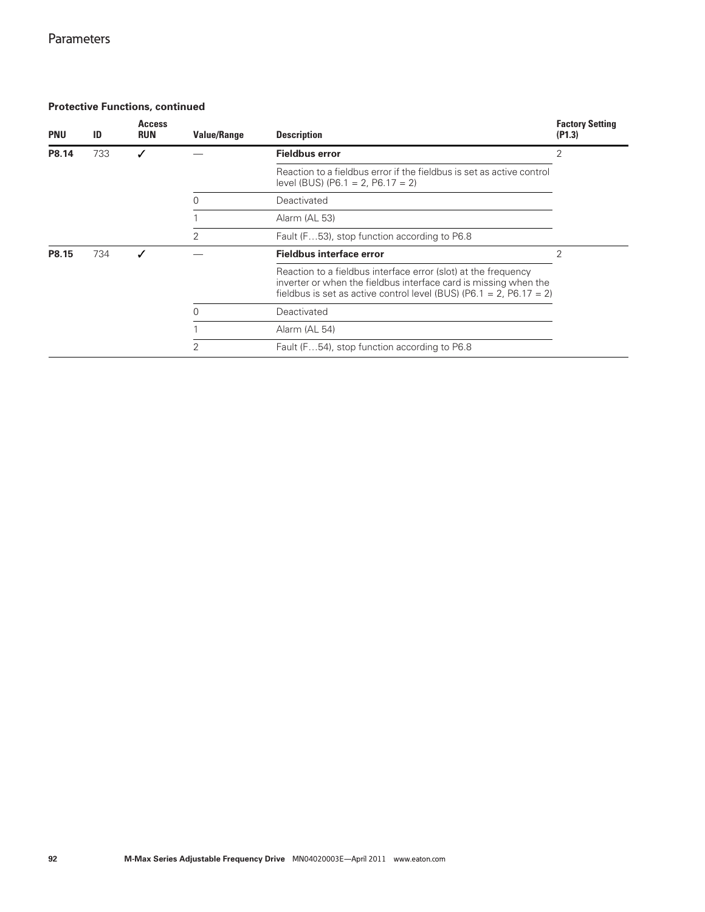## **Protective Functions, continued**

| <b>PNU</b> | ID  | <b>Access</b><br><b>RUN</b> | <b>Value/Range</b> | <b>Description</b>                                                                                                                                                                                        | <b>Factory Setting</b><br>(P1.3) |
|------------|-----|-----------------------------|--------------------|-----------------------------------------------------------------------------------------------------------------------------------------------------------------------------------------------------------|----------------------------------|
| P8.14      | 733 |                             |                    | <b>Fieldbus error</b>                                                                                                                                                                                     | 2                                |
|            |     |                             |                    | Reaction to a fieldbus error if the fieldbus is set as active control<br>level (BUS) (P6.1 = 2, P6.17 = 2)                                                                                                |                                  |
|            |     |                             |                    | Deactivated                                                                                                                                                                                               |                                  |
|            |     |                             |                    | Alarm (AL 53)                                                                                                                                                                                             |                                  |
|            |     |                             | 2                  | Fault (F53), stop function according to P6.8                                                                                                                                                              |                                  |
| P8.15      | 734 |                             |                    | Fieldbus interface error                                                                                                                                                                                  | $\overline{2}$                   |
|            |     |                             |                    | Reaction to a fieldbus interface error (slot) at the frequency<br>inverter or when the fieldbus interface card is missing when the<br>fieldbus is set as active control level (BUS) (P6.1 = 2, P6.17 = 2) |                                  |
|            |     |                             | 0                  | Deactivated                                                                                                                                                                                               |                                  |
|            |     |                             |                    | Alarm (AL 54)                                                                                                                                                                                             |                                  |
|            |     |                             | 2                  | Fault (F54), stop function according to P6.8                                                                                                                                                              |                                  |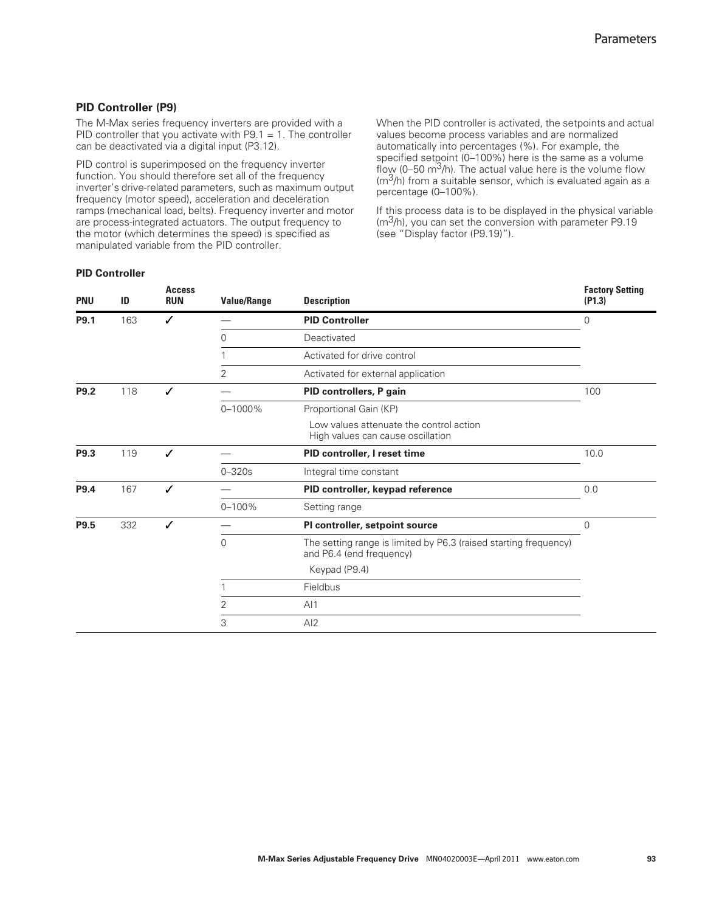# **PID Controller (P9)**

The M-Max series frequency inverters are provided with a PID controller that you activate with  $P9.1 = 1$ . The controller can be deactivated via a digital input (P3.12).

PID control is superimposed on the frequency inverter function. You should therefore set all of the frequency inverter's drive-related parameters, such as maximum output frequency (motor speed), acceleration and deceleration ramps (mechanical load, belts). Frequency inverter and motor are process-integrated actuators. The output frequency to the motor (which determines the speed) is specified as manipulated variable from the PID controller.

When the PID controller is activated, the setpoints and actual values become process variables and are normalized automatically into percentages (%). For example, the specified setpoint (0-100%) here is the same as a volume flow (0–50  $\text{m}^3$ /h). The actual value here is the volume flow  $(m<sup>3</sup>/h)$  from a suitable sensor, which is evaluated again as a percentage (0–100%).

If this process data is to be displayed in the physical variable  $(m<sup>3</sup>/h)$ , you can set the conversion with parameter P9.19 (see "Display factor (P9.19)").

# **PID Controller**

| <b>PNU</b> | ID  | <b>Access</b><br><b>RUN</b> | <b>Value/Range</b> | <b>Description</b>                                                                           | <b>Factory Setting</b><br>(P1.3) |
|------------|-----|-----------------------------|--------------------|----------------------------------------------------------------------------------------------|----------------------------------|
| P9.1       | 163 | ✓                           |                    | <b>PID Controller</b>                                                                        | $\Omega$                         |
|            |     |                             | 0                  | Deactivated                                                                                  |                                  |
|            |     |                             |                    | Activated for drive control                                                                  |                                  |
|            |     |                             | 2                  | Activated for external application                                                           |                                  |
| P9.2       | 118 | ✓                           |                    | PID controllers, P gain                                                                      | 100                              |
|            |     |                             | $0 - 1000\%$       | Proportional Gain (KP)                                                                       |                                  |
|            |     |                             |                    | Low values attenuate the control action<br>High values can cause oscillation                 |                                  |
| P9.3       | 119 | ✓                           |                    | PID controller, I reset time                                                                 | 10.0                             |
|            |     |                             | $0 - 320s$         | Integral time constant                                                                       |                                  |
| P9.4       | 167 | ✓                           |                    | PID controller, keypad reference                                                             | 0.0                              |
|            |     |                             | $0 - 100%$         | Setting range                                                                                |                                  |
| P9.5       | 332 | ✓                           |                    | PI controller, setpoint source                                                               | $\mathbf 0$                      |
|            |     |                             | 0                  | The setting range is limited by P6.3 (raised starting frequency)<br>and P6.4 (end frequency) |                                  |
|            |     |                             |                    | Keypad (P9.4)                                                                                |                                  |
|            |     |                             |                    | Fieldbus                                                                                     |                                  |
|            |     |                             | 2                  | AI1                                                                                          |                                  |
|            |     |                             | 3                  | AI2                                                                                          |                                  |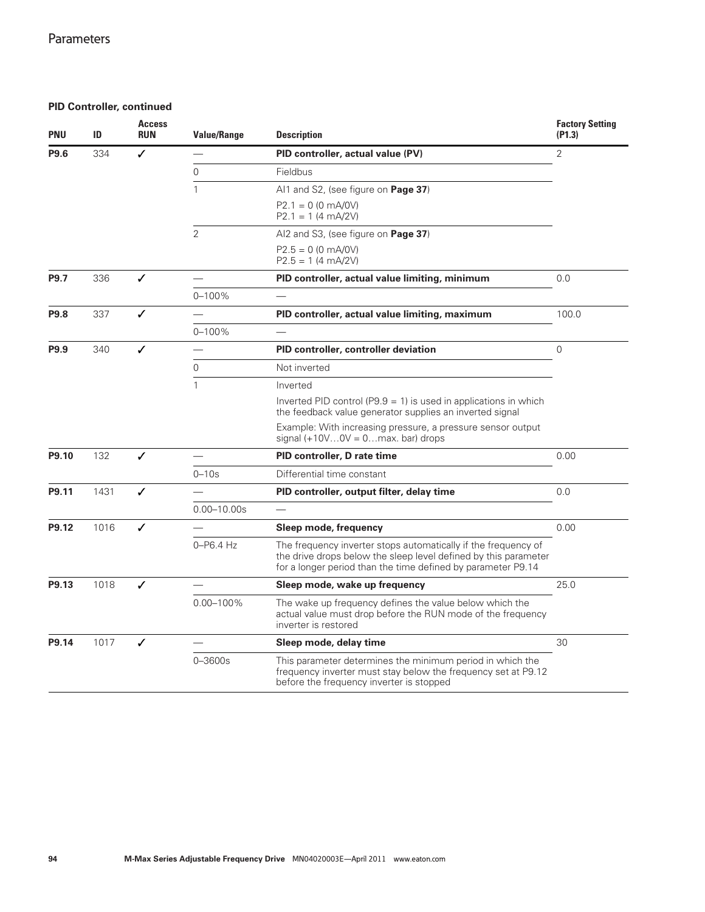## **PID Controller, continued**

| <b>PNU</b>       | ID   | <b>Access</b><br><b>RUN</b> | <b>Value/Range</b> | <b>Description</b>                                                                                                                                                                                | <b>Factory Setting</b><br>(P1.3) |
|------------------|------|-----------------------------|--------------------|---------------------------------------------------------------------------------------------------------------------------------------------------------------------------------------------------|----------------------------------|
| P9.6             | 334  | ✓                           |                    | PID controller, actual value (PV)                                                                                                                                                                 | $\overline{2}$                   |
|                  |      |                             | $\mathbf 0$        | Fieldbus                                                                                                                                                                                          |                                  |
|                  |      |                             | $\mathbf{1}$       | Al1 and S2, (see figure on Page 37)                                                                                                                                                               |                                  |
|                  |      |                             |                    | $P2.1 = 0 (0 mA/OV)$<br>$P2.1 = 1$ (4 mA/2V)                                                                                                                                                      |                                  |
|                  |      |                             | 2                  | Al2 and S3, (see figure on <b>Page 37</b> )                                                                                                                                                       |                                  |
|                  |      |                             |                    | $P2.5 = 0 (0 mA/0V)$<br>$P2.5 = 1$ (4 mA/2V)                                                                                                                                                      |                                  |
| <b>P9.7</b>      | 336  | ✓                           |                    | PID controller, actual value limiting, minimum                                                                                                                                                    | 0.0                              |
|                  |      |                             | $0 - 100%$         |                                                                                                                                                                                                   |                                  |
| P <sub>9.8</sub> | 337  | ✓                           |                    | PID controller, actual value limiting, maximum                                                                                                                                                    | 100.0                            |
|                  |      |                             | $0 - 100%$         |                                                                                                                                                                                                   |                                  |
| P9.9             | 340  | ✓                           |                    | PID controller, controller deviation                                                                                                                                                              | $\mathbf 0$                      |
|                  |      |                             | 0                  | Not inverted                                                                                                                                                                                      |                                  |
|                  |      |                             | $\mathbf{1}$       | Inverted                                                                                                                                                                                          |                                  |
|                  |      |                             |                    | Inverted PID control (P9.9 = 1) is used in applications in which<br>the feedback value generator supplies an inverted signal                                                                      |                                  |
|                  |      |                             |                    | Example: With increasing pressure, a pressure sensor output<br>signal $(+10V0V = 0max.$ bar) drops                                                                                                |                                  |
| P9.10            | 132  | ✓                           |                    | PID controller, D rate time                                                                                                                                                                       | 0.00                             |
|                  |      |                             | $0 - 10s$          | Differential time constant                                                                                                                                                                        |                                  |
| P9.11            | 1431 | ✓                           |                    | PID controller, output filter, delay time                                                                                                                                                         | 0.0                              |
|                  |      |                             | $0.00 - 10.00s$    |                                                                                                                                                                                                   |                                  |
| P9.12            | 1016 | ✓                           |                    | Sleep mode, frequency                                                                                                                                                                             | 0.00                             |
|                  |      |                             | $0 - P6.4$ Hz      | The frequency inverter stops automatically if the frequency of<br>the drive drops below the sleep level defined by this parameter<br>for a longer period than the time defined by parameter P9.14 |                                  |
| P9.13            | 1018 | ✓                           |                    | Sleep mode, wake up frequency                                                                                                                                                                     | 25.0                             |
|                  |      |                             | $0.00 - 100\%$     | The wake up frequency defines the value below which the<br>actual value must drop before the RUN mode of the frequency<br>inverter is restored                                                    |                                  |
| P9.14            | 1017 | ✓                           |                    | Sleep mode, delay time                                                                                                                                                                            | 30                               |
|                  |      |                             | $0 - 3600s$        | This parameter determines the minimum period in which the<br>frequency inverter must stay below the frequency set at P9.12<br>before the frequency inverter is stopped                            |                                  |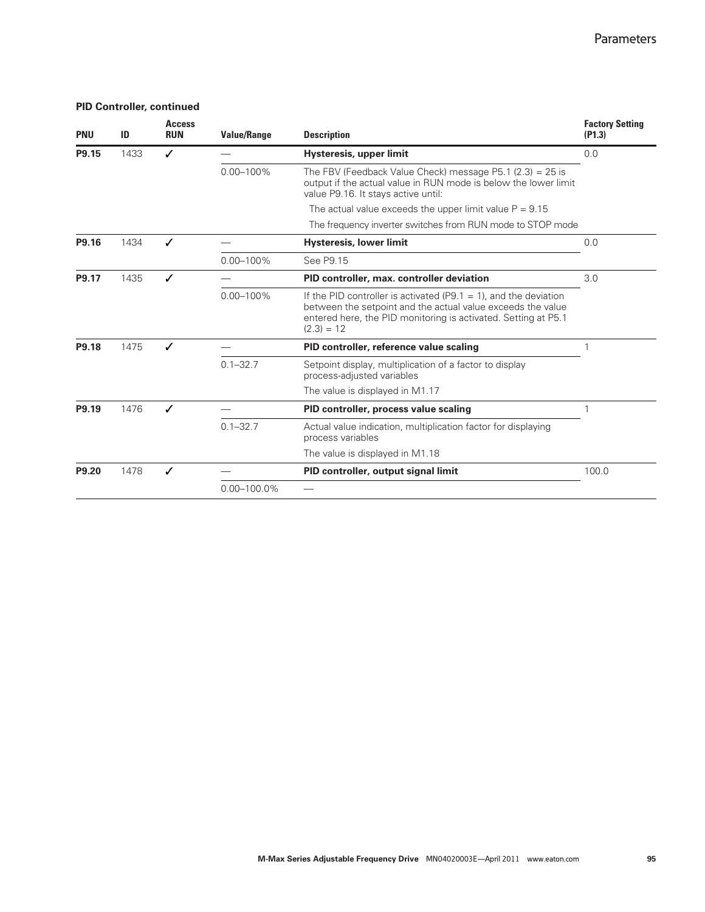### **PID Controller, continued**

| <b>PNU</b> | ID   | <b>Access</b><br><b>RUN</b> | <b>Value/Range</b> | <b>Description</b>                                                                                                                                                                                                | <b>Factory Setting</b><br>(P1.3) |  |
|------------|------|-----------------------------|--------------------|-------------------------------------------------------------------------------------------------------------------------------------------------------------------------------------------------------------------|----------------------------------|--|
| P9.15      | 1433 | ✓                           |                    | Hysteresis, upper limit                                                                                                                                                                                           | 0.0                              |  |
|            |      |                             | $0.00 - 100\%$     | The FBV (Feedback Value Check) message P5.1 (2.3) = $25$ is<br>output if the actual value in RUN mode is below the lower limit<br>value P9.16. It stays active until:                                             |                                  |  |
|            |      |                             |                    | The actual value exceeds the upper limit value $P = 9.15$                                                                                                                                                         |                                  |  |
|            |      |                             |                    | The frequency inverter switches from RUN mode to STOP mode                                                                                                                                                        |                                  |  |
| P9.16      | 1434 | ✓                           |                    | <b>Hysteresis, lower limit</b>                                                                                                                                                                                    | 0.0                              |  |
|            |      |                             | $0.00 - 100\%$     | See P9.15                                                                                                                                                                                                         |                                  |  |
| P9.17      | 1435 | ✓                           |                    | PID controller, max. controller deviation                                                                                                                                                                         | 3.0                              |  |
|            |      |                             | $0.00 - 100\%$     | If the PID controller is activated (P9.1 = 1), and the deviation<br>between the setpoint and the actual value exceeds the value<br>entered here, the PID monitoring is activated. Setting at P5.1<br>$(2.3) = 12$ |                                  |  |
| P9.18      | 1475 | ✓                           |                    | PID controller, reference value scaling                                                                                                                                                                           |                                  |  |
|            |      |                             | $0.1 - 32.7$       | Setpoint display, multiplication of a factor to display<br>process-adjusted variables                                                                                                                             |                                  |  |
|            |      |                             |                    | The value is displayed in M1.17                                                                                                                                                                                   |                                  |  |
| P9.19      | 1476 | ✓                           |                    | PID controller, process value scaling                                                                                                                                                                             |                                  |  |
|            |      |                             | $0.1 - 32.7$       | Actual value indication, multiplication factor for displaying<br>process variables                                                                                                                                |                                  |  |
|            |      |                             |                    | The value is displayed in M1.18                                                                                                                                                                                   |                                  |  |
| P9.20      | 1478 | ✓                           |                    | PID controller, output signal limit                                                                                                                                                                               | 100.0                            |  |
|            |      |                             | $0.00 - 100.0\%$   |                                                                                                                                                                                                                   |                                  |  |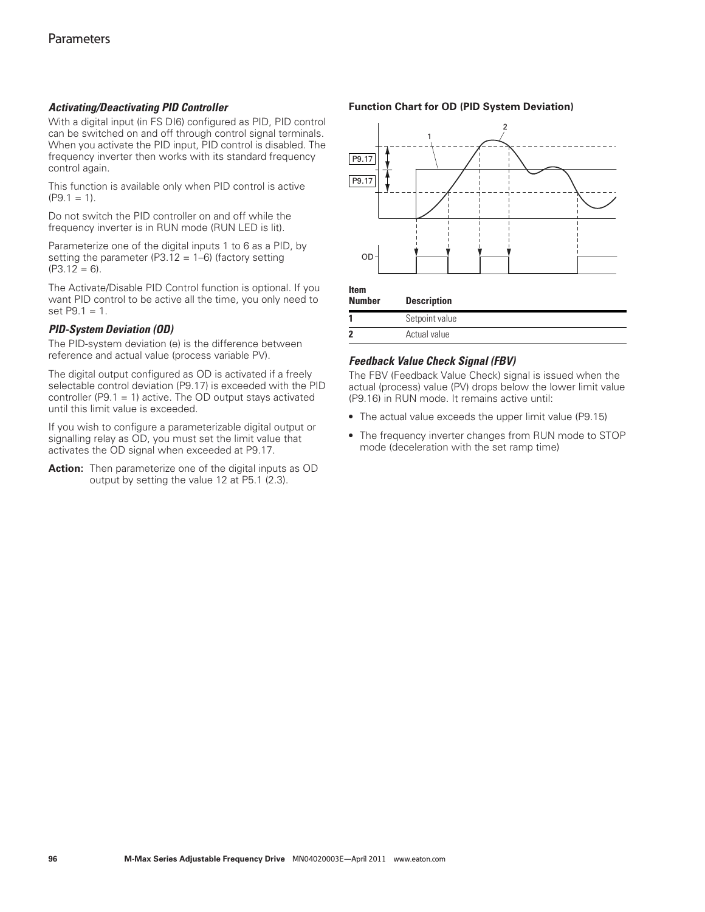## *Activating/Deactivating PID Controller*

With a digital input (in FS DI6) configured as PID, PID control can be switched on and off through control signal terminals. When you activate the PID input, PID control is disabled. The frequency inverter then works with its standard frequency control again.

This function is available only when PID control is active  $(P9.1 = 1)$ .

Do not switch the PID controller on and off while the frequency inverter is in RUN mode (RUN LED is lit).

Parameterize one of the digital inputs 1 to 6 as a PID, by setting the parameter (P3.12 =  $1-6$ ) (factory setting  $(P3.12 = 6)$ .

The Activate/Disable PID Control function is optional. If you want PID control to be active all the time, you only need to  $set P9.1 = 1.$ 

# *PID-System Deviation (OD)*

The PID-system deviation (e) is the difference between reference and actual value (process variable PV).

The digital output configured as OD is activated if a freely selectable control deviation (P9.17) is exceeded with the PID controller ( $P9.1 = 1$ ) active. The OD output stays activated until this limit value is exceeded.

If you wish to configure a parameterizable digital output or signalling relay as OD, you must set the limit value that activates the OD signal when exceeded at P9.17.

**Action:** Then parameterize one of the digital inputs as OD output by setting the value 12 at P5.1 (2.3).

### **Function Chart for OD (PID System Deviation)**



#### *Feedback Value Check Signal (FBV)*

The FBV (Feedback Value Check) signal is issued when the actual (process) value (PV) drops below the lower limit value (P9.16) in RUN mode. It remains active until:

- The actual value exceeds the upper limit value (P9.15)
- The frequency inverter changes from RUN mode to STOP mode (deceleration with the set ramp time)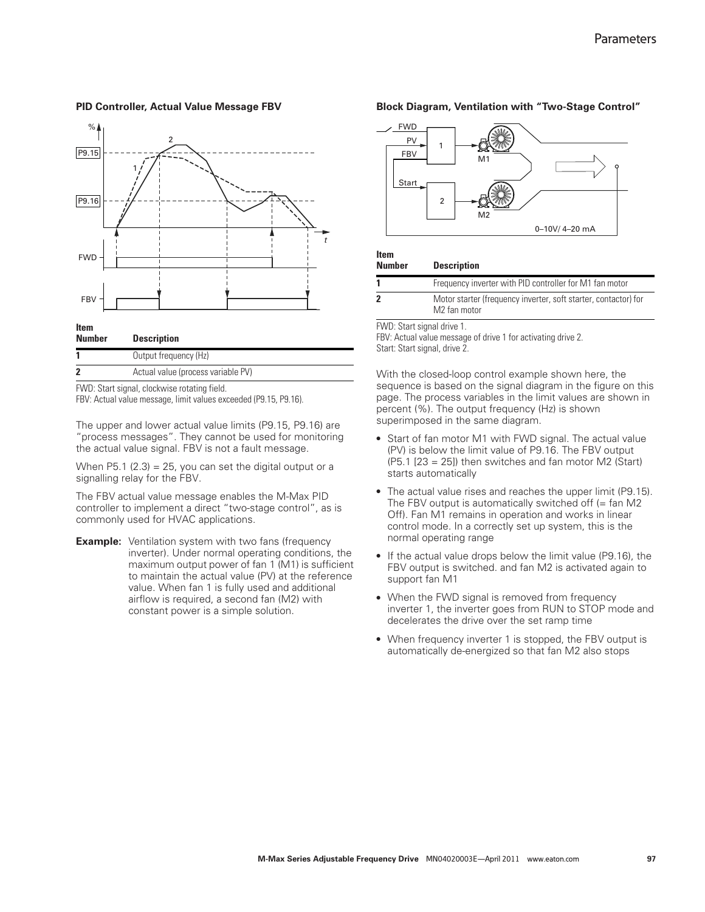## **PID Controller, Actual Value Message FBV**



FWD: Start signal, clockwise rotating field.

FBV: Actual value message, limit values exceeded (P9.15, P9.16).

The upper and lower actual value limits (P9.15, P9.16) are "process messages". They cannot be used for monitoring the actual value signal. FBV is not a fault message.

When P5.1 (2.3) = 25, you can set the digital output or a signalling relay for the FBV.

The FBV actual value message enables the M-Max PID controller to implement a direct "two-stage control", as is commonly used for HVAC applications.

**Example:** Ventilation system with two fans (frequency inverter). Under normal operating conditions, the maximum output power of fan 1 (M1) is sufficient to maintain the actual value (PV) at the reference value. When fan 1 is fully used and additional airflow is required, a second fan (M2) with constant power is a simple solution.

#### **Block Diagram, Ventilation with "Two-Stage Control"**



# **Item**

| Number<br><b>Description</b> |  |
|------------------------------|--|
|------------------------------|--|

|   | Frequency inverter with PID controller for M1 fan motor                                     |
|---|---------------------------------------------------------------------------------------------|
| 2 | Motor starter (frequency inverter, soft starter, contactor) for<br>M <sub>2</sub> fan motor |

FWD: Start signal drive 1.

FBV: Actual value message of drive 1 for activating drive 2. Start: Start signal, drive 2.

With the closed-loop control example shown here, the sequence is based on the signal diagram in the figure on this page. The process variables in the limit values are shown in percent (%). The output frequency (Hz) is shown superimposed in the same diagram.

- Start of fan motor M1 with FWD signal. The actual value (PV) is below the limit value of P9.16. The FBV output (P5.1 [23 = 25]) then switches and fan motor M2 (Start) starts automatically
- The actual value rises and reaches the upper limit (P9.15). The FBV output is automatically switched off  $(=$  fan M2 Off). Fan M1 remains in operation and works in linear control mode. In a correctly set up system, this is the normal operating range
- If the actual value drops below the limit value (P9.16), the FBV output is switched. and fan M2 is activated again to support fan M1
- When the FWD signal is removed from frequency inverter 1, the inverter goes from RUN to STOP mode and decelerates the drive over the set ramp time
- When frequency inverter 1 is stopped, the FBV output is automatically de-energized so that fan M2 also stops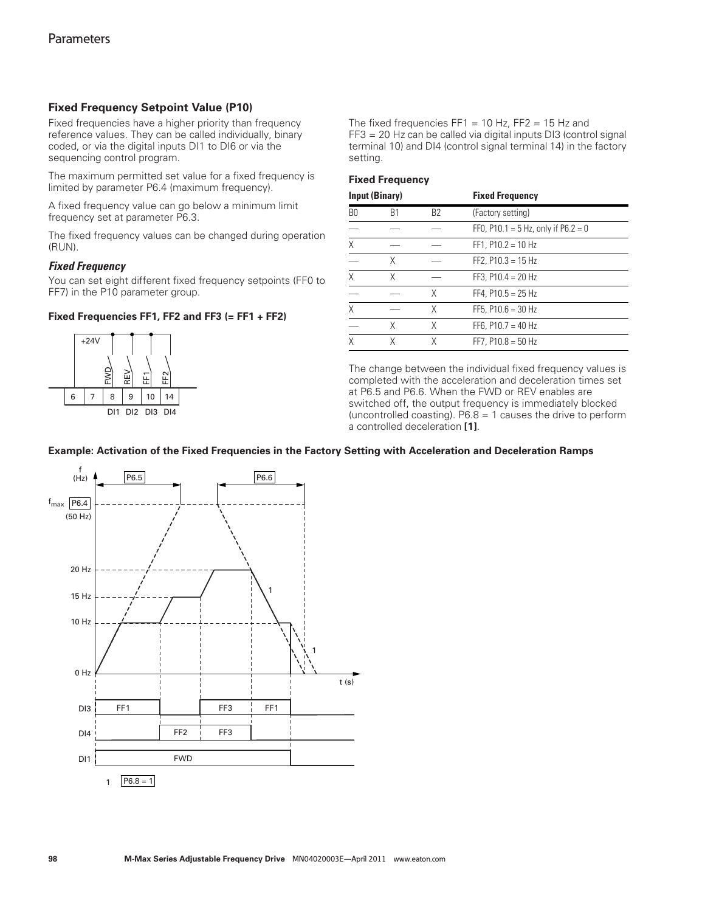# **Fixed Frequency Setpoint Value (P10)**

Fixed frequencies have a higher priority than frequency reference values. They can be called individually, binary coded, or via the digital inputs DI1 to DI6 or via the sequencing control program.

The maximum permitted set value for a fixed frequency is limited by parameter P6.4 (maximum frequency).

A fixed frequency value can go below a minimum limit frequency set at parameter P6.3.

The fixed frequency values can be changed during operation (RUN).

#### *Fixed Frequency*

You can set eight different fixed frequency setpoints (FF0 to FF7) in the P10 parameter group.

## **Fixed Frequencies FF1, FF2 and FF3 (= FF1 + FF2)**



| The fixed frequencies $FF1 = 10$ Hz, $FF2 = 15$ Hz and             |
|--------------------------------------------------------------------|
| $FF3 = 20$ Hz can be called via digital inputs DI3 (control signal |
| terminal 10) and DI4 (control signal terminal 14) in the factory   |
| setting.                                                           |

#### **Fixed Frequency**

|                | <b>Input (Binary)</b> |                | <b>Fixed Frequency</b>                |
|----------------|-----------------------|----------------|---------------------------------------|
| B <sub>0</sub> | B <sub>1</sub>        | B <sub>2</sub> | (Factory setting)                     |
|                |                       |                | FF0, P10.1 = 5 Hz, only if $P6.2 = 0$ |
| Χ              |                       |                | $FF1, P10.2 = 10 Hz$                  |
|                | X                     |                | $FF2, P10.3 = 15 Hz$                  |
| Χ              | X                     |                | $FF3, P10.4 = 20 Hz$                  |
|                |                       | X              | $FF4, P10.5 = 25 Hz$                  |
| Χ              |                       | Χ              | $FF5, P10.6 = 30 Hz$                  |
|                | X                     | X              | $FF6, P10.7 = 40 Hz$                  |
| Χ              | Χ                     | Χ              | $FF7, P10.8 = 50 Hz$                  |

The change between the individual fixed frequency values is completed with the acceleration and deceleration times set at P6.5 and P6.6. When the FWD or REV enables are switched off, the output frequency is immediately blocked (uncontrolled coasting).  $P6.8 = 1$  causes the drive to perform a controlled deceleration **[1]**.

#### **Example: Activation of the Fixed Frequencies in the Factory Setting with Acceleration and Deceleration Ramps**

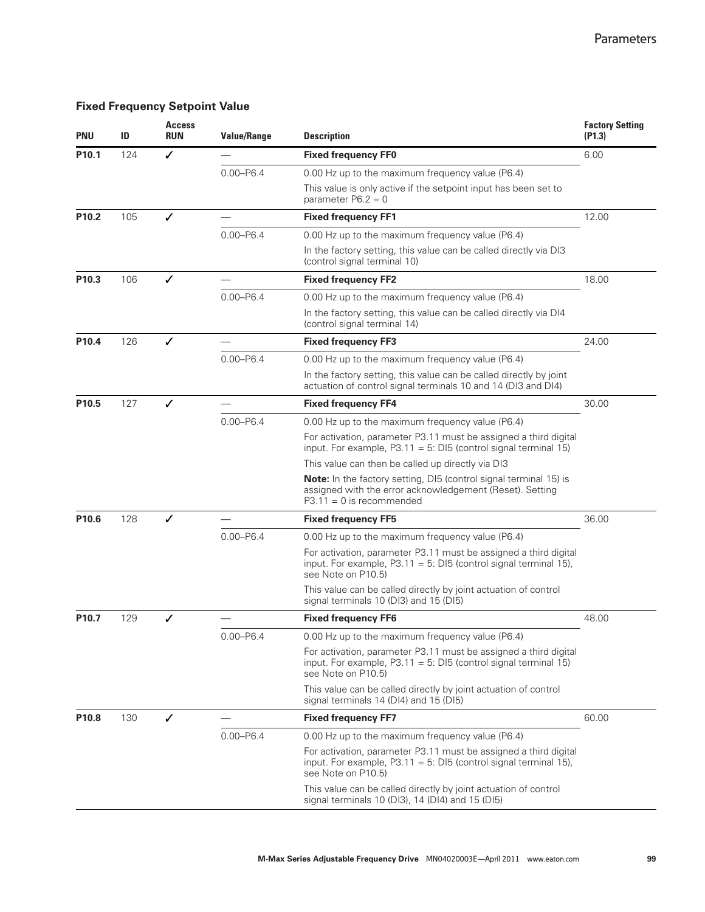# **Fixed Frequency Setpoint Value**

| <b>PNU</b>        | ID                                                                                                          | <b>Access</b><br><b>RUN</b> | <b>Value/Range</b> | <b>Description</b>                                                                                                                                            | <b>Factory Setting</b><br>(P1.3) |
|-------------------|-------------------------------------------------------------------------------------------------------------|-----------------------------|--------------------|---------------------------------------------------------------------------------------------------------------------------------------------------------------|----------------------------------|
| P <sub>10.1</sub> | 124<br><b>Fixed frequency FF0</b><br>✓<br>$0.00 - P6.4$<br>0.00 Hz up to the maximum frequency value (P6.4) |                             | 6.00               |                                                                                                                                                               |                                  |
|                   |                                                                                                             |                             |                    |                                                                                                                                                               |                                  |
|                   |                                                                                                             |                             |                    | This value is only active if the setpoint input has been set to<br>parameter $P6.2 = 0$                                                                       |                                  |
| P <sub>10.2</sub> | 105                                                                                                         | ✓                           |                    | <b>Fixed frequency FF1</b>                                                                                                                                    | 12.00                            |
|                   |                                                                                                             |                             | $0.00 - P6.4$      | 0.00 Hz up to the maximum frequency value (P6.4)                                                                                                              |                                  |
|                   |                                                                                                             |                             |                    | In the factory setting, this value can be called directly via DI3<br>(control signal terminal 10)                                                             |                                  |
| P <sub>10.3</sub> | 106                                                                                                         | ✓                           |                    | <b>Fixed frequency FF2</b>                                                                                                                                    | 18.00                            |
|                   |                                                                                                             |                             | $0.00 - P6.4$      | 0.00 Hz up to the maximum frequency value (P6.4)                                                                                                              |                                  |
|                   |                                                                                                             |                             |                    | In the factory setting, this value can be called directly via DI4<br>(control signal terminal 14)                                                             |                                  |
| P <sub>10.4</sub> | 126                                                                                                         | ✓                           |                    | <b>Fixed frequency FF3</b>                                                                                                                                    | 24.00                            |
|                   |                                                                                                             |                             | $0.00 - P6.4$      | 0.00 Hz up to the maximum frequency value (P6.4)                                                                                                              |                                  |
|                   |                                                                                                             |                             |                    | In the factory setting, this value can be called directly by joint<br>actuation of control signal terminals 10 and 14 (DI3 and DI4)                           |                                  |
| P <sub>10.5</sub> | 127                                                                                                         | ✓                           |                    | <b>Fixed frequency FF4</b>                                                                                                                                    | 30.00                            |
|                   |                                                                                                             |                             | $0.00 - P6.4$      | 0.00 Hz up to the maximum frequency value (P6.4)                                                                                                              |                                  |
|                   |                                                                                                             |                             |                    | For activation, parameter P3.11 must be assigned a third digital<br>input. For example, $P3.11 = 5$ : DI5 (control signal terminal 15)                        |                                  |
|                   |                                                                                                             |                             |                    | This value can then be called up directly via DI3                                                                                                             |                                  |
|                   |                                                                                                             |                             |                    | Note: In the factory setting, DI5 (control signal terminal 15) is<br>assigned with the error acknowledgement (Reset). Setting<br>$P3.11 = 0$ is recommended   |                                  |
| P <sub>10.6</sub> | 128                                                                                                         | ✓                           |                    | <b>Fixed frequency FF5</b>                                                                                                                                    | 36.00                            |
|                   |                                                                                                             |                             | $0.00 - P6.4$      | 0.00 Hz up to the maximum frequency value (P6.4)                                                                                                              |                                  |
|                   |                                                                                                             |                             |                    | For activation, parameter P3.11 must be assigned a third digital<br>input. For example, $P3.11 = 5$ : DI5 (control signal terminal 15),<br>see Note on P10.5) |                                  |
|                   |                                                                                                             |                             |                    | This value can be called directly by joint actuation of control<br>signal terminals 10 (DI3) and 15 (DI5)                                                     |                                  |
| P <sub>10.7</sub> | 129                                                                                                         | ✓                           |                    | <b>Fixed frequency FF6</b>                                                                                                                                    | 48.00                            |
|                   |                                                                                                             |                             | $0.00 - P6.4$      | 0.00 Hz up to the maximum frequency value (P6.4)                                                                                                              |                                  |
|                   |                                                                                                             |                             |                    | For activation, parameter P3.11 must be assigned a third digital<br>input. For example, $P3.11 = 5$ : DI5 (control signal terminal 15)<br>see Note on P10.5)  |                                  |
|                   |                                                                                                             |                             |                    | This value can be called directly by joint actuation of control<br>signal terminals 14 (DI4) and 15 (DI5)                                                     |                                  |
| P <sub>10.8</sub> | 130                                                                                                         | ✓                           |                    | <b>Fixed frequency FF7</b>                                                                                                                                    | 60.00                            |
|                   |                                                                                                             |                             | $0.00 - P6.4$      | 0.00 Hz up to the maximum frequency value (P6.4)                                                                                                              |                                  |
|                   |                                                                                                             |                             |                    | For activation, parameter P3.11 must be assigned a third digital<br>input. For example, $P3.11 = 5$ : DI5 (control signal terminal 15),<br>see Note on P10.5) |                                  |
|                   |                                                                                                             |                             |                    | This value can be called directly by joint actuation of control<br>signal terminals 10 (DI3), 14 (DI4) and 15 (DI5)                                           |                                  |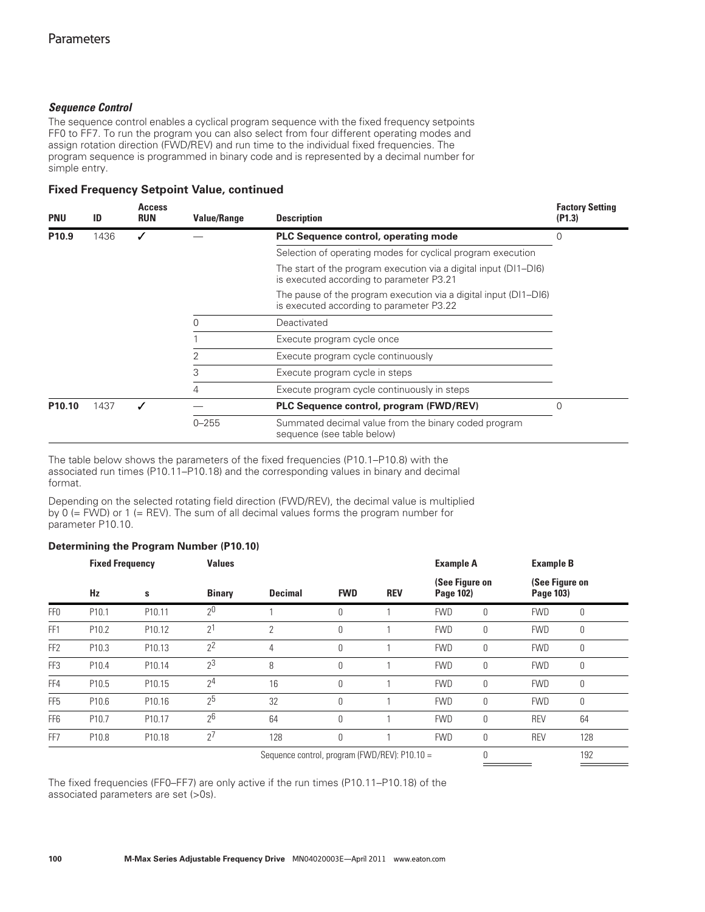## *Sequence Control*

The sequence control enables a cyclical program sequence with the fixed frequency setpoints FF0 to FF7. To run the program you can also select from four different operating modes and assign rotation direction (FWD/REV) and run time to the individual fixed frequencies. The program sequence is programmed in binary code and is represented by a decimal number for simple entry.

# **Fixed Frequency Setpoint Value, continued**

| <b>PNU</b>         | ID   | <b>Access</b><br><b>RUN</b><br><b>Value/Range</b><br><b>Description</b> |           | <b>Factory Setting</b><br>(P1.3)                                                                             |   |
|--------------------|------|-------------------------------------------------------------------------|-----------|--------------------------------------------------------------------------------------------------------------|---|
| P <sub>10.9</sub>  | 1436 |                                                                         |           | PLC Sequence control, operating mode                                                                         | 0 |
|                    |      |                                                                         |           | Selection of operating modes for cyclical program execution                                                  |   |
|                    |      |                                                                         |           | The start of the program execution via a digital input (DI1–DI6)<br>is executed according to parameter P3.21 |   |
|                    |      |                                                                         |           | The pause of the program execution via a digital input (DI1–DI6)<br>is executed according to parameter P3.22 |   |
|                    |      |                                                                         | 0         | Deactivated                                                                                                  |   |
|                    |      |                                                                         |           | Execute program cycle once                                                                                   |   |
|                    |      |                                                                         |           | Execute program cycle continuously                                                                           |   |
|                    |      |                                                                         | 3         | Execute program cycle in steps                                                                               |   |
|                    |      |                                                                         | 4         | Execute program cycle continuously in steps                                                                  |   |
| P <sub>10.10</sub> | 1437 |                                                                         |           | PLC Sequence control, program (FWD/REV)                                                                      | 0 |
|                    |      |                                                                         | $0 - 255$ | Summated decimal value from the binary coded program<br>sequence (see table below)                           |   |

The table below shows the parameters of the fixed frequencies (P10.1–P10.8) with the associated run times (P10.11–P10.18) and the corresponding values in binary and decimal format.

Depending on the selected rotating field direction (FWD/REV), the decimal value is multiplied by 0 (= FWD) or 1 (= REV). The sum of all decimal values forms the program number for parameter P10.10.

## **Determining the Program Number (P10.10)**

|                 | <b>Fixed Frequency</b> |                    | <b>Values</b>  |                                               |            |            | <b>Example A</b>            |   | <b>Example B</b>            |     |  |
|-----------------|------------------------|--------------------|----------------|-----------------------------------------------|------------|------------|-----------------------------|---|-----------------------------|-----|--|
|                 | Hz                     | s                  | <b>Binary</b>  | <b>Decimal</b>                                | <b>FWD</b> | <b>REV</b> | (See Figure on<br>Page 102) |   | (See Figure on<br>Page 103) |     |  |
| FF <sub>0</sub> | P <sub>10.1</sub>      | P10.11             | 2 <sup>0</sup> |                                               | 0          |            | <b>FWD</b>                  | 0 | <b>FWD</b>                  | 0   |  |
| FF <sub>1</sub> | P10.2                  | P <sub>10.12</sub> | 2 <sup>1</sup> | $\overline{2}$                                | $\Omega$   |            | <b>FWD</b>                  | 0 | <b>FWD</b>                  | 0   |  |
| FF <sub>2</sub> | P10.3                  | P10.13             | 2 <sup>2</sup> | 4                                             | 0          |            | <b>FWD</b>                  | 0 | <b>FWD</b>                  | 0   |  |
| FF3             | P10.4                  | P10.14             | 2 <sup>3</sup> | 8                                             | $\Omega$   |            | <b>FWD</b>                  | 0 | <b>FWD</b>                  | 0   |  |
| FF4             | P10.5                  | P <sub>10.15</sub> | 2 <sup>4</sup> | 16                                            | $\Omega$   |            | <b>FWD</b>                  | 0 | <b>FWD</b>                  | 0   |  |
| FF <sub>5</sub> | P10.6                  | P <sub>10.16</sub> | 2 <sup>5</sup> | 32                                            | $\bigcap$  |            | <b>FWD</b>                  | 0 | <b>FWD</b>                  | 0   |  |
| FF <sub>6</sub> | P10.7                  | P10.17             | 2 <sup>6</sup> | 64                                            | 0          |            | <b>FWD</b>                  | 0 | <b>REV</b>                  | 64  |  |
| FF7             | P10.8                  | P10.18             | 2 <sup>7</sup> | 128                                           | $\Omega$   |            | <b>FWD</b>                  | 0 | <b>REV</b>                  | 128 |  |
|                 |                        |                    |                | Sequence control, program (FWD/REV): P10.10 = |            |            |                             | 0 |                             | 192 |  |

The fixed frequencies (FF0–FF7) are only active if the run times (P10.11–P10.18) of the associated parameters are set (>0s).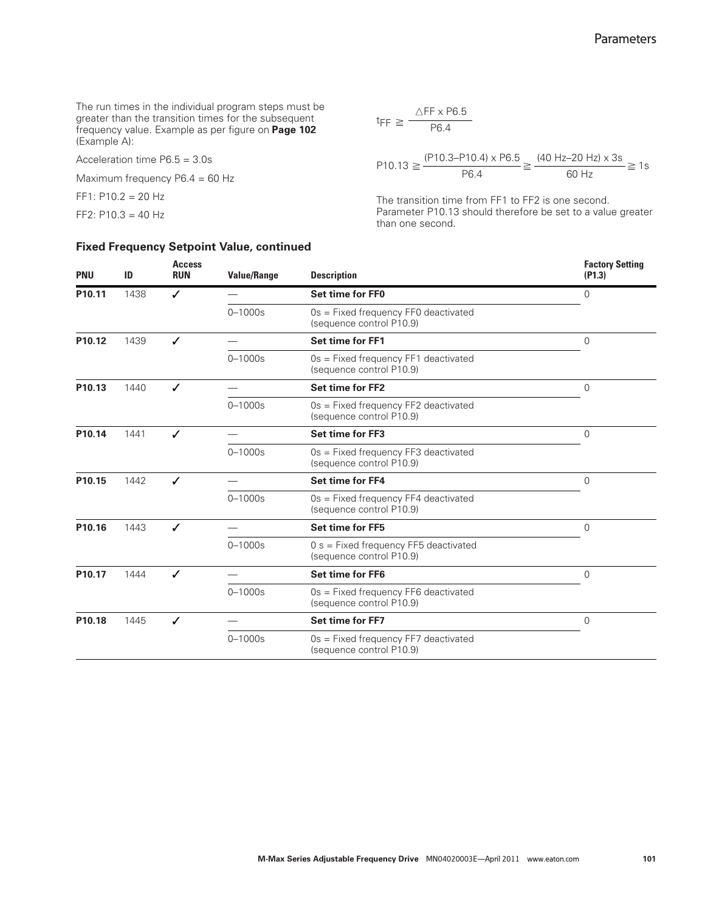The run times in the individual program steps must be greater than the transition times for the subsequent frequency value. Example as per figure on **Page 102** (Example A):

Acceleration time P6.5 = 3.0s

Maximum frequency P6.4 = 60 Hz

FF1: P10.2 = 20 Hz

FF2: P10.3 = 40 Hz

# **Fixed Frequency Setpoint Value, continued**

$$
t_{\text{FF}} \geq \frac{\triangle \text{FF} \times \text{P6.5}}{\text{P6.4}}
$$

$$
P10.13 \ge \frac{(P10.3 - P10.4) \times P6.5}{P6.4} \ge \frac{(40 \text{ Hz} - 20 \text{ Hz}) \times 3s}{60 \text{ Hz}} \ge 1s
$$

The transition time from FF1 to FF2 is one second. Parameter P10.13 should therefore be set to a value greater than one second.

| <b>PNU</b>         | ID   | <b>Access</b><br><b>RUN</b> | <b>Value/Range</b> | <b>Description</b>                                                  | <b>Factory Setting</b><br>(P1.3) |
|--------------------|------|-----------------------------|--------------------|---------------------------------------------------------------------|----------------------------------|
| P10.11             | 1438 | ✓                           |                    | <b>Set time for FF0</b>                                             | 0                                |
|                    |      |                             | $0 - 1000s$        | $0s$ = Fixed frequency FF0 deactivated<br>(sequence control P10.9)  |                                  |
| P <sub>10.12</sub> | 1439 | ✓                           |                    | <b>Set time for FF1</b>                                             | $\Omega$                         |
|                    |      |                             | $0 - 1000s$        | $0s$ = Fixed frequency FF1 deactivated<br>(sequence control P10.9)  |                                  |
| P <sub>10.13</sub> | 1440 | ✓                           |                    | Set time for FF2                                                    | $\Omega$                         |
|                    |      |                             | $0 - 1000s$        | $0s$ = Fixed frequency FF2 deactivated<br>(sequence control P10.9)  |                                  |
| P10.14             | 1441 | ✓                           |                    | Set time for FF3                                                    | $\mathbf 0$                      |
|                    |      |                             | $0 - 1000s$        | $0s$ = Fixed frequency FF3 deactivated<br>(sequence control P10.9)  |                                  |
| P <sub>10.15</sub> | 1442 | ℐ                           |                    | Set time for FF4                                                    | 0                                |
|                    |      |                             | $0 - 1000s$        | $0s$ = Fixed frequency FF4 deactivated<br>(sequence control P10.9)  |                                  |
| P10.16             | 1443 | ℐ                           |                    | <b>Set time for FF5</b>                                             | $\Omega$                         |
|                    |      |                             | $0 - 1000s$        | $0 s =$ Fixed frequency FF5 deactivated<br>(sequence control P10.9) |                                  |
| P10.17             | 1444 | ✓                           |                    | <b>Set time for FF6</b>                                             | $\Omega$                         |
|                    |      |                             | $0 - 1000s$        | $0s$ = Fixed frequency FF6 deactivated<br>(sequence control P10.9)  |                                  |
| P10.18             | 1445 | ✓                           |                    | Set time for FF7                                                    | 0                                |
|                    |      |                             | $0 - 1000s$        | $0s$ = Fixed frequency FF7 deactivated<br>(sequence control P10.9)  |                                  |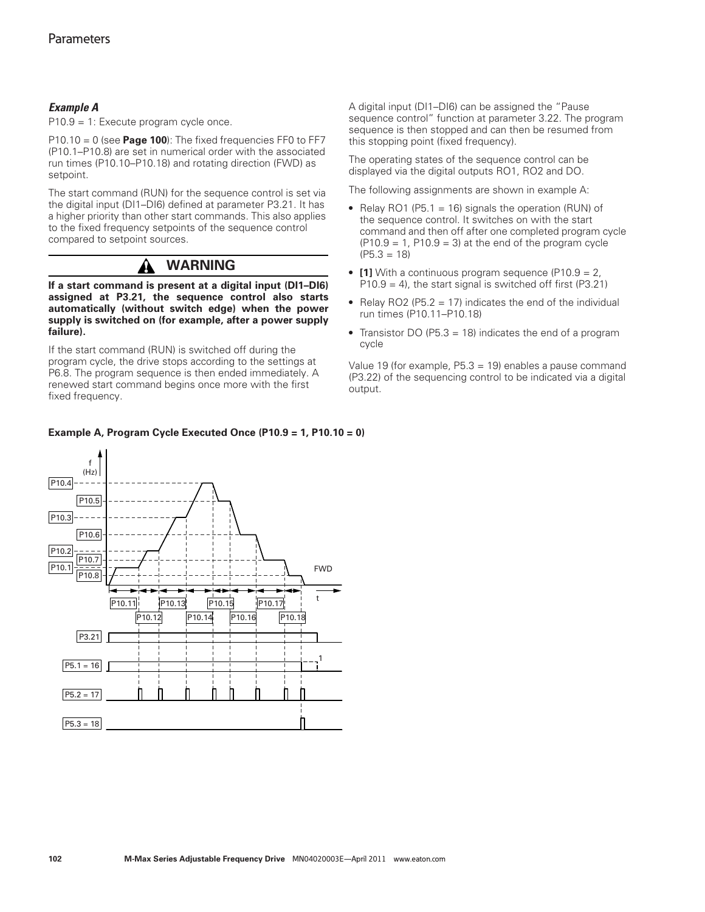## *Example A*

P10.9 = 1: Execute program cycle once.

P10.10 = 0 (see **Page 100**): The fixed frequencies FF0 to FF7 (P10.1–P10.8) are set in numerical order with the associated run times (P10.10–P10.18) and rotating direction (FWD) as setpoint.

The start command (RUN) for the sequence control is set via the digital input (DI1–DI6) defined at parameter P3.21. It has a higher priority than other start commands. This also applies to the fixed frequency setpoints of the sequence control compared to setpoint sources.

#### **WARNING** A

**If a start command is present at a digital input (DI1–DI6) assigned at P3.21, the sequence control also starts automatically (without switch edge) when the power supply is switched on (for example, after a power supply failure).**

If the start command (RUN) is switched off during the program cycle, the drive stops according to the settings at P6.8. The program sequence is then ended immediately. A renewed start command begins once more with the first fixed frequency.

A digital input (DI1–DI6) can be assigned the "Pause sequence control" function at parameter 3.22. The program sequence is then stopped and can then be resumed from this stopping point (fixed frequency).

The operating states of the sequence control can be displayed via the digital outputs RO1, RO2 and DO.

The following assignments are shown in example A:

- Relay RO1 (P5.1 = 16) signals the operation (RUN) of the sequence control. It switches on with the start command and then off after one completed program cycle  $($ P10.9 = 1, P10.9 = 3) at the end of the program cycle  $(P5.3 = 18)$
- **[1]** With a continuous program sequence (P10.9 = 2,  $P10.9 = 4$ ), the start signal is switched off first (P3.21)
- Relay RO2 (P5.2 = 17) indicates the end of the individual run times (P10.11–P10.18)
- Transistor DO (P5.3 = 18) indicates the end of a program cycle

Value 19 (for example, P5.3 = 19) enables a pause command (P3.22) of the sequencing control to be indicated via a digital output.



#### **Example A, Program Cycle Executed Once (P10.9 = 1, P10.10 = 0)**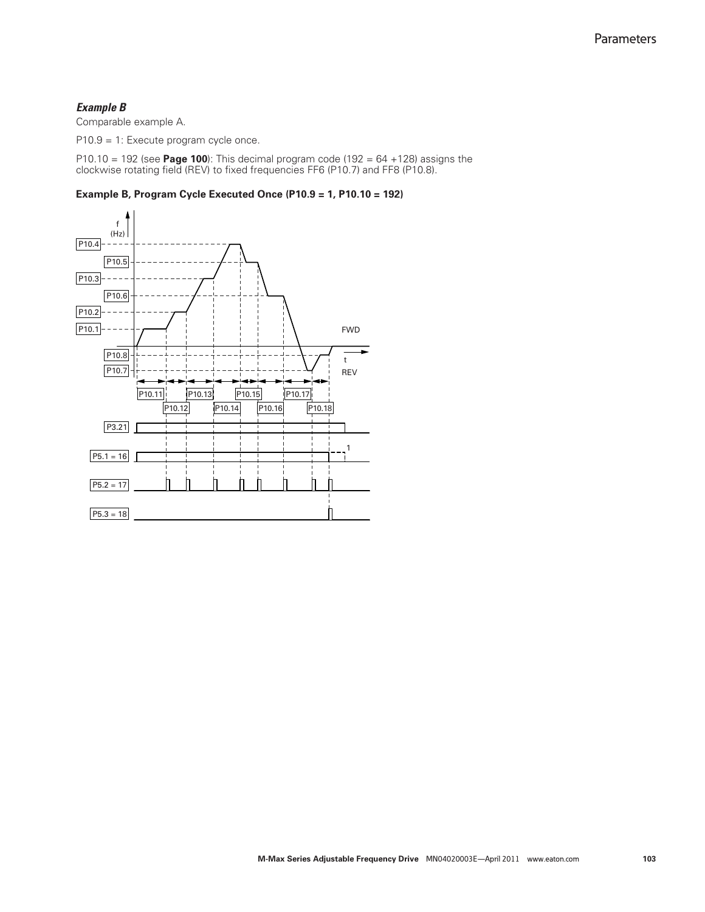# *Example B*

Comparable example A.

P10.9 = 1: Execute program cycle once.

P10.10 = 192 (see **Page 100**): This decimal program code (192 = 64 +128) assigns the clockwise rotating field (REV) to fixed frequencies FF6 (P10.7) and FF8 (P10.8).

**Example B, Program Cycle Executed Once (P10.9 = 1, P10.10 = 192)**

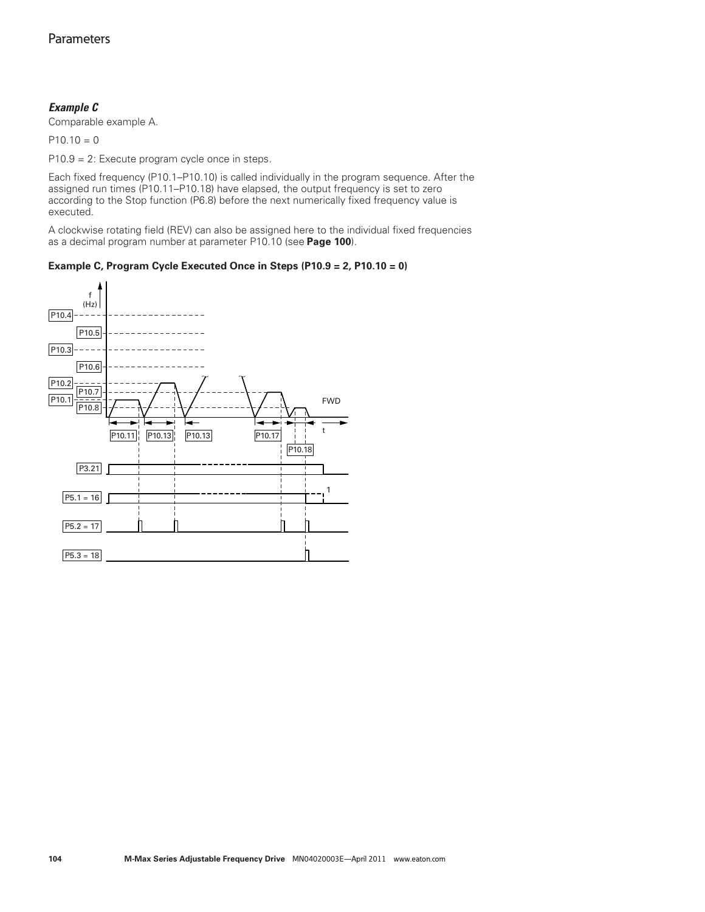# *Example C*

Comparable example A.

 $P10.10 = 0$ 

P10.9 = 2: Execute program cycle once in steps.

Each fixed frequency (P10.1–P10.10) is called individually in the program sequence. After the assigned run times (P10.11–P10.18) have elapsed, the output frequency is set to zero according to the Stop function (P6.8) before the next numerically fixed frequency value is executed.

A clockwise rotating field (REV) can also be assigned here to the individual fixed frequencies as a decimal program number at parameter P10.10 (see **Page 100**).

**Example C, Program Cycle Executed Once in Steps (P10.9 = 2, P10.10 = 0)**

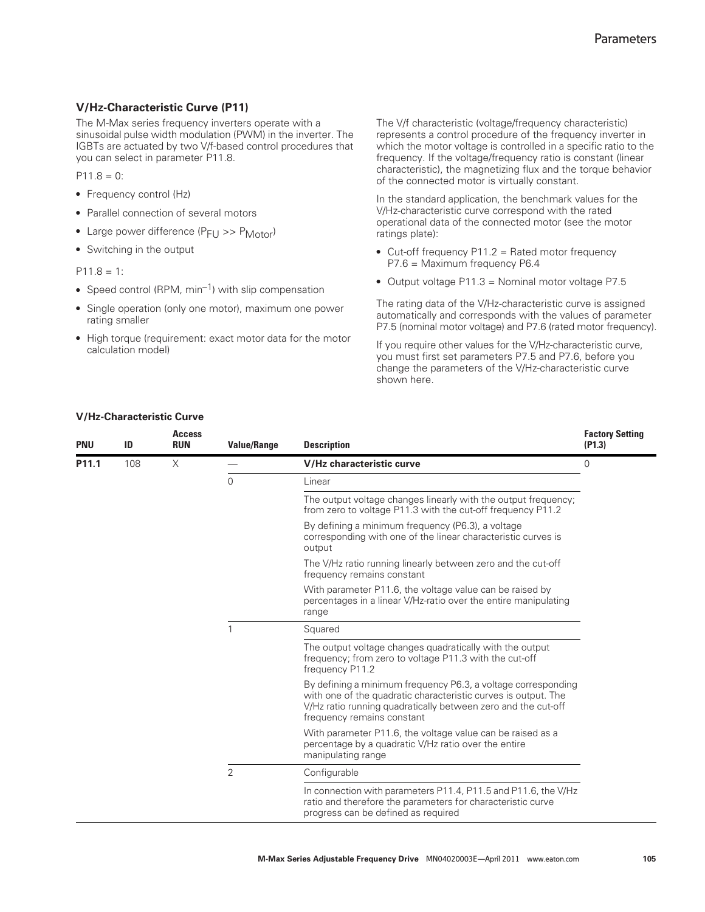# **V/Hz-Characteristic Curve (P11)**

The M-Max series frequency inverters operate with a sinusoidal pulse width modulation (PWM) in the inverter. The IGBTs are actuated by two V/f-based control procedures that you can select in parameter P11.8.

 $P11.8 = 0$ :

- Frequency control (Hz)
- Parallel connection of several motors
- Large power difference (P<sub>FU</sub> >> P<sub>Motor</sub>)
- Switching in the output

 $P11.8 = 1$ :

- Speed control (RPM,  $min^{-1}$ ) with slip compensation
- Single operation (only one motor), maximum one power rating smaller
- High torque (requirement: exact motor data for the motor calculation model)

The V/f characteristic (voltage/frequency characteristic) represents a control procedure of the frequency inverter in which the motor voltage is controlled in a specific ratio to the frequency. If the voltage/frequency ratio is constant (linear characteristic), the magnetizing flux and the torque behavior of the connected motor is virtually constant.

In the standard application, the benchmark values for the V/Hz-characteristic curve correspond with the rated operational data of the connected motor (see the motor ratings plate):

- Cut-off frequency P11.2 = Rated motor frequency P7.6 = Maximum frequency P6.4
- Output voltage P11.3 = Nominal motor voltage P7.5

The rating data of the V/Hz-characteristic curve is assigned automatically and corresponds with the values of parameter P7.5 (nominal motor voltage) and P7.6 (rated motor frequency).

If you require other values for the V/Hz-characteristic curve, you must first set parameters P7.5 and P7.6, before you change the parameters of the V/Hz-characteristic curve shown here.

#### **V/Hz-Characteristic Curve**

| <b>PNU</b>        | <b>Access</b><br>ID<br><b>RUN</b><br><b>Value/Range</b><br><b>Description</b> |   |                |                                                                                                                                                                                                                                | <b>Factory Setting</b><br>(P1.3) |
|-------------------|-------------------------------------------------------------------------------|---|----------------|--------------------------------------------------------------------------------------------------------------------------------------------------------------------------------------------------------------------------------|----------------------------------|
| P <sub>11.1</sub> | 108                                                                           | X |                | V/Hz characteristic curve                                                                                                                                                                                                      | $\overline{0}$                   |
|                   |                                                                               |   | 0              | Linear                                                                                                                                                                                                                         |                                  |
|                   |                                                                               |   |                | The output voltage changes linearly with the output frequency;<br>from zero to voltage P11.3 with the cut-off frequency P11.2                                                                                                  |                                  |
|                   |                                                                               |   |                | By defining a minimum frequency (P6.3), a voltage<br>corresponding with one of the linear characteristic curves is<br>output                                                                                                   |                                  |
|                   |                                                                               |   |                | The V/Hz ratio running linearly between zero and the cut-off<br>frequency remains constant                                                                                                                                     |                                  |
|                   |                                                                               |   |                | With parameter P11.6, the voltage value can be raised by<br>percentages in a linear V/Hz-ratio over the entire manipulating<br>range                                                                                           |                                  |
|                   |                                                                               |   |                | Squared                                                                                                                                                                                                                        |                                  |
|                   |                                                                               |   |                | The output voltage changes quadratically with the output<br>frequency; from zero to voltage P11.3 with the cut-off<br>frequency P11.2                                                                                          |                                  |
|                   |                                                                               |   |                | By defining a minimum frequency P6.3, a voltage corresponding<br>with one of the quadratic characteristic curves is output. The<br>V/Hz ratio running quadratically between zero and the cut-off<br>frequency remains constant |                                  |
|                   |                                                                               |   |                | With parameter P11.6, the voltage value can be raised as a<br>percentage by a quadratic V/Hz ratio over the entire<br>manipulating range                                                                                       |                                  |
|                   |                                                                               |   | $\overline{2}$ | Configurable                                                                                                                                                                                                                   |                                  |
|                   |                                                                               |   |                | In connection with parameters P11.4, P11.5 and P11.6, the V/Hz<br>ratio and therefore the parameters for characteristic curve<br>progress can be defined as required                                                           |                                  |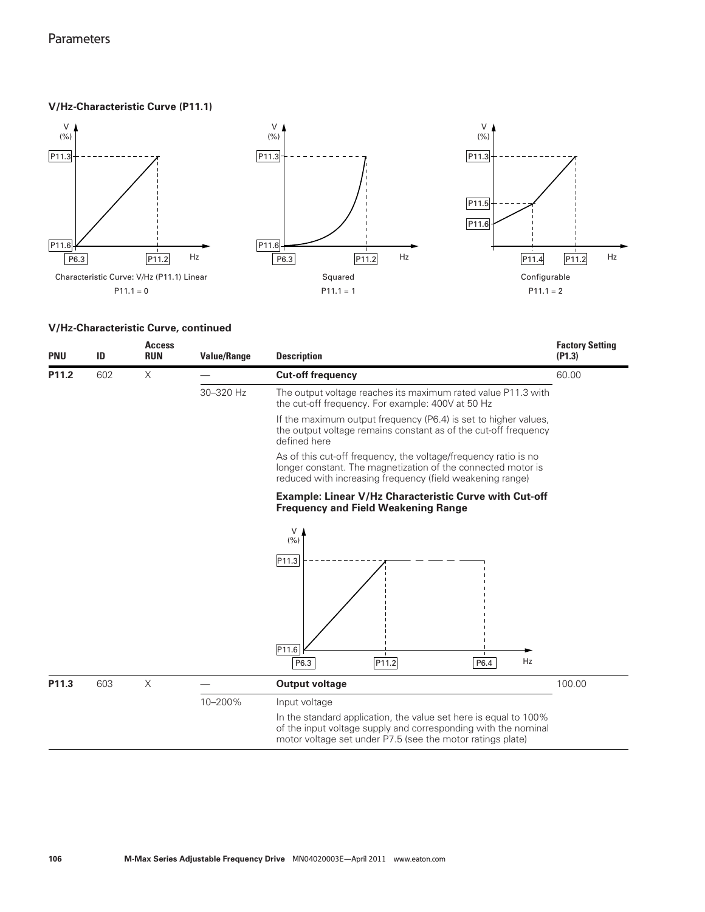# **Parameters**

#### **V/Hz-Characteristic Curve (P11.1)**



### **V/Hz-Characteristic Curve, continued**

| <b>PNU</b> | ID  | <b>Access</b><br><b>RUN</b> | <b>Value/Range</b> | <b>Description</b>                                                                                                                                                                               | <b>Factory Setting</b><br>(P1.3) |
|------------|-----|-----------------------------|--------------------|--------------------------------------------------------------------------------------------------------------------------------------------------------------------------------------------------|----------------------------------|
| P11.2      | 602 | $\times$                    |                    | <b>Cut-off frequency</b>                                                                                                                                                                         | 60.00                            |
|            |     |                             | 30-320 Hz          | The output voltage reaches its maximum rated value P11.3 with<br>the cut-off frequency. For example: 400V at 50 Hz                                                                               |                                  |
|            |     |                             |                    | If the maximum output frequency (P6.4) is set to higher values.<br>the output voltage remains constant as of the cut-off frequency<br>defined here                                               |                                  |
|            |     |                             |                    | As of this cut-off frequency, the voltage/frequency ratio is no<br>longer constant. The magnetization of the connected motor is<br>reduced with increasing frequency (field weakening range)     |                                  |
|            |     |                             |                    | <b>Example: Linear V/Hz Characteristic Curve with Cut-off</b><br><b>Frequency and Field Weakening Range</b>                                                                                      |                                  |
|            |     |                             |                    | V<br>(% )<br>P11.3<br>P11.6<br>Hz<br>P11.2<br>P6.3<br>P6.4                                                                                                                                       |                                  |
| P11.3      | 603 | X                           |                    | <b>Output voltage</b>                                                                                                                                                                            | 100.00                           |
|            |     |                             | 10-200%            | Input voltage                                                                                                                                                                                    |                                  |
|            |     |                             |                    | In the standard application, the value set here is equal to 100%<br>of the input voltage supply and corresponding with the nominal<br>motor voltage set under P7.5 (see the motor ratings plate) |                                  |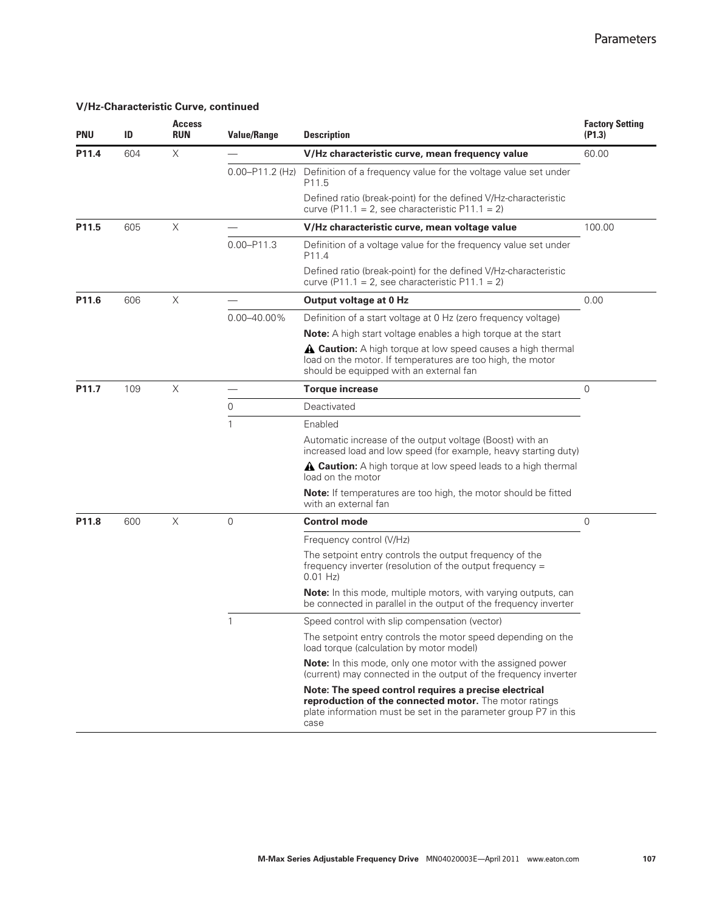### **V/Hz-Characteristic Curve, continued**

| <b>PNU</b>        | ID  | <b>Access</b><br><b>RUN</b> | <b>Value/Range</b>  | <b>Description</b>                                                                                                                                                                         | <b>Factory Setting</b><br>(P1.3) |
|-------------------|-----|-----------------------------|---------------------|--------------------------------------------------------------------------------------------------------------------------------------------------------------------------------------------|----------------------------------|
| P11.4             | 604 | $\times$                    |                     | V/Hz characteristic curve, mean frequency value                                                                                                                                            | 60.00                            |
|                   |     |                             | $0.00 - P11.2$ (Hz) | Definition of a frequency value for the voltage value set under<br>P <sub>11.5</sub>                                                                                                       |                                  |
|                   |     |                             |                     | Defined ratio (break-point) for the defined V/Hz-characteristic<br>curve (P11.1 = 2, see characteristic P11.1 = 2)                                                                         |                                  |
| P11.5             | 605 | $\times$                    |                     | V/Hz characteristic curve, mean voltage value                                                                                                                                              | 100.00                           |
|                   |     |                             | $0.00 - P11.3$      | Definition of a voltage value for the frequency value set under<br>P11.4                                                                                                                   |                                  |
|                   |     |                             |                     | Defined ratio (break-point) for the defined V/Hz-characteristic<br>curve (P11.1 = 2, see characteristic P11.1 = 2)                                                                         |                                  |
| P11.6             | 606 | $\mathsf X$                 |                     | Output voltage at 0 Hz                                                                                                                                                                     | 0.00                             |
|                   |     |                             | $0.00 - 40.00\%$    | Definition of a start voltage at 0 Hz (zero frequency voltage)                                                                                                                             |                                  |
|                   |     |                             |                     | <b>Note:</b> A high start voltage enables a high torque at the start                                                                                                                       |                                  |
|                   |     |                             |                     | <b>A Caution:</b> A high torque at low speed causes a high thermal<br>load on the motor. If temperatures are too high, the motor<br>should be equipped with an external fan                |                                  |
| P <sub>11.7</sub> | 109 | $\mathsf X$                 |                     | <b>Torque increase</b>                                                                                                                                                                     | 0                                |
|                   |     |                             | 0                   | Deactivated                                                                                                                                                                                |                                  |
|                   |     |                             | 1                   | Enabled                                                                                                                                                                                    |                                  |
|                   |     |                             |                     | Automatic increase of the output voltage (Boost) with an<br>increased load and low speed (for example, heavy starting duty)                                                                |                                  |
|                   |     |                             |                     | <b>A Caution:</b> A high torque at low speed leads to a high thermal<br>load on the motor                                                                                                  |                                  |
|                   |     |                             |                     | <b>Note:</b> If temperatures are too high, the motor should be fitted<br>with an external fan                                                                                              |                                  |
| P11.8             | 600 | $\mathsf X$                 | 0                   | <b>Control mode</b>                                                                                                                                                                        | 0                                |
|                   |     |                             |                     | Frequency control (V/Hz)                                                                                                                                                                   |                                  |
|                   |     |                             |                     | The setpoint entry controls the output frequency of the<br>frequency inverter (resolution of the output frequency =<br>$0.01$ Hz)                                                          |                                  |
|                   |     |                             |                     | <b>Note:</b> In this mode, multiple motors, with varying outputs, can<br>be connected in parallel in the output of the frequency inverter                                                  |                                  |
|                   |     |                             | 1                   | Speed control with slip compensation (vector)                                                                                                                                              |                                  |
|                   |     |                             |                     | The setpoint entry controls the motor speed depending on the<br>load torque (calculation by motor model)                                                                                   |                                  |
|                   |     |                             |                     | <b>Note:</b> In this mode, only one motor with the assigned power<br>(current) may connected in the output of the frequency inverter                                                       |                                  |
|                   |     |                             |                     | Note: The speed control requires a precise electrical<br>reproduction of the connected motor. The motor ratings<br>plate information must be set in the parameter group P7 in this<br>case |                                  |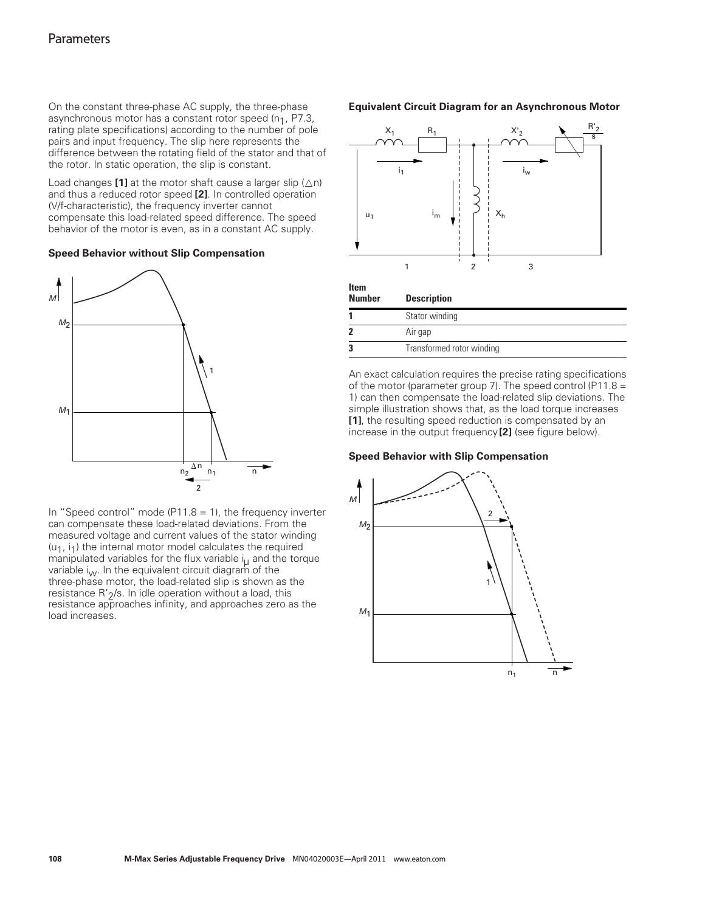On the constant three-phase AC supply, the three-phase asynchronous motor has a constant rotor speed  $(n_1, P7.3, P1.3)$ rating plate specifications) according to the number of pole pairs and input frequency. The slip here represents the difference between the rotating field of the stator and that of the rotor. In static operation, the slip is constant.

Load changes  $[1]$  at the motor shaft cause a larger slip  $(\triangle n)$ and thus a reduced rotor speed **[2]**. In controlled operation (V/f-characteristic), the frequency inverter cannot compensate this load-related speed difference. The speed behavior of the motor is even, as in a constant AC supply.

## **Speed Behavior without Slip Compensation**



In "Speed control" mode (P11.8 = 1), the frequency inverter can compensate these load-related deviations. From the measured voltage and current values of the stator winding  $(u_1, i_1)$  the internal motor model calculates the required manipulated variables for the flux variable i<sub>u</sub> and the torque variable  $i_w$ . In the equivalent circuit diagram of the three-phase motor, the load-related slip is shown as the resistance  $R'_{2}/s$ . In idle operation without a load, this resistance approaches infinity, and approaches zero as the load increases.

#### **Equivalent Circuit Diagram for an Asynchronous Motor**



| <b>Number</b> | <b>Description</b>        |
|---------------|---------------------------|
|               | Stator winding            |
|               | Air gap                   |
|               | Transformed rotor winding |

An exact calculation requires the precise rating specifications of the motor (parameter group 7). The speed control (P11.8  $=$ 1) can then compensate the load-related slip deviations. The simple illustration shows that, as the load torque increases **[1]**, the resulting speed reduction is compensated by an increase in the output frequency**[2]** (see figure below).

#### **Speed Behavior with Slip Compensation**

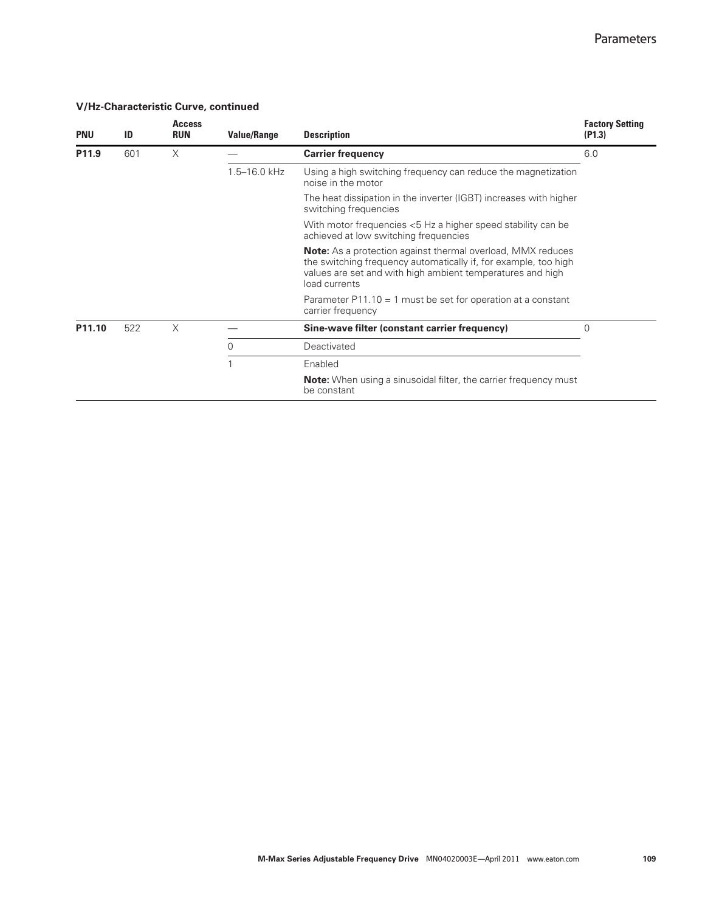### **V/Hz-Characteristic Curve, continued**

| <b>PNU</b>        | ID  | <b>Access</b><br><b>RUN</b> | <b>Value/Range</b> | <b>Description</b>                                                                                                                                                                                                   | <b>Factory Setting</b><br>(P1.3) |
|-------------------|-----|-----------------------------|--------------------|----------------------------------------------------------------------------------------------------------------------------------------------------------------------------------------------------------------------|----------------------------------|
| P <sub>11.9</sub> | 601 | X                           |                    | <b>Carrier frequency</b>                                                                                                                                                                                             | 6.0                              |
|                   |     |                             | 1.5-16.0 kHz       | Using a high switching frequency can reduce the magnetization<br>noise in the motor                                                                                                                                  |                                  |
|                   |     |                             |                    | The heat dissipation in the inverter (IGBT) increases with higher<br>switching frequencies                                                                                                                           |                                  |
|                   |     |                             |                    | With motor frequencies <5 Hz a higher speed stability can be<br>achieved at low switching frequencies                                                                                                                |                                  |
|                   |     |                             |                    | <b>Note:</b> As a protection against thermal overload, MMX reduces<br>the switching frequency automatically if, for example, too high<br>values are set and with high ambient temperatures and high<br>load currents |                                  |
|                   |     |                             |                    | Parameter $P11.10 = 1$ must be set for operation at a constant<br>carrier frequency                                                                                                                                  |                                  |
| P11.10            | 522 | X                           |                    | Sine-wave filter (constant carrier frequency)                                                                                                                                                                        | $\Omega$                         |
|                   |     |                             | 0                  | Deactivated                                                                                                                                                                                                          |                                  |
|                   |     |                             |                    | Enabled                                                                                                                                                                                                              |                                  |
|                   |     |                             |                    | <b>Note:</b> When using a sinusoidal filter, the carrier frequency must<br>be constant                                                                                                                               |                                  |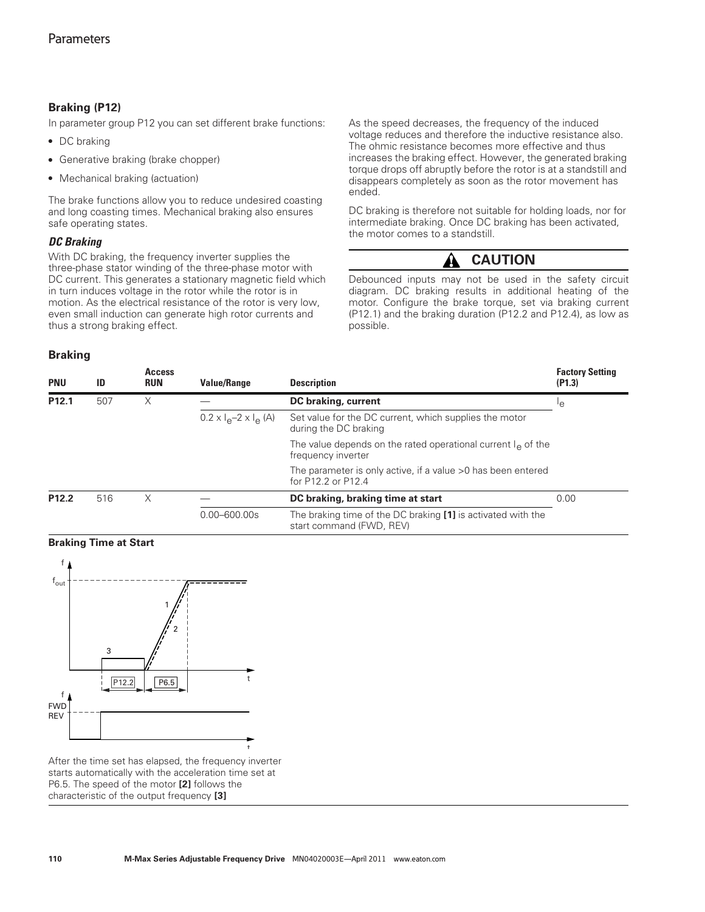# **Braking (P12)**

In parameter group P12 you can set different brake functions:

- DC braking
- Generative braking (brake chopper)
- Mechanical braking (actuation)

The brake functions allow you to reduce undesired coasting and long coasting times. Mechanical braking also ensures safe operating states.

### *DC Braking*

With DC braking, the frequency inverter supplies the three-phase stator winding of the three-phase motor with DC current. This generates a stationary magnetic field which in turn induces voltage in the rotor while the rotor is in motion. As the electrical resistance of the rotor is very low, even small induction can generate high rotor currents and thus a strong braking effect.

## **Braking**

As the speed decreases, the frequency of the induced voltage reduces and therefore the inductive resistance also. The ohmic resistance becomes more effective and thus increases the braking effect. However, the generated braking torque drops off abruptly before the rotor is at a standstill and disappears completely as soon as the rotor movement has ended.

DC braking is therefore not suitable for holding loads, nor for intermediate braking. Once DC braking has been activated, the motor comes to a standstill.

# **CAUTION**

Debounced inputs may not be used in the safety circuit diagram. DC braking results in additional heating of the motor. Configure the brake torque, set via braking current (P12.1) and the braking duration (P12.2 and P12.4), as low as possible.

| <b>PNU</b>        | ID  | <b>Access</b><br><b>RUN</b> | <b>Value/Range</b>                  | <b>Description</b>                                                                         | <b>Factory Setting</b><br>(P1.3) |
|-------------------|-----|-----------------------------|-------------------------------------|--------------------------------------------------------------------------------------------|----------------------------------|
| P <sub>12.1</sub> | 507 | Х                           |                                     | DC braking, current                                                                        | ١e                               |
|                   |     |                             | $0.2 \times I_e - 2 \times I_e$ (A) | Set value for the DC current, which supplies the motor<br>during the DC braking            |                                  |
|                   |     |                             |                                     | The value depends on the rated operational current $I_{\rho}$ of the<br>frequency inverter |                                  |
|                   |     |                             |                                     | The parameter is only active, if a value $>0$ has been entered<br>for P12.2 or P12.4       |                                  |
| P <sub>12.2</sub> | 516 | X                           |                                     | DC braking, braking time at start                                                          | 0.00                             |
|                   |     |                             | $0.00 - 600.00s$                    | The braking time of the DC braking [1] is activated with the<br>start command (FWD, REV)   |                                  |

#### **Braking Time at Start**



After the time set has elapsed, the frequency inverter starts automatically with the acceleration time set at P6.5. The speed of the motor **[2]** follows the characteristic of the output frequency **[3]**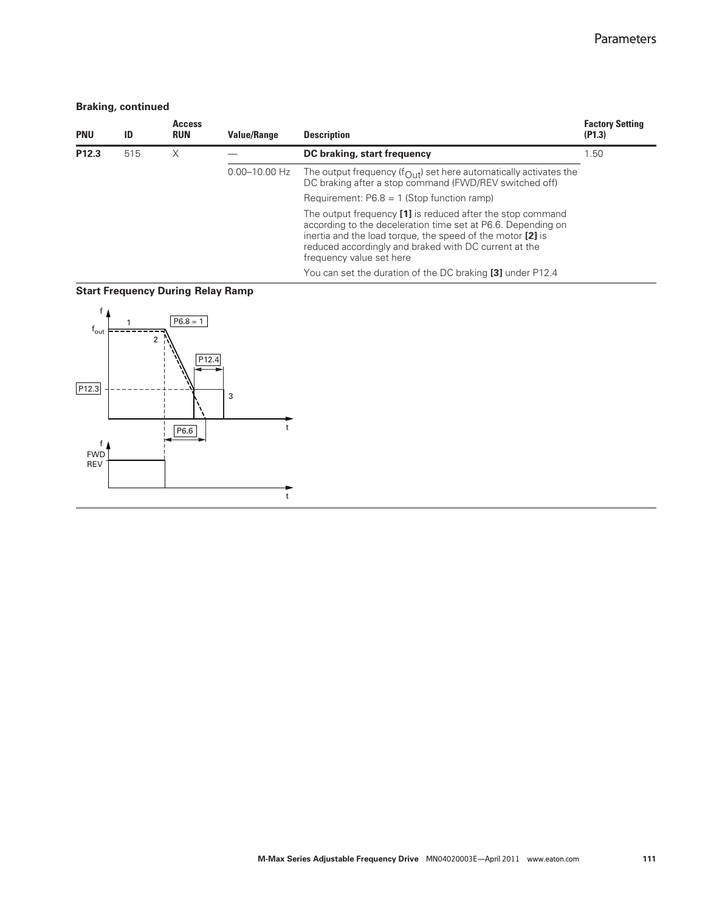# **Braking, continued**

| <b>PNU</b>        | ID  | <b>Access</b><br><b>RUN</b> | <b>Value/Range</b>                                                                                                                                                                                                                                                            | <b>Description</b>                                                                                                                       | <b>Factory Setting</b><br>(P1.3) |
|-------------------|-----|-----------------------------|-------------------------------------------------------------------------------------------------------------------------------------------------------------------------------------------------------------------------------------------------------------------------------|------------------------------------------------------------------------------------------------------------------------------------------|----------------------------------|
| P <sub>12.3</sub> | 515 | Х                           |                                                                                                                                                                                                                                                                               | DC braking, start frequency                                                                                                              | 1.50                             |
|                   |     |                             | $0.00 - 10.00$ Hz                                                                                                                                                                                                                                                             | The output frequency ( $f_{\text{Out}}$ ) set here automatically activates the<br>DC braking after a stop command (FWD/REV switched off) |                                  |
|                   |     |                             |                                                                                                                                                                                                                                                                               | Requirement: $P6.8 = 1$ (Stop function ramp)                                                                                             |                                  |
|                   |     |                             | The output frequency [1] is reduced after the stop command<br>according to the deceleration time set at P6.6. Depending on<br>inertia and the load torque, the speed of the motor [2] is<br>reduced accordingly and braked with DC current at the<br>frequency value set here |                                                                                                                                          |                                  |
|                   |     |                             |                                                                                                                                                                                                                                                                               | You can set the duration of the DC braking [3] under P12.4                                                                               |                                  |

# **Start Frequency During Relay Ramp**

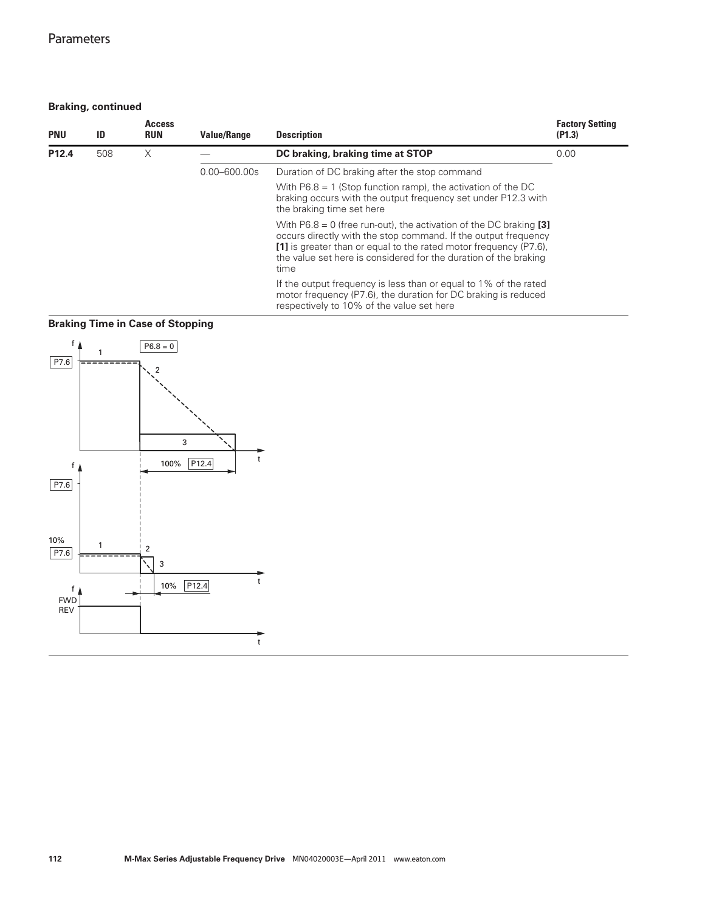# **Braking, continued**

| <b>PNU</b>        | ID  | <b>Access</b><br><b>RUN</b> | <b>Value/Range</b> | <b>Description</b>                                                                                                                                                                                                                                                                             | <b>Factory Setting</b><br>(P1.3) |
|-------------------|-----|-----------------------------|--------------------|------------------------------------------------------------------------------------------------------------------------------------------------------------------------------------------------------------------------------------------------------------------------------------------------|----------------------------------|
| P <sub>12.4</sub> | 508 | X                           |                    | DC braking, braking time at STOP                                                                                                                                                                                                                                                               | 0.00                             |
|                   |     |                             | $0.00 - 600.00s$   | Duration of DC braking after the stop command                                                                                                                                                                                                                                                  |                                  |
|                   |     |                             |                    | With $P6.8 = 1$ (Stop function ramp), the activation of the DC<br>braking occurs with the output frequency set under P12.3 with<br>the braking time set here                                                                                                                                   |                                  |
|                   |     |                             |                    | With $P6.8 = 0$ (free run-out), the activation of the DC braking [3]<br>occurs directly with the stop command. If the output frequency<br><b>[1]</b> is greater than or equal to the rated motor frequency (P7.6),<br>the value set here is considered for the duration of the braking<br>time |                                  |
|                   |     |                             |                    | If the output frequency is less than or equal to 1% of the rated<br>motor frequency (P7.6), the duration for DC braking is reduced<br>respectively to 10% of the value set here                                                                                                                |                                  |

# **Braking Time in Case of Stopping**

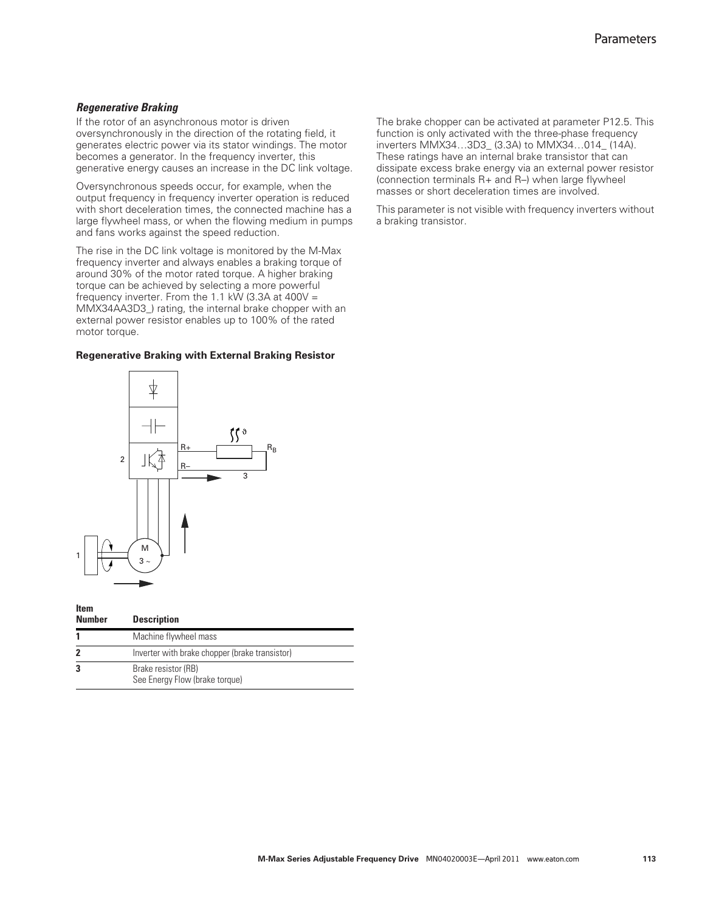## *Regenerative Braking*

If the rotor of an asynchronous motor is driven oversynchronously in the direction of the rotating field, it generates electric power via its stator windings. The motor becomes a generator. In the frequency inverter, this generative energy causes an increase in the DC link voltage.

Oversynchronous speeds occur, for example, when the output frequency in frequency inverter operation is reduced with short deceleration times, the connected machine has a large flywheel mass, or when the flowing medium in pumps and fans works against the speed reduction.

The rise in the DC link voltage is monitored by the M-Max frequency inverter and always enables a braking torque of around 30% of the motor rated torque. A higher braking torque can be achieved by selecting a more powerful frequency inverter. From the 1.1 kW (3.3A at 400V  $=$ MMX34AA3D3\_) rating, the internal brake chopper with an external power resistor enables up to 100% of the rated motor torque.

#### **Regenerative Braking with External Braking Resistor**

M  $R_{\mathsf{B}}$ 3 ~ R+ R– 1 2 3

| Item<br><b>Number</b> | <b>Description</b>                                    |
|-----------------------|-------------------------------------------------------|
|                       | Machine flywheel mass                                 |
|                       | Inverter with brake chopper (brake transistor)        |
|                       | Brake resistor (RB)<br>See Energy Flow (brake torque) |

The brake chopper can be activated at parameter P12.5. This function is only activated with the three-phase frequency inverters MMX34…3D3\_ (3.3A) to MMX34…014\_ (14A). These ratings have an internal brake transistor that can dissipate excess brake energy via an external power resistor (connection terminals R+ and R–) when large flywheel masses or short deceleration times are involved.

This parameter is not visible with frequency inverters without a braking transistor.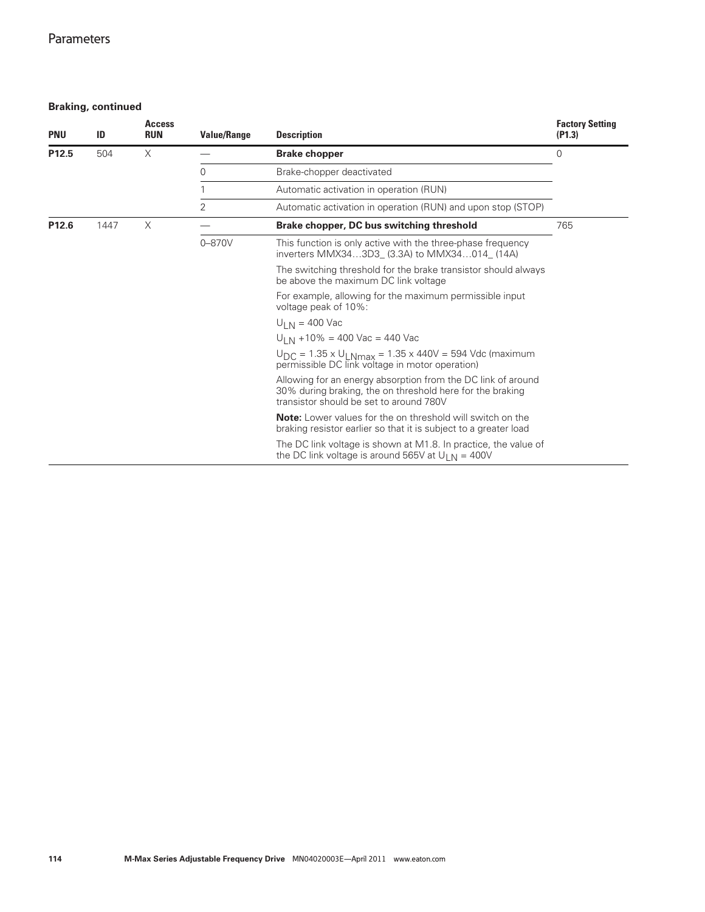# **Parameters**

# **Braking, continued**

| <b>PNU</b>        | ID   | <b>Access</b><br><b>RUN</b> | <b>Value/Range</b> | <b>Description</b>                                                                                                                                                   | <b>Factory Setting</b><br>(P1.3) |
|-------------------|------|-----------------------------|--------------------|----------------------------------------------------------------------------------------------------------------------------------------------------------------------|----------------------------------|
| P <sub>12.5</sub> | 504  | X                           |                    | <b>Brake chopper</b>                                                                                                                                                 | $\Omega$                         |
|                   |      |                             | 0                  | Brake-chopper deactivated                                                                                                                                            |                                  |
|                   |      |                             |                    | Automatic activation in operation (RUN)                                                                                                                              |                                  |
|                   |      |                             | $\overline{2}$     | Automatic activation in operation (RUN) and upon stop (STOP)                                                                                                         |                                  |
| P <sub>12.6</sub> | 1447 | X                           |                    | Brake chopper, DC bus switching threshold                                                                                                                            | 765                              |
|                   |      |                             | 0-870V             | This function is only active with the three-phase frequency<br>inverters MMX343D3 (3.3A) to MMX34014 (14A)                                                           |                                  |
|                   |      |                             |                    | The switching threshold for the brake transistor should always<br>be above the maximum DC link voltage                                                               |                                  |
|                   |      |                             |                    | For example, allowing for the maximum permissible input<br>voltage peak of 10%:                                                                                      |                                  |
|                   |      |                             |                    | $U_{I N}$ = 400 Vac                                                                                                                                                  |                                  |
|                   |      |                             |                    | $U_{I N}$ +10% = 400 Vac = 440 Vac                                                                                                                                   |                                  |
|                   |      |                             |                    | $U_{DC}$ = 1.35 x $U_{LMmax}$ = 1.35 x 440V = 594 Vdc (maximum<br>permissible DC link voltage in motor operation)                                                    |                                  |
|                   |      |                             |                    | Allowing for an energy absorption from the DC link of around<br>30% during braking, the on threshold here for the braking<br>transistor should be set to around 780V |                                  |
|                   |      |                             |                    | <b>Note:</b> Lower values for the on threshold will switch on the<br>braking resistor earlier so that it is subject to a greater load                                |                                  |
|                   |      |                             |                    | The DC link voltage is shown at M1.8. In practice, the value of<br>the DC link voltage is around 565V at $U_{1 N} = 400V$                                            |                                  |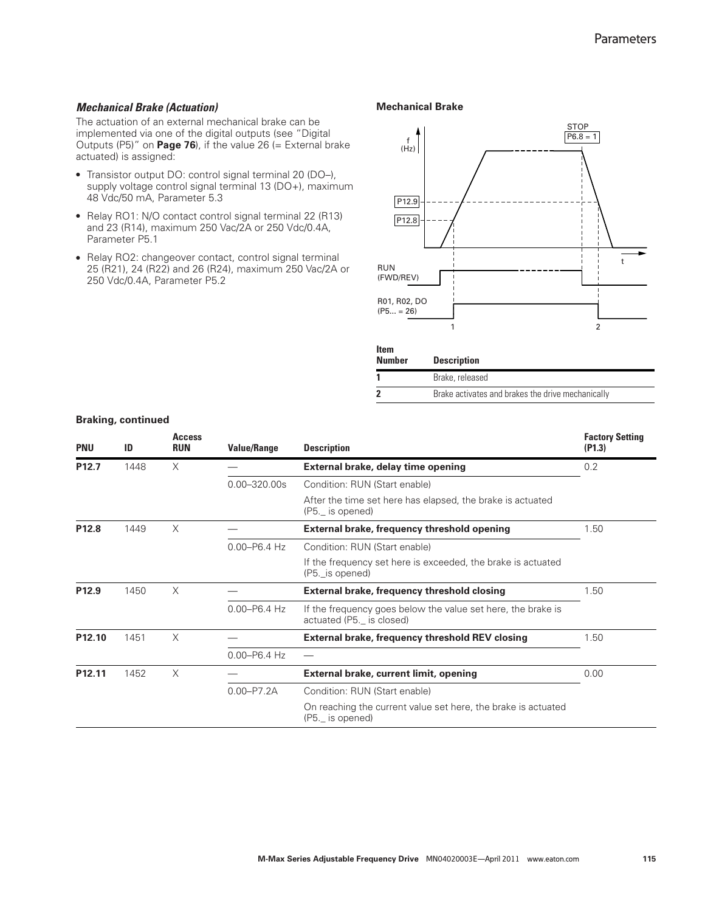# *Mechanical Brake (Actuation)*

The actuation of an external mechanical brake can be implemented via one of the digital outputs (see "Digital Outputs (P5)" on **Page 76**), if the value 26 (= External brake actuated) is assigned:

- Transistor output DO: control signal terminal 20 (DO–), supply voltage control signal terminal 13 (DO+), maximum 48 Vdc/50 mA, Parameter 5.3
- Relay RO1: N/O contact control signal terminal 22 (R13) and 23 (R14), maximum 250 Vac/2A or 250 Vdc/0.4A, Parameter P5.1
- Relay RO2: changeover contact, control signal terminal 25 (R21), 24 (R22) and 26 (R24), maximum 250 Vac/2A or 250 Vdc/0.4A, Parameter P5.2

#### **Mechanical Brake**



|   | DIAKE, IEIEASEU                                   |
|---|---------------------------------------------------|
| 2 | Brake activates and brakes the drive mechanically |

| <b>PNU</b>         | ID   | <b>Access</b><br><b>RUN</b> | <b>Value/Range</b> | <b>Description</b>                                                                       | <b>Factory Setting</b><br>(P1.3) |
|--------------------|------|-----------------------------|--------------------|------------------------------------------------------------------------------------------|----------------------------------|
| P <sub>12.7</sub>  | 1448 | X                           |                    | External brake, delay time opening                                                       | 0.2                              |
|                    |      |                             | $0.00 - 320.00s$   | Condition: RUN (Start enable)                                                            |                                  |
|                    |      |                             |                    | After the time set here has elapsed, the brake is actuated<br>(P5. is opened)            |                                  |
| P <sub>12.8</sub>  | 1449 | X                           |                    | External brake, frequency threshold opening                                              | 1.50                             |
|                    |      |                             | $0.00 - P6.4$ Hz   | Condition: RUN (Start enable)                                                            |                                  |
|                    |      |                             |                    | If the frequency set here is exceeded, the brake is actuated<br>(P5. is opened)          |                                  |
| P <sub>12.9</sub>  | 1450 | X                           |                    | <b>External brake, frequency threshold closing</b>                                       | 1.50                             |
|                    |      |                             | $0.00 - P6.4$ Hz   | If the frequency goes below the value set here, the brake is<br>actuated (P5. is closed) |                                  |
| P <sub>12.10</sub> | 1451 | X                           |                    | <b>External brake, frequency threshold REV closing</b>                                   | 1.50                             |
|                    |      |                             | $0.00 - P6.4$ Hz   |                                                                                          |                                  |
| P <sub>12.11</sub> | 1452 | X                           |                    | External brake, current limit, opening                                                   | 0.00                             |
|                    |      |                             | $0.00 - P7.2A$     | Condition: RUN (Start enable)                                                            |                                  |
|                    |      |                             |                    | On reaching the current value set here, the brake is actuated<br>$(P5_{-}$ is opened)    |                                  |

#### **Braking, continued**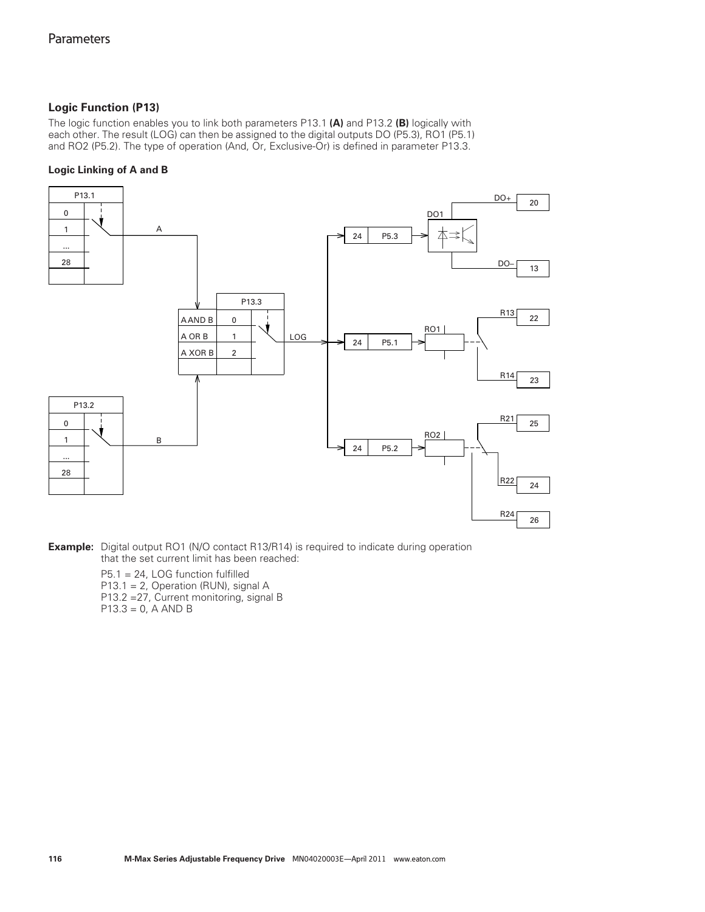# **Logic Function (P13)**

The logic function enables you to link both parameters P13.1 **(A)** and P13.2 **(B)** logically with each other. The result (LOG) can then be assigned to the digital outputs DO (P5.3), RO1 (P5.1) and RO2 (P5.2). The type of operation (And, Or, Exclusive-Or) is defined in parameter P13.3.

### **Logic Linking of A and B**



**Example:** Digital output RO1 (N/O contact R13/R14) is required to indicate during operation that the set current limit has been reached:

P5.1 = 24, LOG function fulfilled

P13.1 = 2, Operation (RUN), signal A

P13.2 =27, Current monitoring, signal B

 $P13.3 = 0,$  A AND B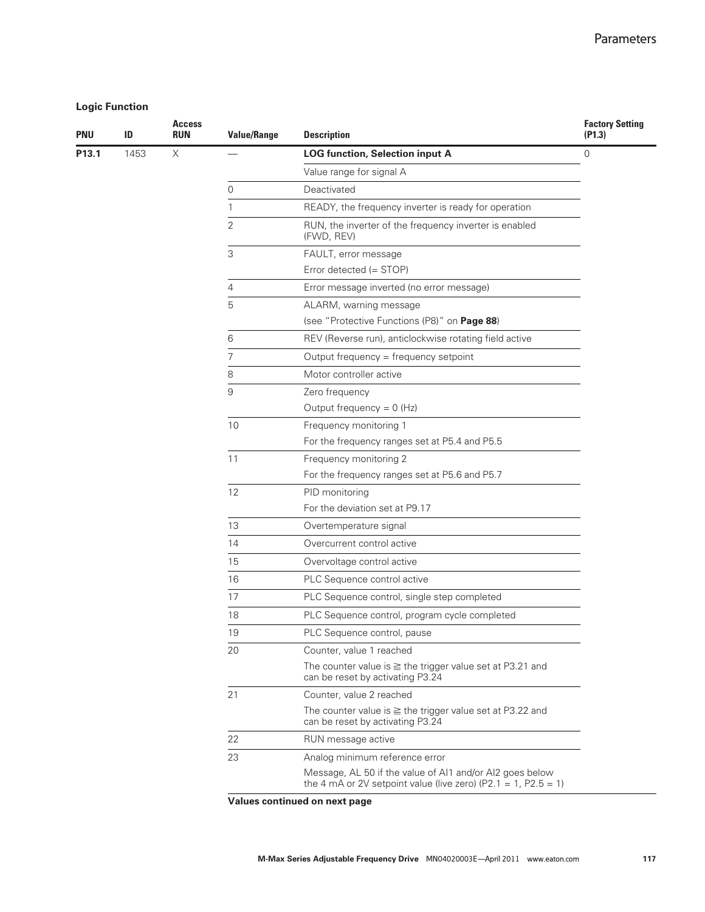### **Logic Function**

| <b>PNU</b>        | ID   | <b>Access</b><br><b>RUN</b> | <b>Value/Range</b> | <b>Description</b>                                                                                                         | <b>Factory Setting</b><br>(P1.3) |
|-------------------|------|-----------------------------|--------------------|----------------------------------------------------------------------------------------------------------------------------|----------------------------------|
| P <sub>13.1</sub> | 1453 | X                           |                    | <b>LOG function, Selection input A</b>                                                                                     | $\Omega$                         |
|                   |      |                             |                    | Value range for signal A                                                                                                   |                                  |
|                   |      |                             | 0                  | Deactivated                                                                                                                |                                  |
|                   |      |                             | $\mathbf{1}$       | READY, the frequency inverter is ready for operation                                                                       |                                  |
|                   |      |                             | 2                  | RUN, the inverter of the frequency inverter is enabled<br>(FWD, REV)                                                       |                                  |
|                   |      |                             | 3                  | FAULT, error message                                                                                                       |                                  |
|                   |      |                             |                    | Error detected (= STOP)                                                                                                    |                                  |
|                   |      |                             | 4                  | Error message inverted (no error message)                                                                                  |                                  |
|                   |      |                             | 5                  | ALARM, warning message                                                                                                     |                                  |
|                   |      |                             |                    | (see "Protective Functions (P8)" on Page 88)                                                                               |                                  |
|                   |      |                             | 6                  | REV (Reverse run), anticlockwise rotating field active                                                                     |                                  |
|                   |      |                             | 7                  | Output frequency = frequency setpoint                                                                                      |                                  |
|                   |      |                             | 8                  | Motor controller active                                                                                                    |                                  |
|                   |      |                             | 9                  | Zero frequency                                                                                                             |                                  |
|                   |      |                             |                    | Output frequency = $0$ (Hz)                                                                                                |                                  |
|                   |      |                             | 10                 | Frequency monitoring 1                                                                                                     |                                  |
|                   |      |                             |                    | For the frequency ranges set at P5.4 and P5.5                                                                              |                                  |
|                   |      |                             | 11                 | Frequency monitoring 2                                                                                                     |                                  |
|                   |      |                             |                    | For the frequency ranges set at P5.6 and P5.7                                                                              |                                  |
|                   |      |                             | 12                 | PID monitoring                                                                                                             |                                  |
|                   |      |                             |                    | For the deviation set at P9.17                                                                                             |                                  |
|                   |      |                             | 13                 | Overtemperature signal                                                                                                     |                                  |
|                   |      |                             | 14                 | Overcurrent control active                                                                                                 |                                  |
|                   |      |                             | 15                 | Overvoltage control active                                                                                                 |                                  |
|                   |      |                             | 16                 | PLC Sequence control active                                                                                                |                                  |
|                   |      |                             | 17                 | PLC Sequence control, single step completed                                                                                |                                  |
|                   |      |                             | 18                 | PLC Sequence control, program cycle completed                                                                              |                                  |
|                   |      |                             | 19                 | PLC Sequence control, pause                                                                                                |                                  |
|                   |      |                             | 20                 | Counter, value 1 reached                                                                                                   |                                  |
|                   |      |                             |                    | The counter value is $\ge$ the trigger value set at P3.21 and<br>can be reset by activating P3.24                          |                                  |
|                   |      |                             | 21                 | Counter, value 2 reached                                                                                                   |                                  |
|                   |      |                             |                    | The counter value is $\geq$ the trigger value set at P3.22 and<br>can be reset by activating P3.24                         |                                  |
|                   |      |                             | 22                 | RUN message active                                                                                                         |                                  |
|                   |      |                             | 23                 | Analog minimum reference error                                                                                             |                                  |
|                   |      |                             |                    | Message, AL 50 if the value of Al1 and/or Al2 goes below<br>the 4 mA or 2V setpoint value (live zero) (P2.1 = 1, P2.5 = 1) |                                  |

**Values continued on next page**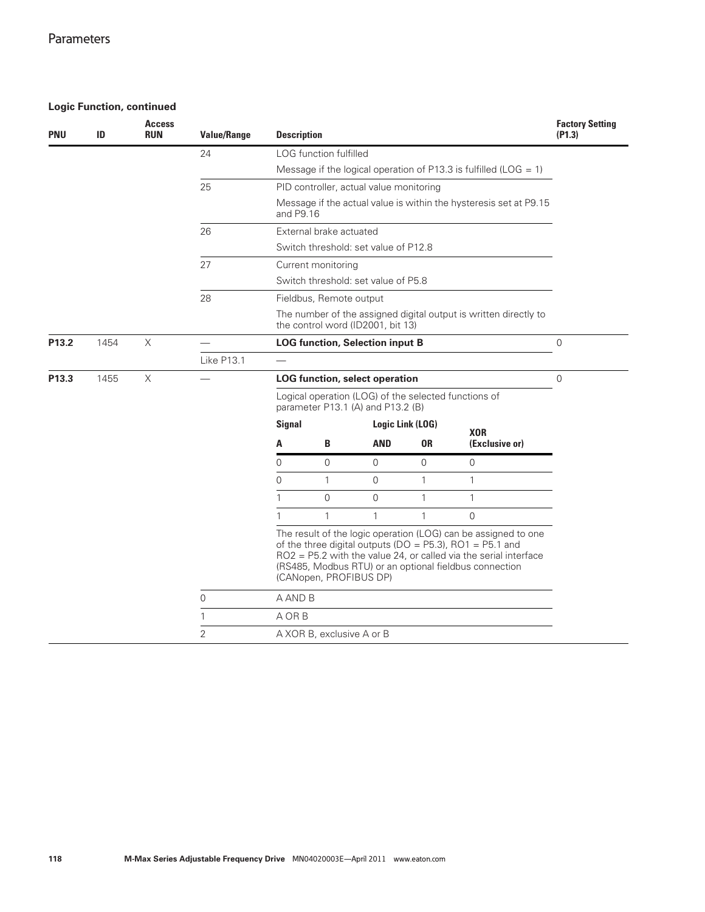# **Logic Function, continued**

| <b>PNU</b>        | ID   | <b>Access</b><br><b>RUN</b> | <b>Value/Range</b> | <b>Description</b>                                                                                                                                                                                                                                                                         |                                                                                                             |                                        |                  |                                                                   | <b>Factory Setting</b><br>(P1.3) |
|-------------------|------|-----------------------------|--------------------|--------------------------------------------------------------------------------------------------------------------------------------------------------------------------------------------------------------------------------------------------------------------------------------------|-------------------------------------------------------------------------------------------------------------|----------------------------------------|------------------|-------------------------------------------------------------------|----------------------------------|
|                   |      |                             | 24                 |                                                                                                                                                                                                                                                                                            | <b>LOG</b> function fulfilled                                                                               |                                        |                  |                                                                   |                                  |
|                   |      |                             |                    |                                                                                                                                                                                                                                                                                            | Message if the logical operation of P13.3 is fulfilled (LOG = 1)<br>PID controller, actual value monitoring |                                        |                  |                                                                   |                                  |
|                   |      |                             | 25                 |                                                                                                                                                                                                                                                                                            |                                                                                                             |                                        |                  |                                                                   |                                  |
|                   |      |                             |                    | and P9.16                                                                                                                                                                                                                                                                                  |                                                                                                             |                                        |                  | Message if the actual value is within the hysteresis set at P9.15 |                                  |
|                   |      |                             | 26                 |                                                                                                                                                                                                                                                                                            | External brake actuated                                                                                     |                                        |                  |                                                                   |                                  |
|                   |      |                             |                    |                                                                                                                                                                                                                                                                                            |                                                                                                             | Switch threshold: set value of P12.8   |                  |                                                                   |                                  |
|                   |      |                             | 27                 |                                                                                                                                                                                                                                                                                            | Current monitoring                                                                                          |                                        |                  |                                                                   |                                  |
|                   |      |                             |                    |                                                                                                                                                                                                                                                                                            |                                                                                                             | Switch threshold: set value of P5.8    |                  |                                                                   |                                  |
|                   |      |                             | 28                 |                                                                                                                                                                                                                                                                                            | Fieldbus, Remote output                                                                                     |                                        |                  |                                                                   |                                  |
|                   |      |                             |                    |                                                                                                                                                                                                                                                                                            |                                                                                                             | the control word (ID2001, bit 13)      |                  | The number of the assigned digital output is written directly to  |                                  |
| P <sub>13.2</sub> | 1454 | $\times$                    |                    |                                                                                                                                                                                                                                                                                            |                                                                                                             | <b>LOG function, Selection input B</b> |                  |                                                                   | $\mathbf{O}$                     |
|                   |      |                             | Like P13.1         |                                                                                                                                                                                                                                                                                            |                                                                                                             |                                        |                  |                                                                   |                                  |
| P <sub>13.3</sub> | 1455 | X                           |                    |                                                                                                                                                                                                                                                                                            |                                                                                                             | <b>LOG function, select operation</b>  |                  |                                                                   | $\mathbf{0}$                     |
|                   |      |                             |                    | Logical operation (LOG) of the selected functions of<br>parameter P13.1 (A) and P13.2 (B)                                                                                                                                                                                                  |                                                                                                             |                                        |                  |                                                                   |                                  |
|                   |      |                             |                    | <b>Signal</b>                                                                                                                                                                                                                                                                              |                                                                                                             |                                        | Logic Link (LOG) | <b>XOR</b>                                                        |                                  |
|                   |      |                             |                    | A                                                                                                                                                                                                                                                                                          | B                                                                                                           | <b>AND</b>                             | 0R               | (Exclusive or)                                                    |                                  |
|                   |      |                             |                    | 0                                                                                                                                                                                                                                                                                          | $\overline{0}$                                                                                              | $\overline{0}$                         | 0                | $\mathbf{0}$                                                      |                                  |
|                   |      |                             |                    | $\Omega$                                                                                                                                                                                                                                                                                   | $\mathbf{1}$                                                                                                | 0                                      | $\mathbf{1}$     | 1                                                                 |                                  |
|                   |      |                             |                    | 1                                                                                                                                                                                                                                                                                          | $\Omega$                                                                                                    | $\overline{0}$                         | $\mathbf{1}$     | $\mathbf{1}$                                                      |                                  |
|                   |      |                             |                    | 1                                                                                                                                                                                                                                                                                          | $\mathbf{1}$                                                                                                | $\mathbf{1}$                           | $\mathbf{1}$     | $\mathbf 0$                                                       |                                  |
|                   |      |                             |                    | The result of the logic operation (LOG) can be assigned to one<br>of the three digital outputs ( $DO = P5.3$ ), $RO1 = P5.1$ and<br>$RO2 = P5.2$ with the value 24, or called via the serial interface<br>(RS485, Modbus RTU) or an optional fieldbus connection<br>(CANopen, PROFIBUS DP) |                                                                                                             |                                        |                  |                                                                   |                                  |
|                   |      |                             | 0                  | A AND B                                                                                                                                                                                                                                                                                    |                                                                                                             |                                        |                  |                                                                   |                                  |
|                   |      |                             | 1                  | A OR B                                                                                                                                                                                                                                                                                     |                                                                                                             |                                        |                  |                                                                   |                                  |
|                   |      |                             | 2                  |                                                                                                                                                                                                                                                                                            | A XOR B, exclusive A or B                                                                                   |                                        |                  |                                                                   |                                  |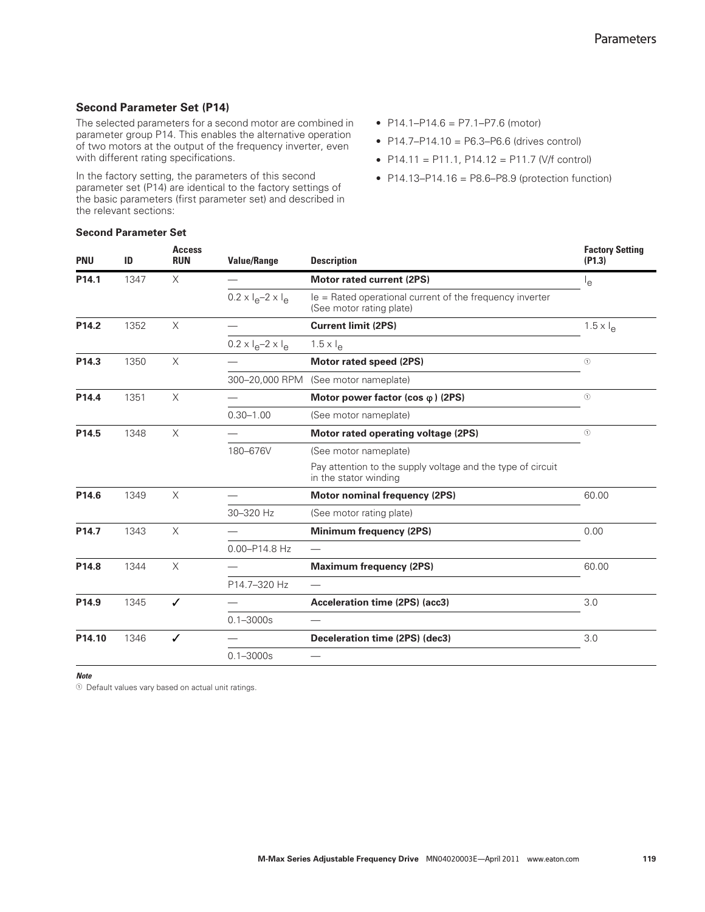# **Second Parameter Set (P14)**

The selected parameters for a second motor are combined in parameter group P14. This enables the alternative operation of two motors at the output of the frequency inverter, even with different rating specifications.

In the factory setting, the parameters of this second parameter set (P14) are identical to the factory settings of the basic parameters (first parameter set) and described in the relevant sections:

## **Second Parameter Set**

- $\bullet$  P14.1–P14.6 = P7.1–P7.6 (motor)
- $\bullet$  P14.7–P14.10 = P6.3–P6.6 (drives control)
- $\bullet$  P14.11 = P11.1, P14.12 = P11.7 (V/f control)
- $\bullet$  P14.13–P14.16 = P8.6–P8.9 (protection function)

| <b>PNU</b>        | ID                                                   | <b>Access</b><br><b>RUN</b> | <b>Value/Range</b>                  | <b>Description</b>                                                                   | <b>Factory Setting</b><br>(P1.3) |
|-------------------|------------------------------------------------------|-----------------------------|-------------------------------------|--------------------------------------------------------------------------------------|----------------------------------|
| P14.1             | 1347<br>$\times$<br><b>Motor rated current (2PS)</b> |                             |                                     | $l_{\rm e}$                                                                          |                                  |
|                   |                                                      |                             | $0.2 \times I_e - 2 \times I_e$     | le = Rated operational current of the frequency inverter<br>(See motor rating plate) |                                  |
| P14.2             | 1352                                                 | $\times$                    | $\overline{\phantom{0}}$            | <b>Current limit (2PS)</b>                                                           | $1.5 \times Ie$                  |
|                   |                                                      |                             | $0.2 \times I_{e} - 2 \times I_{e}$ | $1.5 \times Ie$                                                                      |                                  |
| P14.3             | 1350                                                 | $\times$                    |                                     | Motor rated speed (2PS)                                                              | (1)                              |
|                   |                                                      |                             |                                     | 300-20,000 RPM (See motor nameplate)                                                 |                                  |
| P14.4             | 1351                                                 | $\times$                    |                                     | Motor power factor (cos $\varphi$ ) (2PS)                                            | (1)                              |
|                   |                                                      |                             | $0.30 - 1.00$                       | (See motor nameplate)                                                                |                                  |
| P14.5             | 1348                                                 | $\times$                    |                                     | Motor rated operating voltage (2PS)                                                  | (1)                              |
|                   |                                                      |                             | 180-676V                            | (See motor nameplate)                                                                |                                  |
|                   |                                                      |                             |                                     | Pay attention to the supply voltage and the type of circuit<br>in the stator winding |                                  |
| P14.6             | 1349                                                 | $\times$                    |                                     | Motor nominal frequency (2PS)                                                        | 60.00                            |
|                   |                                                      |                             | 30-320 Hz                           | (See motor rating plate)                                                             |                                  |
| P <sub>14.7</sub> | 1343                                                 | $\times$                    |                                     | <b>Minimum frequency (2PS)</b>                                                       | 0.00                             |
|                   |                                                      |                             | 0.00-P14.8 Hz                       |                                                                                      |                                  |
| P14.8             | 1344                                                 | $\times$                    |                                     | <b>Maximum frequency (2PS)</b>                                                       | 60.00                            |
|                   |                                                      |                             | P14.7-320 Hz                        | $\overline{\phantom{0}}$                                                             |                                  |
| P14.9             | 1345                                                 | ✓                           |                                     | Acceleration time (2PS) (acc3)                                                       | 3.0                              |
|                   |                                                      |                             | $0.1 - 3000s$                       |                                                                                      |                                  |
| P14.10            | 1346                                                 | ✓                           |                                     | Deceleration time (2PS) (dec3)                                                       | 3.0                              |
|                   |                                                      |                             | $0.1 - 3000s$                       |                                                                                      |                                  |
|                   |                                                      |                             |                                     |                                                                                      |                                  |

*Note*

 $\textcircled{\tiny{1}}$  Default values vary based on actual unit ratings.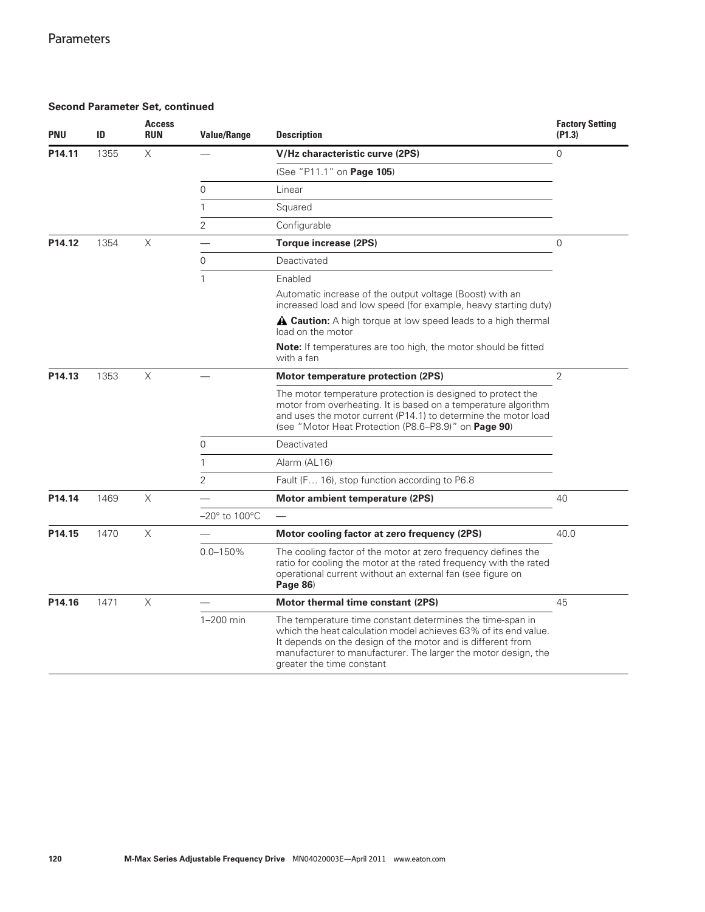# **Parameters**

### **Second Parameter Set, continued**

| <b>PNU</b> | ID   | <b>Access</b><br><b>RUN</b> | <b>Value/Range</b>           | <b>Description</b>                                                                                                                                                                                                                                                                         | <b>Factory Setting</b><br>(P1.3) |
|------------|------|-----------------------------|------------------------------|--------------------------------------------------------------------------------------------------------------------------------------------------------------------------------------------------------------------------------------------------------------------------------------------|----------------------------------|
| P14.11     | 1355 | $\mathsf X$                 |                              | V/Hz characteristic curve (2PS)                                                                                                                                                                                                                                                            | $\Omega$                         |
|            |      |                             |                              | (See "P11.1" on Page 105)                                                                                                                                                                                                                                                                  |                                  |
|            |      |                             | $\Omega$                     | Linear                                                                                                                                                                                                                                                                                     |                                  |
|            |      |                             | 1                            | Squared                                                                                                                                                                                                                                                                                    |                                  |
|            |      |                             | $\overline{2}$               | Configurable                                                                                                                                                                                                                                                                               |                                  |
| P14.12     | 1354 | X                           |                              | Torque increase (2PS)                                                                                                                                                                                                                                                                      | $\Omega$                         |
|            |      |                             | $\Omega$                     | Deactivated                                                                                                                                                                                                                                                                                |                                  |
|            |      |                             | $\mathbf{1}$                 | Enabled                                                                                                                                                                                                                                                                                    |                                  |
|            |      |                             |                              | Automatic increase of the output voltage (Boost) with an<br>increased load and low speed (for example, heavy starting duty)                                                                                                                                                                |                                  |
|            |      |                             |                              | <b>A Caution:</b> A high torque at low speed leads to a high thermal<br>load on the motor                                                                                                                                                                                                  |                                  |
|            |      |                             |                              | <b>Note:</b> If temperatures are too high, the motor should be fitted<br>with a fan                                                                                                                                                                                                        |                                  |
| P14.13     | 1353 | Χ                           |                              | Motor temperature protection (2PS)                                                                                                                                                                                                                                                         | 2                                |
|            |      |                             |                              | The motor temperature protection is designed to protect the<br>motor from overheating. It is based on a temperature algorithm<br>and uses the motor current (P14.1) to determine the motor load<br>(see "Motor Heat Protection (P8.6-P8.9)" on Page 90)                                    |                                  |
|            |      |                             | $\Omega$                     | Deactivated                                                                                                                                                                                                                                                                                |                                  |
|            |      |                             | 1                            | Alarm (AL16)                                                                                                                                                                                                                                                                               |                                  |
|            |      |                             | 2                            | Fault (F 16), stop function according to P6.8                                                                                                                                                                                                                                              |                                  |
| P14.14     | 1469 | X                           |                              | Motor ambient temperature (2PS)                                                                                                                                                                                                                                                            | 40                               |
|            |      |                             | $-20^\circ$ to $100^\circ$ C | $\qquad \qquad$                                                                                                                                                                                                                                                                            |                                  |
| P14.15     | 1470 | X                           |                              | Motor cooling factor at zero frequency (2PS)                                                                                                                                                                                                                                               | 40.0                             |
|            |      |                             | $0.0 - 150%$                 | The cooling factor of the motor at zero frequency defines the<br>ratio for cooling the motor at the rated frequency with the rated<br>operational current without an external fan (see figure on<br>Page 86)                                                                               |                                  |
| P14.16     | 1471 | X                           |                              | Motor thermal time constant (2PS)                                                                                                                                                                                                                                                          | 45                               |
|            |      |                             | $1-200$ min                  | The temperature time constant determines the time-span in<br>which the heat calculation model achieves 63% of its end value.<br>It depends on the design of the motor and is different from<br>manufacturer to manufacturer. The larger the motor design, the<br>greater the time constant |                                  |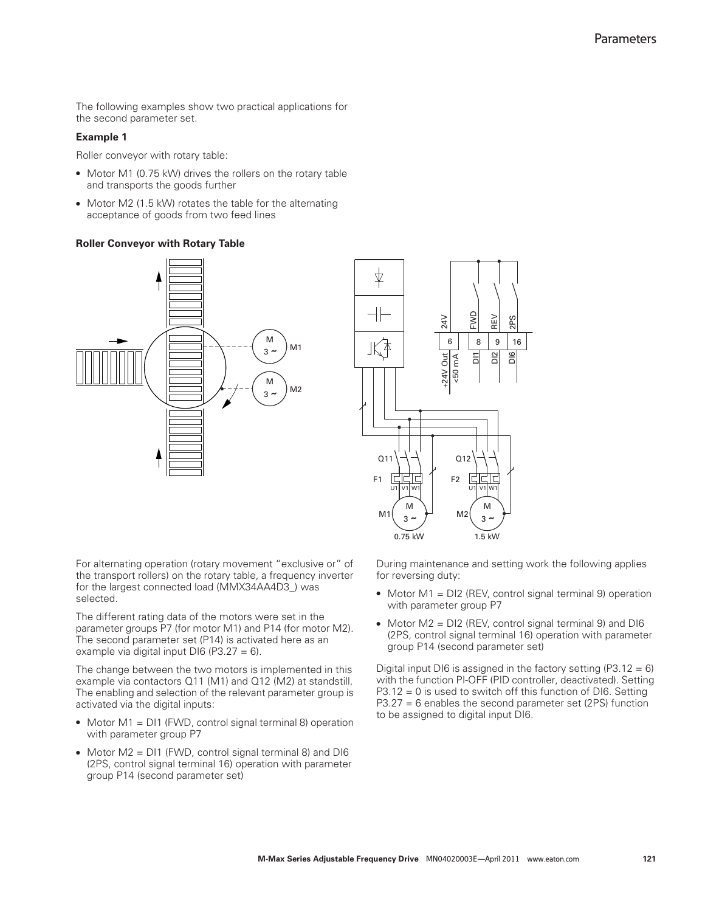The following examples show two practical applications for the second parameter set.

## **Example 1**

Roller conveyor with rotary table:

- Motor M1 (0.75 kW) drives the rollers on the rotary table and transports the goods further
- Motor M2 (1.5 kW) rotates the table for the alternating acceptance of goods from two feed lines

#### **Roller Conveyor with Rotary Table**





For alternating operation (rotary movement "exclusive or" of the transport rollers) on the rotary table, a frequency inverter for the largest connected load (MMX34AA4D3\_) was selected.

The different rating data of the motors were set in the parameter groups P7 (for motor M1) and P14 (for motor M2). The second parameter set (P14) is activated here as an example via digital input DI6 (P3.27 = 6).

The change between the two motors is implemented in this example via contactors Q11 (M1) and Q12 (M2) at standstill. The enabling and selection of the relevant parameter group is activated via the digital inputs:

- Motor M1 = DI1 (FWD, control signal terminal 8) operation with parameter group P7
- Motor M2 = DI1 (FWD, control signal terminal 8) and DI6 (2PS, control signal terminal 16) operation with parameter group P14 (second parameter set)

During maintenance and setting work the following applies for reversing duty:

- Motor M1 = DI2 (REV, control signal terminal 9) operation with parameter group P7
- Motor  $M2 = D12$  (REV, control signal terminal 9) and DI6 (2PS, control signal terminal 16) operation with parameter group P14 (second parameter set)

Digital input DI6 is assigned in the factory setting  $(P3.12 = 6)$ with the function PI-OFF (PID controller, deactivated). Setting P3.12 = 0 is used to switch off this function of DI6. Setting P3.27 = 6 enables the second parameter set (2PS) function to be assigned to digital input DI6.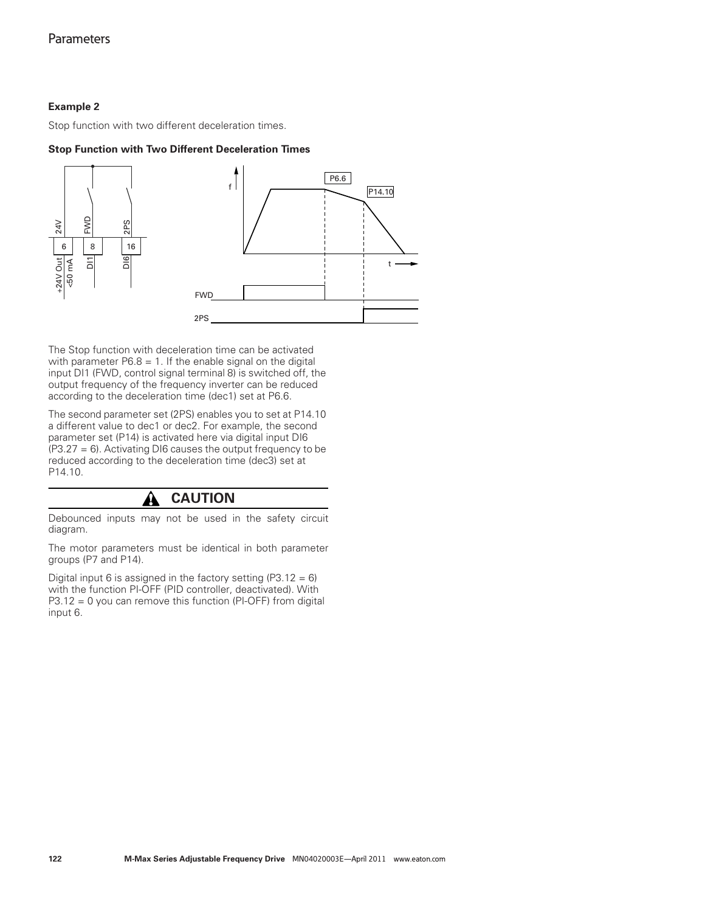## **Example 2**

Stop function with two different deceleration times.

## **Stop Function with Two Different Deceleration Times**



The Stop function with deceleration time can be activated with parameter  $P6.8 = 1$ . If the enable signal on the digital input DI1 (FWD, control signal terminal 8) is switched off, the output frequency of the frequency inverter can be reduced according to the deceleration time (dec1) set at P6.6.

The second parameter set (2PS) enables you to set at P14.10 a different value to dec1 or dec2. For example, the second parameter set (P14) is activated here via digital input DI6 (P3.27 = 6). Activating DI6 causes the output frequency to be reduced according to the deceleration time (dec3) set at P14.10.

# **CAUTION**

Debounced inputs may not be used in the safety circuit diagram.

The motor parameters must be identical in both parameter groups (P7 and P14).

Digital input 6 is assigned in the factory setting  $(P3.12 = 6)$ with the function PI-OFF (PID controller, deactivated). With P3.12 = 0 you can remove this function (PI-OFF) from digital input 6.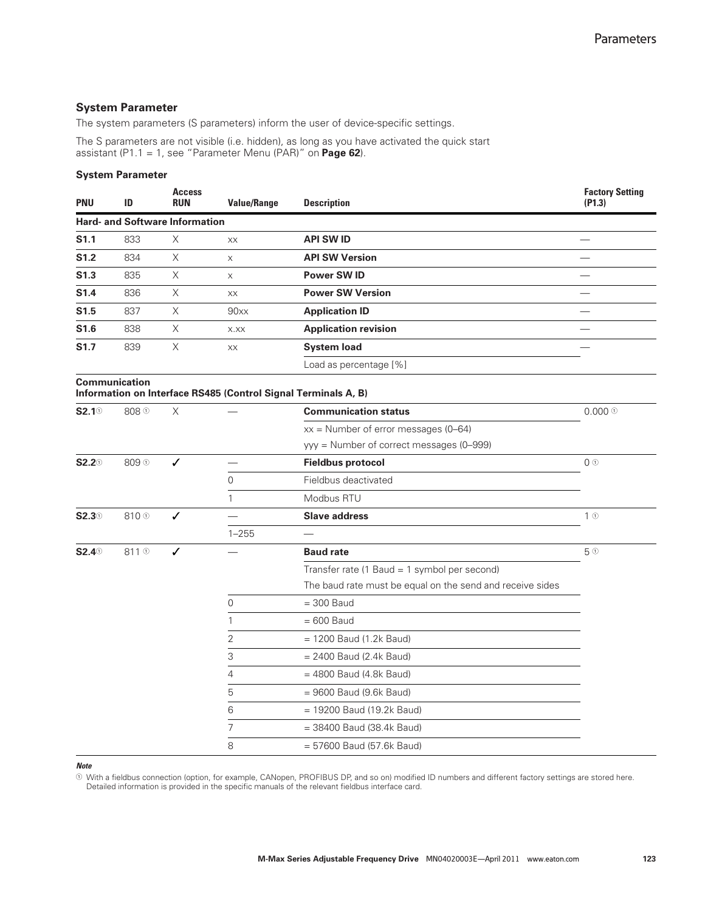# **System Parameter**

The system parameters (S parameters) inform the user of device-specific settings.

The S parameters are not visible (i.e. hidden), as long as you have activated the quick start assistant (P1.1 = 1, see "Parameter Menu (PAR)" on **Page 62**).

#### **System Parameter**

| <b>PNU</b>               | ID                                            | <b>Access</b><br><b>RUN</b>           | <b>Value/Range</b> | <b>Description</b>                                             | <b>Factory Setting</b><br>(P1.3) |
|--------------------------|-----------------------------------------------|---------------------------------------|--------------------|----------------------------------------------------------------|----------------------------------|
|                          |                                               | <b>Hard- and Software Information</b> |                    |                                                                |                                  |
| S1.1                     | 833                                           | X                                     | XX                 | <b>API SW ID</b>                                               |                                  |
| S1.2                     | 834                                           | $\mathsf{X}% _{0}$                    | $\times$           | <b>API SW Version</b>                                          |                                  |
| S1.3                     | 835                                           | $\mathsf X$                           | $\mathsf X$        | <b>Power SWID</b>                                              |                                  |
| <b>S1.4</b>              | 836                                           | X                                     | XX                 | <b>Power SW Version</b>                                        |                                  |
| S1.5                     | 837                                           | Χ                                     | 90xx               | <b>Application ID</b>                                          |                                  |
| S <sub>1.6</sub>         | 838                                           | X                                     | X.XX               | <b>Application revision</b>                                    |                                  |
| S <sub>1.7</sub>         | 839                                           | X                                     | XX                 | <b>System load</b>                                             |                                  |
|                          |                                               |                                       |                    | Load as percentage [%]                                         |                                  |
|                          | <b>Communication</b>                          |                                       |                    | Information on Interface RS485 (Control Signal Terminals A, B) |                                  |
| S2.1 <sup>°</sup>        | 808 <sup>0</sup>                              | X                                     |                    | <b>Communication status</b>                                    | $0.000 \, \odot$                 |
|                          |                                               |                                       |                    | $xx =$ Number of error messages (0-64)                         |                                  |
|                          |                                               |                                       |                    | yyy = Number of correct messages (0-999)                       |                                  |
| S2.2 <sup>°</sup>        | 809 <sup>0</sup>                              | ✓                                     |                    | <b>Fieldbus protocol</b>                                       | 00                               |
|                          |                                               |                                       | $\Omega$           | Fieldbus deactivated                                           |                                  |
|                          |                                               |                                       | $\mathbf{1}$       | Modbus RTU                                                     |                                  |
| S2.3 <sup>①</sup>        | 810 <sup>0</sup><br>✓<br><b>Slave address</b> |                                       |                    | 1 <sup>0</sup>                                                 |                                  |
|                          |                                               |                                       | $1 - 255$          |                                                                |                                  |
| <b>S2.4</b> <sup>0</sup> | 811 <sup>①</sup>                              | ✓                                     |                    | <b>Baud rate</b>                                               | 5 <sup>o</sup>                   |
|                          |                                               |                                       |                    | Transfer rate (1 Baud = 1 symbol per second)                   |                                  |
|                          |                                               |                                       |                    | The baud rate must be equal on the send and receive sides      |                                  |
|                          |                                               |                                       | $\overline{0}$     | $=$ 300 Baud                                                   |                                  |
|                          |                                               |                                       | $\mathbf{1}$       | $= 600$ Baud                                                   |                                  |
|                          |                                               |                                       | 2                  | $= 1200$ Baud (1.2k Baud)                                      |                                  |
|                          |                                               |                                       | 3                  | $= 2400$ Baud (2.4k Baud)                                      |                                  |
|                          |                                               |                                       | $\overline{4}$     | $=$ 4800 Baud (4.8 $k$ Baud)                                   |                                  |
|                          |                                               |                                       | 5                  | = 9600 Baud (9.6k Baud)                                        |                                  |
|                          |                                               |                                       | 6                  | = 19200 Baud (19.2k Baud)                                      |                                  |
|                          |                                               |                                       | 7                  | = 38400 Baud (38.4k Baud)                                      |                                  |
|                          |                                               |                                       | 8                  | = 57600 Baud (57.6k Baud)                                      |                                  |

*Note*

 $^\circ$  With a fieldbus connection (option, for example, CANopen, PROFIBUS DP, and so on) modified ID numbers and different factory settings are stored here. Detailed information is provided in the specific manuals of the relevant fieldbus interface card.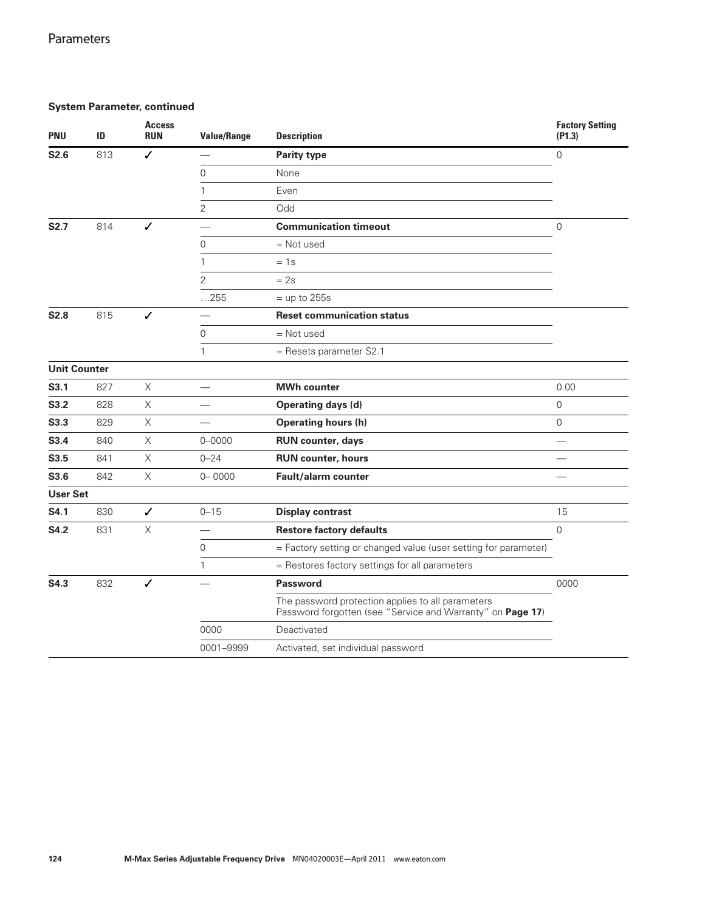# **Parameters**

# **System Parameter, continued**

| <b>PNU</b>          | ID  | <b>Access</b><br><b>RUN</b> | <b>Value/Range</b>       | <b>Description</b>                                                                                              | <b>Factory Setting</b><br>(P1.3) |
|---------------------|-----|-----------------------------|--------------------------|-----------------------------------------------------------------------------------------------------------------|----------------------------------|
| <b>S2.6</b>         | 813 | ✓                           | $\overline{\phantom{0}}$ | <b>Parity type</b>                                                                                              | 0                                |
|                     |     |                             | 0                        | None                                                                                                            |                                  |
|                     |     |                             | $\mathbf{1}$             | Even                                                                                                            |                                  |
|                     |     |                             | $\overline{2}$           | Odd                                                                                                             |                                  |
| <b>S2.7</b>         | 814 | ✓                           |                          | <b>Communication timeout</b>                                                                                    | $\Omega$                         |
|                     |     |                             | 0                        | $=$ Not used                                                                                                    |                                  |
|                     |     |                             | 1                        | $= 1s$                                                                                                          |                                  |
|                     |     |                             | $\overline{2}$           | $= 2s$                                                                                                          |                                  |
|                     |     |                             | 255                      | $=$ up to 255s                                                                                                  |                                  |
| S2.8                | 815 | ✓                           | $\overline{\phantom{0}}$ | <b>Reset communication status</b>                                                                               |                                  |
|                     |     |                             | 0                        | $=$ Not used                                                                                                    |                                  |
|                     |     |                             | 1                        | = Resets parameter S2.1                                                                                         |                                  |
| <b>Unit Counter</b> |     |                             |                          |                                                                                                                 |                                  |
| S3.1                | 827 | $\mathsf X$                 | $\overline{\phantom{0}}$ | <b>MWh counter</b>                                                                                              | 0.00                             |
| S3.2                | 828 | X                           |                          | <b>Operating days (d)</b>                                                                                       | $\Omega$                         |
| S3.3                | 829 | $\mathsf X$                 | $\overline{\phantom{0}}$ | <b>Operating hours (h)</b>                                                                                      | $\mathbf 0$                      |
| S3.4                | 840 | X                           | $0 - 0000$               | <b>RUN counter, days</b>                                                                                        | $\overline{\phantom{0}}$         |
| S3.5                | 841 | X                           | $0 - 24$                 | <b>RUN counter, hours</b>                                                                                       |                                  |
| S <sub>3.6</sub>    | 842 | X                           | $0 - 0000$               | Fault/alarm counter                                                                                             |                                  |
| <b>User Set</b>     |     |                             |                          |                                                                                                                 |                                  |
| S4.1                | 830 | ✓                           | $0 - 15$                 | <b>Display contrast</b>                                                                                         | 15                               |
| <b>S4.2</b>         | 831 | $\boldsymbol{\times}$       |                          | <b>Restore factory defaults</b>                                                                                 | $\Omega$                         |
|                     |     |                             | 0                        | = Factory setting or changed value (user setting for parameter)                                                 |                                  |
|                     |     |                             | $\mathbf{1}$             | = Restores factory settings for all parameters                                                                  |                                  |
| S4.3                | 832 | $\checkmark$                |                          | <b>Password</b>                                                                                                 | 0000                             |
|                     |     |                             |                          | The password protection applies to all parameters<br>Password forgotten (see "Service and Warranty" on Page 17) |                                  |
|                     |     |                             | 0000                     | Deactivated                                                                                                     |                                  |
|                     |     |                             | 0001-9999                | Activated, set individual password                                                                              |                                  |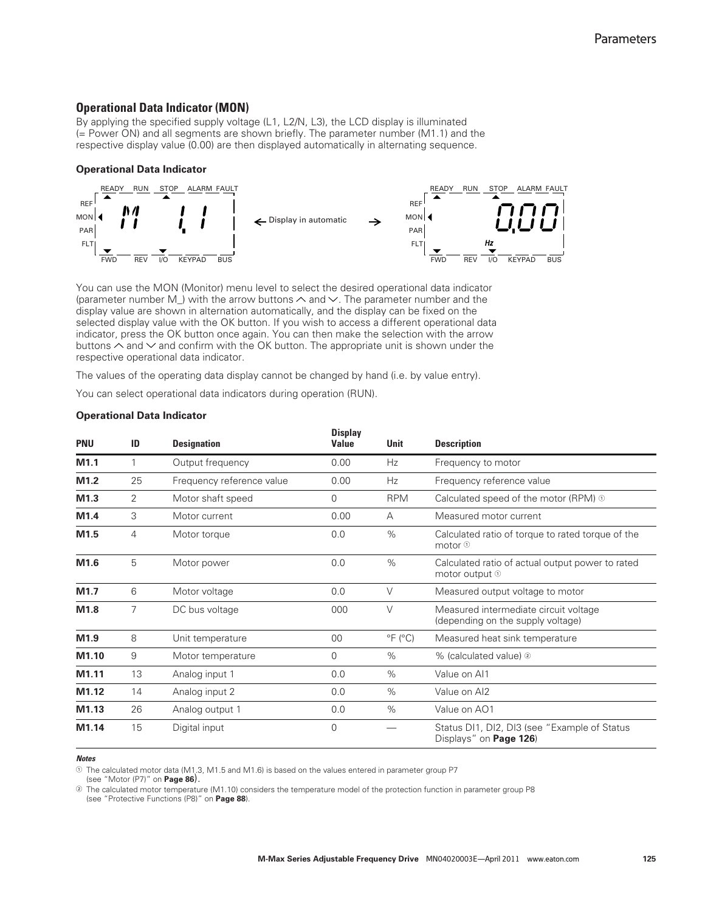# **Operational Data Indicator (MON)**

By applying the specified supply voltage (L1, L2/N, L3), the LCD display is illuminated (= Power ON) and all segments are shown briefly. The parameter number (M1.1) and the respective display value (0.00) are then displayed automatically in alternating sequence.

#### **Operational Data Indicator**



You can use the MON (Monitor) menu level to select the desired operational data indicator (parameter number M\_) with the arrow buttons  $\land$  and  $\lor$ . The parameter number and the display value are shown in alternation automatically, and the display can be fixed on the selected display value with the OK button. If you wish to access a different operational data indicator, press the OK button once again. You can then make the selection with the arrow buttons  $\sim$  and  $\sim$  and confirm with the OK button. The appropriate unit is shown under the respective operational data indicator.

The values of the operating data display cannot be changed by hand (i.e. by value entry).

You can select operational data indicators during operation (RUN).

| <b>PNU</b>        | ID | <b>Designation</b>        | <b>Display</b><br><b>Value</b> | <b>Unit</b>                | <b>Description</b>                                                              |
|-------------------|----|---------------------------|--------------------------------|----------------------------|---------------------------------------------------------------------------------|
| M1.1              |    | Output frequency          | 0.00                           | Hz                         | Frequency to motor                                                              |
| M1.2              | 25 | Frequency reference value | 0.00                           | Hz                         | Frequency reference value                                                       |
| M1.3              | 2  | Motor shaft speed         | 0                              | <b>RPM</b>                 | Calculated speed of the motor (RPM) <sup>10</sup>                               |
| M1.4              | 3  | Motor current             | 0.00                           | А                          | Measured motor current                                                          |
| M <sub>1.5</sub>  | 4  | Motor torque              | 0.0                            | $\%$                       | Calculated ratio of torque to rated torque of the<br>motor <sup>1</sup>         |
| M1.6              | 5  | Motor power               | 0.0                            | $\%$                       | Calculated ratio of actual output power to rated<br>motor output $\Phi$         |
| M <sub>1.7</sub>  | 6  | Motor voltage             | 0.0                            | V                          | Measured output voltage to motor                                                |
| M <sub>1.8</sub>  | 7  | DC bus voltage            | 000                            | V                          | Measured intermediate circuit voltage<br>(depending on the supply voltage)      |
| M <sub>1.9</sub>  | 8  | Unit temperature          | $00\,$                         | $\degree$ F ( $\degree$ C) | Measured heat sink temperature                                                  |
| M1.10             | 9  | Motor temperature         | 0                              | $\%$                       | % (calculated value) 2                                                          |
| M <sub>1.11</sub> | 13 | Analog input 1            | 0.0                            | $\%$                       | Value on Al1                                                                    |
| M1.12             | 14 | Analog input 2            | 0.0                            | $\%$                       | Value on AI2                                                                    |
| M <sub>1.13</sub> | 26 | Analog output 1           | 0.0                            | $\%$                       | Value on AO1                                                                    |
| M1.14             | 15 | Digital input             | 0                              |                            | Status DI1, DI2, DI3 (see "Example of Status"<br>Displays" on <b>Page 126</b> ) |

#### **Operational Data Indicator**

#### *Notes*

 $\textcircled{\tiny{1}}$  The calculated motor data (M1.3, M1.5 and M1.6) is based on the values entered in parameter group P7

(see "Motor (P7)" on **Page 86**).

 The calculated motor temperature (M1.10) considers the temperature model of the protection function in parameter group P8 (see "Protective Functions (P8)" on **Page 88**).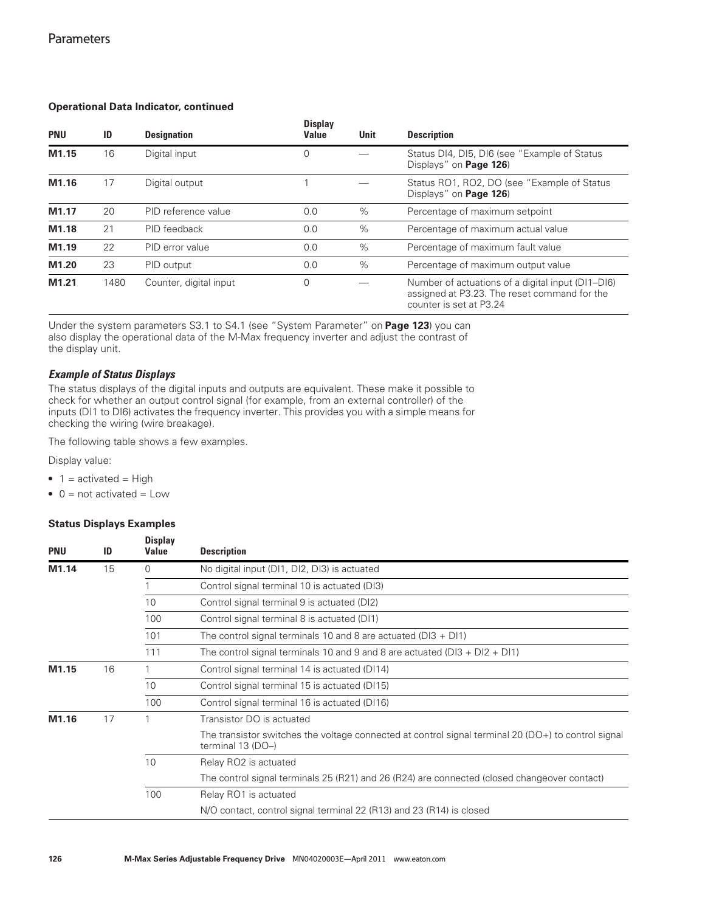# **Operational Data Indicator, continued**

| <b>PNU</b>        | ID   | <b>Designation</b>     | <b>Display</b><br>Value | <b>Unit</b> | <b>Description</b>                                                                                                           |
|-------------------|------|------------------------|-------------------------|-------------|------------------------------------------------------------------------------------------------------------------------------|
| M1.15             | 16   | Digital input          | 0                       |             | Status DI4, DI5, DI6 (see "Example of Status<br>Displays" on Page 126)                                                       |
| M1.16             | 17   | Digital output         |                         |             | Status RO1, RO2, DO (see "Example of Status<br>Displays" on Page 126)                                                        |
| M <sub>1.17</sub> | 20   | PID reference value    | 0.0                     | $\%$        | Percentage of maximum setpoint                                                                                               |
| M1.18             | 21   | PID feedback           | 0.0                     | $\%$        | Percentage of maximum actual value                                                                                           |
| M1.19             | 22   | PID error value        | 0.0                     | $\%$        | Percentage of maximum fault value                                                                                            |
| M1.20             | 23   | PID output             | 0.0                     | $\%$        | Percentage of maximum output value                                                                                           |
| M1.21             | 1480 | Counter, digital input | $\Omega$                |             | Number of actuations of a digital input (DI1-DI6)<br>assigned at P3.23. The reset command for the<br>counter is set at P3.24 |

Under the system parameters S3.1 to S4.1 (see "System Parameter" on **Page 123**) you can also display the operational data of the M-Max frequency inverter and adjust the contrast of the display unit.

## *Example of Status Displays*

The status displays of the digital inputs and outputs are equivalent. These make it possible to check for whether an output control signal (for example, from an external controller) of the inputs (DI1 to DI6) activates the frequency inverter. This provides you with a simple means for checking the wiring (wire breakage).

The following table shows a few examples.

Display value:

- $\bullet$  1 = activated = High
- $\bullet$  0 = not activated = Low

## **Status Displays Examples**

| <b>PNU</b> | ID | <b>Display</b><br>Value | <b>Description</b>                                                                                                        |
|------------|----|-------------------------|---------------------------------------------------------------------------------------------------------------------------|
| M1.14      | 15 | 0                       | No digital input (DI1, DI2, DI3) is actuated                                                                              |
|            |    |                         | Control signal terminal 10 is actuated (DI3)                                                                              |
|            |    | 10                      | Control signal terminal 9 is actuated (DI2)                                                                               |
|            |    | 100                     | Control signal terminal 8 is actuated (DI1)                                                                               |
|            |    | 101                     | The control signal terminals 10 and 8 are actuated ( $D13 + D11$ )                                                        |
|            |    | 111                     | The control signal terminals 10 and 9 and 8 are actuated ( $DJ + DI2 + DI1$ )                                             |
| M1.15      | 16 |                         | Control signal terminal 14 is actuated (DI14)                                                                             |
|            |    | 10                      | Control signal terminal 15 is actuated (DI15)                                                                             |
|            |    | 100                     | Control signal terminal 16 is actuated (DI16)                                                                             |
| M1.16      | 17 |                         | Transistor DO is actuated                                                                                                 |
|            |    |                         | The transistor switches the voltage connected at control signal terminal 20 (DO+) to control signal<br>terminal $13(DO-)$ |
|            |    | 10                      | Relay RO2 is actuated                                                                                                     |
|            |    |                         | The control signal terminals 25 (R21) and 26 (R24) are connected (closed changeover contact)                              |
|            |    | 100                     | Relay RO1 is actuated                                                                                                     |
|            |    |                         | N/O contact, control signal terminal 22 (R13) and 23 (R14) is closed                                                      |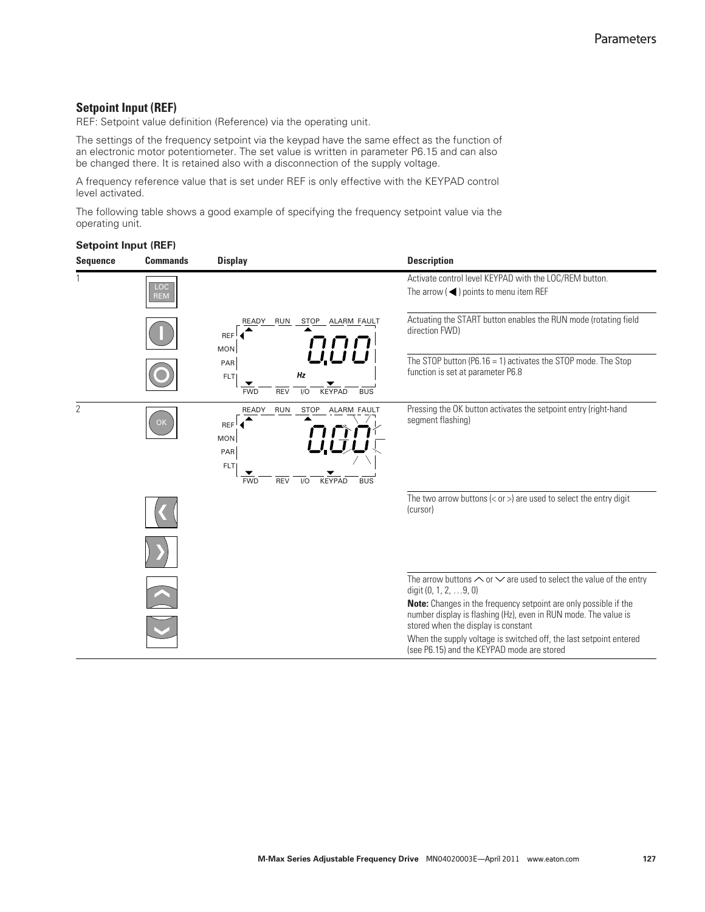# **Setpoint Input (REF)**

**Setpoint Input (REF)**

REF: Setpoint value definition (Reference) via the operating unit.

The settings of the frequency setpoint via the keypad have the same effect as the function of an electronic motor potentiometer. The set value is written in parameter P6.15 and can also be changed there. It is retained also with a disconnection of the supply voltage.

A frequency reference value that is set under REF is only effective with the KEYPAD control level activated.

The following table shows a good example of specifying the frequency setpoint value via the operating unit.

| <b>Sequence</b> | <b>Commands</b>          | <b>Display</b>                                                                                                                                                                      | <b>Description</b>                                                                                                                                                         |
|-----------------|--------------------------|-------------------------------------------------------------------------------------------------------------------------------------------------------------------------------------|----------------------------------------------------------------------------------------------------------------------------------------------------------------------------|
|                 | <b>LOC</b><br><b>REM</b> |                                                                                                                                                                                     | Activate control level KEYPAD with the LOC/REM button.<br>The arrow ( $\blacktriangleleft$ ) points to menu item REF                                                       |
|                 |                          | <b>READY</b><br><b>RUN</b><br><b>ALARM FAULT</b><br><b>STOP</b><br><b>REF</b><br><b>MON</b>                                                                                         | Actuating the START button enables the RUN mode (rotating field<br>direction FWD)                                                                                          |
|                 |                          | PAR<br>Hz<br>FLT<br><b>BUS</b><br><b>KEYPAD</b><br><b>FWD</b><br><b>REV</b><br>$\overline{1/O}$                                                                                     | The STOP button (P6.16 = 1) activates the STOP mode. The Stop<br>function is set at parameter P6.8                                                                         |
| $\overline{2}$  | OK                       | <b>READY</b><br><b>RUN</b><br><b>STOP</b><br>ALARM FAULT<br>$REF$ <sup>1</sup><br><b>MON</b><br>PAR<br><b>FLT</b><br><b>REV</b><br><b>KEYPAD</b><br><b>BUS</b><br><b>FWD</b><br>1/O | Pressing the OK button activates the setpoint entry (right-hand<br>segment flashing)                                                                                       |
|                 |                          |                                                                                                                                                                                     | The two arrow buttons $\langle \langle \text{or} \rangle \rangle$ are used to select the entry digit<br>(cursor)                                                           |
|                 |                          |                                                                                                                                                                                     |                                                                                                                                                                            |
|                 |                          |                                                                                                                                                                                     | The arrow buttons $\land$ or $\lor$ are used to select the value of the entry<br>digit $(0, 1, 2, \ldots, 9, 0)$                                                           |
|                 |                          |                                                                                                                                                                                     | Note: Changes in the frequency setpoint are only possible if the<br>number display is flashing (Hz), even in RUN mode. The value is<br>stored when the display is constant |
|                 |                          |                                                                                                                                                                                     | When the supply voltage is switched off, the last setpoint entered<br>(see P6.15) and the KEYPAD mode are stored                                                           |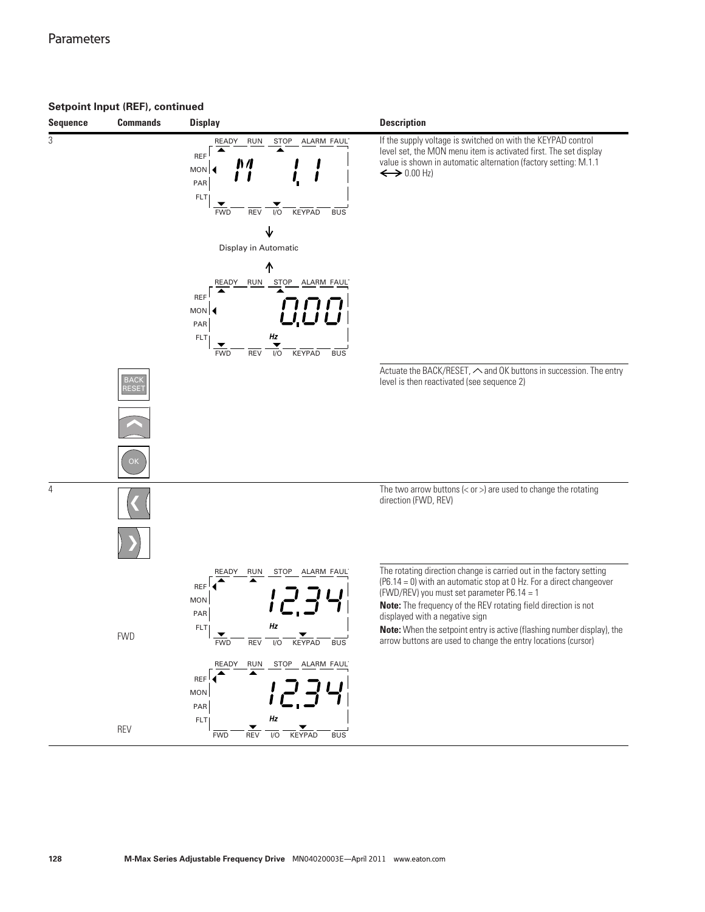# **Setpoint Input (REF), continued**

| <b>Sequence</b> | <b>Commands</b>                  | <b>Display</b>                                                                                                                                                                   | <b>Description</b>                                                                                                                                                                                                                                                                                                                                                                                                                             |
|-----------------|----------------------------------|----------------------------------------------------------------------------------------------------------------------------------------------------------------------------------|------------------------------------------------------------------------------------------------------------------------------------------------------------------------------------------------------------------------------------------------------------------------------------------------------------------------------------------------------------------------------------------------------------------------------------------------|
| 3               |                                  | READY<br><b>RUN</b><br>ALARM FAUL<br><b>STOP</b><br><b>REF</b><br><b>MON</b><br>PAR<br><b>FLT</b><br><b>KEYPAD</b><br>$\overline{1/O}$<br><b>BUS</b><br><b>FWD</b><br><b>REV</b> | If the supply voltage is switched on with the KEYPAD control<br>level set, the MON menu item is activated first. The set display<br>value is shown in automatic alternation (factory setting: M.1.1<br>$\Longleftrightarrow$ 0.00 Hz)                                                                                                                                                                                                          |
|                 |                                  | ৬<br>Display in Automatic                                                                                                                                                        |                                                                                                                                                                                                                                                                                                                                                                                                                                                |
|                 |                                  | ሳ<br><b>READY</b><br><b>RUN</b><br><b>STOP</b><br>ALARM FAUL<br><b>REF</b><br>MON<br>PAR<br>Hz<br>FLT<br>▼<br><b>KEYPAD</b><br><b>BUS</b><br><b>FWD</b><br>I/O<br><b>REV</b>     |                                                                                                                                                                                                                                                                                                                                                                                                                                                |
|                 | <b>BACK</b><br>RESE <sup>-</sup> |                                                                                                                                                                                  | Actuate the BACK/RESET, ∧ and OK buttons in succession. The entry<br>level is then reactivated (see sequence 2)                                                                                                                                                                                                                                                                                                                                |
|                 | <b>OK</b>                        |                                                                                                                                                                                  |                                                                                                                                                                                                                                                                                                                                                                                                                                                |
| 4               |                                  |                                                                                                                                                                                  | The two arrow buttons $(<$ or $>)$ are used to change the rotating<br>direction (FWD, REV)                                                                                                                                                                                                                                                                                                                                                     |
|                 | <b>FWD</b>                       | <b>RUN</b><br><b>STOP</b><br>READY<br>ALARM FAUL<br>▲<br><b>REF</b><br><b>MON</b><br>PAR<br><b>FLT</b><br><b>KEYPAD</b><br><b>FWD</b><br><b>REV</b><br><b>BUS</b><br>I/O         | The rotating direction change is carried out in the factory setting<br>(P6.14 = 0) with an automatic stop at 0 Hz. For a direct changeover<br>(FWD/REV) you must set parameter P6.14 = 1<br>Note: The frequency of the REV rotating field direction is not<br>displayed with a negative sign<br><b>Note:</b> When the setpoint entry is active (flashing number display), the<br>arrow buttons are used to change the entry locations (cursor) |
|                 | <b>REV</b>                       | <b>RUN</b><br>READY<br>STOP ALARM FAUL<br><b>REF</b><br><b>MON</b><br>PAR<br>Hz<br><b>FLT</b><br>KEYPAD<br><b>BUS</b><br><b>FWD</b><br>$\overline{1/O}$<br>REV                   |                                                                                                                                                                                                                                                                                                                                                                                                                                                |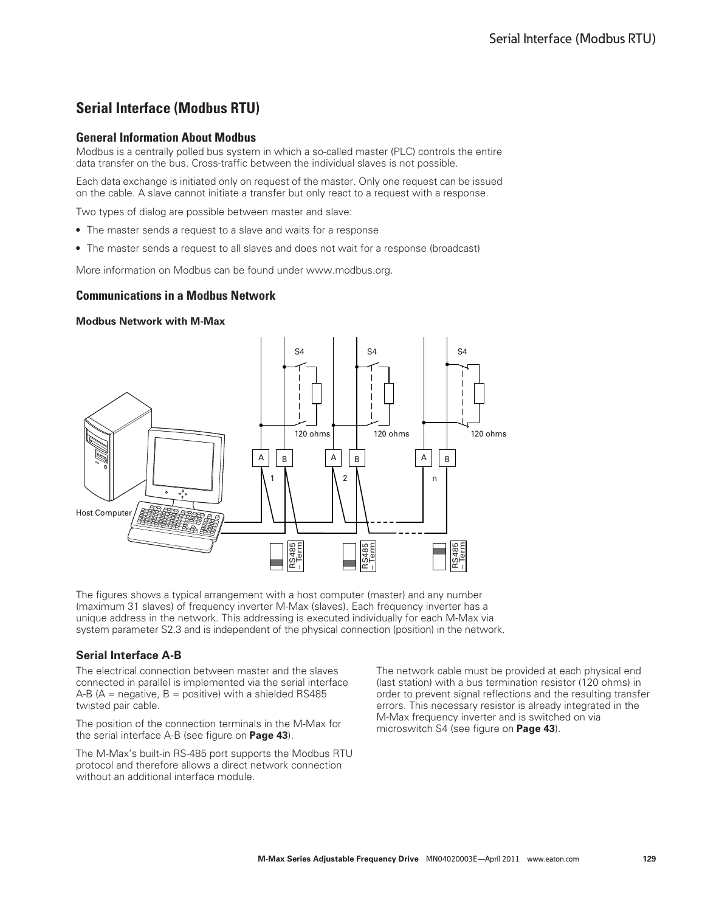# **Serial Interface (Modbus RTU)**

### **General Information About Modbus**

Modbus is a centrally polled bus system in which a so-called master (PLC) controls the entire data transfer on the bus. Cross-traffic between the individual slaves is not possible.

Each data exchange is initiated only on request of the master. Only one request can be issued on the cable. A slave cannot initiate a transfer but only react to a request with a response.

Two types of dialog are possible between master and slave:

- The master sends a request to a slave and waits for a response
- The master sends a request to all slaves and does not wait for a response (broadcast)

More information on Modbus can be found under www.modbus.org.

### **Communications in a Modbus Network**

### **Modbus Network with M-Max**



The figures shows a typical arrangement with a host computer (master) and any number (maximum 31 slaves) of frequency inverter M-Max (slaves). Each frequency inverter has a unique address in the network. This addressing is executed individually for each M-Max via system parameter S2.3 and is independent of the physical connection (position) in the network.

### **Serial Interface A-B**

The electrical connection between master and the slaves connected in parallel is implemented via the serial interface A-B ( $A$  = negative,  $B$  = positive) with a shielded RS485 twisted pair cable.

The position of the connection terminals in the M-Max for the serial interface A-B (see figure on **Page 43**).

The M-Max's built-in RS-485 port supports the Modbus RTU protocol and therefore allows a direct network connection without an additional interface module.

The network cable must be provided at each physical end (last station) with a bus termination resistor (120 ohms) in order to prevent signal reflections and the resulting transfer errors. This necessary resistor is already integrated in the M-Max frequency inverter and is switched on via microswitch S4 (see figure on **Page 43**).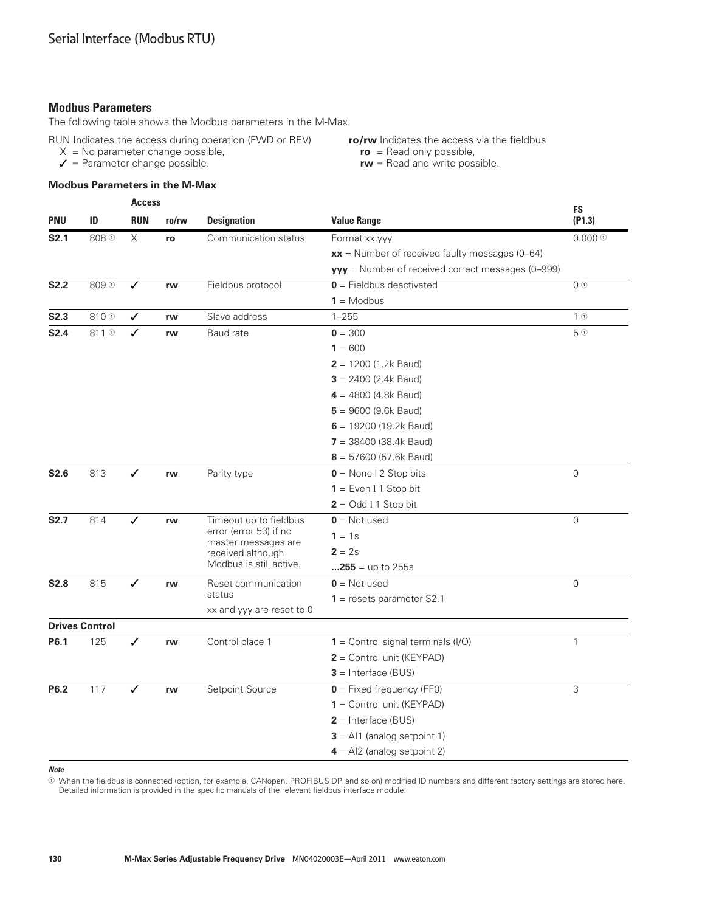# **Modbus Parameters**

The following table shows the Modbus parameters in the M-Max.

RUN Indicates the access during operation (FWD or REV)

 $X = No$  parameter change possible,

 $\checkmark$  = Parameter change possible. **Modbus Parameters in the M-Max**

**Access**

**ro/rw** Indicates the access via the fieldbus **ro** = Read only possible, **rw** = Read and write possible.

|             |                                                 | <b>ACCESS</b> |    |                                               |                                                     | <b>FS</b>           |
|-------------|-------------------------------------------------|---------------|----|-----------------------------------------------|-----------------------------------------------------|---------------------|
| <b>PNU</b>  | <b>RUN</b><br><b>Designation</b><br>ID<br>ro/rw |               |    | <b>Value Range</b>                            | (P1.3)                                              |                     |
| S2.1        | 808O                                            | X             | ro | Communication status                          | Format xx.yyy                                       | $0.000 \, \odot$    |
|             |                                                 |               |    |                                               | $xx$ = Number of received faulty messages (0–64)    |                     |
|             |                                                 |               |    |                                               | $yyy =$ Number of received correct messages (0-999) |                     |
| <b>S2.2</b> | 809O                                            | ✓             | rw | Fieldbus protocol                             | $\mathbf{0}$ = Fieldbus deactivated                 | 0 <sup>0</sup>      |
|             |                                                 |               |    |                                               | $1 = Modbus$                                        |                     |
| S2.3        | 810 <sup>o</sup>                                | ✓             | rw | Slave address                                 | $1 - 255$                                           | 10                  |
| S2.4        | 811 <sup>①</sup>                                | ✓             | rw | Baud rate                                     | $0 = 300$                                           | 5 <sup>o</sup>      |
|             |                                                 |               |    |                                               | $1 = 600$                                           |                     |
|             |                                                 |               |    |                                               | $2 = 1200$ (1.2k Baud)                              |                     |
|             |                                                 |               |    |                                               | $3 = 2400$ (2.4k Baud)                              |                     |
|             |                                                 |               |    |                                               | $4 = 4800$ (4.8k Baud)                              |                     |
|             |                                                 |               |    |                                               | $5 = 9600$ (9.6k Baud)                              |                     |
|             |                                                 |               |    |                                               | $6 = 19200$ (19.2k Baud)                            |                     |
|             |                                                 |               |    |                                               | $7 = 38400$ (38.4k Baud)                            |                     |
|             |                                                 |               |    |                                               | $8 = 57600$ (57.6k Baud)                            |                     |
| S2.6        | 813                                             | $\checkmark$  | rw | Parity type                                   | $0 =$ None I 2 Stop bits                            | $\mathsf{O}\xspace$ |
|             |                                                 |               |    |                                               | $1 =$ Even 11 Stop bit                              |                     |
|             |                                                 |               |    |                                               | $2 =$ Odd 11 Stop bit                               |                     |
| <b>S2.7</b> | 814                                             | ✓             | rw | Timeout up to fieldbus                        | $0 = Not used$                                      | $\mathbf 0$         |
|             |                                                 |               |    | error (error 53) if no<br>master messages are | $1 = 1s$                                            |                     |
|             |                                                 |               |    | received although                             | $2 = 2s$                                            |                     |
|             |                                                 |               |    | Modbus is still active.                       | $255 =$ up to 255s                                  |                     |
| <b>S2.8</b> | 815                                             | ✓             | rw | Reset communication                           | $0 = Not used$                                      | $\overline{0}$      |
|             |                                                 |               |    | status                                        | $1 =$ resets parameter S2.1                         |                     |
|             |                                                 |               |    | xx and yyy are reset to 0                     |                                                     |                     |
|             | <b>Drives Control</b>                           |               |    |                                               |                                                     |                     |
| P6.1        | 125                                             | ✓             | rw | Control place 1                               | $1 =$ Control signal terminals (I/O)                | $\mathbf{1}$        |
|             |                                                 |               |    |                                               | $2 =$ Control unit (KEYPAD)                         |                     |
|             |                                                 |               |    |                                               | $3$ = Interface (BUS)                               |                     |
| <b>P6.2</b> | 117                                             | ✓             | rw | Setpoint Source                               | $\mathbf{0}$ = Fixed frequency (FF0)                | 3                   |
|             |                                                 |               |    |                                               | $1 =$ Control unit (KEYPAD)                         |                     |
|             |                                                 |               |    |                                               | $2 =$ Interface (BUS)                               |                     |
|             |                                                 |               |    |                                               | $3 = A11$ (analog setpoint 1)                       |                     |
|             |                                                 |               |    |                                               | $4 = A12$ (analog setpoint 2)                       |                     |

*Note*

- When the fieldbus is connected (option, for example, CANopen, PROFIBUS DP, and so on) modified ID numbers and different factory settings are stored here. Detailed information is provided in the specific manuals of the relevant fieldbus interface module.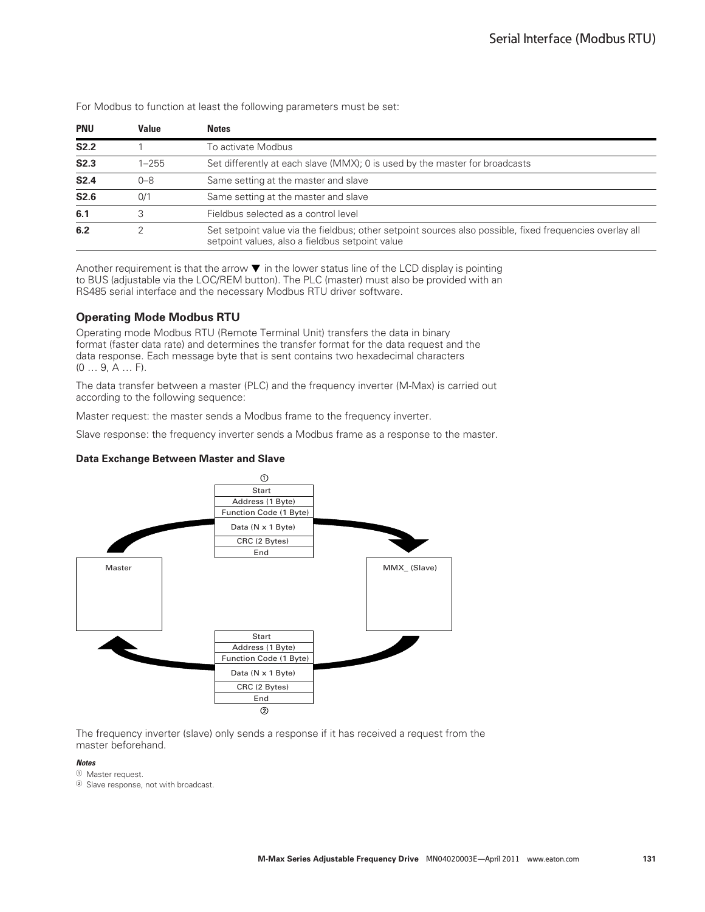**PNU Value Notes S2.2** 1 To activate Modbus **S2.3** 1–255 Set differently at each slave (MMX); 0 is used by the master for broadcasts **S2.4** 0–8 Same setting at the master and slave **S2.6** 0/1 Same setting at the master and slave **6.1** 3 Fieldbus selected as a control level **6.2** 2 Set setpoint value via the fieldbus; other setpoint sources also possible, fixed frequencies overlay all setpoint values, also a fieldbus setpoint value

For Modbus to function at least the following parameters must be set:

Another requirement is that the arrow  $\blacktriangledown$  in the lower status line of the LCD display is pointing to BUS (adjustable via the LOC/REM button). The PLC (master) must also be provided with an RS485 serial interface and the necessary Modbus RTU driver software.

### **Operating Mode Modbus RTU**

Operating mode Modbus RTU (Remote Terminal Unit) transfers the data in binary format (faster data rate) and determines the transfer format for the data request and the data response. Each message byte that is sent contains two hexadecimal characters (0 … 9, A … F).

The data transfer between a master (PLC) and the frequency inverter (M-Max) is carried out according to the following sequence:

Master request: the master sends a Modbus frame to the frequency inverter.

Slave response: the frequency inverter sends a Modbus frame as a response to the master.

### **Data Exchange Between Master and Slave**



The frequency inverter (slave) only sends a response if it has received a request from the master beforehand.

#### *Notes*

- $\textcircled{\tiny{1}}$  Master request.
- <sup>2</sup> Slave response, not with broadcast.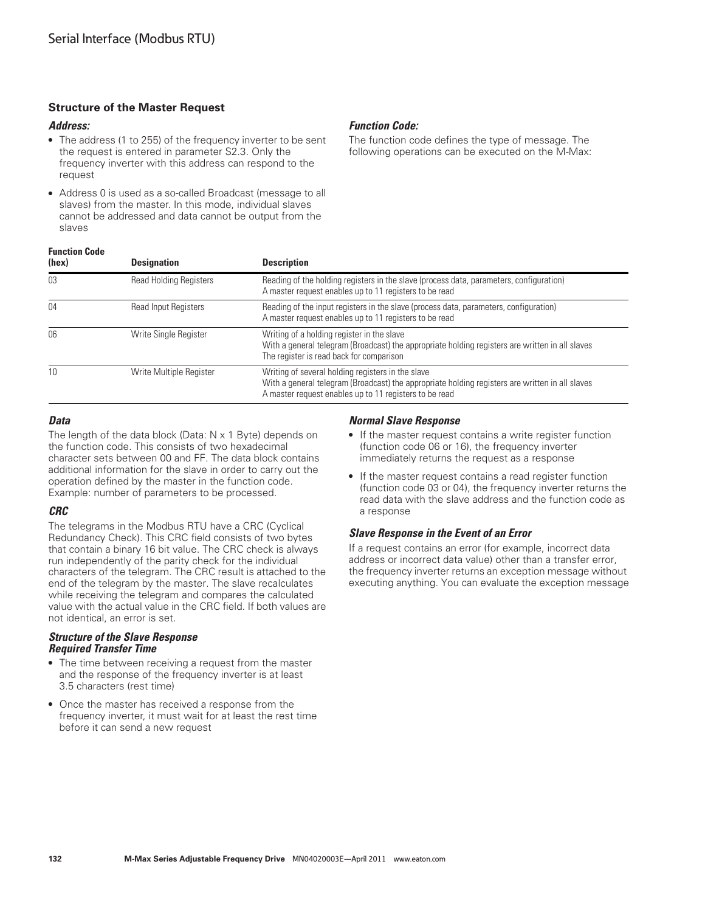# **Structure of the Master Request**

### *Address:*

- The address (1 to 255) of the frequency inverter to be sent the request is entered in parameter S2.3. Only the frequency inverter with this address can respond to the request
- Address 0 is used as a so-called Broadcast (message to all slaves) from the master. In this mode, individual slaves cannot be addressed and data cannot be output from the slaves

## *Function Code:*

The function code defines the type of message. The following operations can be executed on the M-Max:

| <b>Function Code</b><br>(hex) | <b>Designation</b>            | <b>Description</b>                                                                                                                                                                                             |  |  |  |  |  |
|-------------------------------|-------------------------------|----------------------------------------------------------------------------------------------------------------------------------------------------------------------------------------------------------------|--|--|--|--|--|
| 03                            | <b>Read Holding Registers</b> | Reading of the holding registers in the slave (process data, parameters, configuration)<br>A master request enables up to 11 registers to be read                                                              |  |  |  |  |  |
| 04                            | Read Input Registers          | Reading of the input registers in the slave (process data, parameters, configuration)<br>A master request enables up to 11 registers to be read                                                                |  |  |  |  |  |
| 06                            | Write Single Register         | Writing of a holding register in the slave<br>With a general telegram (Broadcast) the appropriate holding registers are written in all slaves<br>The register is read back for comparison                      |  |  |  |  |  |
| 10                            | Write Multiple Register       | Writing of several holding registers in the slave<br>With a general telegram (Broadcast) the appropriate holding registers are written in all slaves<br>A master request enables up to 11 registers to be read |  |  |  |  |  |

## *Data*

The length of the data block (Data:  $N \times 1$  Byte) depends on the function code. This consists of two hexadecimal character sets between 00 and FF. The data block contains additional information for the slave in order to carry out the operation defined by the master in the function code. Example: number of parameters to be processed.

# *CRC*

The telegrams in the Modbus RTU have a CRC (Cyclical Redundancy Check). This CRC field consists of two bytes that contain a binary 16 bit value. The CRC check is always run independently of the parity check for the individual characters of the telegram. The CRC result is attached to the end of the telegram by the master. The slave recalculates while receiving the telegram and compares the calculated value with the actual value in the CRC field. If both values are not identical, an error is set.

### *Structure of the Slave Response Required Transfer Time*

- The time between receiving a request from the master and the response of the frequency inverter is at least 3.5 characters (rest time)
- Once the master has received a response from the frequency inverter, it must wait for at least the rest time before it can send a new request

### *Normal Slave Response*

- If the master request contains a write register function (function code 06 or 16), the frequency inverter immediately returns the request as a response
- If the master request contains a read register function (function code 03 or 04), the frequency inverter returns the read data with the slave address and the function code as a response

### *Slave Response in the Event of an Error*

If a request contains an error (for example, incorrect data address or incorrect data value) other than a transfer error, the frequency inverter returns an exception message without executing anything. You can evaluate the exception message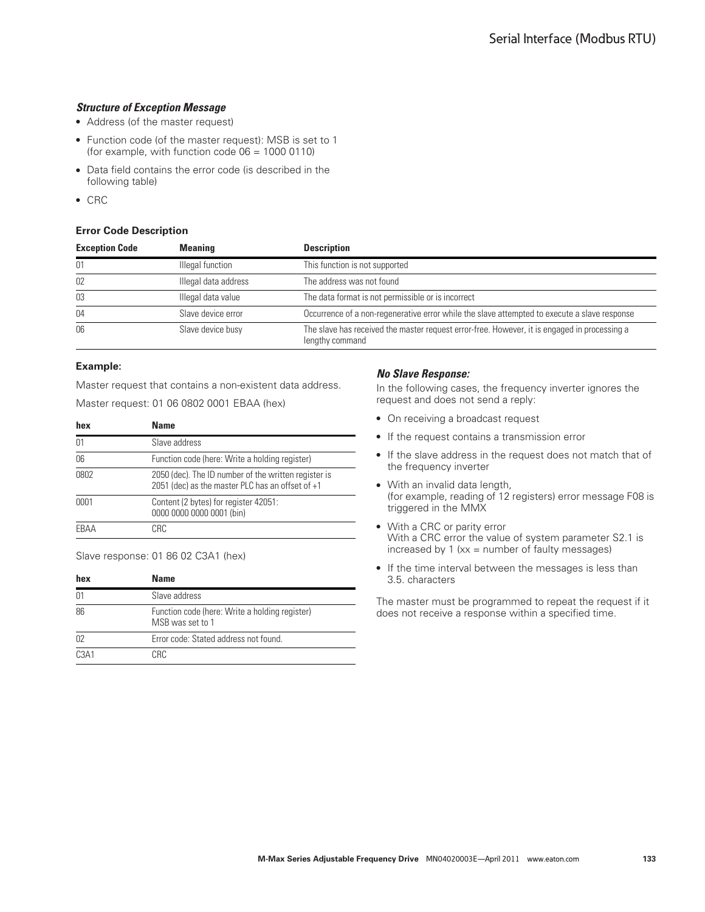## *Structure of Exception Message*

- Address (of the master request)
- Function code (of the master request): MSB is set to 1 (for example, with function code  $06 = 1000 0110$ )
- Data field contains the error code (is described in the following table)
- CRC

### **Error Code Description**

| <b>Exception Code</b> | <b>Meaning</b>       | <b>Description</b>                                                                                              |  |  |  |  |  |
|-----------------------|----------------------|-----------------------------------------------------------------------------------------------------------------|--|--|--|--|--|
| 01                    | Illegal function     | This function is not supported                                                                                  |  |  |  |  |  |
| 02                    | Illegal data address | The address was not found                                                                                       |  |  |  |  |  |
| 03                    | Illegal data value   | The data format is not permissible or is incorrect                                                              |  |  |  |  |  |
| 04                    | Slave device error   | Occurrence of a non-regenerative error while the slave attempted to execute a slave response                    |  |  |  |  |  |
| 06                    | Slave device busy    | The slave has received the master request error-free. However, it is engaged in processing a<br>lengthy command |  |  |  |  |  |

### **Example:**

Master request that contains a non-existent data address. Master request: 01 06 0802 0001 EBAA (hex)

| hex  | <b>Name</b>                                                                                                |
|------|------------------------------------------------------------------------------------------------------------|
| 01   | Slave address                                                                                              |
| 06   | Function code (here: Write a holding register)                                                             |
| 0802 | 2050 (dec). The ID number of the written register is<br>2051 (dec) as the master PLC has an offset of $+1$ |
| 0001 | Content (2 bytes) for register 42051:<br>0000 0000 0000 0001 (bin)                                         |
| FRAA | CRC                                                                                                        |

Slave response: 01 86 02 C3A1 (hex)

| hex                           | <b>Name</b>                                                        |  |
|-------------------------------|--------------------------------------------------------------------|--|
| 01                            | Slave address                                                      |  |
| 86                            | Function code (here: Write a holding register)<br>MSB was set to 1 |  |
| 02                            | Error code: Stated address not found.                              |  |
| C <sub>3</sub> A <sub>1</sub> | CRC.                                                               |  |

# *No Slave Response:*

In the following cases, the frequency inverter ignores the request and does not send a reply:

- On receiving a broadcast request
- If the request contains a transmission error
- If the slave address in the request does not match that of the frequency inverter
- With an invalid data length, (for example, reading of 12 registers) error message F08 is triggered in the MMX
- With a CRC or parity error With a CRC error the value of system parameter S2.1 is increased by 1  $(xx = number of faulty messages)$
- If the time interval between the messages is less than 3.5. characters

The master must be programmed to repeat the request if it does not receive a response within a specified time.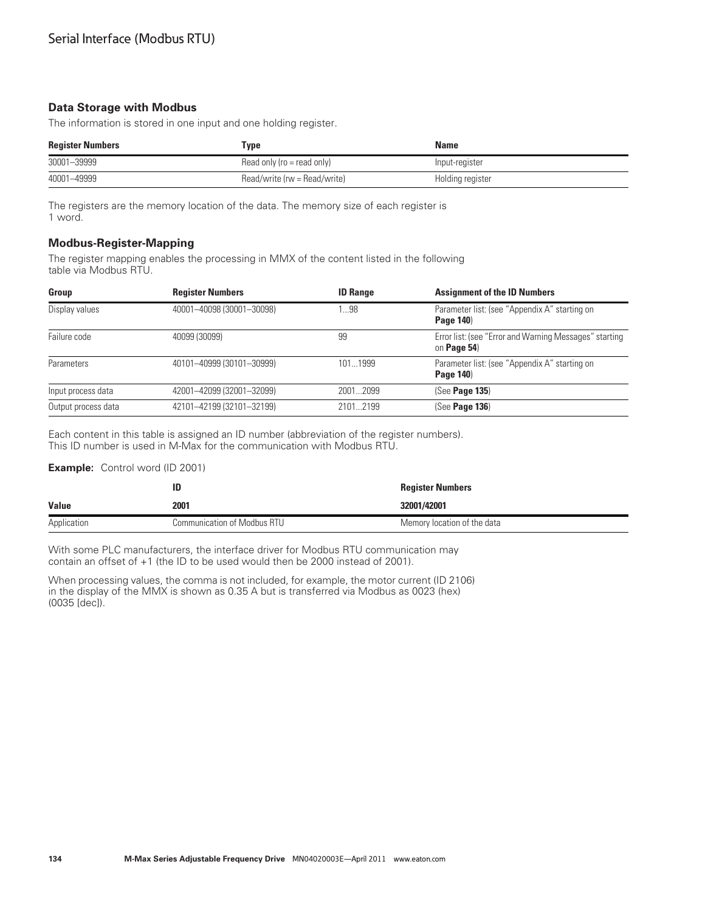# **Data Storage with Modbus**

The information is stored in one input and one holding register.

| <b>Register Numbers</b> | Type                         | <b>Name</b>      |
|-------------------------|------------------------------|------------------|
| 30001-39999             | Read only (ro = read only)   | Input-register   |
| 40001-49999             | Read/write (rw = Read/write) | Holding register |

The registers are the memory location of the data. The memory size of each register is 1 word.

# **Modbus-Register-Mapping**

The register mapping enables the processing in MMX of the content listed in the following table via Modbus RTU.

| Group               | <b>Register Numbers</b>   | <b>ID Range</b> | <b>Assignment of the ID Numbers</b>                                   |
|---------------------|---------------------------|-----------------|-----------------------------------------------------------------------|
| Display values      | 40001-40098 (30001-30098) | 198             | Parameter list: (see "Appendix A" starting on<br>Page 140             |
| Failure code        | 40099 (30099)             | 99              | Error list: (see "Error and Warning Messages" starting<br>on Page 54) |
| <b>Parameters</b>   | 40101-40999 (30101-30999) | 1011999         | Parameter list: (see "Appendix A" starting on<br>Page 140             |
| Input process data  | 42001-42099 (32001-32099) | 20012099        | (See Page 135)                                                        |
| Output process data | 42101-42199 (32101-32199) | 2101.2199       | (See Page 136)                                                        |

Each content in this table is assigned an ID number (abbreviation of the register numbers). This ID number is used in M-Max for the communication with Modbus RTU.

**Example:** Control word (ID 2001)

|              | ID                                 | <b>Register Numbers</b>     |
|--------------|------------------------------------|-----------------------------|
| <b>Value</b> | 2001                               | 32001/42001                 |
| Application  | <b>Communication of Modbus RTU</b> | Memory location of the data |

With some PLC manufacturers, the interface driver for Modbus RTU communication may contain an offset of +1 (the ID to be used would then be 2000 instead of 2001).

When processing values, the comma is not included, for example, the motor current (ID 2106) in the display of the MMX is shown as 0.35 A but is transferred via Modbus as 0023 (hex) (0035 [dec]).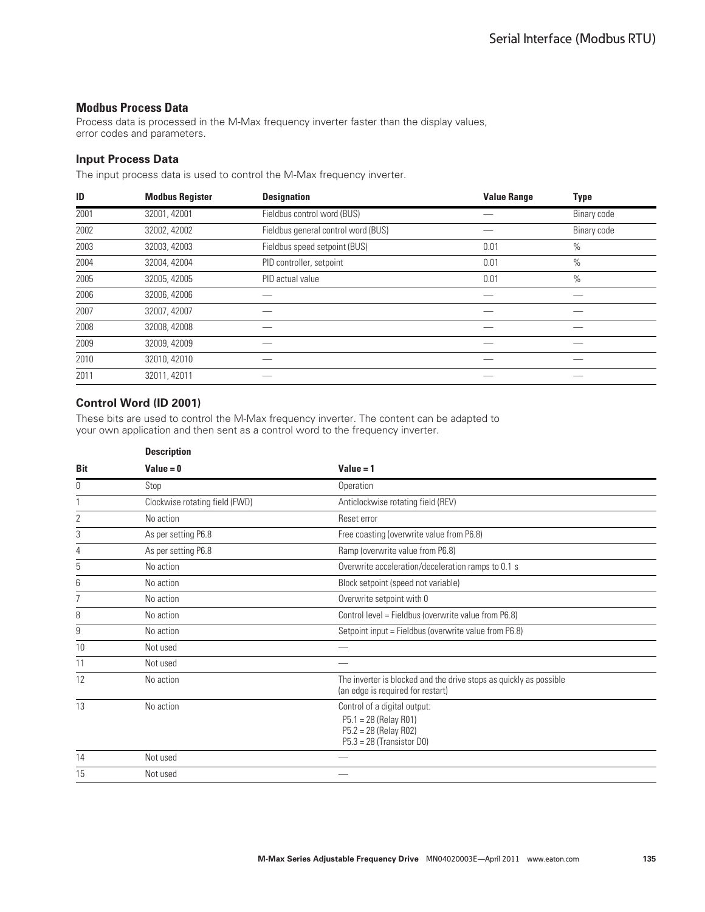# **Modbus Process Data**

Process data is processed in the M-Max frequency inverter faster than the display values, error codes and parameters.

# **Input Process Data**

The input process data is used to control the M-Max frequency inverter.

| ID<br><b>Modbus Register</b> |              | <b>Designation</b>                  | <b>Value Range</b> | <b>Type</b>   |  |  |
|------------------------------|--------------|-------------------------------------|--------------------|---------------|--|--|
| 2001                         | 32001, 42001 | Fieldbus control word (BUS)         |                    | Binary code   |  |  |
| 2002                         | 32002, 42002 | Fieldbus general control word (BUS) |                    | Binary code   |  |  |
| 2003                         | 32003, 42003 | Fieldbus speed setpoint (BUS)       | 0.01               | $\%$          |  |  |
| 2004                         | 32004, 42004 | PID controller, setpoint            | 0.01               | $\frac{0}{0}$ |  |  |
| 2005                         | 32005, 42005 | PID actual value                    | 0.01               | $\%$          |  |  |
| 2006                         | 32006, 42006 |                                     |                    |               |  |  |
| 2007                         | 32007, 42007 |                                     |                    |               |  |  |
| 2008                         | 32008, 42008 |                                     |                    |               |  |  |
| 2009                         | 32009, 42009 |                                     |                    |               |  |  |
| 2010                         | 32010, 42010 |                                     |                    |               |  |  |
| 2011                         | 32011, 42011 |                                     |                    |               |  |  |
|                              |              |                                     |                    |               |  |  |

# **Control Word (ID 2001)**

These bits are used to control the M-Max frequency inverter. The content can be adapted to your own application and then sent as a control word to the frequency inverter.

|                | <b>Description</b>             |                                                                                                                 |  |  |  |  |  |  |
|----------------|--------------------------------|-----------------------------------------------------------------------------------------------------------------|--|--|--|--|--|--|
| <b>Bit</b>     | $Value = 0$                    | $Value = 1$                                                                                                     |  |  |  |  |  |  |
| 0              | Stop                           | Operation                                                                                                       |  |  |  |  |  |  |
|                | Clockwise rotating field (FWD) | Anticlockwise rotating field (REV)                                                                              |  |  |  |  |  |  |
| $\overline{2}$ | No action                      | Reset error                                                                                                     |  |  |  |  |  |  |
| 3              | As per setting P6.8            | Free coasting (overwrite value from P6.8)                                                                       |  |  |  |  |  |  |
| 4              | As per setting P6.8            | Ramp (overwrite value from P6.8)                                                                                |  |  |  |  |  |  |
| 5              | No action                      | Overwrite acceleration/deceleration ramps to 0.1 s                                                              |  |  |  |  |  |  |
| 6              | No action                      | Block setpoint (speed not variable)                                                                             |  |  |  |  |  |  |
| 7              | No action                      | Overwrite setpoint with 0                                                                                       |  |  |  |  |  |  |
| 8              | No action                      | Control level = Fieldbus (overwrite value from P6.8)                                                            |  |  |  |  |  |  |
| 9              | No action                      | Setpoint input = Fieldbus (overwrite value from P6.8)                                                           |  |  |  |  |  |  |
| 10             | Not used                       |                                                                                                                 |  |  |  |  |  |  |
| 11             | Not used                       |                                                                                                                 |  |  |  |  |  |  |
| 12             | No action                      | The inverter is blocked and the drive stops as quickly as possible<br>(an edge is required for restart)         |  |  |  |  |  |  |
| 13             | No action                      | Control of a digital output:<br>P5.1 = 28 (Relay R01)<br>$P5.2 = 28$ (Relay R02)<br>$P5.3 = 28$ (Transistor D0) |  |  |  |  |  |  |
| 14             | Not used                       |                                                                                                                 |  |  |  |  |  |  |
| 15             | Not used                       |                                                                                                                 |  |  |  |  |  |  |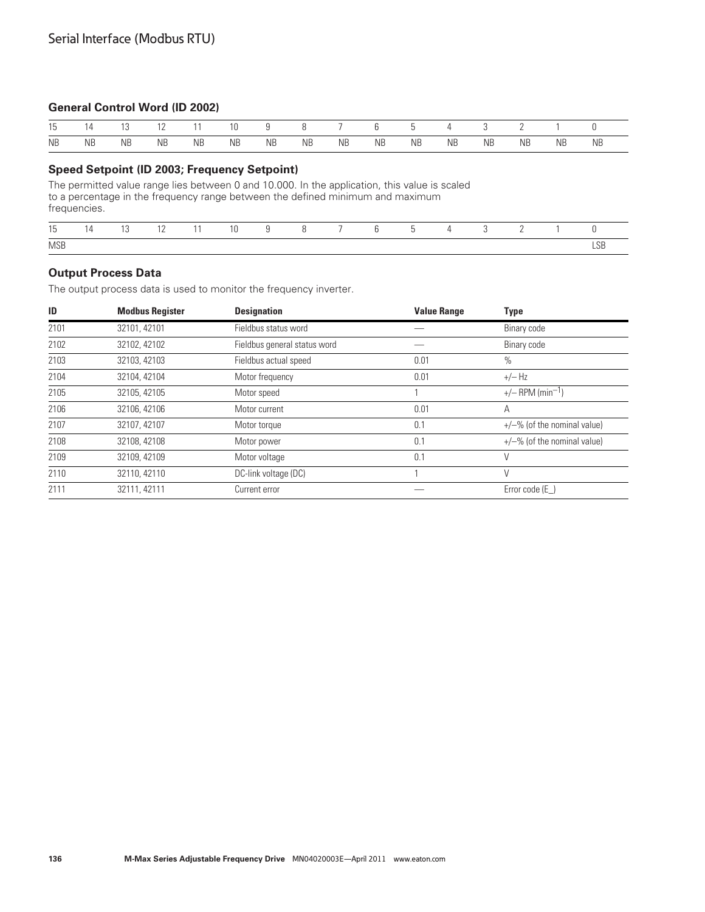# **General Control Word (ID 2002)**

| 15        |           |           | 1 <sub>0</sub> |           |           |           |    | -         |           |           |           |           |    |           |           |
|-----------|-----------|-----------|----------------|-----------|-----------|-----------|----|-----------|-----------|-----------|-----------|-----------|----|-----------|-----------|
| <b>NB</b> | <b>NB</b> | <b>NB</b> | <b>NB</b>      | <b>NB</b> | <b>NB</b> | <b>NB</b> | ΝB | <b>NB</b> | <b>NB</b> | <b>NB</b> | <b>NB</b> | <b>NB</b> | ΝB | <b>NB</b> | <b>NB</b> |

# **Speed Setpoint (ID 2003; Frequency Setpoint)**

The permitted value range lies between 0 and 10.000. In the application, this value is scaled to a percentage in the frequency range between the defined minimum and maximum frequencies.

| 15         | Ί Δ | 13 | 10 | 10 | -9 | $\overline{\phantom{a}}$ | $\overline{ }$ | $\overline{a}$ |  |  |
|------------|-----|----|----|----|----|--------------------------|----------------|----------------|--|--|
| <b>MSB</b> |     |    |    |    |    |                          |                |                |  |  |

# **Output Process Data**

The output process data is used to monitor the frequency inverter.

| ID   | <b>Modbus Register</b> | <b>Designation</b>           | <b>Value Range</b> | Type                           |
|------|------------------------|------------------------------|--------------------|--------------------------------|
| 2101 | 32101, 42101           | Fieldbus status word         |                    | Binary code                    |
| 2102 | 32102, 42102           | Fieldbus general status word | Binary code        |                                |
| 2103 | 32103, 42103           | Fieldbus actual speed        | 0.01               | $\%$                           |
| 2104 | 32104, 42104           | Motor frequency              | 0.01               | $+/-$ Hz                       |
| 2105 | 32105, 42105           | Motor speed                  |                    | $+/-$ RPM (min <sup>-1</sup> ) |
| 2106 | 32106, 42106           | Motor current                | 0.01               | А                              |
| 2107 | 32107, 42107           | Motor torque                 | 0.1                | $+/-\%$ (of the nominal value) |
| 2108 | 32108, 42108           | Motor power                  | 0.1                | $+/-\%$ (of the nominal value) |
| 2109 | 32109, 42109           | Motor voltage                | 0.1                | V                              |
| 2110 | 32110, 42110           | DC-link voltage (DC)         |                    | V                              |
| 2111 | 32111, 42111           | Current error                |                    | Error code (E)                 |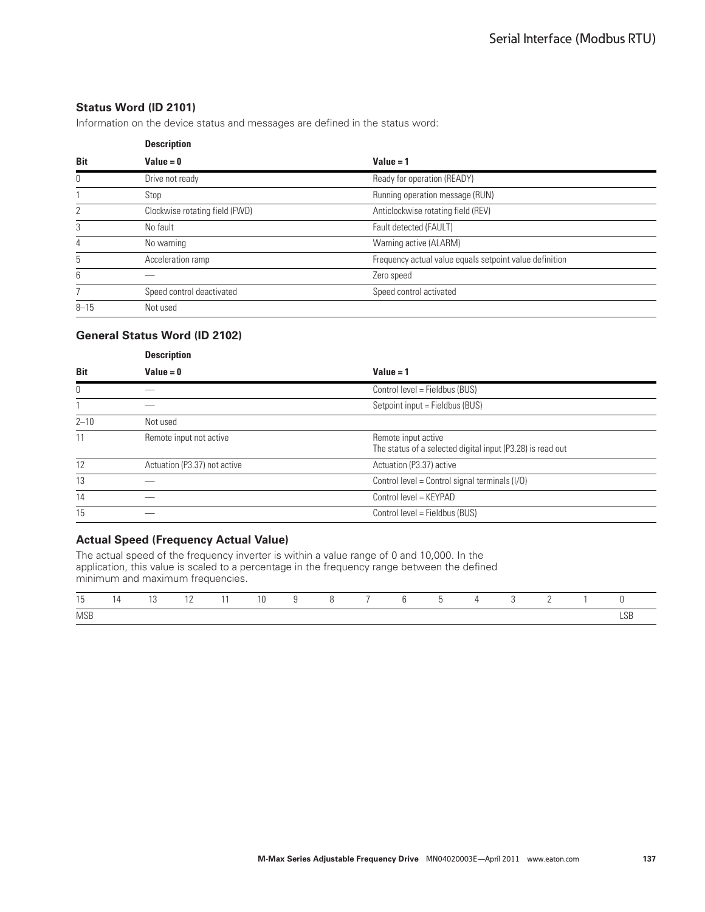# **Status Word (ID 2101)**

Information on the device status and messages are defined in the status word:

| <b>Description</b> |  |  |
|--------------------|--|--|
|--------------------|--|--|

| <b>Bit</b> | $Value = 0$                    | $Value = 1$                                             |
|------------|--------------------------------|---------------------------------------------------------|
| 0          | Drive not ready                | Ready for operation (READY)                             |
|            | Stop                           | Running operation message (RUN)                         |
|            | Clockwise rotating field (FWD) | Anticlockwise rotating field (REV)                      |
|            | No fault                       | Fault detected (FAULT)                                  |
| 4          | No warning                     | Warning active (ALARM)                                  |
| 5          | Acceleration ramp              | Frequency actual value equals setpoint value definition |
| 6          |                                | Zero speed                                              |
|            | Speed control deactivated      | Speed control activated                                 |
| $8 - 15$   | Not used                       |                                                         |

# **General Status Word (ID 2102)**

|          | <b>Description</b>           |                                                                                   |
|----------|------------------------------|-----------------------------------------------------------------------------------|
| Bit      | $Value = 0$                  | $Value = 1$                                                                       |
| $\Omega$ |                              | Control level = Fieldbus (BUS)                                                    |
|          |                              | Setpoint input = Fieldbus (BUS)                                                   |
| $2 - 10$ | Not used                     |                                                                                   |
| 11       | Remote input not active      | Remote input active<br>The status of a selected digital input (P3.28) is read out |
| 12       | Actuation (P3.37) not active | Actuation (P3.37) active                                                          |
| 13       |                              | Control level = Control signal terminals (I/O)                                    |
| 14       |                              | Control level = KEYPAD                                                            |
| 15       |                              | Control level = Fieldbus (BUS)                                                    |

## **Actual Speed (Frequency Actual Value)**

The actual speed of the frequency inverter is within a value range of 0 and 10,000. In the application, this value is scaled to a percentage in the frequency range between the defined minimum and maximum frequencies.

|            |  |  |  |  |  |  |  | 15 14 13 12 11 10 9 8 7 6 5 4 3 2 1 0 |
|------------|--|--|--|--|--|--|--|---------------------------------------|
| <b>MSB</b> |  |  |  |  |  |  |  |                                       |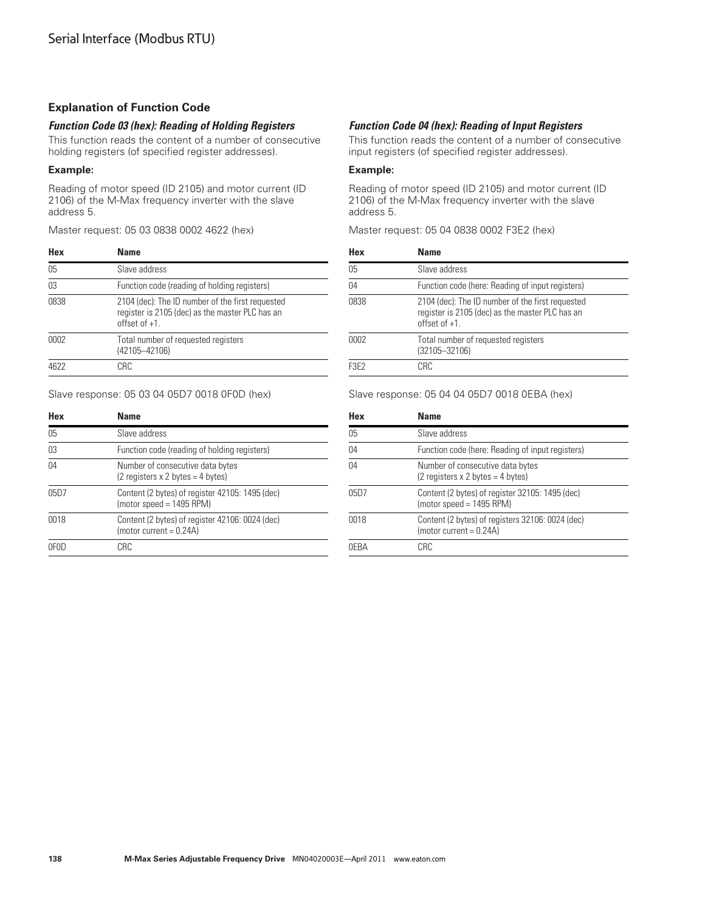# **Explanation of Function Code**

### *Function Code 03 (hex): Reading of Holding Registers*

This function reads the content of a number of consecutive holding registers (of specified register addresses).

### **Example:**

Reading of motor speed (ID 2105) and motor current (ID 2106) of the M-Max frequency inverter with the slave address 5.

Master request: 05 03 0838 0002 4622 (hex)

| Hex  | Name                                                                                                                    |  |
|------|-------------------------------------------------------------------------------------------------------------------------|--|
| 05   | Slave address                                                                                                           |  |
| 03   | Function code (reading of holding registers)                                                                            |  |
| 0838 | 2104 (dec): The ID number of the first requested<br>register is 2105 (dec) as the master PLC has an<br>offset of $+1$ . |  |
| 0002 | Total number of requested registers<br>(42105-42106)                                                                    |  |
| 4622 | CRC                                                                                                                     |  |

### Slave response: 05 03 04 05D7 0018 0F0D (hex)

| Hex  | <b>Name</b>                                                                   |  |
|------|-------------------------------------------------------------------------------|--|
| 05   | Slave address                                                                 |  |
| 03   | Function code (reading of holding registers)                                  |  |
| 04   | Number of consecutive data bytes<br>$(2$ registers x 2 bytes = 4 bytes)       |  |
| 05D7 | Content (2 bytes) of register 42105: 1495 (dec)<br>(motor speed = $1495$ RPM) |  |
| 0018 | Content (2 bytes) of register 42106: 0024 (dec)<br>(motor current = $0.24$ A) |  |
| OFOD | CRC                                                                           |  |

### *Function Code 04 (hex): Reading of Input Registers*

This function reads the content of a number of consecutive input registers (of specified register addresses).

### **Example:**

Reading of motor speed (ID 2105) and motor current (ID 2106) of the M-Max frequency inverter with the slave address 5.

Master request: 05 04 0838 0002 F3E2 (hex)

#### **Hex Name**

| 05   | Slave address                                                                                                           |  |
|------|-------------------------------------------------------------------------------------------------------------------------|--|
| 04   | Function code (here: Reading of input registers)                                                                        |  |
| 0838 | 2104 (dec): The ID number of the first requested<br>register is 2105 (dec) as the master PLC has an<br>offset of $+1$ . |  |
| 0002 | Total number of requested registers<br>$(32105 - 32106)$                                                                |  |
| F3F2 | CRC.                                                                                                                    |  |

Slave response: 05 04 04 05D7 0018 0EBA (hex)

| Hex         | <b>Name</b>                                                                    |
|-------------|--------------------------------------------------------------------------------|
| 05          | Slave address                                                                  |
| 04          | Function code (here: Reading of input registers)                               |
| 04          | Number of consecutive data bytes<br>$(2$ registers x 2 bytes = 4 bytes)        |
| 05D7        | Content (2 bytes) of register 32105: 1495 (dec)<br>(motor speed $= 1495$ RPM)  |
| 0018        | Content (2 bytes) of registers 32106: 0024 (dec)<br>(motor current = $0.24$ A) |
| <b>NEBA</b> | CRC                                                                            |
|             |                                                                                |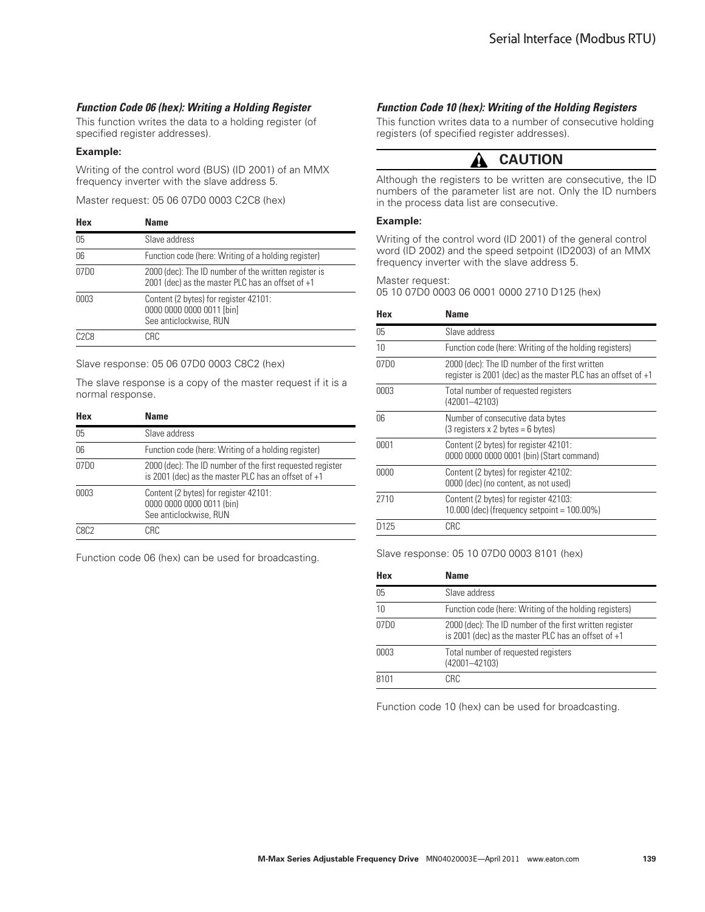# *Function Code 06 (hex): Writing a Holding Register*

This function writes the data to a holding register (of specified register addresses).

### **Example:**

Writing of the control word (BUS) (ID 2001) of an MMX frequency inverter with the slave address 5.

Master request: 05 06 07D0 0003 C2C8 (hex)

| Hex  | <b>Name</b>                                                                                                |
|------|------------------------------------------------------------------------------------------------------------|
| 05   | Slave address                                                                                              |
| 06   | Function code (here: Writing of a holding register)                                                        |
| 07D0 | 2000 (dec): The ID number of the written register is<br>2001 (dec) as the master PLC has an offset of $+1$ |
| 0003 | Content (2 bytes) for register 42101:<br>0000 0000 0000 0011 [bin]<br>See anticlockwise, RUN               |
| C2C8 | CRC                                                                                                        |

Slave response: 05 06 07D0 0003 C8C2 (hex)

The slave response is a copy of the master request if it is a normal response.

| Hex            | <b>Name</b>                                                                                                        |
|----------------|--------------------------------------------------------------------------------------------------------------------|
| 0 <sub>5</sub> | Slave address                                                                                                      |
| 06             | Function code (here: Writing of a holding register)                                                                |
| 07D0           | 2000 (dec): The ID number of the first requested register<br>is 2001 (dec) as the master PLC has an offset of $+1$ |
| 0003           | Content (2 bytes) for register 42101:<br>0000 0000 0000 0011 (bin)<br>See anticlockwise, RUN                       |
| C8C2           | CRC                                                                                                                |

Function code 06 (hex) can be used for broadcasting.

# *Function Code 10 (hex): Writing of the Holding Registers*

This function writes data to a number of consecutive holding registers (of specified register addresses).

# **CAUTION**

Although the registers to be written are consecutive, the ID numbers of the parameter list are not. Only the ID numbers in the process data list are consecutive.

### **Example:**

Writing of the control word (ID 2001) of the general control word (ID 2002) and the speed setpoint (ID2003) of an MMX frequency inverter with the slave address 5.

Master request: 05 10 07D0 0003 06 0001 0000 2710 D125 (hex)

| Hex            | <b>Name</b>                                                                                                    |
|----------------|----------------------------------------------------------------------------------------------------------------|
| 05             | Slave address                                                                                                  |
| 10             | Function code (here: Writing of the holding registers)                                                         |
| 07D0           | 2000 (dec): The ID number of the first written<br>register is 2001 (dec) as the master PLC has an offset of +1 |
| 0003           | Total number of requested registers<br>(42001-42103)                                                           |
| O <sub>6</sub> | Number of consecutive data bytes<br>$(3$ registers x 2 bytes = 6 bytes)                                        |
| 0001           | Content (2 bytes) for register 42101:<br>0000 0000 0000 0001 (bin) (Start command)                             |
| nnnn           | Content (2 bytes) for register 42102:<br>0000 (dec) (no content, as not used)                                  |
| 2710           | Content (2 bytes) for register 42103:<br>10.000 (dec) (frequency setpoint = $100.00\%$ )                       |
| D125           | CRC.                                                                                                           |

### Slave response: 05 10 07D0 0003 8101 (hex)

| Hex  | <b>Name</b>                                                                                                      |
|------|------------------------------------------------------------------------------------------------------------------|
| 05   | Slave address                                                                                                    |
| 10   | Function code (here: Writing of the holding registers)                                                           |
| 07D0 | 2000 (dec): The ID number of the first written register<br>is 2001 (dec) as the master PLC has an offset of $+1$ |
| 0003 | Total number of requested registers<br>$(42001 - 42103)$                                                         |
| 8101 | CRC                                                                                                              |

Function code 10 (hex) can be used for broadcasting.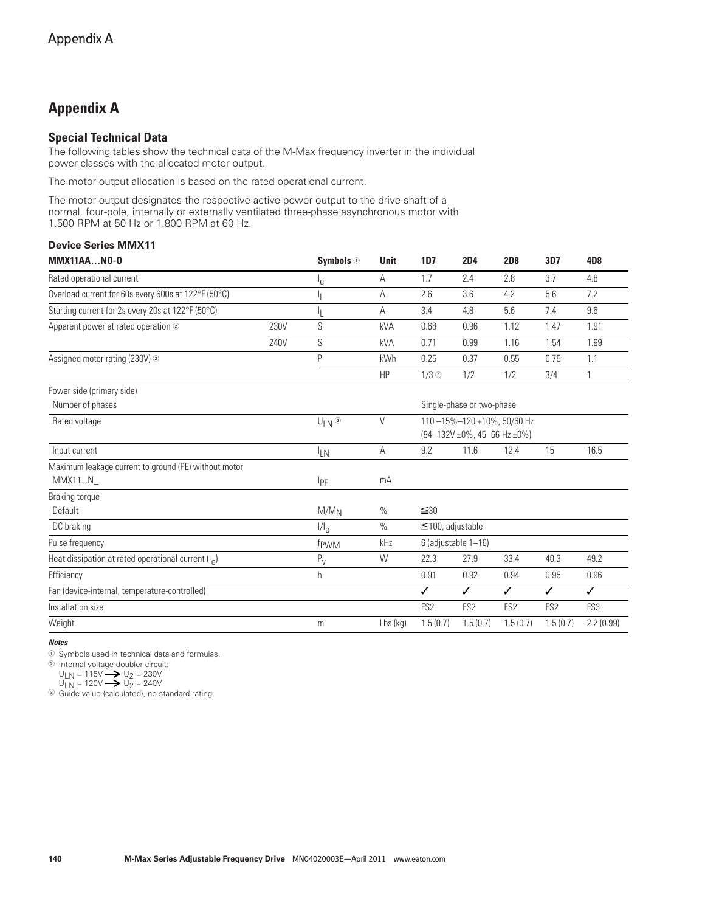# **Appendix A**

# **Special Technical Data**

The following tables show the technical data of the M-Max frequency inverter in the individual power classes with the allocated motor output.

The motor output allocation is based on the rated operational current.

The motor output designates the respective active power output to the drive shaft of a normal, four-pole, internally or externally ventilated three-phase asynchronous motor with 1.500 RPM at 50 Hz or 1.800 RPM at 60 Hz.

### **Device Series MMX11**

| <b>MMX11AANO-0</b>                                         |      | <b>Symbols</b> $\odot$         | Unit          | <b>1D7</b>           | <b>2D4</b>                  | <b>2D8</b>      | 3D7             | 4D <sub>8</sub> |
|------------------------------------------------------------|------|--------------------------------|---------------|----------------------|-----------------------------|-----------------|-----------------|-----------------|
| Rated operational current                                  |      | ١e                             | A             | 1.7                  | 2.4                         | 2.8             | 3.7             | 4.8             |
| Overload current for 60s every 600s at 122°F (50°C)        |      | ١L                             | А             | 2.6                  | 3.6                         | 4.2             | 5.6             | 7.2             |
| Starting current for 2s every 20s at 122°F (50°C)          |      | IL.                            | A             | 3.4                  | 4.8                         | 5.6             | 7.4             | 9.6             |
| Apparent power at rated operation 2                        | 230V | S                              | kVA           | 0.68                 | 0.96                        | 1.12            | 1.47            | 1.91            |
|                                                            | 240V | S                              | kVA           | 0.71                 | 0.99                        | 1.16            | 1.54            | 1.99            |
| Assigned motor rating (230V) 2                             |      | P                              | kWh           | 0.25                 | 0.37                        | 0.55            | 0.75            | 1.1             |
|                                                            |      |                                | HP            | $1/3$ $\circledcirc$ | 1/2                         | 1/2             | 3/4             | 1               |
| Power side (primary side)                                  |      |                                |               |                      |                             |                 |                 |                 |
| Number of phases                                           |      |                                |               |                      | Single-phase or two-phase   |                 |                 |                 |
| Rated voltage                                              |      | $U_{LN}$ <sup>(2)</sup>        | $\vee$        |                      | 110-15%-120+10%, 50/60 Hz   |                 |                 |                 |
|                                                            |      |                                |               |                      | (94-132V ±0%, 45-66 Hz ±0%) |                 |                 |                 |
| Input current                                              |      | <sup>I</sup> LN                | Α             | 9.2                  | 11.6                        | 12.4            | 15              | 16.5            |
| Maximum leakage current to ground (PE) without motor       |      |                                |               |                      |                             |                 |                 |                 |
| <b>MMX11N_</b>                                             |      | <b>IPE</b>                     | mA            |                      |                             |                 |                 |                 |
| <b>Braking torque</b>                                      |      |                                |               |                      |                             |                 |                 |                 |
| Default                                                    |      | $M/M_N$                        | $\frac{0}{0}$ | $\leq 30$            |                             |                 |                 |                 |
| DC braking                                                 |      | $\left\vert /\right\vert _{e}$ | $\%$          | ≦100, adjustable     |                             |                 |                 |                 |
| Pulse frequency                                            |      | fpwm                           | kHz           |                      | 6 (adjustable 1-16)         |                 |                 |                 |
| Heat dissipation at rated operational current $(I_{\rho})$ |      | $P_V$                          | W             | 22.3                 | 27.9                        | 33.4            | 40.3            | 49.2            |
| Efficiency                                                 |      | h                              |               | 0.91                 | 0.92                        | 0.94            | 0.95            | 0.96            |
| Fan (device-internal, temperature-controlled)              |      |                                |               | ✓                    | ✓                           | ✓               | $\checkmark$    | ✓               |
| Installation size                                          |      |                                |               | FS <sub>2</sub>      | FS <sub>2</sub>             | FS <sub>2</sub> | FS <sub>2</sub> | FS3             |
| Weight                                                     |      | m                              | Lbs (kg)      | 1.5(0.7)             | 1.5(0.7)                    | 1.5(0.7)        | 1.5(0.7)        | 2.2(0.99)       |

#### *Notes*

 $\odot$  Symbols used in technical data and formulas.

<sup>2</sup> Internal voltage doubler circuit:

 $U_{LN} = 115V \longrightarrow U_2 = 230V$ <br> $U_{LN} = 120V \longrightarrow U_2 = 240V$ 

Guide value (calculated), no standard rating.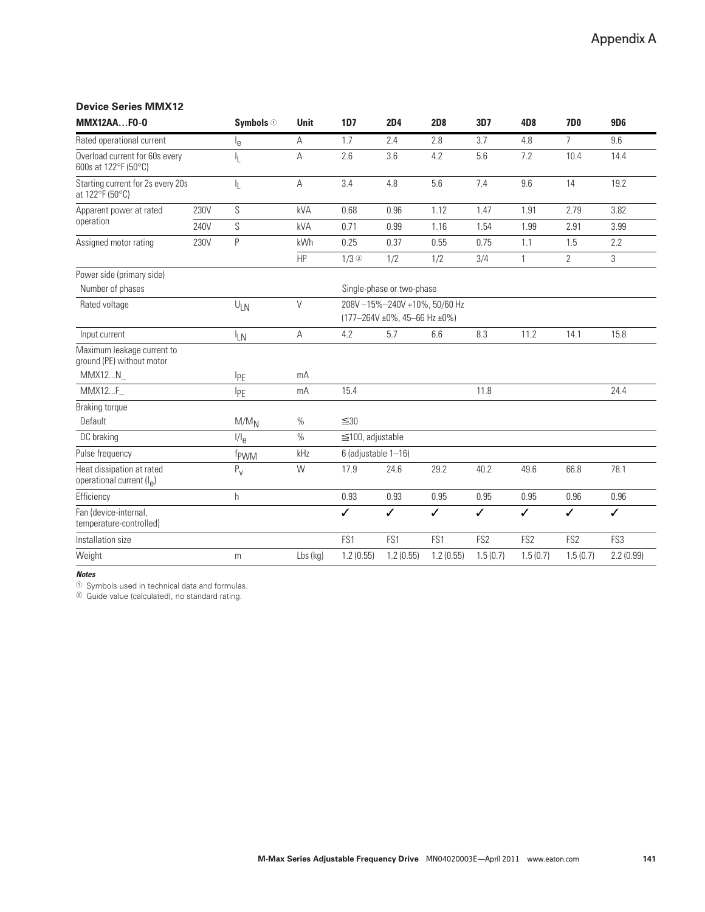| <b>MMX12AAFO-0</b>                                                 |      | <b>Symbols</b> $\odot$     | <b>Unit</b> | <b>1D7</b>             | <b>2D4</b>                                                                 | <b>2D8</b>   | 3D7             | 4D <sub>8</sub> | <b>7D0</b>      | <b>9D6</b>   |  |
|--------------------------------------------------------------------|------|----------------------------|-------------|------------------------|----------------------------------------------------------------------------|--------------|-----------------|-----------------|-----------------|--------------|--|
| Rated operational current                                          |      | l <sub>e</sub>             | А           | 1.7                    | 2.4                                                                        | 2.8          | 3.7             | 4.8             | $\overline{7}$  | 9.6          |  |
| Overload current for 60s every<br>600s at 122°F (50°C)             |      | ΙL                         | A           | 2.6                    | 3.6                                                                        | 4.2          | 5.6             | 7.2             | 10.4            | 14.4         |  |
| Starting current for 2s every 20s<br>at 122°F (50°C)               |      | I <sub>L</sub>             | А           | 3.4                    | 4.8                                                                        | 5.6          | 7.4             | 9.6             | 14              | 19.2         |  |
| Apparent power at rated                                            | 230V | S                          | <b>kVA</b>  | 0.68                   | 0.96                                                                       | 1.12         | 1.47            | 1.91            | 2.79            | 3.82         |  |
| operation                                                          | 240V | S                          | kVA         | 0.71                   | 0.99                                                                       | 1.16         | 1.54            | 1.99            | 2.91            | 3.99         |  |
| Assigned motor rating                                              | 230V | P                          | kWh         | 0.25                   | 0.37                                                                       | 0.55         | 0.75            | 1.1             | 1.5             | 2.2          |  |
|                                                                    |      |                            | HP          | $1/3$ ②                | 1/2                                                                        | 1/2          | 3/4             | $\mathbf{1}$    | $\overline{2}$  | 3            |  |
| Power side (primary side)                                          |      |                            |             |                        |                                                                            |              |                 |                 |                 |              |  |
| Number of phases                                                   |      |                            |             |                        | Single-phase or two-phase                                                  |              |                 |                 |                 |              |  |
| Rated voltage                                                      |      | $\mathsf{U}_{\mathsf{LN}}$ | $\vee$      |                        | 208V-15%-240V +10%, 50/60 Hz<br>$(177 - 264V + 0\%$ , 45-66 Hz $\pm 0\%$ ) |              |                 |                 |                 |              |  |
| Input current                                                      |      | $I_{LN}$                   | А           | 4.2                    | 5.7                                                                        | 6.6          | 8.3             | 11.2            | 14.1            | 15.8         |  |
| Maximum leakage current to<br>ground (PE) without motor            |      |                            |             |                        |                                                                            |              |                 |                 |                 |              |  |
| MMX12N                                                             |      | <b>IPE</b>                 | mA          |                        |                                                                            |              |                 |                 |                 |              |  |
| MMX12F_                                                            |      | <b>IPE</b>                 | mA          | 15.4                   |                                                                            |              | 11.8            |                 |                 | 24.4         |  |
| <b>Braking torque</b>                                              |      |                            |             |                        |                                                                            |              |                 |                 |                 |              |  |
| Default                                                            |      | $M/M_N$                    | $\%$        | $≤30$                  |                                                                            |              |                 |                 |                 |              |  |
| DC braking                                                         |      | $1/l_{\rm e}$              | $\%$        | $\leq$ 100, adjustable |                                                                            |              |                 |                 |                 |              |  |
| Pulse frequency                                                    |      | fpwM                       | kHz         | 6 (adjustable 1-16)    |                                                                            |              |                 |                 |                 |              |  |
| Heat dissipation at rated<br>operational current (I <sub>e</sub> ) |      | $P_V$                      | W           | 17.9                   | 24.6                                                                       | 29.2         | 40.2            | 49.6            | 66.8            | 78.1         |  |
| Efficiency                                                         |      | h                          |             | 0.93                   | 0.93                                                                       | 0.95         | 0.95            | 0.95            | 0.96            | 0.96         |  |
| Fan (device-internal,<br>temperature-controlled)                   |      |                            |             | $\checkmark$           | $\checkmark$                                                               | $\checkmark$ | $\checkmark$    | $\checkmark$    | $\checkmark$    | $\checkmark$ |  |
| Installation size                                                  |      |                            |             | FS1                    | FS1                                                                        | FS1          | FS <sub>2</sub> | FS <sub>2</sub> | FS <sub>2</sub> | FS3          |  |
| Weight                                                             |      | m                          | $Lbs$ (kg)  | 1.2(0.55)              | 1.2(0.55)                                                                  | 1.2(0.55)    | 1.5(0.7)        | 1.5(0.7)        | 1.5(0.7)        | 2.2(0.99)    |  |

*Notes*

 $\odot$  Symbols used in technical data and formulas.

Guide value (calculated), no standard rating.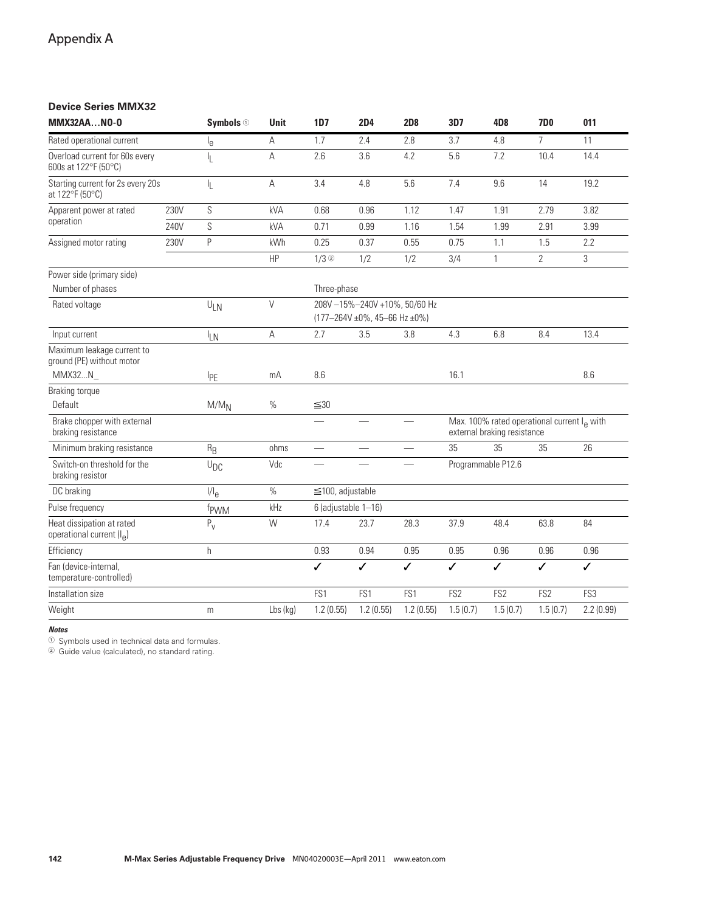| <b>MMX32AANO-0</b>                                                 |      | <b>Symbols</b> $\odot$ | <b>Unit</b> | <b>1D7</b>               | <b>2D4</b>                                                                  | <b>2D8</b>               | 3D7             | 4D <sub>8</sub>             | <b>7D0</b>                                          | 011          |
|--------------------------------------------------------------------|------|------------------------|-------------|--------------------------|-----------------------------------------------------------------------------|--------------------------|-----------------|-----------------------------|-----------------------------------------------------|--------------|
| Rated operational current                                          |      | l <sub>e</sub>         | Α           | 1.7                      | 2.4                                                                         | 2.8                      | 3.7             | 4.8                         | 7                                                   | 11           |
| Overload current for 60s every<br>600s at 122°F (50°C)             |      | ı,                     | A           | 2.6                      | 3.6                                                                         | 4.2                      | 5.6             | 7.2                         | 10.4                                                | 14.4         |
| Starting current for 2s every 20s<br>at 122°F (50°C)               |      | I <sub>L</sub>         | A           | 3.4                      | 4.8                                                                         | 5.6                      | 7.4             | 9.6                         | 14                                                  | 19.2         |
| Apparent power at rated                                            | 230V | S                      | kVA         | 0.68                     | 0.96                                                                        | 1.12                     | 1.47            | 1.91                        | 2.79                                                | 3.82         |
| operation                                                          | 240V | S                      | kVA         | 0.71                     | 0.99                                                                        | 1.16                     | 1.54            | 1.99                        | 2.91                                                | 3.99         |
| Assigned motor rating                                              | 230V | P                      | kWh         | 0.25                     | 0.37                                                                        | 0.55                     | 0.75            | 1.1                         | 1.5                                                 | 2.2          |
|                                                                    |      |                        | HP          | $1/3$ ②                  | 1/2                                                                         | 1/2                      | 3/4             | $\mathbf{1}$                | $\overline{2}$                                      | 3            |
| Power side (primary side)                                          |      |                        |             |                          |                                                                             |                          |                 |                             |                                                     |              |
| Number of phases                                                   |      |                        |             | Three-phase              |                                                                             |                          |                 |                             |                                                     |              |
| Rated voltage<br>Input current                                     |      | $U_{LN}$               | $\vee$      |                          | 208V-15%-240V +10%, 50/60 Hz<br>$(177 - 264V \pm 0\% , 45 - 66 Hz \pm 0\%)$ |                          |                 |                             |                                                     |              |
|                                                                    |      | <sup>I</sup> LN        | A           | 2.7                      | 3.5                                                                         | 3.8                      | 4.3             | 6.8                         | 8.4                                                 | 13.4         |
| Maximum leakage current to<br>ground (PE) without motor            |      |                        |             |                          |                                                                             |                          |                 |                             |                                                     |              |
| MMX32N_                                                            |      | IPE                    | mA          | 8.6                      |                                                                             |                          | 16.1            |                             |                                                     | 8.6          |
| <b>Braking torque</b>                                              |      |                        |             |                          |                                                                             |                          |                 |                             |                                                     |              |
| Default                                                            |      | $M/M_N$                | $\%$        | $\leq 30$                |                                                                             |                          |                 |                             |                                                     |              |
| Brake chopper with external<br>braking resistance                  |      |                        |             | $\overline{\phantom{a}}$ |                                                                             | $\overline{\phantom{0}}$ |                 | external braking resistance | Max. 100% rated operational current $I_{\rho}$ with |              |
| Minimum braking resistance                                         |      | $R_B$                  | ohms        | —                        |                                                                             | —                        | 35              | 35                          | 35                                                  | 26           |
| Switch-on threshold for the<br>braking resistor                    |      | $U_{\text{DC}}$        | Vdc         |                          |                                                                             |                          |                 | Programmable P12.6          |                                                     |              |
| DC braking                                                         |      | $\frac{1}{\sqrt{e}}$   | $\%$        | $\leq$ 100, adjustable   |                                                                             |                          |                 |                             |                                                     |              |
| Pulse frequency                                                    |      | fpwM                   | kHz         | 6 (adjustable 1-16)      |                                                                             |                          |                 |                             |                                                     |              |
| Heat dissipation at rated<br>operational current (I <sub>e</sub> ) |      | $P_V$                  | W           | 17.4                     | 23.7                                                                        | 28.3                     | 37.9            | 48.4                        | 63.8                                                | 84           |
| Efficiency                                                         |      | h                      |             | 0.93                     | 0.94                                                                        | 0.95                     | 0.95            | 0.96                        | 0.96                                                | 0.96         |
| Fan (device-internal,<br>temperature-controlled)                   |      |                        |             | ✓                        | $\checkmark$                                                                | ✓                        | ✓               | ✓                           | ✓                                                   | $\checkmark$ |
| Installation size                                                  |      |                        |             | FS1                      | FS1                                                                         | FS1                      | FS <sub>2</sub> | FS <sub>2</sub>             | FS <sub>2</sub>                                     | FS3          |
| Weight                                                             |      | m                      | Lbs (kg)    | 1.2(0.55)                | 1.2(0.55)                                                                   | 1.2(0.55)                | 1.5(0.7)        | 1.5(0.7)                    | 1.5(0.7)                                            | 2.2(0.99)    |

*Notes*

 $\odot$  Symbols used in technical data and formulas.

Guide value (calculated), no standard rating.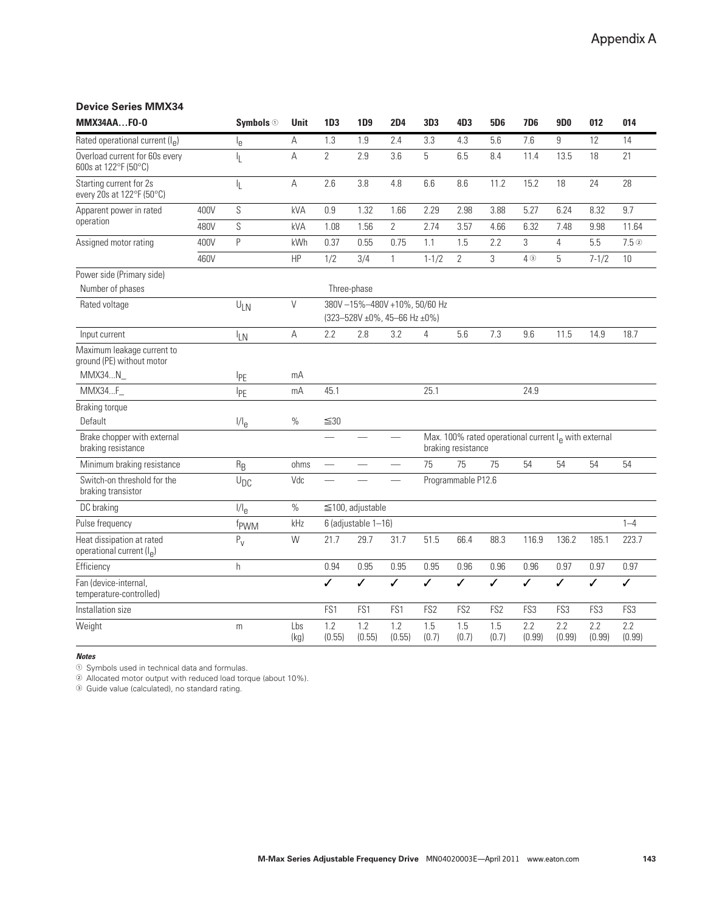| <b>MMX34AAFO-0</b>                                      |      | <b>Symbols</b> $\odot$ | <b>Unit</b> | <b>1D3</b>     | 1D9                                                          | <b>2D4</b>     | 3D3             | 4D <sub>3</sub>    | 5D <sub>6</sub> | <b>7D6</b>                                                       | <b>9D0</b>    | 012           | 014                             |
|---------------------------------------------------------|------|------------------------|-------------|----------------|--------------------------------------------------------------|----------------|-----------------|--------------------|-----------------|------------------------------------------------------------------|---------------|---------------|---------------------------------|
| Rated operational current $(I_{\rho})$                  |      | l <sub>e</sub>         | A           | 1.3            | 1.9                                                          | 2.4            | 3.3             | 4.3                | 5.6             | 7.6                                                              | 9             | 12            | 14                              |
| Overload current for 60s every<br>600s at 122°F (50°C)  |      | I <sub>L</sub>         | A           | $\overline{2}$ | 2.9                                                          | 3.6            | 5               | 6.5                | 8.4             | 11.4                                                             | 13.5          | 18            | 21                              |
| Starting current for 2s<br>every 20s at 122°F (50°C)    |      | ı,                     | А           | 2.6            | 3.8                                                          | 4.8            | 6.6             | 8.6                | 11.2            | 15.2                                                             | 18            | 24            | 28                              |
| Apparent power in rated                                 | 400V | S                      | kVA         | 0.9            | 1.32                                                         | 1.66           | 2.29            | 2.98               | 3.88            | 5.27                                                             | 6.24          | 8.32          | 9.7                             |
| operation                                               | 480V | S                      | kVA         | 1.08           | 1.56                                                         | $\overline{2}$ | 2.74            | 3.57               | 4.66            | 6.32                                                             | 7.48          | 9.98          | 11.64                           |
| Assigned motor rating                                   | 400V | P                      | kWh         | 0.37           | 0.55                                                         | 0.75           | 1.1             | 1.5                | 2.2             | 3                                                                | 4             | 5.5           | $7.5$ <sup><math>@</math></sup> |
|                                                         | 460V |                        | HP          | 1/2            | 3/4                                                          | $\mathbf{1}$   | $1 - 1/2$       | $\overline{2}$     | 3               | 4 <sup>③</sup>                                                   | 5             | $7 - 1/2$     | 10                              |
| Power side (Primary side)                               |      |                        |             |                |                                                              |                |                 |                    |                 |                                                                  |               |               |                                 |
| Number of phases                                        |      |                        |             |                | Three-phase                                                  |                |                 |                    |                 |                                                                  |               |               |                                 |
| Rated voltage                                           |      | $U_{LN}$               | V           |                | 380V-15%-480V +10%, 50/60 Hz<br>(323-528V ±0%, 45-66 Hz ±0%) |                |                 |                    |                 |                                                                  |               |               |                                 |
| Input current                                           |      | $I_{LN}$               | А           | 2.2            | 2.8                                                          | 3.2            | 4               | 5.6                | 7.3             | 9.6                                                              | 11.5          | 14.9          | 18.7                            |
| Maximum leakage current to<br>ground (PE) without motor |      |                        |             |                |                                                              |                |                 |                    |                 |                                                                  |               |               |                                 |
| MMX34N_                                                 |      | <b>IPE</b>             | mA          |                |                                                              |                |                 |                    |                 |                                                                  |               |               |                                 |
| MMX34F_                                                 |      | IPE                    | mA          | 45.1           |                                                              |                | 25.1            |                    |                 | 24.9                                                             |               |               |                                 |
| <b>Braking torque</b>                                   |      |                        |             |                |                                                              |                |                 |                    |                 |                                                                  |               |               |                                 |
| Default                                                 |      | $\frac{1}{e}$          | $\%$        | $≤30$          |                                                              |                |                 |                    |                 |                                                                  |               |               |                                 |
| Brake chopper with external<br>braking resistance       |      |                        |             |                |                                                              |                |                 | braking resistance |                 | Max. 100% rated operational current I <sub>e</sub> with external |               |               |                                 |
| Minimum braking resistance                              |      | $R_{R}$                | ohms        |                |                                                              |                | 75              | 75                 | 75              | 54                                                               | 54            | 54            | 54                              |
| Switch-on threshold for the<br>braking transistor       |      | $U_{\text{DC}}$        | Vdc         |                |                                                              |                |                 | Programmable P12.6 |                 |                                                                  |               |               |                                 |
| DC braking                                              |      | 1/1 <sub>e</sub>       | $\%$        |                | ≦100, adjustable                                             |                |                 |                    |                 |                                                                  |               |               |                                 |
| Pulse frequency                                         |      | fpwM                   | kHz         |                | 6 (adjustable 1-16)                                          |                |                 |                    |                 |                                                                  |               |               | $1 - 4$                         |
| Heat dissipation at rated<br>operational current (Ie)   |      | $P_V$                  | W           | 21.7           | 29.7                                                         | 31.7           | 51.5            | 66.4               | 88.3            | 116.9                                                            | 136.2         | 185.1         | 223.7                           |
| Efficiency                                              |      | h                      |             | 0.94           | 0.95                                                         | 0.95           | 0.95            | 0.96               | 0.96            | 0.96                                                             | 0.97          | 0.97          | 0.97                            |
| Fan (device-internal,<br>temperature-controlled)        |      |                        |             | ✓              | $\checkmark$                                                 | $\checkmark$   | ✓               | $\checkmark$       | $\checkmark$    | $\checkmark$                                                     | ✓             | $\checkmark$  | $\checkmark$                    |
| Installation size                                       |      |                        |             | FS1            | FS1                                                          | FS1            | FS <sub>2</sub> | FS <sub>2</sub>    | FS <sub>2</sub> | FS3                                                              | FS3           | FS3           | FS3                             |
| Weight                                                  |      | m                      | Lbs<br>(kg) | 1.2<br>(0.55)  | 1.2<br>(0.55)                                                | 1.2<br>(0.55)  | 1.5<br>(0.7)    | 1.5<br>(0.7)       | 1.5<br>(0.7)    | 2.2<br>(0.99)                                                    | 2.2<br>(0.99) | 2.2<br>(0.99) | 2.2<br>(0.99)                   |

*Notes*

 $\odot$  Symbols used in technical data and formulas.

Allocated motor output with reduced load torque (about 10%).

<sup>3</sup> Guide value (calculated), no standard rating.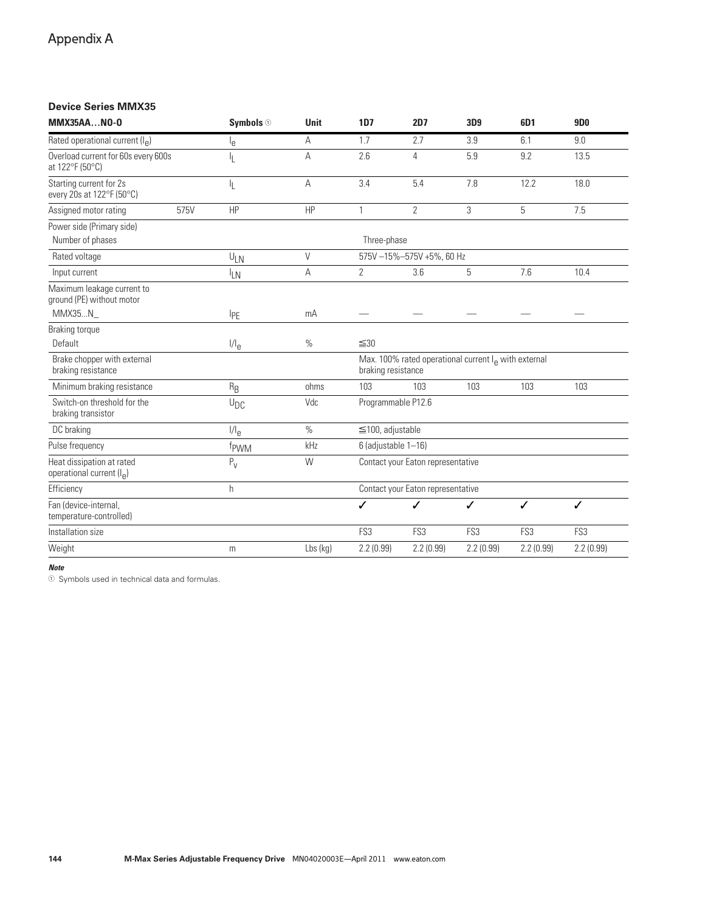| <b>MMX35AANO-0</b>                                                 |      | <b>Symbols</b> $\odot$                | Unit          | <b>1D7</b>          | <b>2D7</b>                        | 3D9                                                    | 6D1          | <b>9D0</b>   |
|--------------------------------------------------------------------|------|---------------------------------------|---------------|---------------------|-----------------------------------|--------------------------------------------------------|--------------|--------------|
| Rated operational current $(I_{\rho})$                             |      | ١e                                    | A             | 1.7                 | 2.7                               | 3.9                                                    | 6.1          | 9.0          |
| Overload current for 60s every 600s<br>at 122°F (50°C)             |      | I <sub>L</sub>                        | A             | 2.6                 | 4                                 | 5.9                                                    | 9.2          | 13.5         |
| Starting current for 2s<br>every 20s at 122°F (50°C)               |      | I <sub>L</sub>                        | A             | 3.4                 | 5.4                               | 7.8                                                    | 12.2         | 18.0         |
| Assigned motor rating                                              | 575V | HP                                    | HP            | $\mathbf{1}$        | $\overline{2}$                    | 3                                                      | 5            | 7.5          |
| Power side (Primary side)                                          |      |                                       |               |                     |                                   |                                                        |              |              |
| Number of phases                                                   |      |                                       |               | Three-phase         |                                   |                                                        |              |              |
| Rated voltage                                                      |      | $U_{LN}$                              | $\vee$        |                     | 575V-15%-575V+5%, 60 Hz           |                                                        |              |              |
| Input current                                                      |      | <sup>I</sup> LN                       | A             | $\overline{2}$      | 3.6                               | 5                                                      | 7.6          | 10.4         |
| Maximum leakage current to<br>ground (PE) without motor            |      |                                       |               |                     |                                   |                                                        |              |              |
| MMX35N_                                                            |      | IPE                                   | mA            |                     |                                   |                                                        |              |              |
| <b>Braking torque</b>                                              |      |                                       |               |                     |                                   |                                                        |              |              |
| Default                                                            |      | $\mathcal{V}\mathcal{L}_{\mathsf{e}}$ | $\%$          | $\leq 30$           |                                   |                                                        |              |              |
| Brake chopper with external<br>braking resistance                  |      |                                       |               | braking resistance  |                                   | Max. 100% rated operational current $Ie$ with external |              |              |
| Minimum braking resistance                                         |      | $R_{\rm R}$                           | ohms          | 103                 | 103                               | 103                                                    | 103          | 103          |
| Switch-on threshold for the<br>braking transistor                  |      | $U_{\text{DC}}$                       | Vdc           | Programmable P12.6  |                                   |                                                        |              |              |
| DC braking                                                         |      | $\left\  \right\ _{\rho}$             | $\frac{0}{0}$ | ≦100, adjustable    |                                   |                                                        |              |              |
| Pulse frequency                                                    |      | fpwM                                  | kHz           | 6 (adjustable 1-16) |                                   |                                                        |              |              |
| Heat dissipation at rated<br>operational current (I <sub>e</sub> ) |      | $P_V$                                 | W             |                     | Contact your Eaton representative |                                                        |              |              |
| Efficiency                                                         |      | h                                     |               |                     | Contact your Eaton representative |                                                        |              |              |
| Fan (device-internal,<br>temperature-controlled)                   |      |                                       |               | J                   | J                                 | $\checkmark$                                           | $\checkmark$ | $\checkmark$ |
| Installation size                                                  |      |                                       |               | FS3                 | FS3                               | FS3                                                    | FS3          | FS3          |
| Weight                                                             |      | m                                     | Lbs (kg)      | 2.2(0.99)           | 2.2(0.99)                         | 2.2(0.99)                                              | 2.2(0.99)    | 2.2(0.99)    |
|                                                                    |      |                                       |               |                     |                                   |                                                        |              |              |

#### *Note*

 $\odot$  Symbols used in technical data and formulas.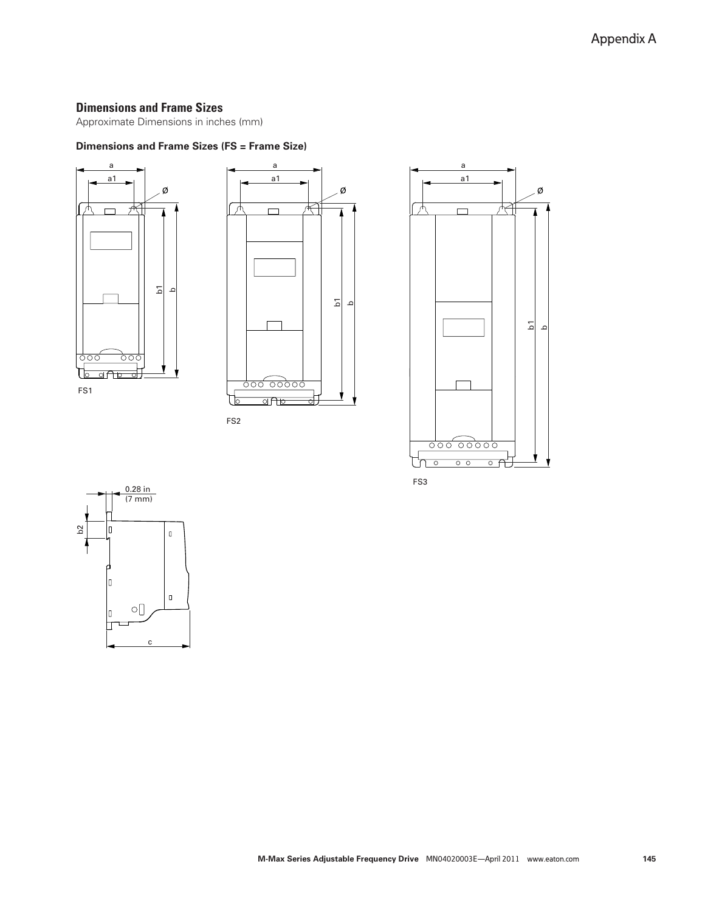# **Dimensions and Frame Sizes**

Approximate Dimensions in inches (mm)

# **Dimensions and Frame Sizes (FS = Frame Size)**







FS3

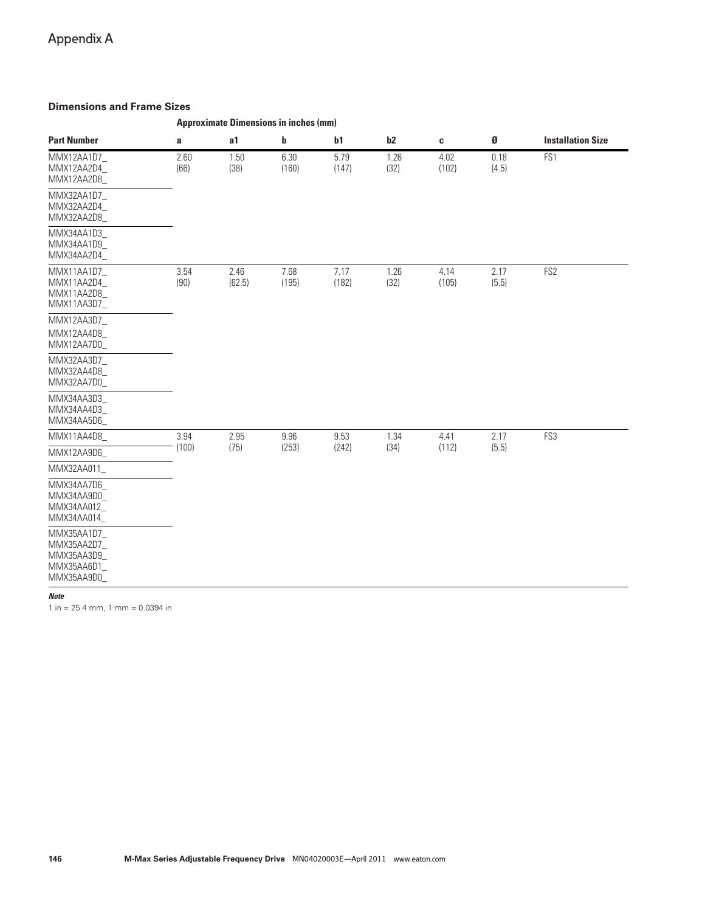### **Dimensions and Frame Sizes**

**Approximate Dimensions in inches (mm)**

| <b>Part Number</b>                                                   | a            | a1             | b             | b1            | b2           | C             | Ø             | <b>Installation Size</b> |
|----------------------------------------------------------------------|--------------|----------------|---------------|---------------|--------------|---------------|---------------|--------------------------|
| MMX12AA1D7<br>MMX12AA2D4<br>MMX12AA2D8_                              | 2.60<br>(66) | 1.50<br>(38)   | 6.30<br>(160) | 5.79<br>(147) | 1.26<br>(32) | 4.02<br>(102) | 0.18<br>(4.5) | FS1                      |
| MMX32AA1D7<br>MMX32AA2D4<br>MMX32AA2D8_                              |              |                |               |               |              |               |               |                          |
| MMX34AA1D3<br>MMX34AA1D9_<br>MMX34AA2D4_                             |              |                |               |               |              |               |               |                          |
| MMX11AA1D7_<br>MMX11AA2D4<br>MMX11AA2D8_<br>MMX11AA3D7_              | 3.54<br>(90) | 2.46<br>(62.5) | 7.68<br>(195) | 7.17<br>(182) | 1.26<br>(32) | 4.14<br>(105) | 2.17<br>(5.5) | FS <sub>2</sub>          |
| MMX12AA3D7_<br>MMX12AA4D8<br>MMX12AA7D0_                             |              |                |               |               |              |               |               |                          |
| MMX32AA3D7<br>MMX32AA4D8_<br>MMX32AA7D0_                             |              |                |               |               |              |               |               |                          |
| MMX34AA3D3<br>MMX34AA4D3_<br>MMX34AA5D6                              |              |                |               |               |              |               |               |                          |
| MMX11AA4D8                                                           | 3.94         | 2.95           | 9.96          | 9.53          | 1.34         | 4.41          | 2.17          | FS3                      |
| MMX12AA9D6_                                                          | (100)        | (75)           | (253)         | (242)         | (34)         | (112)         | (5.5)         |                          |
| MMX32AA011_                                                          |              |                |               |               |              |               |               |                          |
| MMX34AA7D6<br>MMX34AA9D0<br>MMX34AA012_<br>MMX34AA014_               |              |                |               |               |              |               |               |                          |
| MMX35AA1D7_<br>MMX35AA2D7<br>MMX35AA3D9<br>MMX35AA6D1<br>MMX35AA9D0_ |              |                |               |               |              |               |               |                          |

### *Note*

1 in = 25.4 mm, 1 mm = 0.0394 in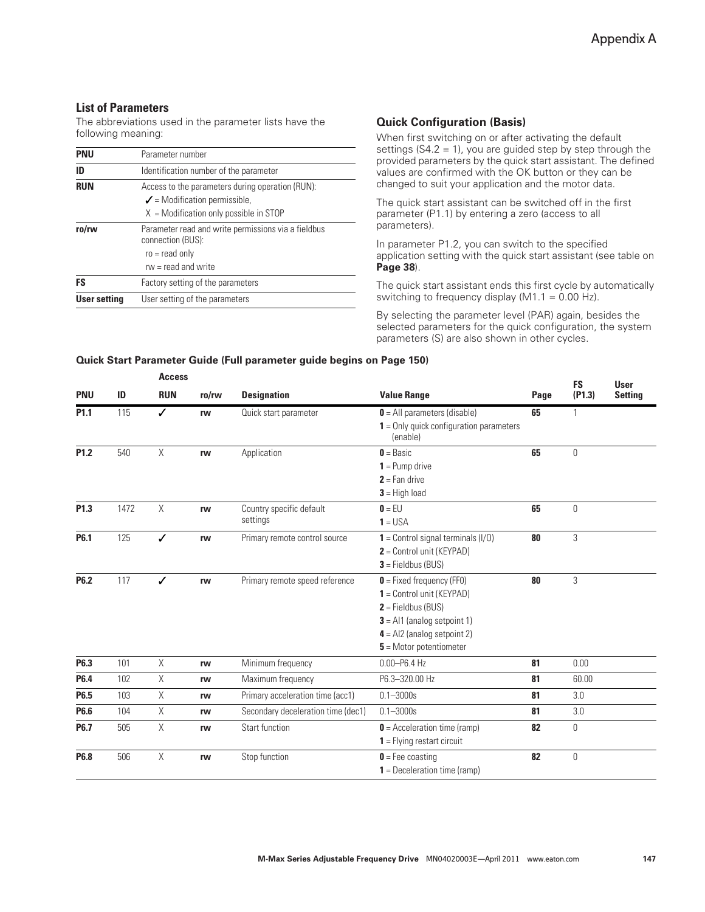# **List of Parameters**

The abbreviations used in the parameter lists have the following meaning:

| <b>PNU</b>          | Parameter number                                                                                                                         |
|---------------------|------------------------------------------------------------------------------------------------------------------------------------------|
| ID                  | Identification number of the parameter                                                                                                   |
| <b>RUN</b>          | Access to the parameters during operation (RUN):<br>$\checkmark$ = Modification permissible,<br>$X =$ Modification only possible in STOP |
| ro/rw               | Parameter read and write permissions via a fieldbus<br>connection (BUS):<br>$ro = read only$<br>$rw = read$ and write                    |
| <b>FS</b>           | Factory setting of the parameters                                                                                                        |
| <b>User setting</b> | User setting of the parameters                                                                                                           |

### **Quick Configuration (Basis)**

When first switching on or after activating the default settings  $(S4.2 = 1)$ , you are guided step by step through the provided parameters by the quick start assistant. The defined values are confirmed with the OK button or they can be changed to suit your application and the motor data.

The quick start assistant can be switched off in the first parameter (P1.1) by entering a zero (access to all parameters).

In parameter P1.2, you can switch to the specified application setting with the quick start assistant (see table on **Page 38**).

The quick start assistant ends this first cycle by automatically switching to frequency display  $(M1.1 = 0.00$  Hz).

By selecting the parameter level (PAR) again, besides the selected parameters for the quick configuration, the system parameters (S) are also shown in other cycles.

### **Quick Start Parameter Guide (Full parameter guide begins on Page 150)**

|                  |      | <b>Access</b> |       |                                      |                                                                                                                                                                                            |      | <b>FS</b>    | <b>User</b>    |
|------------------|------|---------------|-------|--------------------------------------|--------------------------------------------------------------------------------------------------------------------------------------------------------------------------------------------|------|--------------|----------------|
| <b>PNU</b>       | ID   | <b>RUN</b>    | ro/rw | <b>Designation</b>                   | <b>Value Range</b>                                                                                                                                                                         | Page | (P1.3)       | <b>Setting</b> |
| P <sub>1.1</sub> | 115  | ✓             | rw    | Quick start parameter                | $\mathbf{0}$ = All parameters (disable)<br>$1 =$ Only quick configuration parameters<br>(enable)                                                                                           | 65   | $\mathbf{1}$ |                |
| P <sub>1.2</sub> | 540  | $\chi$        | rw    | Application                          | $\mathbf{0}$ = Basic<br>$1 =$ Pump drive<br>$2 =$ Fan drive<br>$3$ = High load                                                                                                             | 65   | $\mathbf 0$  |                |
| P <sub>1.3</sub> | 1472 | Χ             | rw    | Country specific default<br>settings | $0 = FU$<br>$1 = USA$                                                                                                                                                                      | 65   | $\mathbf 0$  |                |
| P <sub>6.1</sub> | 125  | ✓             | rw    | Primary remote control source        | <b>1</b> = Control signal terminals $(I/O)$<br>$2 =$ Control unit (KEYPAD)<br>$3$ = Fieldbus (BUS)                                                                                         | 80   | 3            |                |
| P <sub>6.2</sub> | 117  | ✓             | rw    | Primary remote speed reference       | $\mathbf{0}$ = Fixed frequency (FF0)<br>$1 =$ Control unit (KEYPAD)<br>$2$ = Fieldbus (BUS)<br>$3 = A11$ (analog setpoint 1)<br>$4 = A12$ (analog setpoint 2)<br>$5$ = Motor potentiometer | 80   | 3            |                |
| P6.3             | 101  | $\chi$        | rw    | Minimum frequency                    | $0.00 - P6.4 Hz$                                                                                                                                                                           | 81   | 0.00         |                |
| P6.4             | 102  | Χ             | rw    | Maximum frequency                    | P6.3-320.00 Hz                                                                                                                                                                             | 81   | 60.00        |                |
| P6.5             | 103  | Χ             | rw    | Primary acceleration time (acc1)     | $0.1 - 3000s$                                                                                                                                                                              | 81   | 3.0          |                |
| P6.6             | 104  | $\chi$        | rw    | Secondary deceleration time (dec1)   | $0.1 - 3000s$                                                                                                                                                                              | 81   | 3.0          |                |
| P <sub>6.7</sub> | 505  | Χ             | rw    | Start function                       | $\mathbf{0}$ = Acceleration time (ramp)<br>$1$ = Flying restart circuit                                                                                                                    | 82   | $\mathbf 0$  |                |
| P6.8             | 506  | Χ             | rw    | Stop function                        | $0 = Fee coasting$<br>$1 =$ Deceleration time (ramp)                                                                                                                                       | 82   | $\Omega$     |                |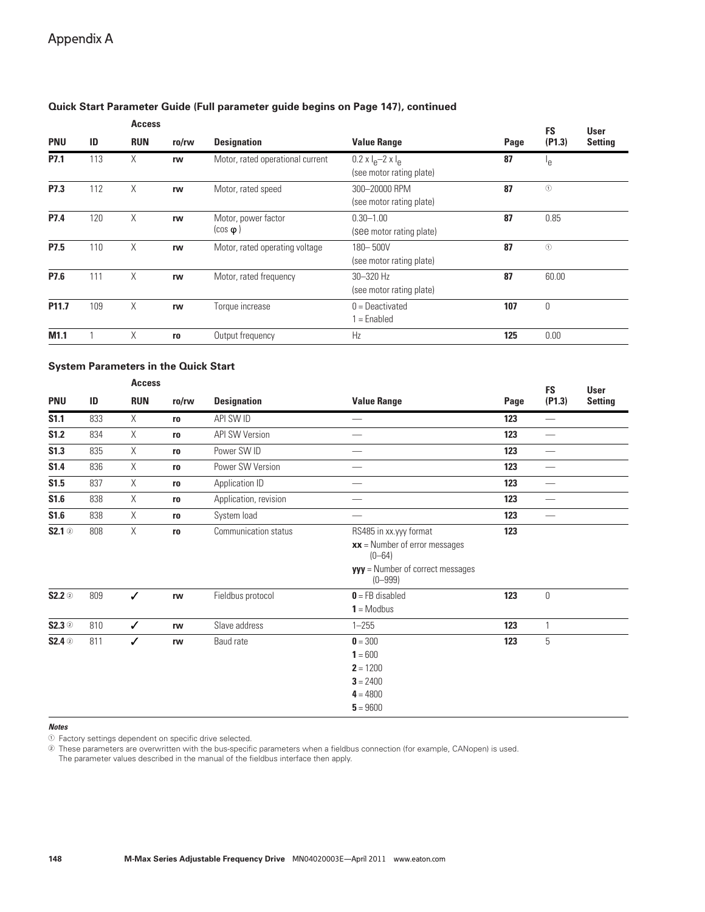|                   |     | <b>Access</b> |       |                                        |                                                             |      | <b>FS</b>   | <b>User</b>    |
|-------------------|-----|---------------|-------|----------------------------------------|-------------------------------------------------------------|------|-------------|----------------|
| <b>PNU</b>        | ID  | <b>RUN</b>    | ro/rw | <b>Designation</b>                     | <b>Value Range</b>                                          | Page | (P1.3)      | <b>Setting</b> |
| P7.1              | 113 | X             | rw    | Motor, rated operational current       | $0.2 \times I_p - 2 \times I_p$<br>(see motor rating plate) | 87   | ١e          |                |
| P7.3              | 112 | Χ             | rw    | Motor, rated speed                     | 300-20000 RPM<br>(see motor rating plate)                   | 87   | $\odot$     |                |
| P7.4              | 120 | Χ             | rw    | Motor, power factor<br>$(cos \varphi)$ | $0.30 - 1.00$<br>(see motor rating plate)                   | 87   | 0.85        |                |
| P7.5              | 110 | X             | rw    | Motor, rated operating voltage         | 180-500V<br>(see motor rating plate)                        | 87   | $\odot$     |                |
| P7.6              | 111 | X             | rw    | Motor, rated frequency                 | 30-320 Hz<br>(see motor rating plate)                       | 87   | 60.00       |                |
| P <sub>11.7</sub> | 109 | Χ             | rw    | Torque increase                        | $0 =$ Deactivated<br>$=$ Enabled                            | 107  | $\mathbf 0$ |                |
| M1.1              |     | X             | ro    | Output frequency                       | Hz                                                          | 125  | 0.00        |                |

### **Quick Start Parameter Guide (Full parameter guide begins on Page 147), continued**

### **System Parameters in the Quick Start**

|                   |     | <b>Access</b> |       |                       |                                                   |      | <b>FS</b>                       | <b>User</b>    |
|-------------------|-----|---------------|-------|-----------------------|---------------------------------------------------|------|---------------------------------|----------------|
| <b>PNU</b>        | ID  | <b>RUN</b>    | ro/rw | <b>Designation</b>    | <b>Value Range</b>                                | Page | (P1.3)                          | <b>Setting</b> |
| S1.1              | 833 | X             | ro    | API SW ID             |                                                   | 123  | $\hspace{0.05cm}$               |                |
| <b>S1.2</b>       | 834 | Χ             | ro    | <b>API SW Version</b> |                                                   | 123  | $\hspace{0.05cm}$               |                |
| S1.3              | 835 | X             | ro    | Power SW ID           |                                                   | 123  | $\hspace{0.05cm}$               |                |
| <b>S1.4</b>       | 836 | X             | ro    | Power SW Version      |                                                   | 123  | $\hspace{0.1mm}-\hspace{0.1mm}$ |                |
| S1.5              | 837 | $\chi$        | ro    | Application ID        |                                                   | 123  | $\hspace{0.05cm}$               |                |
| <b>S1.6</b>       | 838 | X             | ro    | Application, revision |                                                   | 123  | $\hspace{0.05cm}$               |                |
| <b>S1.6</b>       | 838 | $\times$      | ro    | System load           |                                                   | 123  | $\hspace{0.1mm}-\hspace{0.1mm}$ |                |
| $$2.1$ 2          | 808 | $\mathsf X$   | ro    | Communication status  | RS485 in xx.yyy format                            | 123  |                                 |                |
|                   |     |               |       |                       | $xx =$ Number of error messages<br>$(0 - 64)$     |      |                                 |                |
|                   |     |               |       |                       | $yyy =$ Number of correct messages<br>$(0 - 999)$ |      |                                 |                |
| $$2.2$ 2          | 809 | $\checkmark$  | rw    | Fieldbus protocol     | $\mathbf{0}$ = FB disabled                        | 123  | $\mathbf 0$                     |                |
|                   |     |               |       |                       | $1 = Modbus$                                      |      |                                 |                |
| $$2.3$ ②          | 810 | $\checkmark$  | rw    | Slave address         | $1 - 255$                                         | 123  | 1                               |                |
| S2.4 <sup>2</sup> | 811 | $\checkmark$  | rw    | Baud rate             | $0 = 300$                                         | 123  | 5                               |                |
|                   |     |               |       |                       | $1 = 600$                                         |      |                                 |                |
|                   |     |               |       |                       | $2 = 1200$                                        |      |                                 |                |
|                   |     |               |       |                       | $3 = 2400$                                        |      |                                 |                |
|                   |     |               |       |                       | $4 = 4800$                                        |      |                                 |                |
|                   |     |               |       |                       | $5 = 9600$                                        |      |                                 |                |

*Notes*

 $\Phi$  Factory settings dependent on specific drive selected.

 These parameters are overwritten with the bus-specific parameters when a fieldbus connection (for example, CANopen) is used. The parameter values described in the manual of the fieldbus interface then apply.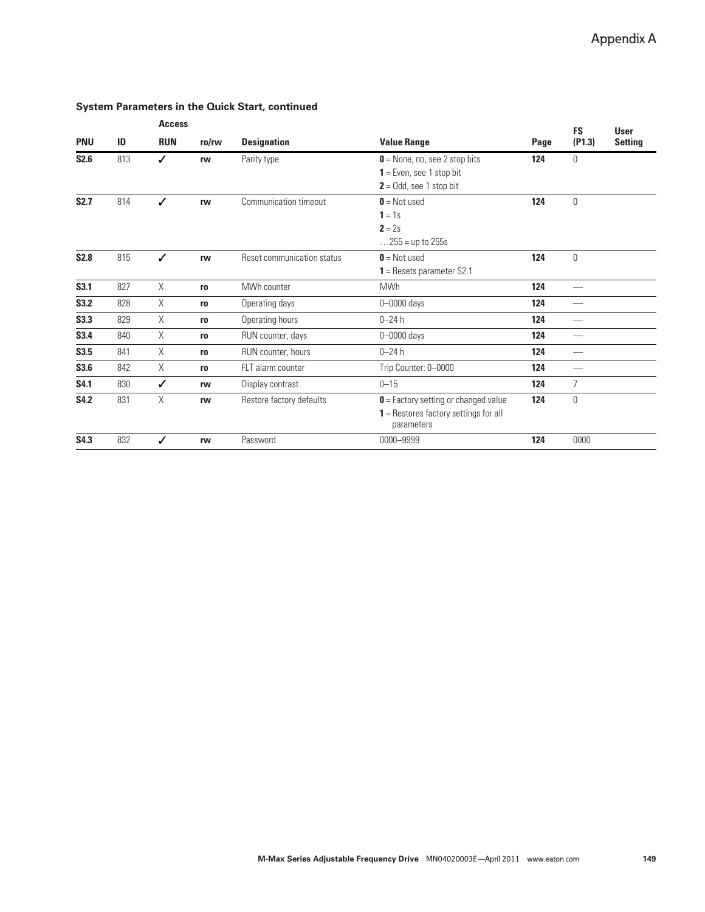# **System Parameters in the Quick Start, continued**

|             |     | <b>Access</b> |       |                            |                                                       |      | <b>FS</b>                | <b>User</b>    |
|-------------|-----|---------------|-------|----------------------------|-------------------------------------------------------|------|--------------------------|----------------|
| <b>PNU</b>  | ID  | <b>RUN</b>    | ro/rw | <b>Designation</b>         | <b>Value Range</b>                                    | Page | (P1.3)                   | <b>Setting</b> |
| <b>S2.6</b> | 813 | ✓             | rw    | Parity type                | $\mathbf{0}$ = None, no, see 2 stop bits              | 124  | $\Omega$                 |                |
|             |     |               |       |                            | <b>1</b> = Even, see 1 stop bit                       |      |                          |                |
|             |     |               |       |                            | $2 =$ Odd, see 1 stop bit                             |      |                          |                |
| <b>S2.7</b> | 814 | ✓             | rw    | Communication timeout      | $\mathbf{0}$ = Not used                               | 124  | $\mathbf{0}$             |                |
|             |     |               |       |                            | $1 = 1s$                                              |      |                          |                |
|             |     |               |       |                            | $2 = 2s$                                              |      |                          |                |
|             |     |               |       |                            | $255 = up to 255s$                                    |      |                          |                |
| <b>S2.8</b> | 815 | ✓             | rw    | Reset communication status | $\mathbf{0}$ = Not used                               | 124  | $\overline{0}$           |                |
|             |     |               |       |                            | <b>1</b> = Resets parameter $S2.1$                    |      |                          |                |
| S3.1        | 827 | X             | ro    | MWh counter                | <b>MWh</b>                                            | 124  |                          |                |
| S3.2        | 828 | X             | ro    | Operating days             | $0 - 0000$ days                                       | 124  | $\overline{\phantom{a}}$ |                |
| S3.3        | 829 | X             | ro    | Operating hours            | $0 - 24h$                                             | 124  |                          |                |
| S3.4        | 840 | X             | ro    | RUN counter, days          | $0 - 0000$ days                                       | 124  |                          |                |
| S3.5        | 841 | X             | ro    | RUN counter, hours         | $0 - 24 h$                                            | 124  | $\hspace{0.05cm}$        |                |
| <b>S3.6</b> | 842 | X             | ro    | FLT alarm counter          | Trip Counter: 0-0000                                  | 124  |                          |                |
| S4.1        | 830 | ✓             | rw    | Display contrast           | $0 - 15$                                              | 124  | 7                        |                |
| S4.2        | 831 | X             | rw    | Restore factory defaults   | $\mathbf{0}$ = Factory setting or changed value       | 124  | $\mathbf{0}$             |                |
|             |     |               |       |                            | $1$ = Restores factory settings for all<br>parameters |      |                          |                |
| S4.3        | 832 | $\checkmark$  | rw    | Password                   | 0000-9999                                             | 124  | 0000                     |                |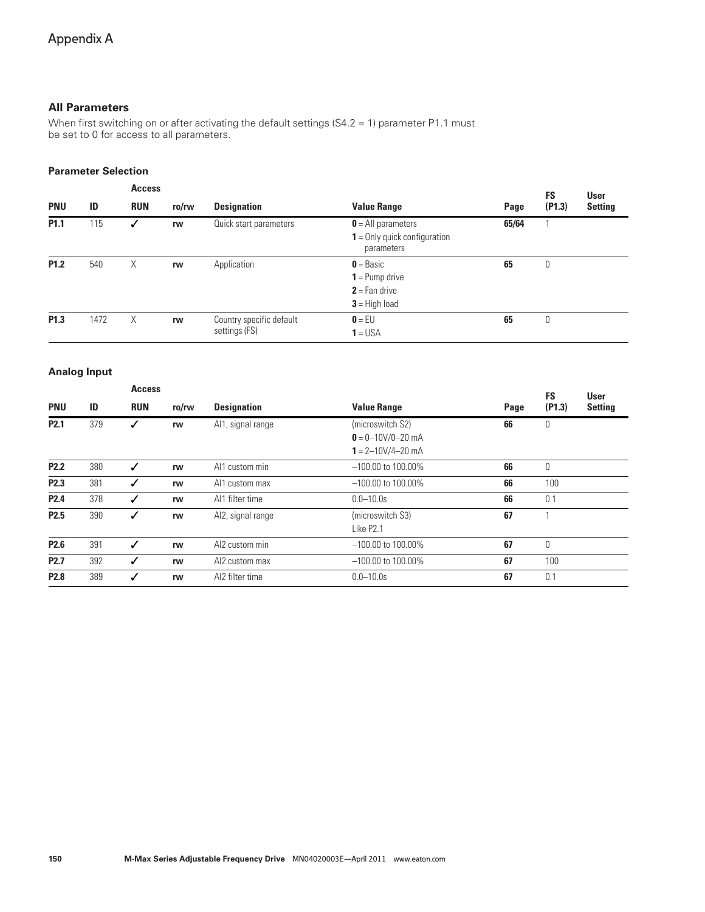# **All Parameters**

When first switching on or after activating the default settings (S4.2 = 1) parameter P1.1 must be set to 0 for access to all parameters.

# **Parameter Selection**

|                  |      | <b>Access</b> |       |                          |                                              | <b>FS</b> | <b>User</b> |                |
|------------------|------|---------------|-------|--------------------------|----------------------------------------------|-----------|-------------|----------------|
| <b>PNU</b>       | ID   | <b>RUN</b>    | ro/rw | <b>Designation</b>       | <b>Value Range</b>                           | Page      | (P1.3)      | <b>Setting</b> |
| P <sub>1.1</sub> | 115  | ✓             | rw    | Quick start parameters   | $\mathbf{0}$ = All parameters                | 65/64     |             |                |
|                  |      |               |       |                          | $1 =$ Only quick configuration<br>parameters |           |             |                |
| P <sub>1.2</sub> | 540  | Χ             | rw    | Application              | $\mathbf{0}$ = Basic                         | 65        | 0           |                |
|                  |      |               |       |                          | $1 =$ Pump drive                             |           |             |                |
|                  |      |               |       |                          | $2 =$ Fan drive                              |           |             |                |
|                  |      |               |       |                          | $3$ = High load                              |           |             |                |
| P <sub>1.3</sub> | 1472 | Χ             | rw    | Country specific default | $0 = FU$                                     | 65        | 0           |                |
|                  |      |               |       | settings (FS)            | $1 = USA$                                    |           |             |                |

### **Analog Input**

|                  |     | <b>Access</b> |       |                    |                                                                        |      | <b>FS</b> | <b>User</b>    |
|------------------|-----|---------------|-------|--------------------|------------------------------------------------------------------------|------|-----------|----------------|
| <b>PNU</b>       | ID  | <b>RUN</b>    | ro/rw | <b>Designation</b> | <b>Value Range</b>                                                     | Page | (P1.3)    | <b>Setting</b> |
| P <sub>2.1</sub> | 379 | ✓             | rw    | Al1, signal range  | (microswitch S2)<br>$0 = 0 - 10V/0 - 20$ mA<br>$1 = 2 - 10V/4 - 20$ mA | 66   | 0         |                |
| P <sub>2.2</sub> | 380 | ✓             | rw    | Al1 custom min     | $-100.00$ to 100.00%                                                   | 66   | 0         |                |
| P <sub>2.3</sub> | 381 | ✓             | rw    | Al1 custom max     | $-100.00$ to 100.00%                                                   | 66   | 100       |                |
| P <sub>2.4</sub> | 378 | ✓             | rw    | Al1 filter time    | $0.0 - 10.0s$                                                          | 66   | 0.1       |                |
| P <sub>2.5</sub> | 390 | ✓             | rw    | Al2, signal range  | (microswitch S3)<br>Like P <sub>2.1</sub>                              | 67   |           |                |
| P <sub>2.6</sub> | 391 | ✓             | rw    | AI2 custom min     | $-100.00$ to 100.00%                                                   | 67   | 0         |                |
| P <sub>2.7</sub> | 392 | ✓             | rw    | Al2 custom max     | $-100.00$ to 100.00%                                                   | 67   | 100       |                |
| P <sub>2.8</sub> | 389 | ✓             | rw    | AI2 filter time    | $0.0 - 10.0s$                                                          | 67   | 0.1       |                |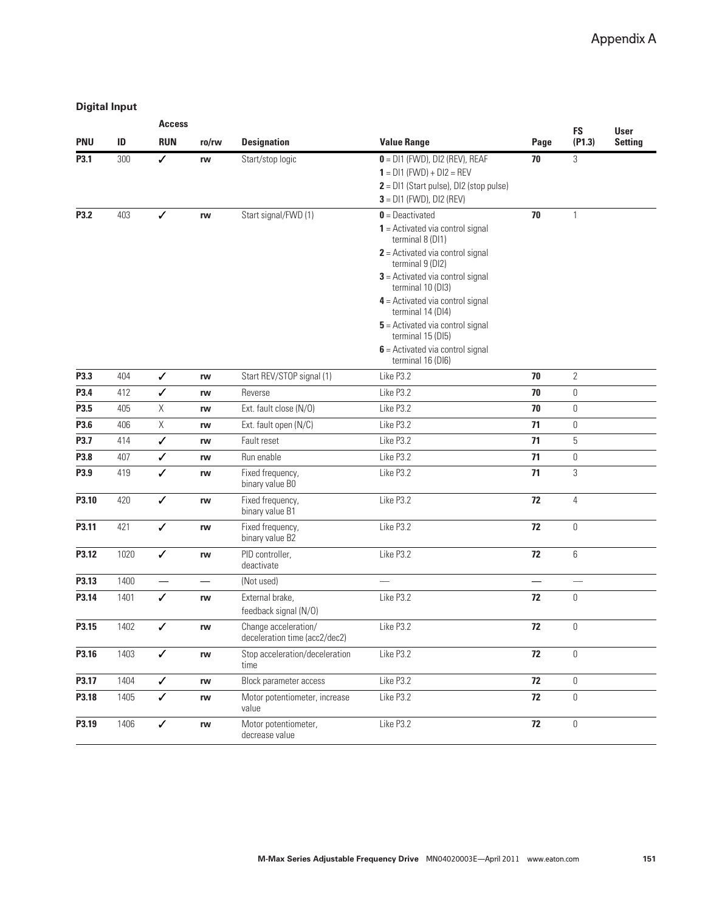# **Digital Input**

|            |      | <b>Access</b>            |                          |                                                       |                                                                                                              |      | <b>FS</b>                | User           |
|------------|------|--------------------------|--------------------------|-------------------------------------------------------|--------------------------------------------------------------------------------------------------------------|------|--------------------------|----------------|
| <b>PNU</b> | ID   | <b>RUN</b>               | ro/rw                    | <b>Designation</b>                                    | <b>Value Range</b>                                                                                           | Page | (P1.3)                   | <b>Setting</b> |
| P3.1       | 300  | $\checkmark$             | rw                       | Start/stop logic                                      | $0 = D11$ (FWD), DI2 (REV), REAF<br>$1 = D11 (FWD) + D12 = REV$<br>$2 = D11$ (Start pulse), DI2 (stop pulse) | 70   | 3                        |                |
|            |      |                          |                          |                                                       | $3 = D11$ (FWD), DI2 (REV)                                                                                   |      |                          |                |
| P3.2       | 403  | $\checkmark$             | rw                       | Start signal/FWD (1)                                  | $\mathbf{0}$ = Deactivated                                                                                   | 70   | $\mathbf{1}$             |                |
|            |      |                          |                          |                                                       | $1$ = Activated via control signal<br>terminal 8 (DI1)                                                       |      |                          |                |
|            |      |                          |                          |                                                       | $2$ = Activated via control signal<br>terminal 9 (DI2)                                                       |      |                          |                |
|            |      |                          |                          |                                                       | $3$ = Activated via control signal<br>terminal 10 (DI3)                                                      |      |                          |                |
|            |      |                          |                          |                                                       | $4$ = Activated via control signal<br>terminal 14 (DI4)                                                      |      |                          |                |
|            |      |                          |                          |                                                       | 5 = Activated via control signal<br>terminal 15 (DI5)                                                        |      |                          |                |
|            |      |                          |                          |                                                       | $6$ = Activated via control signal<br>terminal 16 (DI6)                                                      |      |                          |                |
| P3.3       | 404  | $\checkmark$             | rw                       | Start REV/STOP signal (1)                             | Like P3.2                                                                                                    | 70   | $\overline{2}$           |                |
| P3.4       | 412  | $\checkmark$             | rw                       | Reverse                                               | Like P3.2                                                                                                    | 70   | 0                        |                |
| P3.5       | 405  | $\mathsf X$              | rw                       | Ext. fault close (N/O)                                | Like P3.2                                                                                                    | 70   | 0                        |                |
| P3.6       | 406  | Χ                        | rw                       | Ext. fault open (N/C)                                 | Like P3.2                                                                                                    | 71   | 0                        |                |
| P3.7       | 414  | $\checkmark$             | rw                       | Fault reset                                           | Like P3.2                                                                                                    | 71   | 5                        |                |
| P3.8       | 407  | $\checkmark$             | rw                       | Run enable                                            | Like P3.2                                                                                                    | 71   | $\mathbf 0$              |                |
| P3.9       | 419  | ✓                        | rw                       | Fixed frequency,<br>binary value B0                   | Like P3.2                                                                                                    | 71   | 3                        |                |
| P3.10      | 420  | ✓                        | rw                       | Fixed frequency,<br>binary value B1                   | Like P3.2                                                                                                    | 72   | $\overline{4}$           |                |
| P3.11      | 421  | $\checkmark$             | rw                       | Fixed frequency,<br>binary value B2                   | Like P3.2                                                                                                    | 72   | $\mathbf 0$              |                |
| P3.12      | 1020 | $\checkmark$             | rw                       | PID controller,<br>deactivate                         | Like P3.2                                                                                                    | 72   | 6                        |                |
| P3.13      | 1400 | $\overline{\phantom{0}}$ | $\overline{\phantom{0}}$ | (Not used)                                            |                                                                                                              |      | $\overline{\phantom{a}}$ |                |
| P3.14      | 1401 | $\checkmark$             | rw                       | External brake,<br>feedback signal (N/O)              | Like P3.2                                                                                                    | 72   | 0                        |                |
| P3.15      | 1402 | $\checkmark$             | rw                       | Change acceleration/<br>deceleration time (acc2/dec2) | Like P3.2                                                                                                    | 72   | 0                        |                |
| P3.16      | 1403 | $\checkmark$             | rw                       | Stop acceleration/deceleration<br>time                | Like P3.2                                                                                                    | 72   | $\mathbf 0$              |                |
| P3.17      | 1404 | $\checkmark$             | rw                       | Block parameter access                                | Like P3.2                                                                                                    | 72   | $\mathbf 0$              |                |
| P3.18      | 1405 | $\checkmark$             | rw                       | Motor potentiometer, increase<br>value                | Like P3.2                                                                                                    | 72   | $\mathbb O$              |                |
| P3.19      | 1406 | $\checkmark$             | rw                       | Motor potentiometer,<br>decrease value                | Like P3.2                                                                                                    | 72   | $\mathbb O$              |                |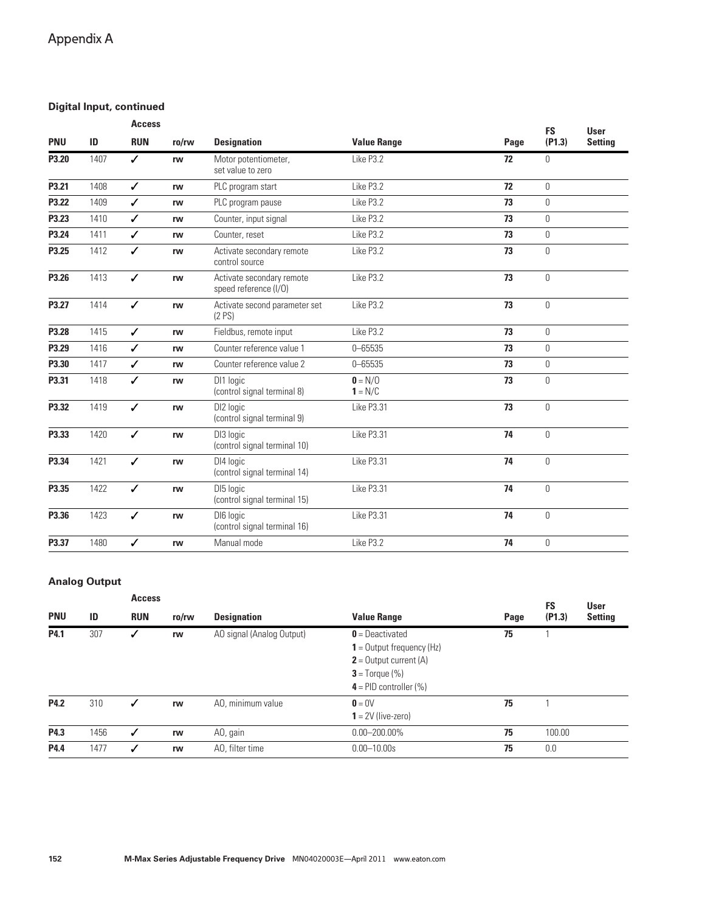# Appendix A

# **Digital Input, continued**

|            |      | <b>Access</b> |       |                                                    |                        |      | <b>FS</b>        | <b>User</b>    |
|------------|------|---------------|-------|----------------------------------------------------|------------------------|------|------------------|----------------|
| <b>PNU</b> | ID   | <b>RUN</b>    | ro/rw | <b>Designation</b>                                 | <b>Value Range</b>     | Page | (P1.3)           | <b>Setting</b> |
| P3.20      | 1407 | $\checkmark$  | rw    | Motor potentiometer,<br>set value to zero          | Like P3.2              | 72   | $\mathbf 0$      |                |
| P3.21      | 1408 | $\checkmark$  | rw    | PLC program start                                  | Like P3.2              | 72   | 0                |                |
| P3.22      | 1409 | $\checkmark$  | rw    | PLC program pause                                  | Like P3.2              | 73   | $\mathbf 0$      |                |
| P3.23      | 1410 | $\checkmark$  | rw    | Counter, input signal                              | Like P3.2              | 73   | $\mathbf 0$      |                |
| P3.24      | 1411 | ✓             | rw    | Counter, reset                                     | Like P3.2              | 73   | $\mathbf 0$      |                |
| P3.25      | 1412 | $\checkmark$  | rw    | Activate secondary remote<br>control source        | Like P3.2              | 73   | $\Omega$         |                |
| P3.26      | 1413 | $\checkmark$  | rw    | Activate secondary remote<br>speed reference (I/O) | Like P3.2              | 73   | $\mathbf 0$      |                |
| P3.27      | 1414 | $\checkmark$  | rw    | Activate second parameter set<br>(2 PS)            | Like P3.2              | 73   | $\mathbf 0$      |                |
| P3.28      | 1415 | $\checkmark$  | rw    | Fieldbus, remote input                             | Like P3.2              | 73   | $\mathbf 0$      |                |
| P3.29      | 1416 | $\checkmark$  | rw    | Counter reference value 1                          | $0 - 65535$            | 73   | $\mathbf 0$      |                |
| P3.30      | 1417 | $\checkmark$  | rw    | Counter reference value 2                          | $0 - 65535$            | 73   | $\mathbf{0}$     |                |
| P3.31      | 1418 | ✓             | rw    | DI1 logic<br>(control signal terminal 8)           | $0 = N/O$<br>$1 = N/C$ | 73   | $\mathbf 0$      |                |
| P3.32      | 1419 | $\checkmark$  | rw    | DI2 logic<br>(control signal terminal 9)           | Like P3.31             | 73   | $\mathbf 0$      |                |
| P3.33      | 1420 | $\checkmark$  | rw    | DI3 logic<br>(control signal terminal 10)          | Like P3.31             | 74   | $\Omega$         |                |
| P3.34      | 1421 | $\checkmark$  | rw    | DI4 logic<br>(control signal terminal 14)          | Like P3.31             | 74   | $\mathbf 0$      |                |
| P3.35      | 1422 | $\checkmark$  | rw    | DI5 logic<br>(control signal terminal 15)          | Like P3.31             | 74   | $\mathbb O$      |                |
| P3.36      | 1423 | $\checkmark$  | rw    | DI6 logic<br>(control signal terminal 16)          | Like P3.31             | 74   | $\mathbf 0$      |                |
| P3.37      | 1480 | ✓             | rw    | Manual mode                                        | Like P3.2              | 74   | $\boldsymbol{0}$ |                |

### **Analog Output**

|      |              |       |                           |                                  |      | <b>FS</b> | <b>User</b>    |
|------|--------------|-------|---------------------------|----------------------------------|------|-----------|----------------|
| ID   | <b>RUN</b>   | ro/rw | <b>Designation</b>        | <b>Value Range</b>               | Page | (P1.3)    | <b>Setting</b> |
| 307  | $\checkmark$ | rw    | AO signal (Analog Output) | $\mathbf{0}$ = Deactivated       | 75   |           |                |
|      |              |       |                           | <b>1</b> = Output frequency (Hz) |      |           |                |
|      |              |       |                           | $2 =$ Output current (A)         |      |           |                |
|      |              |       |                           | $3 = Torque (%)$                 |      |           |                |
|      |              |       |                           | $4 =$ PID controller (%)         |      |           |                |
| 310  |              | rw    | AO, minimum value         | $\mathbf{0} = 0 \vee$            | 75   |           |                |
|      |              |       |                           | $1 = 2V$ (live-zero)             |      |           |                |
| 1456 | ✓            | rw    | AO, gain                  | $0.00 - 200.00\%$                | 75   | 100.00    |                |
| 1477 | $\checkmark$ | rw    | AO, filter time           | $0.00 - 10.00s$                  | 75   | 0.0       |                |
|      |              |       | <b>Access</b>             |                                  |      |           |                |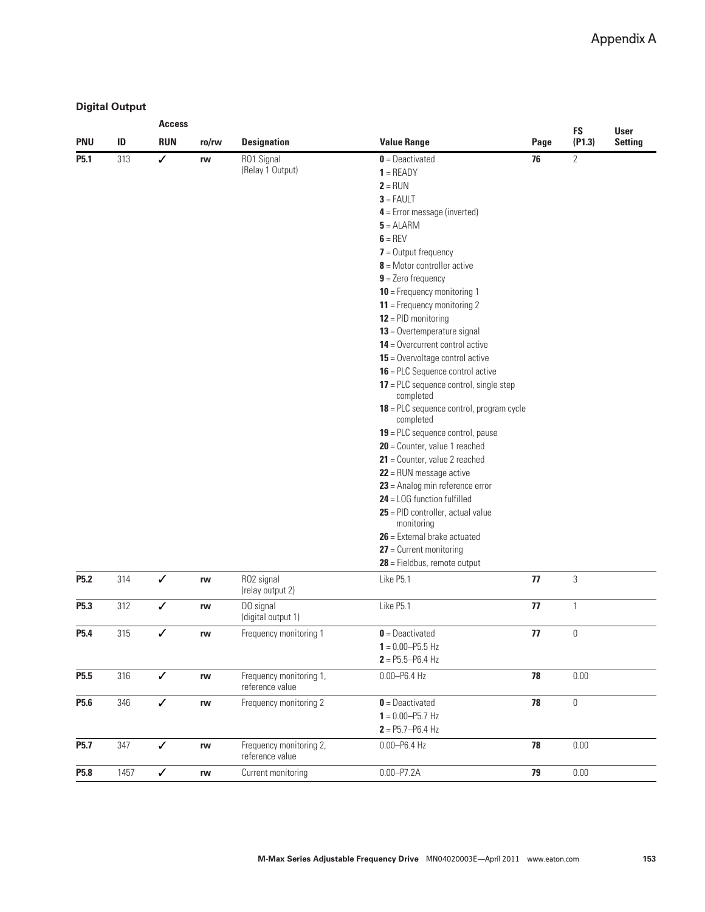# **Digital Output**

|                  |      | <b>Access</b> |               |                                            |                                                       |            | <b>FS</b>      | <b>User</b>    |
|------------------|------|---------------|---------------|--------------------------------------------|-------------------------------------------------------|------------|----------------|----------------|
| <b>PNU</b>       | ID   | <b>RUN</b>    | ro/rw         | <b>Designation</b>                         | <b>Value Range</b>                                    | Page       | (P1.3)         | <b>Setting</b> |
| P <sub>5.1</sub> | 313  | $\checkmark$  | rw            | R01 Signal                                 | $\mathbf{0}$ = Deactivated                            | 76         | $\overline{2}$ |                |
|                  |      |               |               | (Relay 1 Output)                           | $1 = READV$                                           |            |                |                |
|                  |      |               |               |                                            | $2 = RUN$                                             |            |                |                |
|                  |      |               |               |                                            | $3 = FAULT$                                           |            |                |                |
|                  |      |               |               |                                            | $4$ = Error message (inverted)                        |            |                |                |
|                  |      |               |               |                                            | $5 = ALARM$                                           |            |                |                |
|                  |      |               |               |                                            | $6 = REV$                                             |            |                |                |
|                  |      |               |               |                                            | $7 =$ Output frequency                                |            |                |                |
|                  |      |               |               |                                            | $8$ = Motor controller active                         |            |                |                |
|                  |      |               |               |                                            | $9 =$ Zero frequency                                  |            |                |                |
|                  |      |               |               |                                            | $10 =$ Frequency monitoring 1                         |            |                |                |
|                  |      |               |               |                                            | $11 =$ Frequency monitoring 2                         |            |                |                |
|                  |      |               |               |                                            | $12 =$ PID monitoring                                 |            |                |                |
|                  |      |               |               |                                            | $13$ = Overtemperature signal                         |            |                |                |
|                  |      |               |               |                                            | $14 =$ Overcurrent control active                     |            |                |                |
|                  |      |               |               |                                            | $15$ = Overvoltage control active                     |            |                |                |
|                  |      |               |               |                                            | <b>16</b> = PLC Sequence control active               |            |                |                |
|                  |      |               |               |                                            | $17 = PLC$ sequence control, single step              |            |                |                |
|                  |      |               |               |                                            | completed<br>18 = PLC sequence control, program cycle |            |                |                |
|                  |      |               |               |                                            | completed                                             |            |                |                |
|                  |      |               |               |                                            | $19 =$ PLC sequence control, pause                    |            |                |                |
|                  |      |               |               |                                            | $20 =$ Counter, value 1 reached                       |            |                |                |
|                  |      |               |               |                                            | 21 = Counter, value 2 reached                         |            |                |                |
|                  |      |               |               |                                            | 22 = RUN message active                               |            |                |                |
|                  |      |               |               |                                            | $23$ = Analog min reference error                     |            |                |                |
|                  |      |               |               |                                            | $24 =$ LOG function fulfilled                         |            |                |                |
|                  |      |               |               |                                            | 25 = PID controller, actual value<br>monitoring       |            |                |                |
|                  |      |               |               |                                            | 26 = External brake actuated                          |            |                |                |
|                  |      |               |               |                                            | $27 =$ Current monitoring                             |            |                |                |
|                  |      |               |               |                                            | $28$ = Fieldbus, remote output                        |            |                |                |
| <b>P5.2</b>      | 314  | ✓             | rw            | RO2 signal                                 | Like P5.1                                             | 77         | 3              |                |
|                  |      |               |               | (relay output 2)                           |                                                       |            |                |                |
| P5.3             | 312  | ✓             | rw            | DO signal<br>(digital output 1)            | Like P5.1                                             | 77         | $\mathbf{1}$   |                |
| P5.4             | 315  | $\checkmark$  | rw            | Frequency monitoring 1                     | $\mathbf{0}$ = Deactivated                            | ${\bf 77}$ | $\mathbb O$    |                |
|                  |      |               |               |                                            | $1 = 0.00 - P5.5$ Hz                                  |            |                |                |
|                  |      |               |               |                                            | $2 = P5.5 - P6.4 Hz$                                  |            |                |                |
| P5.5             | 316  | $\checkmark$  | $\mathbf{rw}$ | Frequency monitoring 1,<br>reference value | $0.00 - P6.4 Hz$                                      | ${\bf 78}$ | $0.00\,$       |                |
| P5.6             | 346  | $\checkmark$  | $\mathbf{rw}$ | Frequency monitoring 2                     | $\mathbf{0}$ = Deactivated                            | 78         | $\mathbf 0$    |                |
|                  |      |               |               |                                            | $1 = 0.00 - P5.7 Hz$                                  |            |                |                |
|                  |      |               |               |                                            | $2 = P5.7 - P6.4 Hz$                                  |            |                |                |
| P5.7             | 347  | $\checkmark$  |               | Frequency monitoring 2,                    | $0.00 - P6.4 Hz$                                      | 78         | 0.00           |                |
|                  |      |               | rw            | reference value                            |                                                       |            |                |                |
| P5.8             | 1457 | $\checkmark$  | rw            | Current monitoring                         | $0.00 - P7.2A$                                        | 79         | 0.00           |                |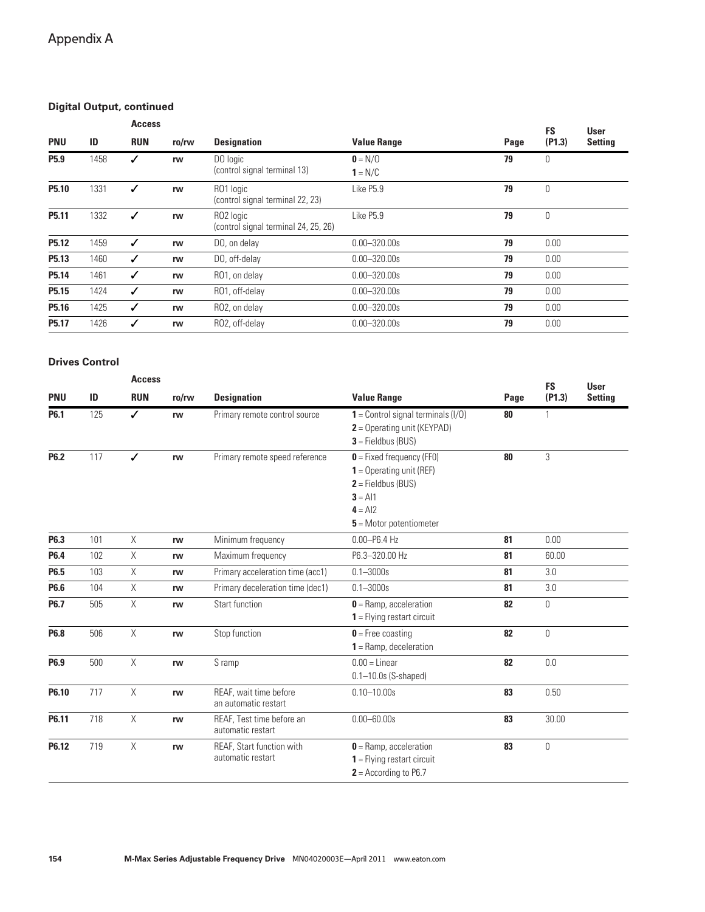# Appendix A

# **Digital Output, continued**

|                   |      | <b>Access</b> |       |                                                   |                        |      | <b>FS</b>      | <b>User</b>    |
|-------------------|------|---------------|-------|---------------------------------------------------|------------------------|------|----------------|----------------|
| <b>PNU</b>        | ID   | <b>RUN</b>    | ro/rw | <b>Designation</b>                                | <b>Value Range</b>     | Page | (P1.3)         | <b>Setting</b> |
| P <sub>5.9</sub>  | 1458 | ✓             | rw    | DO logic<br>(control signal terminal 13)          | $0 = N/0$<br>$1 = N/C$ | 79   | 0              |                |
| P <sub>5.10</sub> | 1331 | ✓             | rw    | RO1 logic<br>(control signal terminal 22, 23)     | Like P5.9              | 79   | $\overline{0}$ |                |
| P <sub>5.11</sub> | 1332 | ✓             | rw    | RO2 logic<br>(control signal terminal 24, 25, 26) | Like P5.9              | 79   | 0              |                |
| P <sub>5.12</sub> | 1459 | ✓             | rw    | DO, on delay                                      | $0.00 - 320.00s$       | 79   | 0.00           |                |
| P <sub>5.13</sub> | 1460 | ✓             | rw    | DO, off-delay                                     | $0.00 - 320.00s$       | 79   | 0.00           |                |
| P <sub>5.14</sub> | 1461 | ✓             | rw    | RO1, on delay                                     | $0.00 - 320.00s$       | 79   | 0.00           |                |
| P <sub>5.15</sub> | 1424 | ✓             | rw    | RO1, off-delay                                    | $0.00 - 320.00s$       | 79   | 0.00           |                |
| P <sub>5.16</sub> | 1425 | ✓             | rw    | RO2, on delay                                     | $0.00 - 320.00s$       | 79   | 0.00           |                |
| P <sub>5.17</sub> | 1426 | ✓             | rw    | RO2, off-delay                                    | $0.00 - 320.00s$       | 79   | 0.00           |                |

### **Drives Control**

|            |     | <b>Access</b> |       |                                                       |                                                                                                                                                   |      | <b>FS</b>   | <b>User</b>    |
|------------|-----|---------------|-------|-------------------------------------------------------|---------------------------------------------------------------------------------------------------------------------------------------------------|------|-------------|----------------|
| <b>PNU</b> | ID  | <b>RUN</b>    | ro/rw | <b>Designation</b>                                    | <b>Value Range</b>                                                                                                                                | Page | (P1.3)      | <b>Setting</b> |
| P6.1       | 125 | $\checkmark$  | rw    | Primary remote control source                         | $1 =$ Control signal terminals (I/O)<br>$2 =$ Operating unit (KEYPAD)<br>$3$ = Fieldbus (BUS)                                                     | 80   |             |                |
| P6.2       | 117 | ✓             | rw    | Primary remote speed reference                        | $\mathbf{0}$ = Fixed frequency (FF0)<br>$1 =$ Operating unit (REF)<br>$2 =$ Fieldbus (BUS)<br>$3 = A11$<br>$4 = A12$<br>$5$ = Motor potentiometer | 80   | 3           |                |
| P6.3       | 101 | Χ             | rw    | Minimum frequency                                     | $0.00 - P6.4 Hz$                                                                                                                                  | 81   | 0.00        |                |
| P6.4       | 102 | X             | rw    | Maximum frequency                                     | P6.3-320.00 Hz                                                                                                                                    | 81   | 60.00       |                |
| P6.5       | 103 | X             | rw    | Primary acceleration time (acc1)                      | $0.1 - 3000s$                                                                                                                                     | 81   | 3.0         |                |
| P6.6       | 104 | Χ             | rw    | Primary deceleration time (dec1)                      | $0.1 - 3000s$                                                                                                                                     | 81   | 3.0         |                |
| P6.7       | 505 | Χ             | rw    | Start function                                        | $\mathbf{0}$ = Ramp, acceleration<br>$1 =$ Flying restart circuit                                                                                 | 82   | $\mathbf 0$ |                |
| P6.8       | 506 | Χ             | rw    | Stop function                                         | $\mathbf{0}$ = Free coasting<br>$1 =$ Ramp, deceleration                                                                                          | 82   | $\mathbb O$ |                |
| P6.9       | 500 | X             | rw    | S ramp                                                | $0.00 =$ Linear<br>$0.1 - 10.0s$ (S-shaped)                                                                                                       | 82   | 0.0         |                |
| P6.10      | 717 | $\chi$        | rw    | REAF, wait time before<br>an automatic restart        | $0.10 - 10.00s$                                                                                                                                   | 83   | 0.50        |                |
| P6.11      | 718 | X             | rw    | REAF. Test time before an<br>automatic restart        | $0.00 - 60.00s$                                                                                                                                   | 83   | 30.00       |                |
| P6.12      | 719 | $\chi$        | rw    | <b>REAF.</b> Start function with<br>automatic restart | $\mathbf{0}$ = Ramp, acceleration<br>$1$ = Flying restart circuit<br>$2$ = According to P6.7                                                      | 83   | $\mathbf 0$ |                |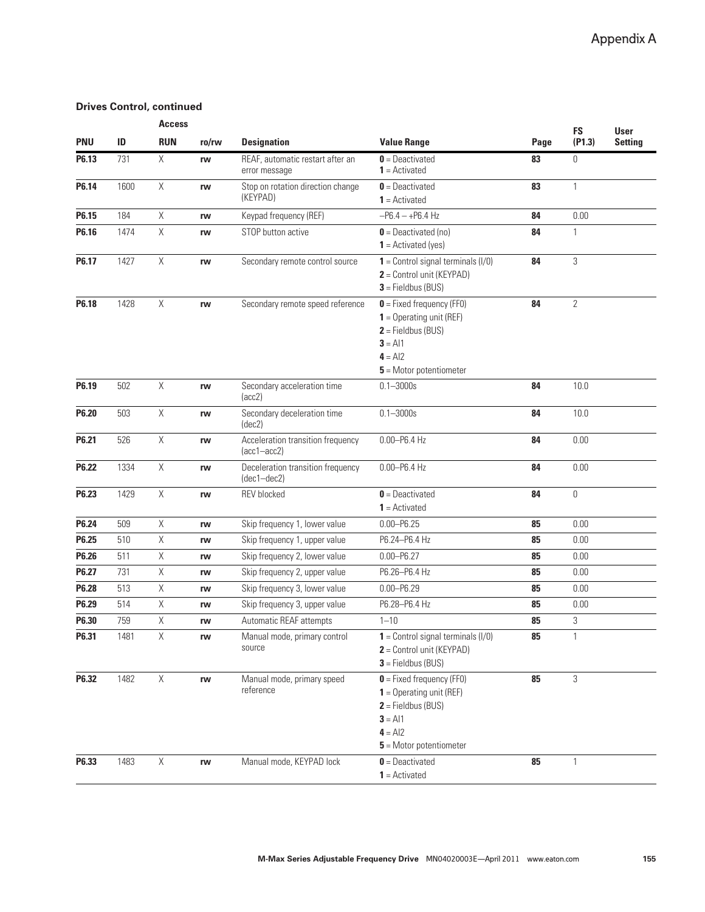# **Drives Control, continued**

|            |      | <b>Access</b> |       |                                                      |                                                                                                                                                   |      | <b>FS</b>     | <b>User</b>    |
|------------|------|---------------|-------|------------------------------------------------------|---------------------------------------------------------------------------------------------------------------------------------------------------|------|---------------|----------------|
| <b>PNU</b> | ID   | <b>RUN</b>    | ro/rw | <b>Designation</b>                                   | <b>Value Range</b>                                                                                                                                | Page | (P1.3)        | <b>Setting</b> |
| P6.13      | 731  | X             | rw    | REAF, automatic restart after an<br>error message    | $\mathbf{0}$ = Deactivated<br>$1 =$ Activated                                                                                                     | 83   | 0             |                |
| P6.14      | 1600 | $\mathsf X$   | rw    | Stop on rotation direction change<br>(KEYPAD)        | $\mathbf{0}$ = Deactivated<br>$1 =$ Activated                                                                                                     | 83   | $\mathbf{1}$  |                |
| P6.15      | 184  | $\mathsf X$   | rw    | Keypad frequency (REF)                               | $-P6.4 - +P6.4 Hz$                                                                                                                                | 84   | 0.00          |                |
| P6.16      | 1474 | X             | rw    | STOP button active                                   | $\mathbf{0}$ = Deactivated (no)<br>$1 =$ Activated (yes)                                                                                          | 84   | $\mathbf{1}$  |                |
| P6.17      | 1427 | $\mathsf X$   | rw    | Secondary remote control source                      | <b>1</b> = Control signal terminals $(I/O)$<br>2 = Control unit (KEYPAD)<br>$3$ = Fieldbus (BUS)                                                  | 84   | 3             |                |
| P6.18      | 1428 | $\chi$        | rw    | Secondary remote speed reference                     | $\mathbf{0}$ = Fixed frequency (FF0)<br>$1 =$ Operating unit (REF)<br>$2 =$ Fieldbus (BUS)<br>$3 = A11$<br>$4 = A12$<br>$5$ = Motor potentiometer | 84   | $\mathbf{2}$  |                |
| P6.19      | 502  | $\times$      | rw    | Secondary acceleration time<br>(acc2)                | $0.1 - 3000s$                                                                                                                                     | 84   | 10.0          |                |
| P6.20      | 503  | $\mathsf X$   | rw    | Secondary deceleration time<br>(dec2)                | $0.1 - 3000s$                                                                                                                                     | 84   | 10.0          |                |
| P6.21      | 526  | $\mathsf X$   | rw    | Acceleration transition frequency<br>$(acc1 - acc2)$ | $0.00 - P6.4 Hz$                                                                                                                                  | 84   | 0.00          |                |
| P6.22      | 1334 | $\mathsf X$   | rw    | Deceleration transition frequency<br>$(dec1-dec2)$   | $0.00 - P6.4 Hz$                                                                                                                                  | 84   | 0.00          |                |
| P6.23      | 1429 | X             | rw    | <b>REV</b> blocked                                   | $\mathbf{0}$ = Deactivated<br>$1 =$ Activated                                                                                                     | 84   | 0             |                |
| P6.24      | 509  | $\mathsf X$   | rw    | Skip frequency 1, lower value                        | $0.00 - P6.25$                                                                                                                                    | 85   | 0.00          |                |
| P6.25      | 510  | $\mathsf X$   | rw    | Skip frequency 1, upper value                        | P6.24-P6.4 Hz                                                                                                                                     | 85   | 0.00          |                |
| P6.26      | 511  | X             | rw    | Skip frequency 2, lower value                        | $0.00 - P6.27$                                                                                                                                    | 85   | 0.00          |                |
| P6.27      | 731  | $\mathsf X$   | rw    | Skip frequency 2, upper value                        | P6.26-P6.4 Hz                                                                                                                                     | 85   | 0.00          |                |
| P6.28      | 513  | $\mathsf X$   | rw    | Skip frequency 3, lower value                        | $0.00 - P6.29$                                                                                                                                    | 85   | 0.00          |                |
| P6.29      | 514  | Χ             | rw    | Skip frequency 3, upper value                        | P6.28-P6.4 Hz                                                                                                                                     | 85   | 0.00          |                |
| P6.30      | 759  | Χ             | rw    | Automatic REAF attempts                              | $1 - 10$                                                                                                                                          | 85   | 3             |                |
| P6.31      | 1481 | $\mathsf X$   | rw    | Manual mode, primary control<br>source               | $1 =$ Control signal terminals (I/0)<br>$2 =$ Control unit (KEYPAD)<br>$3$ = Fieldbus (BUS)                                                       | 85   | $\mathbbm{1}$ |                |
| P6.32      | 1482 | $\mathsf X$   | rw    | Manual mode, primary speed<br>reference              | $\mathbf{0}$ = Fixed frequency (FF0)<br>$1 =$ Operating unit (REF)<br>$2 =$ Fieldbus (BUS)<br>$3 = A11$<br>$4 = A12$<br>$5$ = Motor potentiometer | 85   | 3             |                |
| P6.33      | 1483 | $\mathsf X$   | rw    | Manual mode, KEYPAD lock                             | $\mathbf{0}$ = Deactivated<br>$1 =$ Activated                                                                                                     | 85   | $\mathbf{1}$  |                |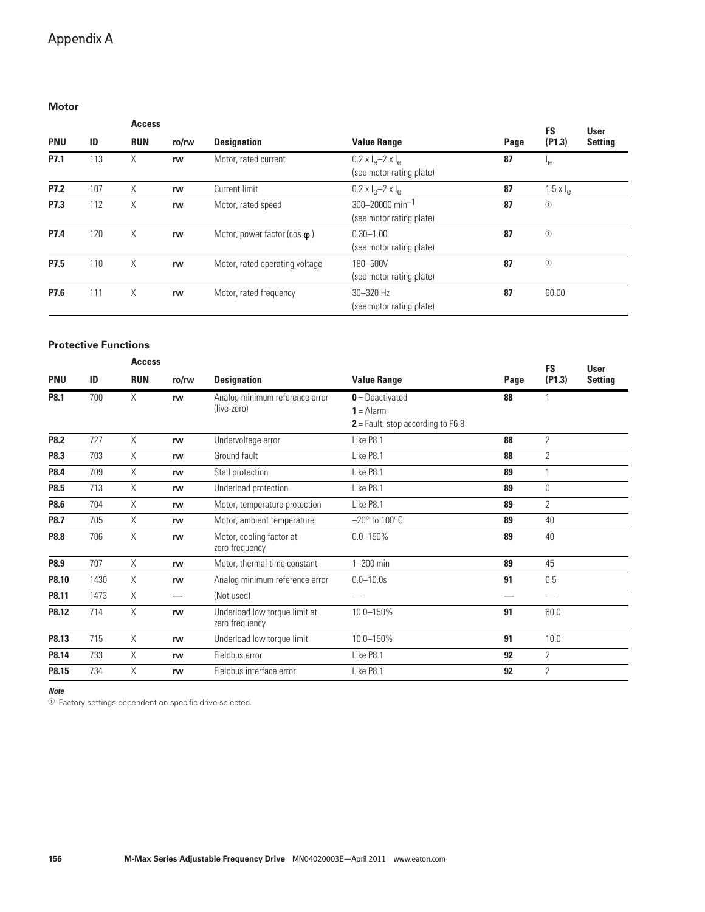# Appendix A

### **Motor**

|            |     | <b>Access</b> |       |                                      |                                                                           | <b>FS</b> | <b>User</b>     |                |
|------------|-----|---------------|-------|--------------------------------------|---------------------------------------------------------------------------|-----------|-----------------|----------------|
| <b>PNU</b> | ID  | <b>RUN</b>    | ro/rw | <b>Designation</b>                   | <b>Value Range</b>                                                        | Page      | (P1.3)          | <b>Setting</b> |
| P7.1       | 113 | Χ             | rw    | Motor, rated current                 | $0.2 \times I_{\rm e}$ - 2 $\times I_{\rm e}$<br>(see motor rating plate) | 87        | ١e              |                |
| P7.2       | 107 | X             | rw    | Current limit                        | $0.2 \times I_{\rm e}$ - 2 $\times I_{\rm e}$                             | 87        | $1.5 \times Ie$ |                |
| P7.3       | 112 | Χ             | rw    | Motor, rated speed                   | $300 - 20000$ min <sup>-1</sup><br>(see motor rating plate)               | 87        | $\odot$         |                |
| P7.4       | 120 | X             | rw    | Motor, power factor (cos $\varphi$ ) | $0.30 - 1.00$<br>(see motor rating plate)                                 | 87        | $\odot$         |                |
| P7.5       | 110 | Χ             | rw    | Motor, rated operating voltage       | 180-500V<br>(see motor rating plate)                                      | 87        | $\odot$         |                |
| P7.6       | 111 | Χ             | rw    | Motor, rated frequency               | 30-320 Hz<br>(see motor rating plate)                                     | 87        | 60.00           |                |

## **Protective Functions**

|             |      | <b>Access</b> |       |                                                 |                                     |      | <b>FS</b>                       | <b>User</b>    |
|-------------|------|---------------|-------|-------------------------------------------------|-------------------------------------|------|---------------------------------|----------------|
| <b>PNU</b>  | ID   | <b>RUN</b>    | ro/rw | <b>Designation</b>                              | <b>Value Range</b>                  | Page | (P1.3)                          | <b>Setting</b> |
| P8.1        | 700  | Χ             | rw    | Analog minimum reference error                  | $\mathbf{0}$ = Deactivated          | 88   |                                 |                |
|             |      |               |       | (live-zero)                                     | $1 =$ Alarm                         |      |                                 |                |
|             |      |               |       |                                                 | $2$ = Fault, stop according to P6.8 |      |                                 |                |
| <b>P8.2</b> | 727  | X             | rw    | Undervoltage error                              | Like P8.1                           | 88   | $\overline{2}$                  |                |
| P8.3        | 703  | X             | rw    | Ground fault                                    | Like P8.1                           | 88   | $\overline{2}$                  |                |
| P8.4        | 709  | X             | rw    | Stall protection                                | Like P8.1                           | 89   | 1                               |                |
| P8.5        | 713  | $\times$      | rw    | Underload protection                            | Like P8.1                           | 89   | 0                               |                |
| P8.6        | 704  | X             | rw    | Motor, temperature protection                   | Like P8.1                           | 89   | $\overline{2}$                  |                |
| <b>P8.7</b> | 705  | $\times$      | rw    | Motor, ambient temperature                      | $-20^\circ$ to 100 $\rm ^{\circ}C$  | 89   | 40                              |                |
| <b>P8.8</b> | 706  | X             | rw    | Motor, cooling factor at<br>zero frequency      | $0.0 - 150%$                        | 89   | 40                              |                |
| P8.9        | 707  | X             | rw    | Motor, thermal time constant                    | $1-200$ min                         | 89   | 45                              |                |
| P8.10       | 1430 | $\times$      | rw    | Analog minimum reference error                  | $0.0 - 10.0s$                       | 91   | 0.5                             |                |
| P8.11       | 1473 | X             |       | (Not used)                                      |                                     |      | $\overbrace{\qquad \qquad }^{}$ |                |
| P8.12       | 714  | Χ             | rw    | Underload low torque limit at<br>zero frequency | 10.0-150%                           | 91   | 60.0                            |                |
| P8.13       | 715  | X             | rw    | Underload low torque limit                      | 10.0-150%                           | 91   | 10.0                            |                |
| P8.14       | 733  | $\times$      | rw    | Fieldbus error                                  | Like P8.1                           | 92   | $\overline{2}$                  |                |
| P8.15       | 734  | Χ             | rw    | Fieldbus interface error                        | Like P8.1                           | 92   | $\overline{2}$                  |                |

*Note*

 $\Phi$  Factory settings dependent on specific drive selected.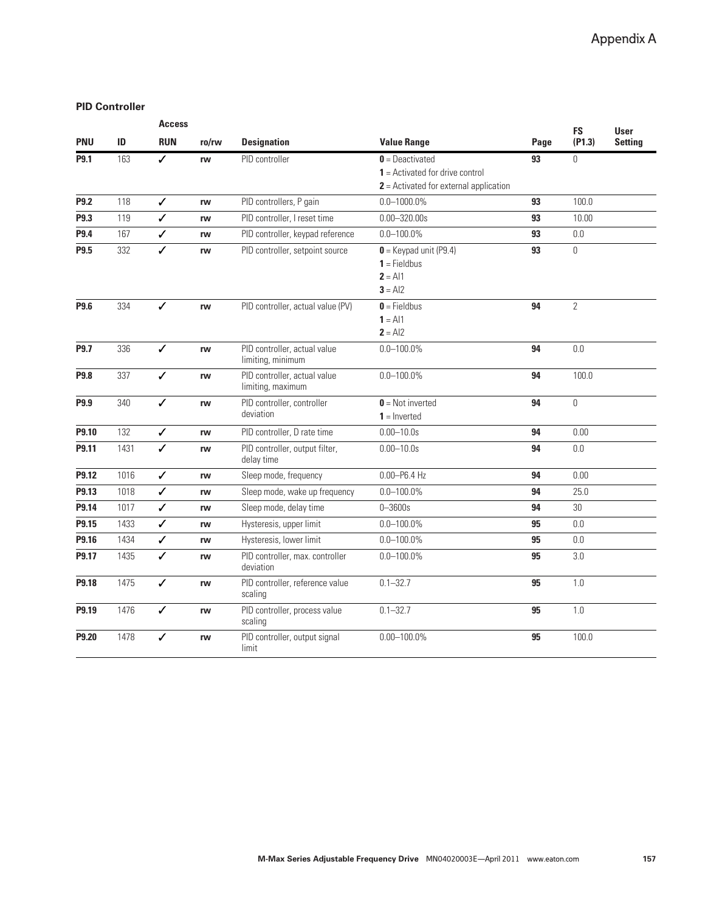### **PID Controller**

|            |      | <b>Access</b> |       |                                                   |                                          |      | <b>FS</b>        | <b>User</b>    |
|------------|------|---------------|-------|---------------------------------------------------|------------------------------------------|------|------------------|----------------|
| <b>PNU</b> | ID   | <b>RUN</b>    | ro/rw | <b>Designation</b>                                | <b>Value Range</b>                       | Page | (P1.3)           | <b>Setting</b> |
| P9.1       | 163  | $\checkmark$  | rw    | PID controller                                    | $\mathbf{0}$ = Deactivated               | 93   | 0                |                |
|            |      |               |       |                                                   | $1$ = Activated for drive control        |      |                  |                |
|            |      |               |       |                                                   | $2$ = Activated for external application |      |                  |                |
| P9.2       | 118  | $\checkmark$  | rw    | PID controllers, P gain                           | $0.0 - 1000.0\%$                         | 93   | 100.0            |                |
| P9.3       | 119  | ✓             | rw    | PID controller. I reset time                      | $0.00 - 320.00s$                         | 93   | 10.00            |                |
| P9.4       | 167  | $\checkmark$  | rw    | PID controller, keypad reference                  | $0.0 - 100.0\%$                          | 93   | 0.0              |                |
| P9.5       | 332  | $\checkmark$  | rw    | PID controller, setpoint source                   | $\mathbf{0}$ = Keypad unit (P9.4)        | 93   | $\boldsymbol{0}$ |                |
|            |      |               |       |                                                   | $1 =$ Fieldbus                           |      |                  |                |
|            |      |               |       |                                                   | $2 = A11$                                |      |                  |                |
|            |      |               |       |                                                   | $3 = A12$                                |      |                  |                |
| P9.6       | 334  | $\checkmark$  | rw    | PID controller, actual value (PV)                 | $\mathbf{0}$ = Fieldbus                  | 94   | $\overline{2}$   |                |
|            |      |               |       |                                                   | $1 = A11$                                |      |                  |                |
|            |      |               |       |                                                   | $2 = A12$                                |      |                  |                |
| P9.7       | 336  | $\checkmark$  | rw    | PID controller, actual value<br>limiting, minimum | $0.0 - 100.0\%$                          | 94   | 0.0              |                |
| P9.8       | 337  | $\checkmark$  | rw    | PID controller, actual value<br>limiting, maximum | $0.0 - 100.0\%$                          | 94   | 100.0            |                |
| P9.9       | 340  | $\checkmark$  | rw    | PID controller, controller                        | $\mathbf{0}$ = Not inverted              | 94   | $\overline{0}$   |                |
|            |      |               |       | deviation                                         | $1 =$ Inverted                           |      |                  |                |
| P9.10      | 132  | $\checkmark$  | rw    | PID controller, D rate time                       | $0.00 - 10.0s$                           | 94   | 0.00             |                |
| P9.11      | 1431 | $\checkmark$  | rw    | PID controller, output filter,<br>delay time      | $0.00 - 10.0s$                           | 94   | $0.0\,$          |                |
| P9.12      | 1016 | $\checkmark$  | rw    | Sleep mode, frequency                             | $0.00 - P6.4 Hz$                         | 94   | 0.00             |                |
| P9.13      | 1018 | $\checkmark$  | rw    | Sleep mode, wake up frequency                     | $0.0 - 100.0\%$                          | 94   | 25.0             |                |
| P9.14      | 1017 | $\checkmark$  | rw    | Sleep mode, delay time                            | $0 - 3600s$                              | 94   | 30               |                |
| P9.15      | 1433 | $\checkmark$  | rw    | Hysteresis, upper limit                           | $0.0 - 100.0\%$                          | 95   | 0.0              |                |
| P9.16      | 1434 | $\checkmark$  | rw    | Hysteresis, lower limit                           | $0.0 - 100.0\%$                          | 95   | 0.0              |                |
| P9.17      | 1435 | $\checkmark$  | rw    | PID controller, max. controller<br>deviation      | $0.0 - 100.0\%$                          | 95   | 3.0              |                |
| P9.18      | 1475 | $\checkmark$  | rw    | PID controller, reference value<br>scaling        | $0.1 - 32.7$                             | 95   | 1.0              |                |
| P9.19      | 1476 | $\checkmark$  | rw    | PID controller, process value<br>scaling          | $0.1 - 32.7$                             | 95   | 1.0              |                |
| P9.20      | 1478 | ✓             | rw    | PID controller, output signal<br>limit            | $0.00 - 100.0\%$                         | 95   | 100.0            |                |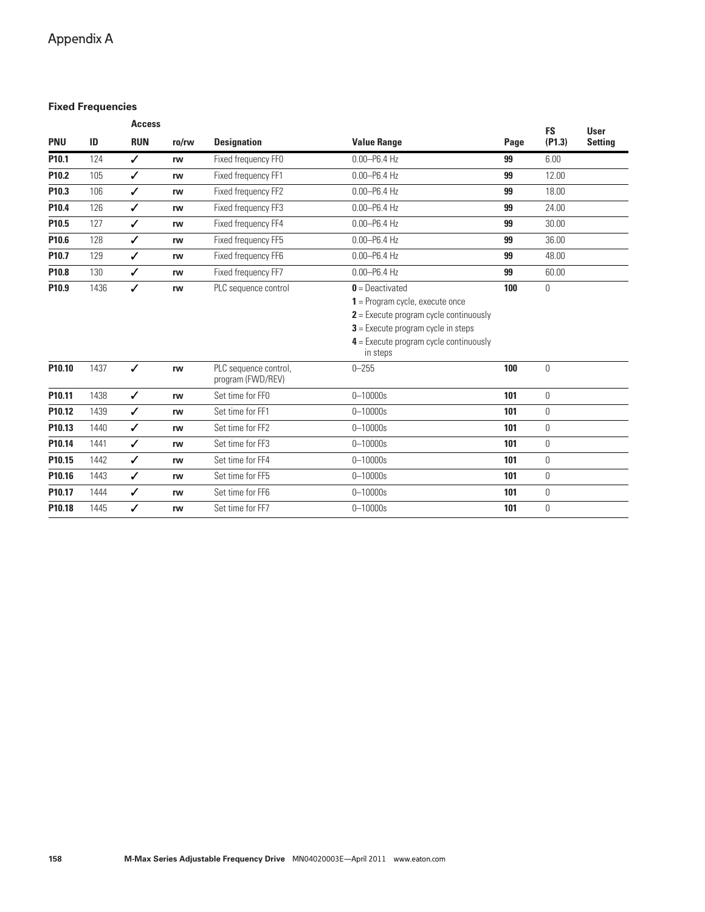# Appendix A

# **Fixed Frequencies**

|                    |      | <b>Access</b> |       |                                            |                                                                                                                                                                                                             |      | <b>FS</b>        | <b>User</b>    |
|--------------------|------|---------------|-------|--------------------------------------------|-------------------------------------------------------------------------------------------------------------------------------------------------------------------------------------------------------------|------|------------------|----------------|
| <b>PNU</b>         | ID   | <b>RUN</b>    | ro/rw | <b>Designation</b>                         | <b>Value Range</b>                                                                                                                                                                                          | Page | (P1.3)           | <b>Setting</b> |
| P <sub>10.1</sub>  | 124  | ✓             | rw    | Fixed frequency FF0                        | $0.00 - P6.4 Hz$                                                                                                                                                                                            | 99   | 6.00             |                |
| P <sub>10.2</sub>  | 105  | ✓             | rw    | Fixed frequency FF1                        | $0.00 - P6.4 Hz$                                                                                                                                                                                            | 99   | 12.00            |                |
| P <sub>10.3</sub>  | 106  | ✓             | rw    | Fixed frequency FF2                        | $0.00 - P6.4 Hz$                                                                                                                                                                                            | 99   | 18.00            |                |
| P <sub>10.4</sub>  | 126  | ✓             | rw    | Fixed frequency FF3                        | $0.00 - P6.4 Hz$                                                                                                                                                                                            | 99   | 24.00            |                |
| P <sub>10.5</sub>  | 127  | ✓             | rw    | Fixed frequency FF4                        | $0.00 - P6.4 Hz$                                                                                                                                                                                            | 99   | 30.00            |                |
| P10.6              | 128  | ✓             | rw    | Fixed frequency FF5                        | $0.00 - P6.4 Hz$                                                                                                                                                                                            | 99   | 36.00            |                |
| P <sub>10.7</sub>  | 129  | ✓             | rw    | Fixed frequency FF6                        | $0.00 - P6.4 Hz$                                                                                                                                                                                            | 99   | 48.00            |                |
| P <sub>10.8</sub>  | 130  | ✓             | rw    | Fixed frequency FF7                        | $0.00 - P6.4 Hz$                                                                                                                                                                                            | 99   | 60.00            |                |
| P <sub>10.9</sub>  | 1436 | $\checkmark$  | rw    | PLC sequence control                       | $\mathbf{0}$ = Deactivated<br>$1$ = Program cycle, execute once<br>$2$ = Execute program cycle continuously<br>$3$ = Execute program cycle in steps<br>$4$ = Execute program cycle continuously<br>in steps | 100  | 0                |                |
| P10.10             | 1437 | ✓             | rw    | PLC sequence control,<br>program (FWD/REV) | $0 - 255$                                                                                                                                                                                                   | 100  | 0                |                |
| P10.11             | 1438 | $\checkmark$  | rw    | Set time for FF0                           | $0 - 10000s$                                                                                                                                                                                                | 101  | 0                |                |
| P <sub>10.12</sub> | 1439 | ✓             | rw    | Set time for FF1                           | $0 - 10000s$                                                                                                                                                                                                | 101  | 0                |                |
| P <sub>10.13</sub> | 1440 | $\checkmark$  | rw    | Set time for FF2                           | $0 - 10000s$                                                                                                                                                                                                | 101  | 0                |                |
| P10.14             | 1441 | ✓             | rw    | Set time for FF3                           | $0 - 10000s$                                                                                                                                                                                                | 101  | 0                |                |
| P <sub>10.15</sub> | 1442 | $\checkmark$  | rw    | Set time for FF4                           | $0 - 10000s$                                                                                                                                                                                                | 101  | $\boldsymbol{0}$ |                |
| P <sub>10.16</sub> | 1443 | $\checkmark$  | rw    | Set time for FF5                           | $0 - 10000s$                                                                                                                                                                                                | 101  | 0                |                |
| P <sub>10.17</sub> | 1444 | $\checkmark$  | rw    | Set time for FF6                           | $0 - 10000s$                                                                                                                                                                                                | 101  | 0                |                |
| P <sub>10.18</sub> | 1445 | ✓             | rw    | Set time for FF7                           | $0 - 10000s$                                                                                                                                                                                                | 101  | $\boldsymbol{0}$ |                |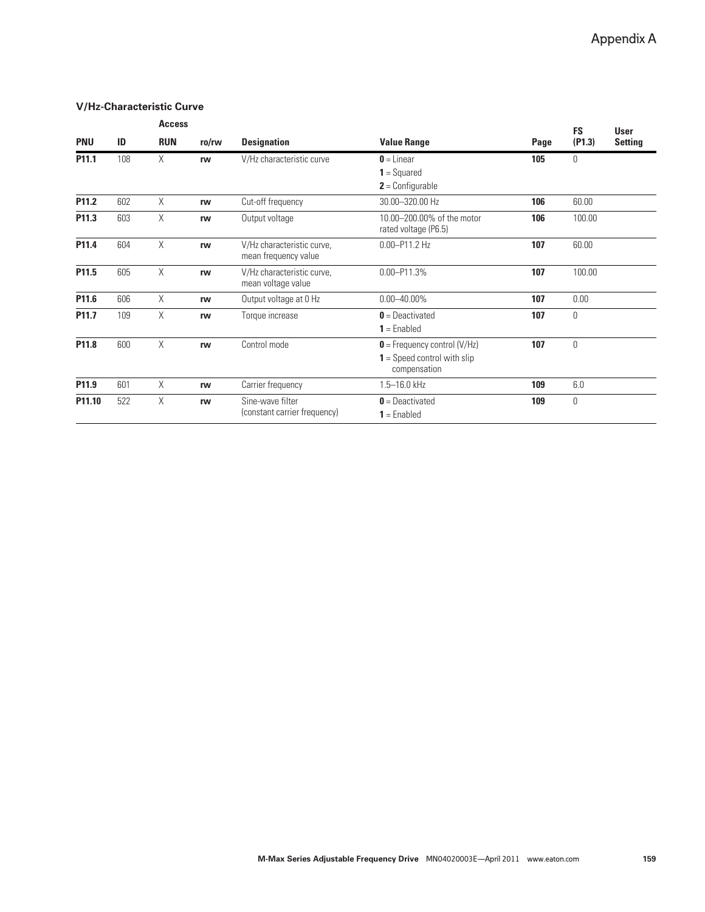### **V/Hz-Characteristic Curve**

|                   |     | <b>Access</b> |       |                                                    |                                                    | <b>FS</b> | <b>User</b>    |                |
|-------------------|-----|---------------|-------|----------------------------------------------------|----------------------------------------------------|-----------|----------------|----------------|
| <b>PNU</b>        | ID  | <b>RUN</b>    | ro/rw | <b>Designation</b>                                 | <b>Value Range</b>                                 | Page      | (P1.3)         | <b>Setting</b> |
| P11.1             | 108 | X             | rw    | V/Hz characteristic curve                          | $\mathbf{0}$ = Linear                              | 105       | 0              |                |
|                   |     |               |       |                                                    | $1 =$ Squared                                      |           |                |                |
|                   |     |               |       |                                                    | $2 =$ Configurable                                 |           |                |                |
| P <sub>11.2</sub> | 602 | Χ             | rw    | Cut-off frequency                                  | 30.00-320.00 Hz                                    | 106       | 60.00          |                |
| P11.3             | 603 | X             | rw    | Output voltage                                     | 10.00-200.00% of the motor<br>rated voltage (P6.5) | 106       | 100.00         |                |
| P11.4             | 604 | X             | rw    | V/Hz characteristic curve,<br>mean frequency value | $0.00 - P11.2$ Hz                                  | 107       | 60.00          |                |
| P <sub>11.5</sub> | 605 | X             | rw    | V/Hz characteristic curve,<br>mean voltage value   | $0.00 - P11.3%$                                    | 107       | 100.00         |                |
| P11.6             | 606 | Χ             | rw    | Output voltage at 0 Hz                             | $0.00 - 40.00\%$                                   | 107       | 0.00           |                |
| P <sub>11.7</sub> | 109 | X             | rw    | Torque increase                                    | $\mathbf{0}$ = Deactivated                         | 107       | $\overline{0}$ |                |
|                   |     |               |       |                                                    | $1 =$ Enabled                                      |           |                |                |
| P11.8             | 600 | X             | rw    | Control mode                                       | $\mathbf{0}$ = Frequency control (V/Hz)            | 107       | $\mathbf 0$    |                |
|                   |     |               |       |                                                    | $1 =$ Speed control with slip<br>compensation      |           |                |                |
| P11.9             | 601 | Χ             | rw    | Carrier frequency                                  | 1.5-16.0 kHz                                       | 109       | 6.0            |                |
| P11.10            | 522 | X             | rw    | Sine-wave filter                                   | $\mathbf{0}$ = Deactivated                         | 109       | 0              |                |
|                   |     |               |       | (constant carrier frequency)                       | $1 =$ Enabled                                      |           |                |                |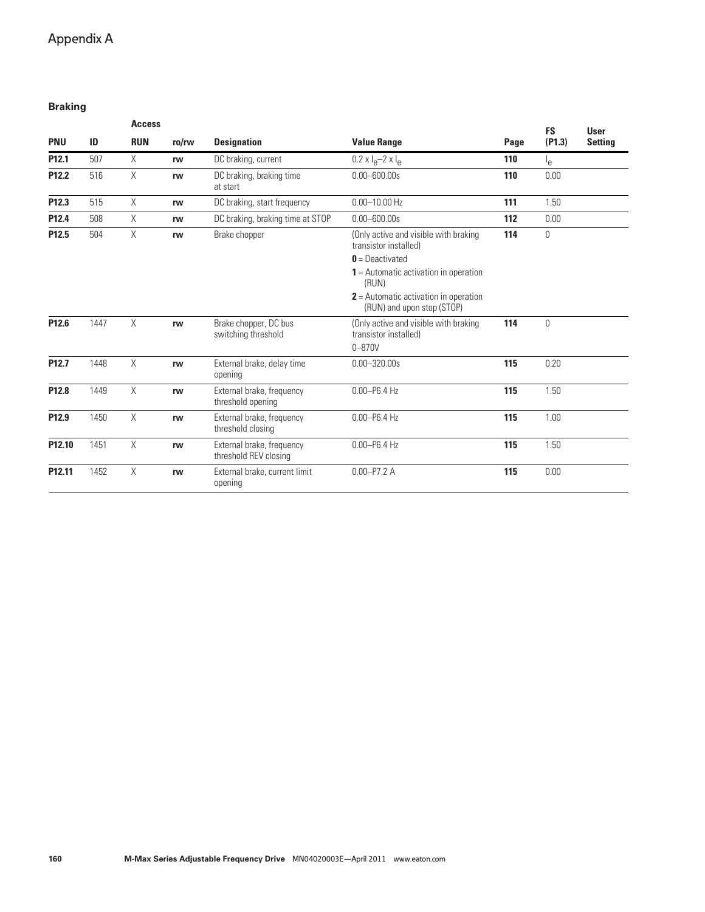# Appendix A

# **Braking**

|                    |      | <b>Access</b> |       |                                                    |                                                                                |      | <b>FS</b>    | <b>User</b>    |
|--------------------|------|---------------|-------|----------------------------------------------------|--------------------------------------------------------------------------------|------|--------------|----------------|
| <b>PNU</b>         | ID   | <b>RUN</b>    | ro/rw | <b>Designation</b>                                 | <b>Value Range</b>                                                             | Page | (P1.3)       | <b>Setting</b> |
| P <sub>12.1</sub>  | 507  | X             | rw    | DC braking, current                                | $0.2 \times I_{\rm e}$ - 2 $\times I_{\rm e}$                                  | 110  | le.          |                |
| P <sub>12.2</sub>  | 516  | $\times$      | rw    | DC braking, braking time<br>at start               | $0.00 - 600.00s$                                                               | 110  | 0.00         |                |
| P <sub>12.3</sub>  | 515  | $\times$      | rw    | DC braking, start frequency                        | $0.00 - 10.00$ Hz                                                              | 111  | 1.50         |                |
| P <sub>12.4</sub>  | 508  | $\times$      | rw    | DC braking, braking time at STOP                   | $0.00 - 600.00s$                                                               | 112  | 0.00         |                |
| P <sub>12.5</sub>  | 504  | X             | rw    | Brake chopper                                      | (Only active and visible with braking<br>transistor installed)                 | 114  | 0            |                |
|                    |      |               |       |                                                    | $\mathbf{0}$ = Deactivated<br>$1$ = Automatic activation in operation<br>(RUN) |      |              |                |
|                    |      |               |       |                                                    | $2$ = Automatic activation in operation<br>(RUN) and upon stop (STOP)          |      |              |                |
| P12.6              | 1447 | $\times$      | rw    | Brake chopper, DC bus<br>switching threshold       | (Only active and visible with braking<br>transistor installed)<br>$0 - 870V$   | 114  | $\mathbf{0}$ |                |
| P <sub>12.7</sub>  | 1448 | $\chi$        | rw    | External brake, delay time<br>opening              | $0.00 - 320.00s$                                                               | 115  | 0.20         |                |
| P <sub>12.8</sub>  | 1449 | X             | rw    | External brake, frequency<br>threshold opening     | $0.00 - P6.4 Hz$                                                               | 115  | 1.50         |                |
| P12.9              | 1450 | $\chi$        | rw    | External brake, frequency<br>threshold closing     | $0.00 - P6.4 Hz$                                                               | 115  | 1.00         |                |
| P <sub>12.10</sub> | 1451 | X             | rw    | External brake, frequency<br>threshold REV closing | $0.00 - P6.4 Hz$                                                               | 115  | 1.50         |                |
| P12.11             | 1452 | $\times$      | rw    | External brake, current limit<br>opening           | $0.00 - P7.2 A$                                                                | 115  | 0.00         |                |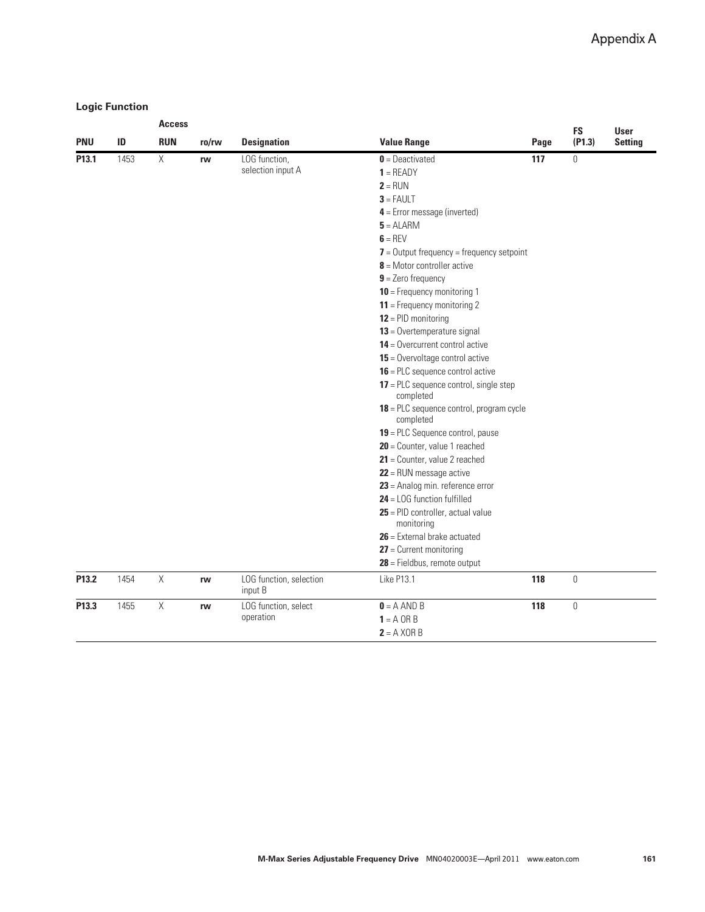### **Logic Function**

|            |      |              | <b>Access</b><br><b>FS</b><br><b>User</b> |                                    |                                                       |      |             |                |  |  |  |
|------------|------|--------------|-------------------------------------------|------------------------------------|-------------------------------------------------------|------|-------------|----------------|--|--|--|
| <b>PNU</b> | ID   | <b>RUN</b>   | ro/rw                                     | <b>Designation</b>                 | <b>Value Range</b>                                    | Page | (P1.3)      | <b>Setting</b> |  |  |  |
| P13.1      | 1453 | X            | rw                                        | LOG function,                      | $\mathbf{0}$ = Deactivated                            | 117  | $\mathbf 0$ |                |  |  |  |
|            |      |              |                                           | selection input A                  | $1 = READV$                                           |      |             |                |  |  |  |
|            |      |              |                                           |                                    | $2 = RUN$                                             |      |             |                |  |  |  |
|            |      |              |                                           |                                    | $3 = FAULT$                                           |      |             |                |  |  |  |
|            |      |              |                                           |                                    | $4$ = Error message (inverted)                        |      |             |                |  |  |  |
|            |      |              |                                           |                                    | $5 = ALARM$                                           |      |             |                |  |  |  |
|            |      |              |                                           |                                    | $6 = REV$                                             |      |             |                |  |  |  |
|            |      |              |                                           |                                    | $7 =$ Output frequency = frequency setpoint           |      |             |                |  |  |  |
|            |      |              |                                           |                                    | $8$ = Motor controller active                         |      |             |                |  |  |  |
|            |      |              |                                           |                                    | $9 =$ Zero frequency                                  |      |             |                |  |  |  |
|            |      |              |                                           |                                    | $10 =$ Frequency monitoring 1                         |      |             |                |  |  |  |
|            |      |              |                                           |                                    | $11 =$ Frequency monitoring 2                         |      |             |                |  |  |  |
|            |      |              |                                           |                                    | $12 =$ PID monitoring                                 |      |             |                |  |  |  |
|            |      |              |                                           |                                    | $13$ = Overtemperature signal                         |      |             |                |  |  |  |
|            |      |              |                                           |                                    | $14$ = Overcurrent control active                     |      |             |                |  |  |  |
|            |      |              |                                           |                                    | $15 =$ Overvoltage control active                     |      |             |                |  |  |  |
|            |      |              |                                           |                                    | $16$ = PLC sequence control active                    |      |             |                |  |  |  |
|            |      |              |                                           |                                    | $17 =$ PLC sequence control, single step<br>completed |      |             |                |  |  |  |
|            |      |              |                                           |                                    | 18 = PLC sequence control, program cycle<br>completed |      |             |                |  |  |  |
|            |      |              |                                           |                                    | 19 = PLC Sequence control, pause                      |      |             |                |  |  |  |
|            |      |              |                                           |                                    | $20 =$ Counter, value 1 reached                       |      |             |                |  |  |  |
|            |      |              |                                           |                                    | $21 =$ Counter, value 2 reached                       |      |             |                |  |  |  |
|            |      |              |                                           |                                    | $22 = RUN$ message active                             |      |             |                |  |  |  |
|            |      |              |                                           |                                    | $23$ = Analog min. reference error                    |      |             |                |  |  |  |
|            |      |              |                                           |                                    | $24 =$ LOG function fulfilled                         |      |             |                |  |  |  |
|            |      |              |                                           |                                    | 25 = PID controller, actual value<br>monitoring       |      |             |                |  |  |  |
|            |      |              |                                           |                                    | 26 = External brake actuated                          |      |             |                |  |  |  |
|            |      |              |                                           |                                    | $27 =$ Current monitoring                             |      |             |                |  |  |  |
|            |      |              |                                           |                                    | $28$ = Fieldbus, remote output                        |      |             |                |  |  |  |
| P13.2      | 1454 | $\mathsf{X}$ | rw                                        | LOG function, selection<br>input B | Like P13.1                                            | 118  | $\mathbf 0$ |                |  |  |  |
| P13.3      | 1455 | X            | rw                                        | LOG function, select               | $0 = A AND B$                                         | 118  | $\mathbb O$ |                |  |  |  |
|            |      |              |                                           | operation                          | $1 = A \tOR B$                                        |      |             |                |  |  |  |
|            |      |              |                                           |                                    | $2 = A XOR B$                                         |      |             |                |  |  |  |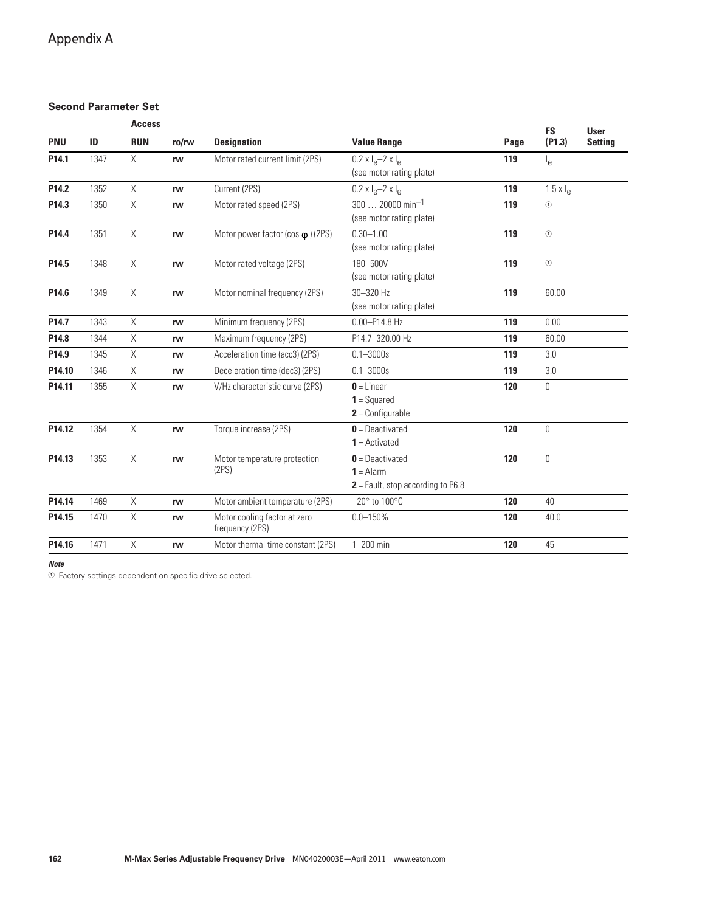### **Second Parameter Set**

|            |      | <b>Access</b> |       |                                                 |                                                                                  |      | <b>FS</b>        | <b>User</b>    |
|------------|------|---------------|-------|-------------------------------------------------|----------------------------------------------------------------------------------|------|------------------|----------------|
| <b>PNU</b> | ID   | <b>RUN</b>    | ro/rw | <b>Designation</b>                              | <b>Value Range</b>                                                               | Page | (P1.3)           | <b>Setting</b> |
| P14.1      | 1347 | X             | rw    | Motor rated current limit (2PS)                 | $0.2 \times I_{\rho} - 2 \times I_{\rho}$<br>(see motor rating plate)            | 119  | l <sub>e</sub>   |                |
| P14.2      | 1352 | X             | rw    | Current (2PS)                                   | $0.2 \times I_{\rm e}$ - 2 $\times I_{\rm e}$                                    | 119  | $1.5 \times Ig$  |                |
| P14.3      | 1350 | X             | rw    | Motor rated speed (2PS)                         | $30020000$ min <sup>-1</sup><br>(see motor rating plate)                         | 119  | $\odot$          |                |
| P14.4      | 1351 | X             | rw    | Motor power factor (cos $\varphi$ ) (2PS)       | $0.30 - 1.00$<br>(see motor rating plate)                                        | 119  | $\odot$          |                |
| P14.5      | 1348 | X             | rw    | Motor rated voltage (2PS)                       | 180-500V<br>(see motor rating plate)                                             | 119  | $\odot$          |                |
| P14.6      | 1349 | X             | rw    | Motor nominal frequency (2PS)                   | 30-320 Hz<br>(see motor rating plate)                                            | 119  | 60.00            |                |
| P14.7      | 1343 | X             | rw    | Minimum frequency (2PS)                         | 0.00-P14.8 Hz                                                                    | 119  | 0.00             |                |
| P14.8      | 1344 | X             | rw    | Maximum frequency (2PS)                         | P14.7-320.00 Hz                                                                  | 119  | 60.00            |                |
| P14.9      | 1345 | X             | rw    | Acceleration time (acc3) (2PS)                  | $0.1 - 3000s$                                                                    | 119  | 3.0              |                |
| P14.10     | 1346 | X             | rw    | Deceleration time (dec3) (2PS)                  | $0.1 - 3000s$                                                                    | 119  | 3.0              |                |
| P14.11     | 1355 | X             | rw    | V/Hz characteristic curve (2PS)                 | $\mathbf{0}$ = Linear<br>$1 =$ Squared<br>$2 =$ Configurable                     | 120  | $\mathbb 0$      |                |
| P14.12     | 1354 | X             | rw    | Torque increase (2PS)                           | $\mathbf{0}$ = Deactivated<br>$1 =$ Activated                                    | 120  | $\boldsymbol{0}$ |                |
| P14.13     | 1353 | X             | rw    | Motor temperature protection<br>(2PS)           | $\mathbf{0}$ = Deactivated<br>$1 =$ Alarm<br>$2$ = Fault, stop according to P6.8 | 120  | $\mathbf 0$      |                |
| P14.14     | 1469 | X             | rw    | Motor ambient temperature (2PS)                 | $-20^\circ$ to $100^\circ$ C                                                     | 120  | 40               |                |
| P14.15     | 1470 | $\chi$        | rw    | Motor cooling factor at zero<br>frequency (2PS) | $0.0 - 150%$                                                                     | 120  | 40.0             |                |
| P14.16     | 1471 | $\chi$        | rw    | Motor thermal time constant (2PS)               | $1-200$ min                                                                      | 120  | 45               |                |

*Note*

 $\Phi$  Factory settings dependent on specific drive selected.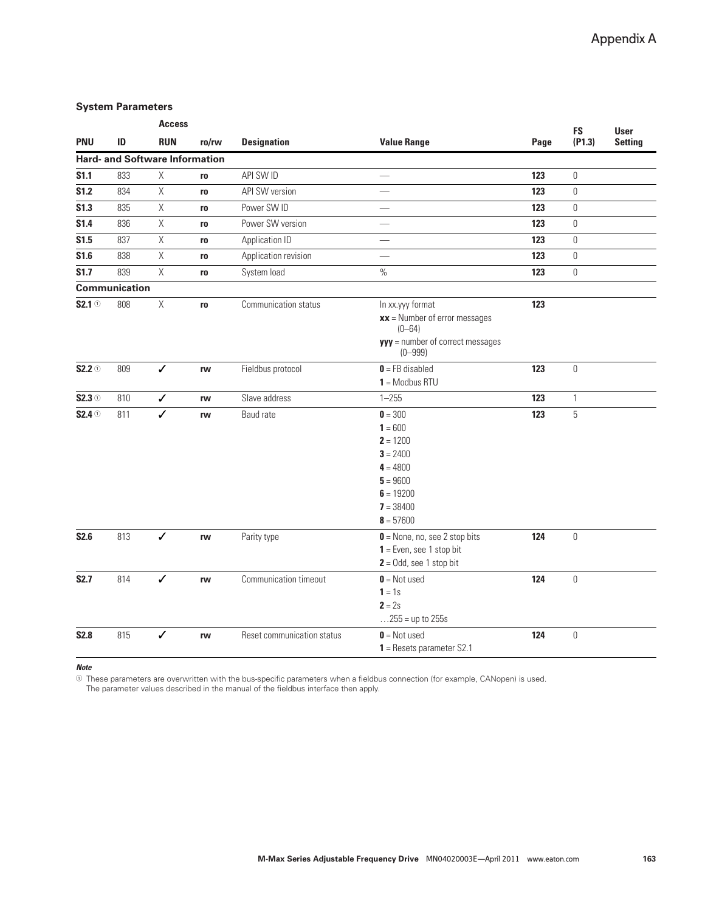# **System Parameters**

|                    |                      | <b>Access</b> |                                |                            |                                                                   |      | <b>FS</b>        | <b>User</b>    |
|--------------------|----------------------|---------------|--------------------------------|----------------------------|-------------------------------------------------------------------|------|------------------|----------------|
| <b>PNU</b>         | ID                   | <b>RUN</b>    | ro/rw                          | <b>Designation</b>         | <b>Value Range</b>                                                | Page | (P1.3)           | <b>Setting</b> |
|                    |                      |               | Hard- and Software Information |                            |                                                                   |      |                  |                |
| S1.1               | 833                  | X             | ro                             | API SW ID                  |                                                                   | 123  | $\mathbf 0$      |                |
| S1.2               | 834                  | $\chi$        | ro                             | <b>API SW version</b>      | $\overline{\phantom{0}}$                                          | 123  | $\mathbb 0$      |                |
| S1.3               | 835                  | $\chi$        | ro                             | Power SW ID                |                                                                   | 123  | $\boldsymbol{0}$ |                |
| S1.4               | 836                  | $\chi$        | ro                             | Power SW version           | $\equiv$                                                          | 123  | $\mathbb 0$      |                |
| <b>S1.5</b>        | 837                  | $\chi$        | ro                             | Application ID             |                                                                   | 123  | $\mathbb 0$      |                |
| S1.6               | 838                  | $\mathsf{X}$  | ro                             | Application revision       | $\overline{\phantom{a}}$                                          | 123  | $\mathbf 0$      |                |
| S1.7               | 839                  | $\times$      | ro                             | System load                | $\%$                                                              | 123  | $\mathbf 0$      |                |
|                    | <b>Communication</b> |               |                                |                            |                                                                   |      |                  |                |
| \$2.1 <sup>°</sup> | 808                  | $\chi$        | ro                             | Communication status       | In xx.yyy format<br>$xx =$ Number of error messages<br>$(0 - 64)$ | 123  |                  |                |
|                    |                      |               |                                |                            | $yyy =$ number of correct messages<br>$(0 - 999)$                 |      |                  |                |
| \$2.2 <sub>0</sub> | 809                  | $\checkmark$  | rw                             | Fieldbus protocol          | $\mathbf{0}$ = FB disabled                                        | 123  | $\mathbf 0$      |                |
|                    |                      |               |                                |                            | $1 =$ Modbus RTU                                                  |      |                  |                |
| \$2.3 <sup>°</sup> | 810                  | $\checkmark$  | rw                             | Slave address              | $1 - 255$                                                         | 123  | $\mathbf{1}$     |                |
| S2.4@              | 811                  | $\checkmark$  | rw                             | Baud rate                  | $0 = 300$                                                         | 123  | 5                |                |
|                    |                      |               |                                |                            | $1 = 600$                                                         |      |                  |                |
|                    |                      |               |                                |                            | $2 = 1200$                                                        |      |                  |                |
|                    |                      |               |                                |                            | $3 = 2400$                                                        |      |                  |                |
|                    |                      |               |                                |                            | $4 = 4800$                                                        |      |                  |                |
|                    |                      |               |                                |                            | $5 = 9600$                                                        |      |                  |                |
|                    |                      |               |                                |                            | $6 = 19200$                                                       |      |                  |                |
|                    |                      |               |                                |                            | $7 = 38400$                                                       |      |                  |                |
|                    |                      |               |                                |                            | $8 = 57600$                                                       |      |                  |                |
| <b>S2.6</b>        | 813                  | $\checkmark$  | rw                             | Parity type                | $\mathbf{0}$ = None, no, see 2 stop bits                          | 124  | $\mathbf 0$      |                |
|                    |                      |               |                                |                            | $1 =$ Even, see 1 stop bit                                        |      |                  |                |
|                    |                      |               |                                |                            | $2 =$ Odd, see 1 stop bit                                         |      |                  |                |
| <b>S2.7</b>        | 814                  | $\checkmark$  | rw                             | Communication timeout      | $\mathbf{0}$ = Not used                                           | 124  | $\boldsymbol{0}$ |                |
|                    |                      |               |                                |                            | $1 = 1s$                                                          |      |                  |                |
|                    |                      |               |                                |                            | $2 = 2s$                                                          |      |                  |                |
|                    |                      |               |                                |                            | $255 = up to 255s$                                                |      |                  |                |
| <b>S2.8</b>        | 815                  | $\checkmark$  | rw                             | Reset communication status | $\mathbf{0}$ = Not used                                           | 124  | $\mathbf 0$      |                |
|                    |                      |               |                                |                            | $1 =$ Resets parameter S2.1                                       |      |                  |                |

*Note*

 $\odot$  These parameters are overwritten with the bus-specific parameters when a fieldbus connection (for example, CANopen) is used.

The parameter values described in the manual of the fieldbus interface then apply.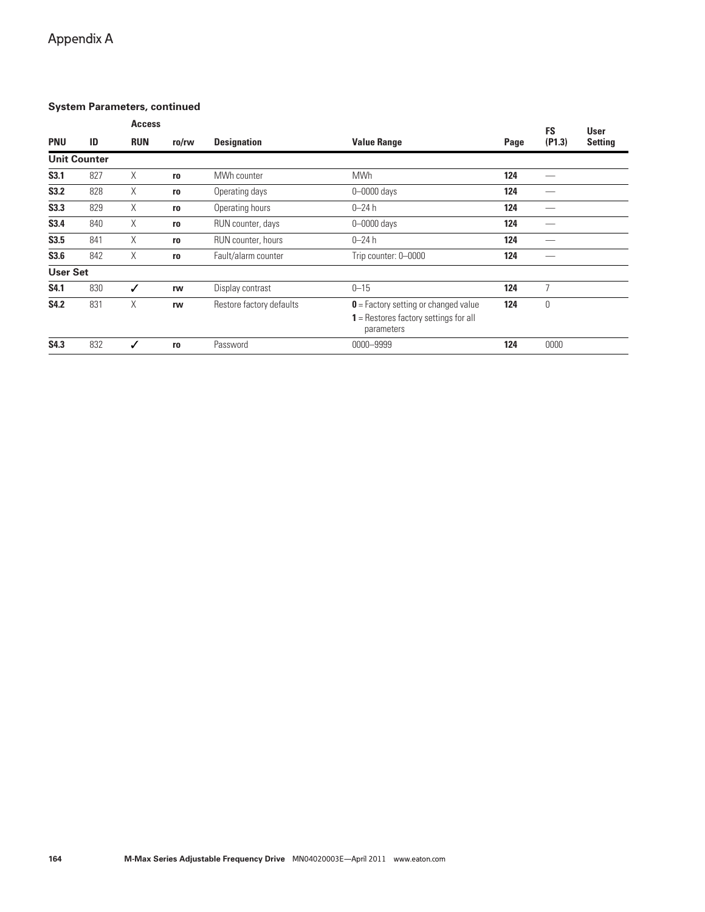# **System Parameters, continued**

|                 |                     | <b>Access</b> |       |                          | <b>FS</b>                                                                                                  | <b>User</b> |                |                |
|-----------------|---------------------|---------------|-------|--------------------------|------------------------------------------------------------------------------------------------------------|-------------|----------------|----------------|
| <b>PNU</b>      | ID                  | <b>RUN</b>    | ro/rw | <b>Designation</b>       | <b>Value Range</b>                                                                                         | Page        | (P1.3)         | <b>Setting</b> |
|                 | <b>Unit Counter</b> |               |       |                          |                                                                                                            |             |                |                |
| S3.1            | 827                 | X             | ro    | MWh counter              | <b>MWh</b>                                                                                                 | 124         |                |                |
| <b>S3.2</b>     | 828                 | Χ             | ro    | Operating days           | $0 - 0000$ days                                                                                            | 124         |                |                |
| S3.3            | 829                 | X             | ro    | Operating hours          | $0 - 24 h$                                                                                                 | 124         |                |                |
| S3.4            | 840                 | X             | ro    | RUN counter, days        | $0 - 0000$ days                                                                                            | 124         |                |                |
| S3.5            | 841                 | X             | ro    | RUN counter, hours       | $0 - 24 h$                                                                                                 | 124         |                |                |
| S3.6            | 842                 | X             | ro    | Fault/alarm counter      | Trip counter: 0-0000                                                                                       | 124         |                |                |
| <b>User Set</b> |                     |               |       |                          |                                                                                                            |             |                |                |
| S4.1            | 830                 | ✓             | rw    | Display contrast         | $0 - 15$                                                                                                   | 124         | $\overline{7}$ |                |
| S4.2            | 831                 | Χ             | rw    | Restore factory defaults | $\bullet$ = Factory setting or changed value<br><b>1</b> = Restores factory settings for all<br>parameters | 124         | 0              |                |
| S4.3            | 832                 | ✓             | ro    | Password                 | 0000-9999                                                                                                  | 124         | 0000           |                |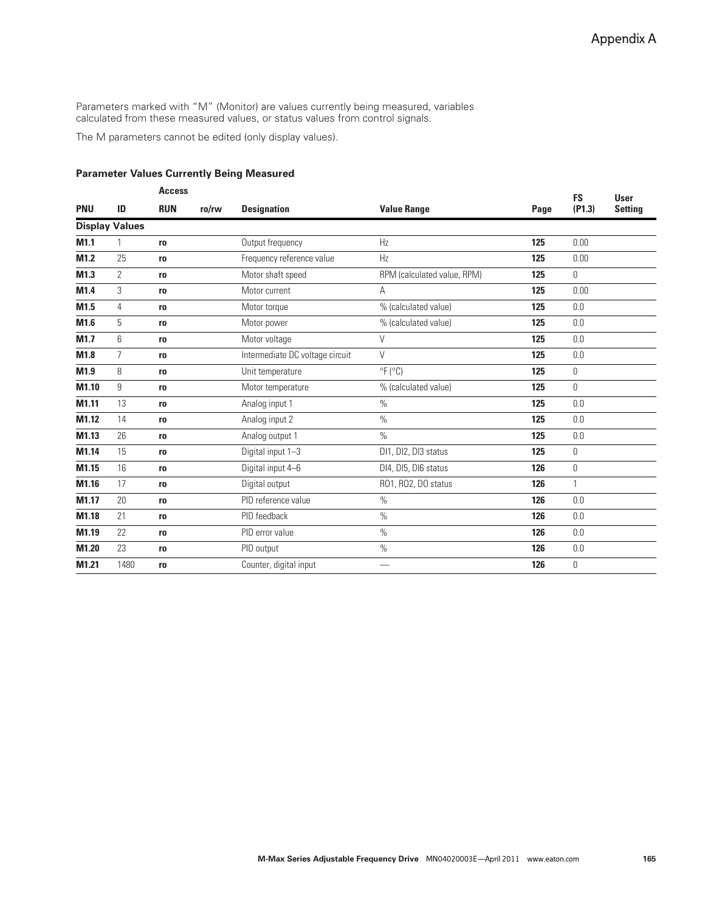Parameters marked with "M" (Monitor) are values currently being measured, variables calculated from these measured values, or status values from control signals.

The M parameters cannot be edited (only display values).

## **Parameter Values Currently Being Measured**

|                   |                       | <b>Access</b> |       |                                 |                             |      | <b>FS</b>        | <b>User</b>    |
|-------------------|-----------------------|---------------|-------|---------------------------------|-----------------------------|------|------------------|----------------|
| <b>PNU</b>        | ID                    | <b>RUN</b>    | ro/rw | <b>Designation</b>              | <b>Value Range</b>          | Page | (P1.3)           | <b>Setting</b> |
|                   | <b>Display Values</b> |               |       |                                 |                             |      |                  |                |
| M1.1              | $\mathbf{1}$          | ro            |       | Output frequency                | Hz                          | 125  | 0.00             |                |
| M1.2              | 25                    | ro            |       | Frequency reference value       | Hz                          | 125  | 0.00             |                |
| M1.3              | 2                     | ro            |       | Motor shaft speed               | RPM (calculated value, RPM) | 125  | 0                |                |
| M1.4              | 3                     | ro            |       | Motor current                   | A                           | 125  | 0.00             |                |
| M1.5              | 4                     | ro            |       | Motor torque                    | % (calculated value)        | 125  | 0.0              |                |
| M1.6              | 5                     | ro            |       | Motor power                     | % (calculated value)        | 125  | 0.0              |                |
| M <sub>1.7</sub>  | 6                     | ro            |       | Motor voltage                   | $\vee$                      | 125  | $0.0\,$          |                |
| M1.8              | $\overline{7}$        | ro            |       | Intermediate DC voltage circuit | $\vee$                      | 125  | 0.0              |                |
| M1.9              | 8                     | ro            |       | Unit temperature                | $\circ$ F ( $\circ$ C)      | 125  | 0                |                |
| M1.10             | 9                     | ro            |       | Motor temperature               | % (calculated value)        | 125  | 0                |                |
| M1.11             | 13                    | ro            |       | Analog input 1                  | $\%$                        | 125  | 0.0              |                |
| M1.12             | 14                    | ro            |       | Analog input 2                  | $\%$                        | 125  | 0.0              |                |
| M1.13             | 26                    | ro            |       | Analog output 1                 | $\%$                        | 125  | 0.0              |                |
| M1.14             | 15                    | ro            |       | Digital input 1-3               | DI1, DI2, DI3 status        | 125  | $\boldsymbol{0}$ |                |
| M1.15             | 16                    | ro            |       | Digital input 4-6               | DI4, DI5, DI6 status        | 126  | $\mathbf 0$      |                |
| M1.16             | 17                    | ro            |       | Digital output                  | RO1, RO2, DO status         | 126  | $\mathbf{1}$     |                |
| M <sub>1.17</sub> | 20                    | ro            |       | PID reference value             | $\%$                        | 126  | 0.0              |                |
| M1.18             | 21                    | ro            |       | PID feedback                    | $\%$                        | 126  | 0.0              |                |
| M1.19             | 22                    | ro            |       | PID error value                 | $\%$                        | 126  | 0.0              |                |
| M1.20             | 23                    | ro            |       | PID output                      | $\%$                        | 126  | 0.0              |                |
| M1.21             | 1480                  | ro            |       | Counter, digital input          |                             | 126  | 0                |                |